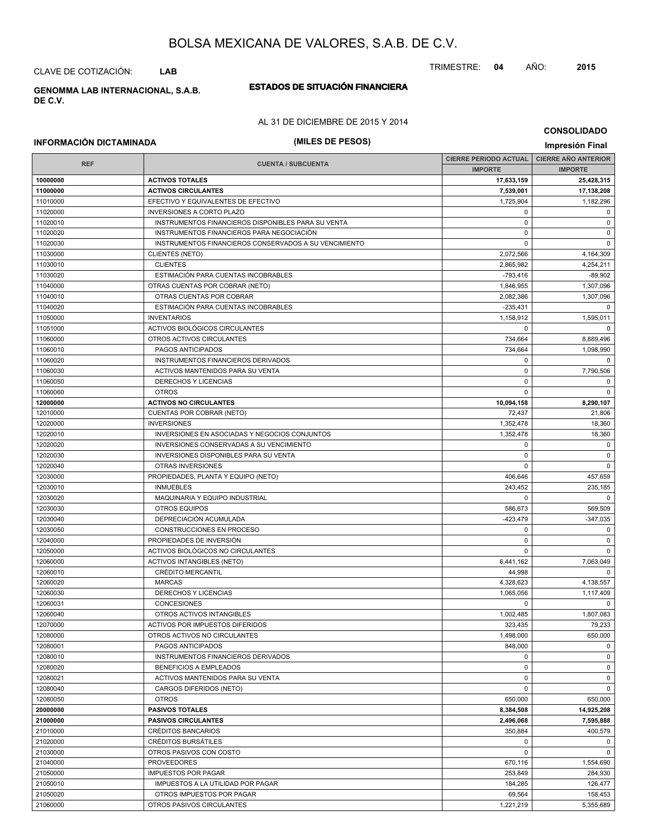CLAVE DE COTIZACIÓN: **LAB**

# **ESTADOS DE SITUACIÓN FINANCIERA GENOMMA LAB INTERNACIONAL, S.A.B. DE C.V.**

### AL 31 DE DICIEMBRE DE 2015 Y 2014

# **CONSOLIDADO**

# **INFORMACIÓN DICTAMINADA (MILES DE PESOS) Impresión Final**

|            |                                                       | <b>CIERRE PERIODO ACTUAL</b> |                |  |
|------------|-------------------------------------------------------|------------------------------|----------------|--|
| <b>REF</b> | <b>CUENTA / SUBCUENTA</b>                             | <b>IMPORTE</b>               | <b>IMPORTE</b> |  |
| 10000000   | <b>ACTIVOS TOTALES</b>                                | 17,633,159                   | 25,428,315     |  |
| 11000000   | <b>ACTIVOS CIRCULANTES</b>                            | 7,539,001                    | 17,138,208     |  |
| 11010000   | EFECTIVO Y EQUIVALENTES DE EFECTIVO                   | 1,725,904                    | 1,182,296      |  |
| 11020000   | <b>INVERSIONES A CORTO PLAZO</b>                      | 0                            | $\mathbf 0$    |  |
| 11020010   | INSTRUMENTOS FINANCIEROS DISPONIBLES PARA SU VENTA    | $\mathbf 0$                  | $\mathbf 0$    |  |
| 11020020   | INSTRUMENTOS FINANCIEROS PARA NEGOCIACIÓN             | $\mathbf 0$                  | $\mathsf 0$    |  |
| 11020030   | INSTRUMENTOS FINANCIEROS CONSERVADOS A SU VENCIMIENTO | 0                            | $\mathbf 0$    |  |
| 11030000   | CLIENTES (NETO)                                       | 2,072,566                    | 4,164,309      |  |
| 11030010   | <b>CLIENTES</b>                                       | 2,865,982                    | 4,254,211      |  |
| 11030020   | ESTIMACIÓN PARA CUENTAS INCOBRABLES                   | $-793,416$                   | $-89,902$      |  |
| 11040000   | OTRAS CUENTAS POR COBRAR (NETO)                       | 1,846,955                    | 1,307,096      |  |
| 11040010   | OTRAS CUENTAS POR COBRAR                              | 2,082,386                    | 1,307,096      |  |
| 11040020   | ESTIMACIÓN PARA CUENTAS INCOBRABLES                   | $-235,431$                   | $\mathbf 0$    |  |
| 11050000   | <b>INVENTARIOS</b>                                    | 1,158,912                    | 1,595,011      |  |
| 11051000   | ACTIVOS BIOLÓGICOS CIRCULANTES                        | $\mathbf 0$                  | $\mathbf 0$    |  |
| 11060000   | OTROS ACTIVOS CIRCULANTES                             | 734,664                      | 8,889,496      |  |
| 11060010   | PAGOS ANTICIPADOS                                     | 734,664                      | 1,098,990      |  |
| 11060020   | INSTRUMENTOS FINANCIEROS DERIVADOS                    | 0                            | $\mathbf 0$    |  |
| 11060030   | ACTIVOS MANTENIDOS PARA SU VENTA                      | 0                            | 7,790,506      |  |
| 11060050   | DERECHOS Y LICENCIAS                                  | 0                            | $\mathbf 0$    |  |
| 11060060   | <b>OTROS</b>                                          | $\mathbf 0$                  | $\mathbf 0$    |  |
| 12000000   | <b>ACTIVOS NO CIRCULANTES</b>                         | 10,094,158                   | 8,290,107      |  |
| 12010000   | CUENTAS POR COBRAR (NETO)                             | 72,437                       | 21,806         |  |
| 12020000   | <b>INVERSIONES</b>                                    | 1,352,478                    | 18,360         |  |
| 12020010   | INVERSIONES EN ASOCIADAS Y NEGOCIOS CONJUNTOS         | 1,352,478                    | 18,360         |  |
| 12020020   | <b>INVERSIONES CONSERVADAS A SU VENCIMIENTO</b>       | 0                            | $\mathbf 0$    |  |
| 12020030   | INVERSIONES DISPONIBLES PARA SU VENTA                 | 0                            | $\mathbf 0$    |  |
| 12020040   | OTRAS INVERSIONES                                     | 0                            | $\mathbf 0$    |  |
| 12030000   | PROPIEDADES, PLANTA Y EQUIPO (NETO)                   | 406,646                      | 457,659        |  |
| 12030010   | <b>INMUEBLES</b>                                      | 243,452                      | 235,185        |  |
| 12030020   | MAQUINARIA Y EQUIPO INDUSTRIAL                        | 0                            | $\mathbf 0$    |  |
| 12030030   | <b>OTROS EQUIPOS</b>                                  | 586,673                      | 569,509        |  |
| 12030040   | DEPRECIACIÓN ACUMULADA                                | $-423,479$                   | $-347,035$     |  |
| 12030050   | CONSTRUCCIONES EN PROCESO                             | 0                            | $\mathbf 0$    |  |
| 12040000   | PROPIEDADES DE INVERSIÓN                              | 0                            | $\mathbf 0$    |  |
| 12050000   | ACTIVOS BIOLÓGICOS NO CIRCULANTES                     | $\mathbf 0$                  | $\mathbf 0$    |  |
| 12060000   | <b>ACTIVOS INTANGIBLES (NETO)</b>                     | 6,441,162                    | 7,063,049      |  |
| 12060010   | <b>CRÉDITO MERCANTIL</b>                              | 44,998                       | $\mathbf 0$    |  |
| 12060020   | <b>MARCAS</b>                                         | 4,328,623                    | 4,138,557      |  |
| 12060030   | DERECHOS Y LICENCIAS                                  | 1,065,056                    | 1,117,409      |  |
| 12060031   | <b>CONCESIONES</b>                                    | 0                            | $\mathbf 0$    |  |
| 12060040   | OTROS ACTIVOS INTANGIBLES                             | 1,002,485                    | 1,807,083      |  |
| 12070000   | ACTIVOS POR IMPUESTOS DIFERIDOS                       | 323,435                      | 79,233         |  |
| 12080000   | OTROS ACTIVOS NO CIRCULANTES                          | 1,498,000                    | 650,000        |  |
| 12080001   | PAGOS ANTICIPADOS                                     | 848,000                      | $\mathbf 0$    |  |
| 12080010   | INSTRUMENTOS FINANCIEROS DERIVADOS                    | 0                            | $\mathbf 0$    |  |
| 12080020   | BENEFICIOS A EMPLEADOS                                | 0                            | $\mathbf 0$    |  |
| 12080021   | ACTIVOS MANTENIDOS PARA SU VENTA                      | 0                            | $\mathsf 0$    |  |
| 12080040   | CARGOS DIFERIDOS (NETO)                               | 0                            | $\mathbf 0$    |  |
| 12080050   | <b>OTROS</b>                                          | 650,000                      | 650,000        |  |
| 20000000   | <b>PASIVOS TOTALES</b>                                | 8,384,508                    | 14,925,208     |  |
| 21000000   | <b>PASIVOS CIRCULANTES</b>                            | 2,496,068                    | 7,595,888      |  |
| 21010000   | <b>CRÉDITOS BANCARIOS</b>                             | 350,884                      | 400,579        |  |
| 21020000   | CRÉDITOS BURSÁTILES                                   | 0                            | $\mathbf 0$    |  |
| 21030000   | OTROS PASIVOS CON COSTO                               | 0                            | $\mathbf 0$    |  |
| 21040000   | <b>PROVEEDORES</b>                                    | 670,116                      | 1,554,690      |  |
| 21050000   | <b>IMPUESTOS POR PAGAR</b>                            | 253,849                      | 284,930        |  |
| 21050010   | IMPUESTOS A LA UTILIDAD POR PAGAR                     | 184,285                      | 126,477        |  |
| 21050020   | OTROS IMPUESTOS POR PAGAR                             | 69,564                       | 158,453        |  |
| 21060000   | OTROS PASIVOS CIRCULANTES                             | 1,221,219                    | 5,355,689      |  |
|            |                                                       |                              |                |  |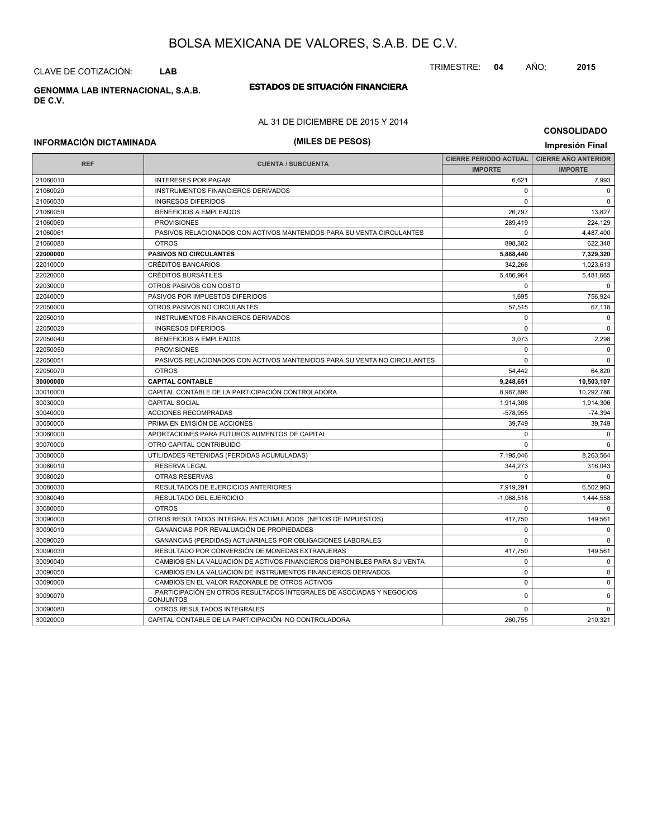CLAVE DE COTIZACIÓN: **LAB**

# **ESTADOS DE SITUACIÓN FINANCIERA GENOMMA LAB INTERNACIONAL, S.A.B. DE C.V.**

# AL 31 DE DICIEMBRE DE 2015 Y 2014

### **CONSOLIDADO**

# **INFORMACIÓN DICTAMINADA (MILES DE PESOS) Impresión Final**

| <b>REF</b> | <b>CUENTA / SUBCUENTA</b>                                                                | <b>CIERRE PERIODO ACTUAL</b> | <b>CIERRE AÑO ANTERIOR</b> |
|------------|------------------------------------------------------------------------------------------|------------------------------|----------------------------|
|            |                                                                                          | <b>IMPORTE</b>               | <b>IMPORTE</b>             |
| 21060010   | <b>INTERESES POR PAGAR</b>                                                               | 6,621                        | 7,993                      |
| 21060020   | INSTRUMENTOS FINANCIEROS DERIVADOS                                                       | $\mathbf 0$                  | $\mathbf 0$                |
| 21060030   | <b>INGRESOS DIFERIDOS</b>                                                                | 0                            | $\mathbf 0$                |
| 21060050   | <b>BENEFICIOS A EMPLEADOS</b>                                                            | 26,797                       | 13,827                     |
| 21060060   | <b>PROVISIONES</b>                                                                       | 289,419                      | 224,129                    |
| 21060061   | PASIVOS RELACIONADOS CON ACTIVOS MANTENIDOS PARA SU VENTA CIRCULANTES                    | 0                            | 4,487,400                  |
| 21060080   | <b>OTROS</b>                                                                             | 898,382                      | 622,340                    |
| 22000000   | <b>PASIVOS NO CIRCULANTES</b>                                                            | 5,888,440                    | 7,329,320                  |
| 22010000   | <b>CRÉDITOS BANCARIOS</b>                                                                | 342,266                      | 1,023,613                  |
| 22020000   | CRÉDITOS BURSÁTILES                                                                      | 5,486,964                    | 5,481,665                  |
| 22030000   | OTROS PASIVOS CON COSTO                                                                  | $\mathbf 0$                  | $\Omega$                   |
| 22040000   | PASIVOS POR IMPUESTOS DIFERIDOS                                                          | 1,695                        | 756,924                    |
| 22050000   | OTROS PASIVOS NO CIRCULANTES                                                             | 57,515                       | 67,118                     |
| 22050010   | INSTRUMENTOS FINANCIEROS DERIVADOS                                                       | $\mathbf 0$                  | $\mathbf 0$                |
| 22050020   | <b>INGRESOS DIFERIDOS</b>                                                                | 0                            | $\mathbf 0$                |
| 22050040   | <b>BENEFICIOS A EMPLEADOS</b>                                                            | 3,073                        | 2,298                      |
| 22050050   | <b>PROVISIONES</b>                                                                       | $\mathbf 0$                  | $\mathbf 0$                |
| 22050051   | PASIVOS RELACIONADOS CON ACTIVOS MANTENIDOS PARA SU VENTA NO CIRCULANTES                 | 0                            | $\mathbf 0$                |
| 22050070   | <b>OTROS</b>                                                                             | 54,442                       | 64,820                     |
| 30000000   | <b>CAPITAL CONTABLE</b>                                                                  | 9,248,651                    | 10,503,107                 |
| 30010000   | CAPITAL CONTABLE DE LA PARTICIPACIÓN CONTROLADORA                                        | 8,987,896                    | 10,292,786                 |
| 30030000   | <b>CAPITAL SOCIAL</b>                                                                    | 1,914,306                    | 1,914,306                  |
| 30040000   | ACCIONES RECOMPRADAS                                                                     | $-578,955$                   | $-74,394$                  |
| 30050000   | PRIMA EN EMISIÓN DE ACCIONES                                                             | 39,749                       | 39,749                     |
| 30060000   | APORTACIONES PARA FUTUROS AUMENTOS DE CAPITAL                                            | $\mathbf 0$                  | $\Omega$                   |
| 30070000   | OTRO CAPITAL CONTRIBUIDO                                                                 | $\Omega$                     | $\Omega$                   |
| 30080000   | UTILIDADES RETENIDAS (PERDIDAS ACUMULADAS)                                               | 7,195,046                    | 8,263,564                  |
| 30080010   | <b>RESERVA LEGAL</b>                                                                     | 344,273                      | 316,043                    |
| 30080020   | <b>OTRAS RESERVAS</b>                                                                    | $\Omega$                     | $\Omega$                   |
| 30080030   | RESULTADOS DE EJERCICIOS ANTERIORES                                                      | 7,919,291                    | 6,502,963                  |
| 30080040   | <b>RESULTADO DEL EJERCICIO</b>                                                           | $-1,068,518$                 | 1,444,558                  |
| 30080050   | <b>OTROS</b>                                                                             | $\Omega$                     | $\Omega$                   |
| 30090000   | OTROS RESULTADOS INTEGRALES ACUMULADOS (NETOS DE IMPUESTOS)                              | 417,750                      | 149,561                    |
| 30090010   | GANANCIAS POR REVALUACIÓN DE PROPIEDADES                                                 | $\Omega$                     | $\Omega$                   |
| 30090020   | GANANCIAS (PERDIDAS) ACTUARIALES POR OBLIGACIONES LABORALES                              | $\Omega$                     | $\Omega$                   |
| 30090030   | RESULTADO POR CONVERSIÓN DE MONEDAS EXTRANJERAS                                          | 417,750                      | 149,561                    |
| 30090040   | CAMBIOS EN LA VALUACIÓN DE ACTIVOS FINANCIEROS DISPONIBLES PARA SU VENTA                 | $\Omega$                     | $\Omega$                   |
| 30090050   | CAMBIOS EN LA VALUACIÓN DE INSTRUMENTOS FINANCIEROS DERIVADOS                            | $\mathbf 0$                  | $\Omega$                   |
| 30090060   | CAMBIOS EN EL VALOR RAZONABLE DE OTROS ACTIVOS                                           | $\Omega$                     | $\Omega$                   |
| 30090070   | PARTICIPACIÓN EN OTROS RESULTADOS INTEGRALES DE ASOCIADAS Y NEGOCIOS<br><b>CONJUNTOS</b> | $\mathbf 0$                  | $\Omega$                   |
| 30090080   | OTROS RESULTADOS INTEGRALES                                                              | $\Omega$                     | $\Omega$                   |
| 30020000   | CAPITAL CONTABLE DE LA PARTICIPACIÓN NO CONTROLADORA                                     | 260.755                      | 210,321                    |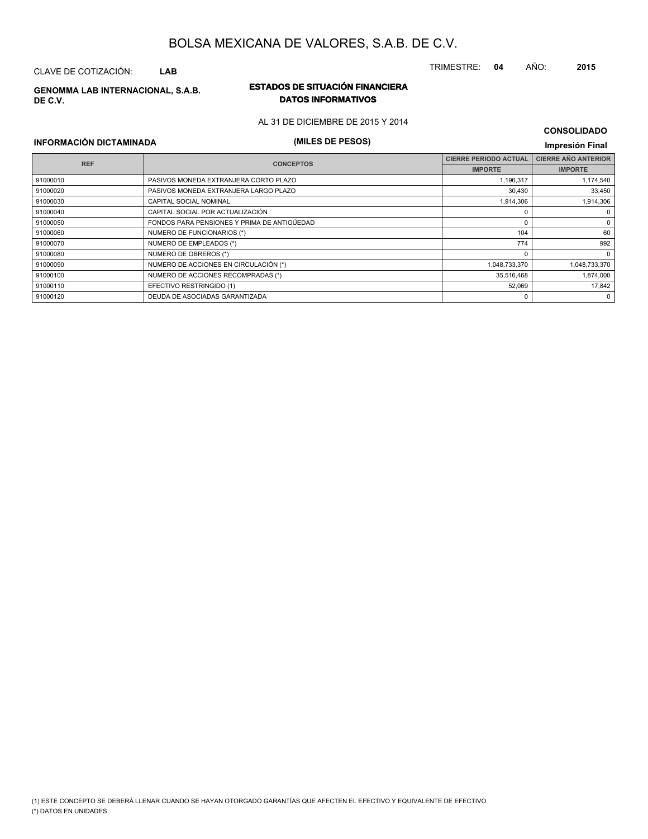# CLAVE DE COTIZACIÓN: **LAB**

**DE C.V.**

# **ESTADOS DE SITUACIÓN FINANCIERA GENOMMA LAB INTERNACIONAL, S.A.B. DATOS INFORMATIVOS**

AL 31 DE DICIEMBRE DE 2015 Y 2014

# **INFORMACIÓN DICTAMINADA (MILES DE PESOS) Impresión Final**

| <b>REF</b> | <b>CONCEPTOS</b>                            | <b>CIERRE PERIODO ACTUAL</b> | <b>CIERRE AÑO ANTERIOR</b> |
|------------|---------------------------------------------|------------------------------|----------------------------|
|            |                                             | <b>IMPORTE</b>               | <b>IMPORTE</b>             |
| 91000010   | PASIVOS MONEDA EXTRANJERA CORTO PLAZO       | 1,196,317                    | 1,174,540                  |
| 91000020   | PASIVOS MONEDA EXTRANJERA LARGO PLAZO       | 30,430                       | 33,450                     |
| 91000030   | <b>CAPITAL SOCIAL NOMINAL</b>               | 1.914.306                    | 1,914,306                  |
| 91000040   | CAPITAL SOCIAL POR ACTUALIZACIÓN            |                              | $\Omega$                   |
| 91000050   | FONDOS PARA PENSIONES Y PRIMA DE ANTIGÜEDAD |                              | 0                          |
| 91000060   | NUMERO DE FUNCIONARIOS (*)                  | 104                          | 60                         |
| 91000070   | NUMERO DE EMPLEADOS (*)                     | 774                          | 992                        |
| 91000080   | NUMERO DE OBREROS (*)                       |                              | $\Omega$                   |
| 91000090   | NUMERO DE ACCIONES EN CIRCULACIÓN (*)       | 1,048,733,370                | 1,048,733,370              |
| 91000100   | NUMERO DE ACCIONES RECOMPRADAS (*)          | 35,516,468                   | 1,874,000                  |
| 91000110   | EFECTIVO RESTRINGIDO (1)                    | 52,069                       | 17,842                     |
| 91000120   | DEUDA DE ASOCIADAS GARANTIZADA              | $\Omega$                     | $\Omega$                   |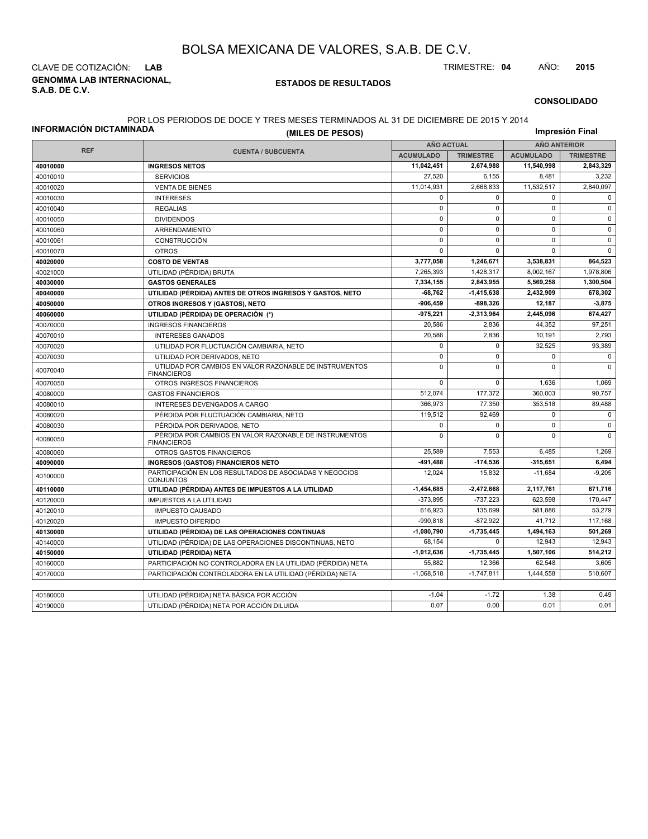**GENOMMA LAB INTERNACIONAL, S.A.B. DE C.V.** CLAVE DE COTIZACIÓN: **LAB** TRIMESTRE: **04** AÑO: **2015**

### **ESTADOS DE RESULTADOS**

#### **CONSOLIDADO**

# POR LOS PERIODOS DE DOCE Y TRES MESES TERMINADOS AL 31 DE DICIEMBRE DE 2015 Y 2014

| INFORMACIÓN DICTAMINADA | (MILES DE PESOS)                                                              |                   |                  |                     | Impresión Final  |
|-------------------------|-------------------------------------------------------------------------------|-------------------|------------------|---------------------|------------------|
|                         |                                                                               | <b>AÑO ACTUAL</b> |                  | <b>AÑO ANTERIOR</b> |                  |
| <b>REF</b>              | <b>CUENTA / SUBCUENTA</b>                                                     | <b>ACUMULADO</b>  | <b>TRIMESTRE</b> | <b>ACUMULADO</b>    | <b>TRIMESTRE</b> |
| 40010000                | <b>INGRESOS NETOS</b>                                                         | 11,042,451        | 2,674,988        | 11,540,998          | 2,843,329        |
| 40010010                | <b>SERVICIOS</b>                                                              | 27,520            | 6,155            | 8,481               | 3,232            |
| 40010020                | <b>VENTA DE BIENES</b>                                                        | 11,014,931        | 2,668,833        | 11,532,517          | 2,840,097        |
| 40010030                | <b>INTERESES</b>                                                              | $\mathbf{0}$      | $\mathbf 0$      | $\mathbf 0$         | $\mathbf 0$      |
| 40010040                | <b>REGALIAS</b>                                                               | $\mathbf 0$       | $\mathbf 0$      | $\pmb{0}$           | $\mathbf 0$      |
| 40010050                | <b>DIVIDENDOS</b>                                                             | $\mathbf 0$       | $\Omega$         | $\mathbf 0$         | $\mathbf{0}$     |
| 40010060                | ARRENDAMIENTO                                                                 | $\mathbf 0$       | $\mathbf 0$      | $\mathbf 0$         | $\mathbf 0$      |
| 40010061                | CONSTRUCCIÓN                                                                  | $\mathsf 0$       | $\mathbf 0$      | $\mathbf 0$         | $\pmb{0}$        |
| 40010070                | <b>OTROS</b>                                                                  | $\mathbf 0$       | $\Omega$         | $\Omega$            | $\mathbf 0$      |
| 40020000                | <b>COSTO DE VENTAS</b>                                                        | 3,777,058         | 1,246,671        | 3,538,831           | 864,523          |
| 40021000                | UTILIDAD (PÉRDIDA) BRUTA                                                      | 7,265,393         | 1,428,317        | 8,002,167           | 1,978,806        |
| 40030000                | <b>GASTOS GENERALES</b>                                                       | 7,334,155         | 2,843,955        | 5,569,258           | 1,300,504        |
| 40040000                | UTILIDAD (PÉRDIDA) ANTES DE OTROS INGRESOS Y GASTOS, NETO                     | -68,762           | $-1,415,638$     | 2,432,909           | 678,302          |
| 40050000                | OTROS INGRESOS Y (GASTOS), NETO                                               | $-906, 459$       | -898.326         | 12.187              | -3.875           |
| 40060000                | UTILIDAD (PÉRDIDA) DE OPERACIÓN (*)                                           | $-975,221$        | -2,313,964       | 2,445,096           | 674,427          |
| 40070000                | <b>INGRESOS FINANCIEROS</b>                                                   | 20,586            | 2,836            | 44,352              | 97,251           |
| 40070010                | <b>INTERESES GANADOS</b>                                                      | 20.586            | 2.836            | 10.191              | 2.793            |
| 40070020                | UTILIDAD POR FLUCTUACIÓN CAMBIARIA, NETO                                      | $\mathbf{0}$      | $\mathbf 0$      | 32,525              | 93,389           |
| 40070030                | UTILIDAD POR DERIVADOS, NETO                                                  | $\mathsf 0$       | $\mathbf 0$      | $\mathbf 0$         | $\mathbf 0$      |
| 40070040                | UTILIDAD POR CAMBIOS EN VALOR RAZONABLE DE INSTRUMENTOS<br><b>FINANCIEROS</b> | $\mathbf 0$       | $\Omega$         | $\Omega$            | $\Omega$         |
| 40070050                | OTROS INGRESOS FINANCIEROS                                                    | $\mathbf{0}$      | $\mathbf 0$      | 1,636               | 1,069            |
| 40080000                | <b>GASTOS FINANCIEROS</b>                                                     | 512,074           | 177,372          | 360,003             | 90,757           |
| 40080010                | INTERESES DEVENGADOS A CARGO                                                  | 366,973           | 77,350           | 353,518             | 89,488           |
| 40080020                | PÉRDIDA POR FLUCTUACIÓN CAMBIARIA, NETO                                       | 119,512           | 92,469           | $\mathbf 0$         | $\mathbf 0$      |
| 40080030                | PÉRDIDA POR DERIVADOS, NETO                                                   | $\mathsf 0$       | $\mathbf 0$      | $\mathbf 0$         | $\pmb{0}$        |
| 40080050                | PÉRDIDA POR CAMBIOS EN VALOR RAZONABLE DE INSTRUMENTOS<br><b>FINANCIEROS</b>  | $\mathbf 0$       | $\Omega$         | $\mathbf 0$         | $\mathbf 0$      |
| 40080060                | OTROS GASTOS FINANCIEROS                                                      | 25.589            | 7.553            | 6,485               | 1.269            |
| 40090000                | <b>INGRESOS (GASTOS) FINANCIEROS NETO</b>                                     | -491,488          | -174,536         | -315,651            | 6,494            |
| 40100000                | PARTICIPACIÓN EN LOS RESULTADOS DE ASOCIADAS Y NEGOCIOS<br><b>CONJUNTOS</b>   | 12,024            | 15,832           | $-11,684$           | $-9,205$         |
| 40110000                | UTILIDAD (PÉRDIDA) ANTES DE IMPUESTOS A LA UTILIDAD                           | 1,454,685         | -2,472,668       | 2,117,761           | 671.716          |
| 40120000                | <b>IMPUESTOS A LA UTILIDAD</b>                                                | $-373,895$        | $-737,223$       | 623,598             | 170,447          |
| 40120010                | <b>IMPUESTO CAUSADO</b>                                                       | 616,923           | 135,699          | 581,886             | 53,279           |
| 40120020                | <b>IMPUESTO DIFERIDO</b>                                                      | $-990.818$        | $-872.922$       | 41.712              | 117,168          |
| 40130000                | UTILIDAD (PÉRDIDA) DE LAS OPERACIONES CONTINUAS                               | $-1,080,790$      | $-1,735,445$     | 1,494,163           | 501,269          |
| 40140000                | UTILIDAD (PÉRDIDA) DE LAS OPERACIONES DISCONTINUAS, NETO                      | 68,154            | $\mathbf 0$      | 12,943              | 12,943           |
| 40150000                | UTILIDAD (PÉRDIDA) NETA                                                       | $-1,012,636$      | -1,735,445       | 1,507,106           | 514,212          |
| 40160000                | PARTICIPACIÓN NO CONTROLADORA EN LA UTILIDAD (PÉRDIDA) NETA                   | 55,882            | 12,366           | 62,548              | 3,605            |
| 40170000                | PARTICIPACIÓN CONTROLADORA EN LA UTILIDAD (PÉRDIDA) NETA                      | $-1.068.518$      | $-1,747,811$     | 1,444,558           | 510.607          |
|                         |                                                                               |                   |                  |                     |                  |
| 40180000                | UTILIDAD (PÉRDIDA) NETA BÁSICA POR ACCIÓN                                     | $-1.04$           | $-1.72$          | 1.38                | 0.49             |
| 40190000                | UTILIDAD (PÉRDIDA) NETA POR ACCIÓN DILUIDA                                    | 0.07              | 0.00             | 0.01                | 0.01             |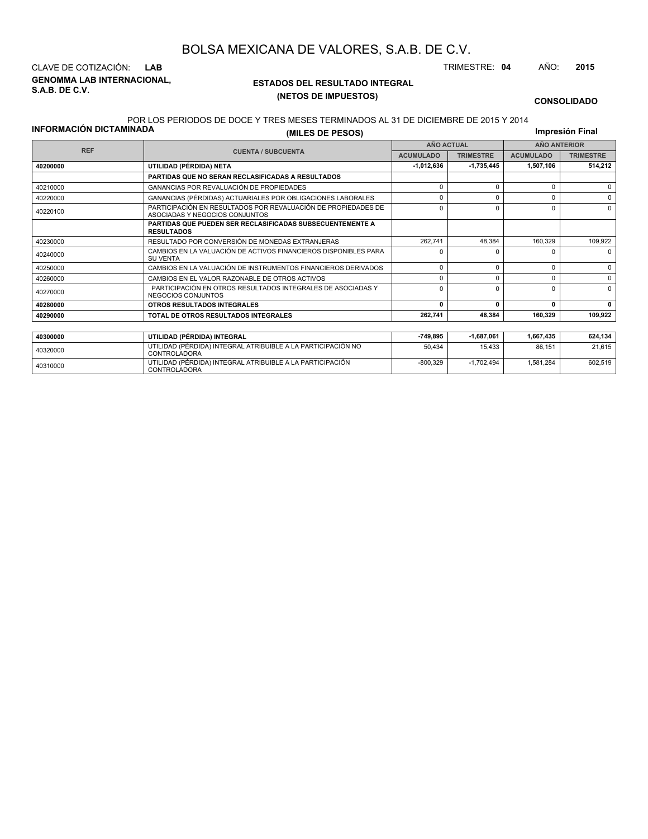**GENOMMA LAB INTERNACIONAL, S.A.B. DE C.V.** CLAVE DE COTIZACIÓN: **LAB** TRIMESTRE: **04** AÑO: **2015**

 $\mathsf{L}$ 

# **ESTADOS DEL RESULTADO INTEGRAL (NETOS DE IMPUESTOS)**

**CONSOLIDADO**

### **INFORMACIÓN DICTAMINADA** POR LOS PERIODOS DE DOCE Y TRES MESES TERMINADOS AL 31 DE DICIEMBRE DE 2015 Y 2

**(MILES DE PESOS)**

| ،L 31 DE DICIEMBRE DE 2015 Y 2014 |                 |
|-----------------------------------|-----------------|
|                                   | Impresión Final |

| <b>REF</b>                                                                            |                                                                                                             | <b>AÑO ACTUAL</b>    |                  | <b>AÑO ANTERIOR</b> |                  |  |  |
|---------------------------------------------------------------------------------------|-------------------------------------------------------------------------------------------------------------|----------------------|------------------|---------------------|------------------|--|--|
|                                                                                       | <b>CUENTA / SUBCUENTA</b>                                                                                   |                      | <b>TRIMESTRE</b> | <b>ACUMULADO</b>    | <b>TRIMESTRE</b> |  |  |
| 40200000                                                                              | UTILIDAD (PÉRDIDA) NETA                                                                                     | $-1,012,636$         | $-1,735,445$     | 1,507,106           | 514,212          |  |  |
|                                                                                       | PARTIDAS QUE NO SERAN RECLASIFICADAS A RESULTADOS                                                           |                      |                  |                     |                  |  |  |
| 40210000                                                                              | <b>GANANCIAS POR REVALUACIÓN DE PROPIEDADES</b>                                                             | $\Omega$             |                  | 0                   |                  |  |  |
| 40220000                                                                              | GANANCIAS (PÉRDIDAS) ACTUARIALES POR OBLIGACIONES LABORALES                                                 | $\Omega$<br>$\Omega$ |                  |                     |                  |  |  |
| 40220100                                                                              | PARTICIPACIÓN EN RESULTADOS POR REVALUACIÓN DE PROPIEDADES DE<br>$\Omega$<br>ASOCIADAS Y NEGOCIOS CONJUNTOS |                      | $\Omega$         | $\Omega$            | 0                |  |  |
| <b>PARTIDAS QUE PUEDEN SER RECLASIFICADAS SUBSECUENTEMENTE A</b><br><b>RESULTADOS</b> |                                                                                                             |                      |                  |                     |                  |  |  |
| 40230000                                                                              | RESULTADO POR CONVERSIÓN DE MONEDAS EXTRANJERAS                                                             | 262.741              | 48,384           | 160,329             | 109,922          |  |  |
| 40240000                                                                              | CAMBIOS EN LA VALUACIÓN DE ACTIVOS FINANCIEROS DISPONIBLES PARA<br><b>SU VENTA</b>                          | $\Omega$             | $\Omega$         | C                   | 0                |  |  |
| 40250000                                                                              | CAMBIOS EN LA VALUACIÓN DE INSTRUMENTOS FINANCIEROS DERIVADOS                                               | 0                    | $\mathbf 0$      | $\Omega$            | 0 <sup>1</sup>   |  |  |
| 40260000                                                                              | CAMBIOS EN EL VALOR RAZONABLE DE OTROS ACTIVOS                                                              | 0                    | $\Omega$         | $\Omega$            | 0 <sup>1</sup>   |  |  |
| 40270000                                                                              | PARTICIPACIÓN EN OTROS RESULTADOS INTEGRALES DE ASOCIADAS Y<br>NEGOCIOS CONJUNTOS                           | $\Omega$             | $\Omega$         | $\Omega$            | 0                |  |  |
| 40280000                                                                              | OTROS RESULTADOS INTEGRALES                                                                                 | 0                    | 0                | O                   | $\mathbf{0}$     |  |  |
| 40290000                                                                              | TOTAL DE OTROS RESULTADOS INTEGRALES                                                                        | 262,741              | 48,384           | 160,329             | 109,922          |  |  |
|                                                                                       |                                                                                                             |                      |                  |                     |                  |  |  |
| 40300000                                                                              | UTILIDAD (PÉRDIDA) INTEGRAL                                                                                 | -749,895             | $-1,687,061$     | 1,667,435           | 624,134          |  |  |
|                                                                                       | $I$ <sub>1</sub>                                                                                            | $- - - -$            | $-1$             | $\cdots$            | $-1$ $-1$        |  |  |

| 40300000 | UTILIDAD (PËRDIDA) INTEGRAL                                                      | -749.895 | $-1.687.061$ | 1.667.435 | 624.134 |
|----------|----------------------------------------------------------------------------------|----------|--------------|-----------|---------|
| 40320000 | UTILIDAD (PÉRDIDA) INTEGRAL ATRIBUIBLE A LA PARTICIPACIÓN NO<br>CONTROLADORA     | 50.434   | 15.433       | 86.151    | 21.615  |
| 40310000 | UTILIDAD (PÉRDIDA) INTEGRAL ATRIBUIBLE A LA PARTICIPACIÓN<br><b>CONTROLADORA</b> | -800.329 | -1.702.494   | 1.581.284 | 602.519 |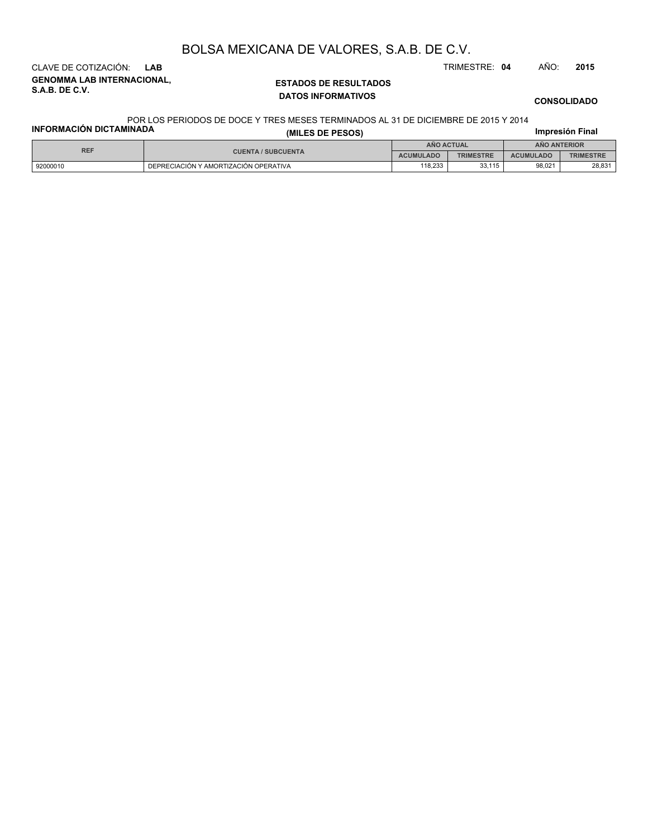**GENOMMA LAB INTERNACIONAL, S.A.B. DE C.V.** CLAVE DE COTIZACIÓN: **LAB** TRIMESTRE: **04** AÑO: **2015**

# **ESTADOS DE RESULTADOS DATOS INFORMATIVOS**

# **CONSOLIDADO**

#### POR LOS PERIODOS DE DOCE Y TRES MESES TERMINADOS AL 31 DE DICIEMBRE DE 2015 Y 2014

| <b>INFORMACIÓN DICTAMINADA</b> | <u>UN LUU LINUDUU DE DUUE T TINEU MEULU TENMINADUU AL UT DE DIUIEMDINE DE ZUTU T ZUTT</u> | Impresión Final  |                  |                     |                  |  |
|--------------------------------|-------------------------------------------------------------------------------------------|------------------|------------------|---------------------|------------------|--|
| <b>REF</b>                     |                                                                                           | AÑO ACTUAL       |                  | <b>ANO ANTERIOR</b> |                  |  |
|                                | <b>CUENTA / SUBCUENTA</b>                                                                 | <b>ACUMULADO</b> | <b>TRIMESTRE</b> | <b>ACUMULADO</b>    | <b>TRIMESTRE</b> |  |
| 92000010                       | DEPRECIACIÓN Y AMORTIZACIÓN OPERATIVA                                                     | 118.233          | 33.115           | 98.021              | 28,831           |  |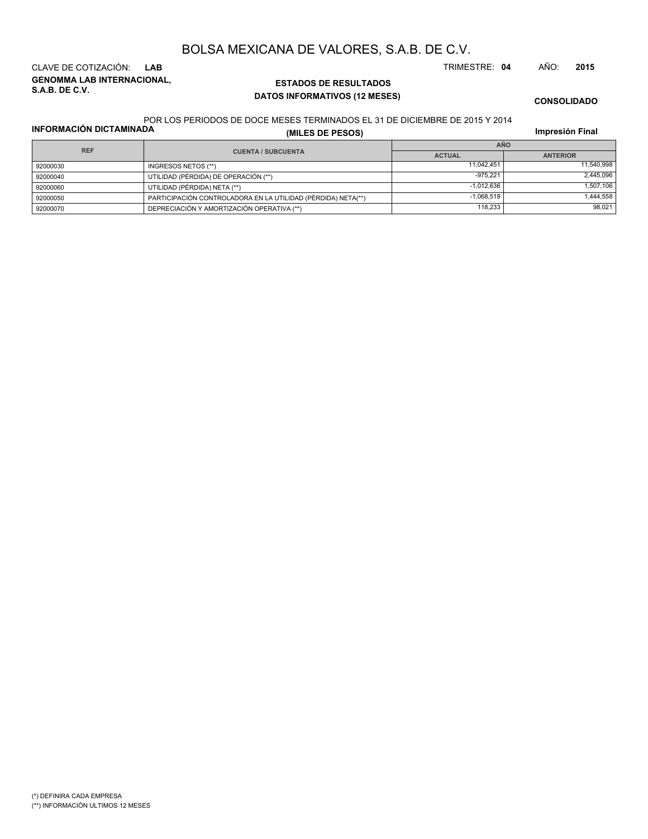**GENOMMA LAB INTERNACIONAL, S.A.B. DE C.V.** CLAVE DE COTIZACIÓN: **LAB** TRIMESTRE: **04** AÑO: **2015**

# **ESTADOS DE RESULTADOS DATOS INFORMATIVOS (12 MESES)**

**CONSOLIDADO**

### POR LOS PERIODOS DE DOCE MESES TERMINADOS EL 31 DE DICIEMBRE DE 2015 Y 2014

**INFORMACIÓN DICTAMINADA**

**(MILES DE PESOS)**

**Impresión Final**

| <b>REF</b> |                                                              | <b>AÑO</b>    |                 |  |  |  |  |
|------------|--------------------------------------------------------------|---------------|-----------------|--|--|--|--|
|            | <b>CUENTA / SUBCUENTA</b>                                    | <b>ACTUAL</b> | <b>ANTERIOR</b> |  |  |  |  |
| 92000030   | INGRESOS NETOS (**)                                          | 11.042.451    | 11.540.998      |  |  |  |  |
| 92000040   | UTILIDAD (PÉRDIDA) DE OPERACIÓN (**)                         | $-975.221$    | 2.445.096       |  |  |  |  |
| 92000060   | UTILIDAD (PÉRDIDA) NETA (**)                                 | $-1.012.636$  | 1.507.106       |  |  |  |  |
| 92000050   | PARTICIPACIÓN CONTROLADORA EN LA UTILIDAD (PÉRDIDA) NETA(**) | $-1.068.518$  | 1.444.558       |  |  |  |  |
| 92000070   | DEPRECIACIÓN Y AMORTIZACIÓN OPERATIVA (**)                   | 118,233       | 98.021          |  |  |  |  |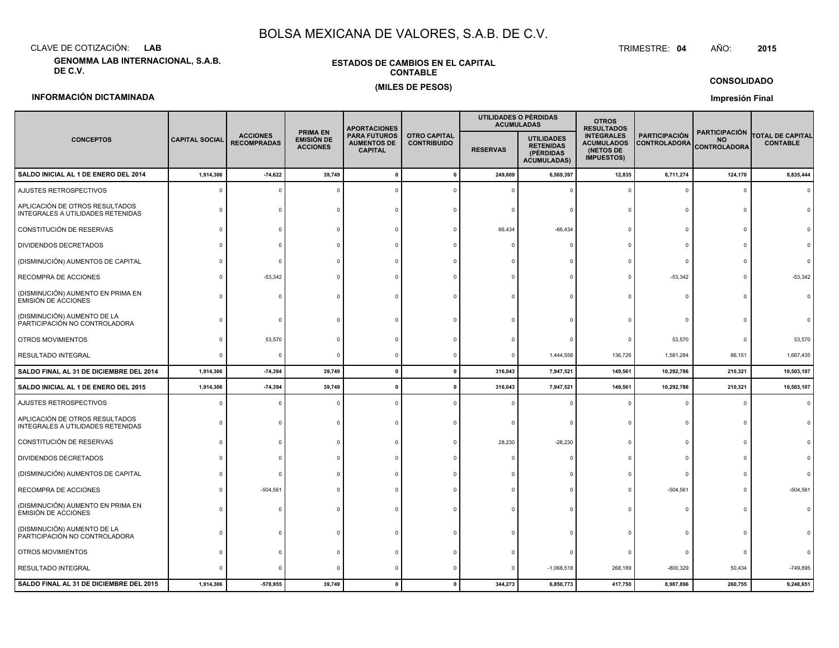CLAVE DE COTIZACIÓN:**LAB**

**GENOMMA LAB INTERNACIONAL, S.A.B. DE C.V.**

# **ESTADOS DE CAMBIOS EN EL CAPITALCONTABLE(MILES DE PESOS)**

#### TRIMESTRE:TRIMESTRE: 04 AÑO: **<sup>2015</sup>**

### **CONSOLIDADO**

**Impresión Final**

# **INFORMACIÓN DICTAMINADA**

|                                                                     |                       |                                       |                                                         | <b>APORTACIONES</b>                                         |                                           | <b>ACUMULADAS</b> | UTILIDADES O PÉRDIDAS                                                    | <b>OTROS</b><br><b>RESULTADOS</b>                                        |                                             |                                                          |                                            |
|---------------------------------------------------------------------|-----------------------|---------------------------------------|---------------------------------------------------------|-------------------------------------------------------------|-------------------------------------------|-------------------|--------------------------------------------------------------------------|--------------------------------------------------------------------------|---------------------------------------------|----------------------------------------------------------|--------------------------------------------|
| <b>CONCEPTOS</b>                                                    | <b>CAPITAL SOCIAL</b> | <b>ACCIONES</b><br><b>RECOMPRADAS</b> | <b>PRIMA EN</b><br><b>EMISIÓN DE</b><br><b>ACCIONES</b> | <b>PARA FUTUROS</b><br><b>AUMENTOS DE</b><br><b>CAPITAL</b> | <b>OTRO CAPITAL</b><br><b>CONTRIBUIDO</b> | <b>RESERVAS</b>   | <b>UTILIDADES</b><br><b>RETENIDAS</b><br>(PÉRDIDAS<br><b>ACUMULADAS)</b> | <b>INTEGRALES</b><br><b>ACUMULADOS</b><br>(NETOS DE<br><b>IMPUESTOS)</b> | <b>PARTICIPACIÓN</b><br><b>CONTROLADORA</b> | <b>PARTICIPACIÓN</b><br><b>NO</b><br><b>CONTROLADORA</b> | <b>TOTAL DE CAPITAL</b><br><b>CONTABLE</b> |
| SALDO INICIAL AL 1 DE ENERO DEL 2014                                | 1,914,306             | $-74,622$                             | 39,749                                                  |                                                             |                                           | 249,609           | 6,569,397                                                                | 12,835                                                                   | 8,711,274                                   | 124,170                                                  | 8,835,444                                  |
| AJUSTES RETROSPECTIVOS                                              |                       |                                       |                                                         |                                                             |                                           |                   |                                                                          |                                                                          |                                             |                                                          |                                            |
| APLICACIÓN DE OTROS RESULTADOS<br>INTEGRALES A UTILIDADES RETENIDAS |                       |                                       |                                                         |                                                             |                                           |                   |                                                                          |                                                                          |                                             |                                                          |                                            |
| CONSTITUCIÓN DE RESERVAS                                            |                       |                                       |                                                         |                                                             |                                           | 66,434            | $-66,434$                                                                |                                                                          |                                             |                                                          |                                            |
| DIVIDENDOS DECRETADOS                                               |                       |                                       |                                                         |                                                             |                                           |                   |                                                                          |                                                                          |                                             |                                                          |                                            |
| (DISMINUCIÓN) AUMENTOS DE CAPITAL                                   |                       | - 0                                   |                                                         |                                                             |                                           |                   |                                                                          |                                                                          |                                             |                                                          |                                            |
| RECOMPRA DE ACCIONES                                                |                       | $-53,342$                             |                                                         |                                                             |                                           |                   |                                                                          |                                                                          | $-53,342$                                   |                                                          | $-53,342$                                  |
| (DISMINUCIÓN) AUMENTO EN PRIMA EN<br>EMISIÓN DE ACCIONES            |                       |                                       |                                                         |                                                             |                                           |                   |                                                                          |                                                                          |                                             |                                                          |                                            |
| (DISMINUCIÓN) AUMENTO DE LA<br>PARTICIPACIÓN NO CONTROLADORA        |                       |                                       |                                                         |                                                             |                                           |                   |                                                                          |                                                                          |                                             |                                                          |                                            |
| OTROS MOVIMIENTOS                                                   |                       | 53,570                                |                                                         |                                                             |                                           |                   |                                                                          |                                                                          | 53,570                                      |                                                          | 53,570                                     |
| RESULTADO INTEGRAL                                                  | $\Omega$              | $\Omega$                              | $\Omega$                                                |                                                             |                                           | $\Omega$          | 1,444,558                                                                | 136,726                                                                  | 1,581,284                                   | 86,151                                                   | 1,667,435                                  |
| SALDO FINAL AL 31 DE DICIEMBRE DEL 2014                             | 1,914,306             | $-74,394$                             | 39,749                                                  |                                                             |                                           | 316,043           | 7,947,521                                                                | 149,561                                                                  | 10,292,786                                  | 210,321                                                  | 10,503,107                                 |
| SALDO INICIAL AL 1 DE ENERO DEL 2015                                | 1,914,306             | $-74,394$                             | 39,749                                                  |                                                             |                                           | 316,043           | 7,947,521                                                                | 149,561                                                                  | 10,292,786                                  | 210,321                                                  | 10,503,107                                 |
| AJUSTES RETROSPECTIVOS                                              |                       |                                       |                                                         |                                                             |                                           |                   |                                                                          |                                                                          |                                             |                                                          |                                            |
| APLICACIÓN DE OTROS RESULTADOS<br>INTEGRALES A UTILIDADES RETENIDAS |                       |                                       |                                                         |                                                             |                                           | $\Omega$          |                                                                          |                                                                          |                                             |                                                          |                                            |
| CONSTITUCIÓN DE RESERVAS                                            |                       |                                       |                                                         |                                                             |                                           | 28,230            | $-28,230$                                                                |                                                                          |                                             |                                                          |                                            |
| DIVIDENDOS DECRETADOS                                               |                       |                                       |                                                         |                                                             |                                           |                   |                                                                          |                                                                          |                                             |                                                          |                                            |
| (DISMINUCIÓN) AUMENTOS DE CAPITAL                                   |                       |                                       |                                                         |                                                             |                                           |                   |                                                                          |                                                                          |                                             |                                                          |                                            |
| RECOMPRA DE ACCIONES                                                |                       | $-504,561$                            |                                                         |                                                             |                                           |                   |                                                                          |                                                                          | $-504,561$                                  |                                                          | $-504,561$                                 |
| (DISMINUCIÓN) AUMENTO EN PRIMA EN<br>EMISIÓN DE ACCIONES            |                       |                                       |                                                         |                                                             |                                           |                   |                                                                          |                                                                          |                                             |                                                          |                                            |
| (DISMINUCIÓN) AUMENTO DE LA<br>PARTICIPACIÓN NO CONTROLADORA        |                       |                                       |                                                         |                                                             |                                           |                   |                                                                          |                                                                          |                                             |                                                          |                                            |
| OTROS MOVIMIENTOS                                                   |                       |                                       |                                                         |                                                             |                                           |                   |                                                                          |                                                                          |                                             |                                                          |                                            |
| RESULTADO INTEGRAL                                                  |                       |                                       |                                                         |                                                             |                                           |                   | $-1,068,518$                                                             | 268,189                                                                  | $-800,329$                                  | 50,434                                                   | $-749,895$                                 |
| SALDO FINAL AL 31 DE DICIEMBRE DEL 2015                             | 1,914,306             | $-578,955$                            | 39,749                                                  | $\mathbf 0$                                                 | $\mathbf{0}$                              | 344,273           | 6,850,773                                                                | 417,750                                                                  | 8,987,896                                   | 260,755                                                  | 9,248,651                                  |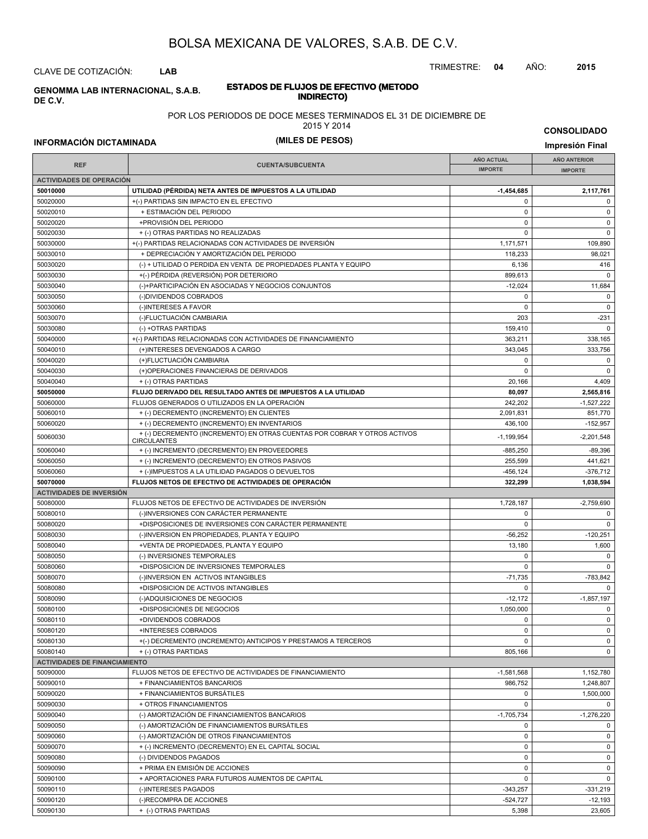TRIMESTRE: **04** AÑO: **2015**

# CLAVE DE COTIZACIÓN: **LAB**

**INDIRECTO) GENOMMA LAB INTERNACIONAL, S.A.B. DE C.V.**

# **ESTADOS DE FLUJOS DE EFECTIVO (METODO**

# POR LOS PERIODOS DE DOCE MESES TERMINADOS EL 31 DE DICIEMBRE DE

2015 Y 2014

# **INFORMACIÓN DICTAMINADA (MILES DE PESOS) Impresión Final**

**CONSOLIDADO**

|                                      |                                                                                                 | <b>AÑO ACTUAL</b>          | <b>AÑO ANTERIOR</b>      |  |
|--------------------------------------|-------------------------------------------------------------------------------------------------|----------------------------|--------------------------|--|
| <b>REF</b>                           | <b>CUENTA/SUBCUENTA</b>                                                                         | <b>IMPORTE</b>             | <b>IMPORTE</b>           |  |
| <b>ACTIVIDADES DE OPERACIÓN</b>      |                                                                                                 |                            |                          |  |
| 50010000                             | UTILIDAD (PÉRDIDA) NETA ANTES DE IMPUESTOS A LA UTILIDAD                                        | $-1,454,685$               | 2,117,761                |  |
| 50020000                             | +(-) PARTIDAS SIN IMPACTO EN EL EFECTIVO                                                        | $\mathbf 0$                | $\mathbf 0$              |  |
| 50020010                             | + ESTIMACIÓN DEL PERIODO                                                                        | $\mathbf 0$                | $\mathbf 0$              |  |
| 50020020                             | +PROVISIÓN DEL PERIODO                                                                          | $\mathbf 0$                | $\mathbf 0$              |  |
| 50020030                             | + (-) OTRAS PARTIDAS NO REALIZADAS                                                              | $\Omega$                   | $\mathbf 0$              |  |
| 50030000                             | +(-) PARTIDAS RELACIONADAS CON ACTIVIDADES DE INVERSIÓN                                         | 1,171,571                  | 109,890                  |  |
| 50030010                             | + DEPRECIACIÓN Y AMORTIZACIÓN DEL PERIODO                                                       | 118,233                    | 98,021                   |  |
| 50030020                             | (-) + UTILIDAD O PERDIDA EN VENTA DE PROPIEDADES PLANTA Y EQUIPO                                | 6,136                      | 416                      |  |
| 50030030                             | +(-) PÉRDIDA (REVERSIÓN) POR DETERIORO                                                          | 899,613                    | $\Omega$                 |  |
| 50030040                             | (-)+PARTICIPACIÓN EN ASOCIADAS Y NEGOCIOS CONJUNTOS                                             | $-12,024$                  | 11,684                   |  |
| 50030050                             | (-)DIVIDENDOS COBRADOS                                                                          | $\mathbf 0$                | $\mathbf 0$              |  |
| 50030060                             | (-)INTERESES A FAVOR                                                                            | $\mathbf 0$                | $\mathbf 0$              |  |
| 50030070                             | (-)FLUCTUACIÓN CAMBIARIA                                                                        | 203                        | $-231$                   |  |
| 50030080                             | (-) +OTRAS PARTIDAS                                                                             | 159,410                    | $\mathbf 0$              |  |
| 50040000                             | +(-) PARTIDAS RELACIONADAS CON ACTIVIDADES DE FINANCIAMIENTO                                    | 363,211                    | 338,165                  |  |
| 50040010                             | (+)INTERESES DEVENGADOS A CARGO                                                                 | 343,045                    | 333,756                  |  |
| 50040020                             | (+)FLUCTUACIÓN CAMBIARIA                                                                        | $\mathbf 0$                | $\mathbf 0$              |  |
| 50040030                             | (+)OPERACIONES FINANCIERAS DE DERIVADOS                                                         | $\mathbf 0$                | $\mathbf 0$              |  |
| 50040040                             | + (-) OTRAS PARTIDAS                                                                            | 20,166                     | 4,409                    |  |
| 50050000                             | FLUJO DERIVADO DEL RESULTADO ANTES DE IMPUESTOS A LA UTILIDAD                                   | 80,097                     | 2,565,816                |  |
| 50060000                             | FLUJOS GENERADOS O UTILIZADOS EN LA OPERACIÓN                                                   | 242,202                    | $-1.527.222$             |  |
| 50060010                             | + (-) DECREMENTO (INCREMENTO) EN CLIENTES                                                       | 2,091,831                  | 851,770                  |  |
| 50060020                             | + (-) DECREMENTO (INCREMENTO) EN INVENTARIOS                                                    | 436.100                    | $-152,957$               |  |
| 50060030                             | + (-) DECREMENTO (INCREMENTO) EN OTRAS CUENTAS POR COBRAR Y OTROS ACTIVOS<br><b>CIRCULANTES</b> | $-1,199,954$               | $-2,201,548$             |  |
| 50060040                             | + (-) INCREMENTO (DECREMENTO) EN PROVEEDORES                                                    | $-885,250$                 | $-89,396$                |  |
| 50060050                             | + (-) INCREMENTO (DECREMENTO) EN OTROS PASIVOS                                                  | 255,599                    | 441,621                  |  |
| 50060060                             | + (-)IMPUESTOS A LA UTILIDAD PAGADOS O DEVUELTOS                                                | $-456, 124$                | $-376,712$               |  |
| 50070000                             | FLUJOS NETOS DE EFECTIVO DE ACTIVIDADES DE OPERACIÓN                                            | 322,299                    | 1,038,594                |  |
| <b>ACTIVIDADES DE INVERSIÓN</b>      |                                                                                                 |                            |                          |  |
| 50080000                             | FLUJOS NETOS DE EFECTIVO DE ACTIVIDADES DE INVERSIÓN                                            | 1,728,187                  | $-2,759,690$             |  |
| 50080010                             | (-)INVERSIONES CON CARÁCTER PERMANENTE                                                          | $\mathbf 0$                | $\mathbf 0$              |  |
| 50080020                             | +DISPOSICIONES DE INVERSIONES CON CARÁCTER PERMANENTE                                           | $\mathbf 0$                | $\mathbf 0$              |  |
| 50080030                             | (-)INVERSION EN PROPIEDADES, PLANTA Y EQUIPO                                                    | $-56,252$                  | $-120,251$               |  |
| 50080040                             | +VENTA DE PROPIEDADES, PLANTA Y EQUIPO                                                          | 13,180                     | 1,600                    |  |
| 50080050                             | (-) INVERSIONES TEMPORALES                                                                      | $\mathbf 0$                | $\mathbf 0$              |  |
| 50080060                             | +DISPOSICION DE INVERSIONES TEMPORALES                                                          | $\mathbf 0$                | $\mathbf 0$              |  |
| 50080070                             | (-)INVERSION EN ACTIVOS INTANGIBLES                                                             | $-71,735$                  | $-783,842$               |  |
| 50080080                             | +DISPOSICION DE ACTIVOS INTANGIBLES                                                             | $\mathbf 0$                | $\mathbf 0$              |  |
| 50080090                             | (-)ADQUISICIONES DE NEGOCIOS                                                                    | $-12,172$                  | $-1,857,197$             |  |
| 50080100                             | +DISPOSICIONES DE NEGOCIOS                                                                      | 1,050,000                  | $\mathbf 0$              |  |
| 50080110                             | +DIVIDENDOS COBRADOS                                                                            | $\mathbf 0$                | $\mathbf 0$              |  |
| 50080120                             | +INTERESES COBRADOS                                                                             | 0                          | 0                        |  |
| 50080130                             | +(-) DECREMENTO (INCREMENTO) ANTICIPOS Y PRESTAMOS A TERCEROS                                   | $\Omega$                   | $\pmb{0}$                |  |
| 50080140                             | + (-) OTRAS PARTIDAS                                                                            | 805,166                    | 0                        |  |
| <b>ACTIVIDADES DE FINANCIAMIENTO</b> |                                                                                                 |                            |                          |  |
| 50090000                             | FLUJOS NETOS DE EFECTIVO DE ACTIVIDADES DE FINANCIAMIENTO                                       | $-1,581,568$               | 1,152,780                |  |
| 50090010                             | + FINANCIAMIENTOS BANCARIOS                                                                     | 986,752                    | 1,248,807                |  |
| 50090020                             | + FINANCIAMIENTOS BURSÁTILES                                                                    | 0<br>$\Omega$              | 1,500,000                |  |
| 50090030                             | + OTROS FINANCIAMIENTOS                                                                         |                            | $\mathbf 0$              |  |
| 50090040                             | (-) AMORTIZACIÓN DE FINANCIAMIENTOS BANCARIOS                                                   | $-1,705,734$               | $-1,276,220$             |  |
| 50090050<br>50090060                 | (-) AMORTIZACIÓN DE FINANCIAMIENTOS BURSÁTILES<br>(-) AMORTIZACIÓN DE OTROS FINANCIAMIENTOS     | $\mathbf 0$<br>$\mathbf 0$ | 0<br>$\pmb{0}$           |  |
|                                      |                                                                                                 |                            |                          |  |
| 50090070                             | + (-) INCREMENTO (DECREMENTO) EN EL CAPITAL SOCIAL                                              | $\mathbf 0$                | 0                        |  |
| 50090080                             | (-) DIVIDENDOS PAGADOS                                                                          | $\mathbf 0$<br>$\mathbf 0$ | $\mathbf 0$<br>$\pmb{0}$ |  |
| 50090090                             | + PRIMA EN EMISIÓN DE ACCIONES                                                                  | $\mathbf 0$                |                          |  |
| 50090100                             | + APORTACIONES PARA FUTUROS AUMENTOS DE CAPITAL                                                 |                            | $\mathbf 0$              |  |
| 50090110<br>50090120                 | (-)INTERESES PAGADOS<br>(-)RECOMPRA DE ACCIONES                                                 | $-343,257$<br>$-524,727$   | $-331,219$               |  |
| 50090130                             | + (-) OTRAS PARTIDAS                                                                            | 5,398                      | $-12,193$<br>23,605      |  |
|                                      |                                                                                                 |                            |                          |  |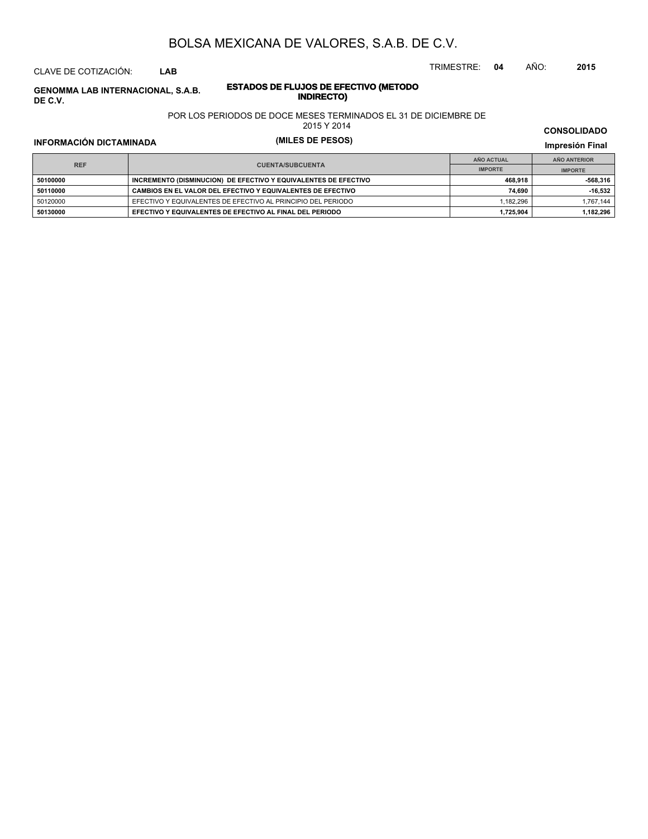CLAVE DE COTIZACIÓN: **LAB**

**INDIRECTO) GENOMMA LAB INTERNACIONAL, S.A.B. ESTADOS DE FLUJOS DE EFE**<br>INDIRECTO **DE C.V.**

# **ESTADOS DE FLUJOS DE EFECTIVO (METODO**

POR LOS PERIODOS DE DOCE MESES TERMINADOS EL 31 DE DICIEMBRE DE

2015 Y 2014

# **INFORMACIÓN DICTAMINADA (MILES DE PESOS) Impresión Final**

**IMPRESIÓN FINAL EN EN ENCLORED EN EL ENCLORED EN EL ENCLORED EN EL ENCLORED EN EL ENCLORED EN EL ENCLORED EN EL ENCLORED EN EL ENCLORED EN EL ENCLORED EN EL ENCLORED EN EL ENCLORED EN EL ENCLORED EN EL ENCLORED EN EL ENCL AÑO ACTUAL IMPORTE IMPORTE REF AÑO ANTERIOR IMPORTE EDITIONS CONSIDERED ASSAULT ATTACHMENTO (DISMINUCION) DE EFECTIVO Y EQUIVALENTES DE EFECTIVO <b>468,918** 468,918 468,918 - 568,316 **50110000 CAMBIOS EN EL VALOR DEL EFECTIVO Y EQUIVALENTES DE EFECTIVO 74,690 -16,532** 50120000 EFECTIVO Y EQUIVALENTES DE EFECTIVO AL PRINCIPIO DEL PERIODO 1,182,296 1,182,296 1,767,144 **50130000 EFECTIVO Y EQUIVALENTES DE EFECTIVO AL FINAL DEL PERIODO 1,725,904 1,182,296**

**CONSOLIDADO**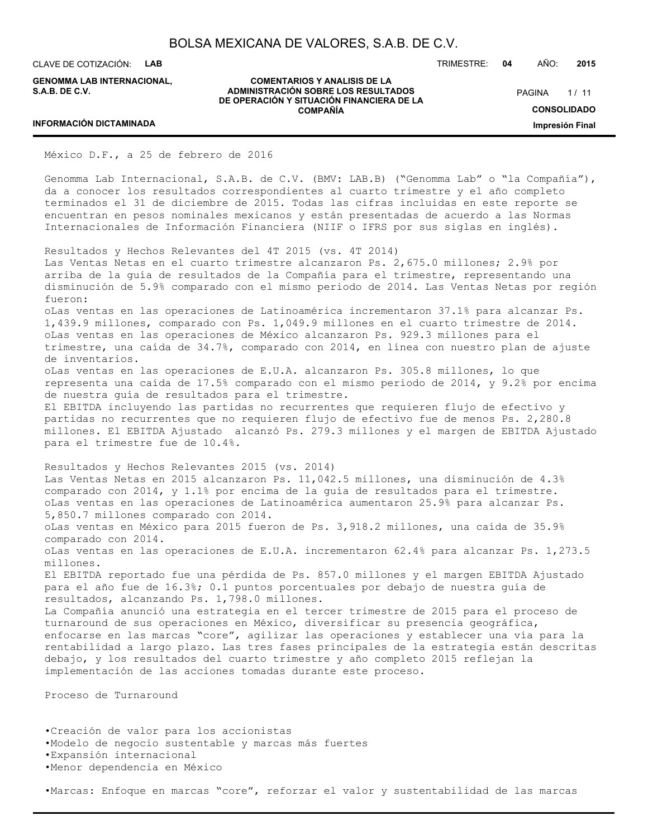CLAVE DE COTIZACIÓN: **LAB**

**GENOMMA LAB INTERNACIONAL, S.A.B. DE C.V.**

TRIMESTRE: **04** AÑO: **2015**

 $1/11$ **CONSOLIDADO Impresión Final PAGINA** 

#### **COMENTARIOS Y ANALISIS DE LA ADMINISTRACIÓN SOBRE LOS RESULTADOS DE OPERACIÓN Y SITUACIÓN FINANCIERA DE LA COMPAÑÍA**

**INFORMACIÓN DICTAMINADA**

México D.F., a 25 de febrero de 2016

Genomma Lab Internacional, S.A.B. de C.V. (BMV: LAB.B) ("Genomma Lab" o "la Compañía"), da a conocer los resultados correspondientes al cuarto trimestre y el año completo terminados el 31 de diciembre de 2015. Todas las cifras incluidas en este reporte se encuentran en pesos nominales mexicanos y están presentadas de acuerdo a las Normas Internacionales de Información Financiera (NIIF o IFRS por sus siglas en inglés).

Resultados y Hechos Relevantes del 4T 2015 (vs. 4T 2014)

Las Ventas Netas en el cuarto trimestre alcanzaron Ps. 2,675.0 millones; 2.9% por arriba de la guía de resultados de la Compañía para el trimestre, representando una disminución de 5.9% comparado con el mismo periodo de 2014. Las Ventas Netas por región fueron: oLas ventas en las operaciones de Latinoamérica incrementaron 37.1% para alcanzar Ps. 1,439.9 millones, comparado con Ps. 1,049.9 millones en el cuarto trimestre de 2014. oLas ventas en las operaciones de México alcanzaron Ps. 929.3 millones para el trimestre, una caída de 34.7%, comparado con 2014, en línea con nuestro plan de ajuste de inventarios. oLas ventas en las operaciones de E.U.A. alcanzaron Ps. 305.8 millones, lo que representa una caída de 17.5% comparado con el mismo periodo de 2014, y 9.2% por encima de nuestra guía de resultados para el trimestre. El EBITDA incluyendo las partidas no recurrentes que requieren flujo de efectivo y partidas no recurrentes que no requieren flujo de efectivo fue de menos Ps. 2,280.8 millones. El EBITDA Ajustado alcanzó Ps. 279.3 millones y el margen de EBITDA Ajustado para el trimestre fue de 10.4%. Resultados y Hechos Relevantes 2015 (vs. 2014) Las Ventas Netas en 2015 alcanzaron Ps. 11,042.5 millones, una disminución de 4.3% comparado con 2014, y 1.1% por encima de la guía de resultados para el trimestre. oLas ventas en las operaciones de Latinoamérica aumentaron 25.9% para alcanzar Ps. 5,850.7 millones comparado con 2014. oLas ventas en México para 2015 fueron de Ps. 3,918.2 millones, una caída de 35.9% comparado con 2014. oLas ventas en las operaciones de E.U.A. incrementaron 62.4% para alcanzar Ps. 1,273.5 millones. El EBITDA reportado fue una pérdida de Ps. 857.0 millones y el margen EBITDA Ajustado para el año fue de 16.3%; 0.1 puntos porcentuales por debajo de nuestra guía de resultados, alcanzando Ps. 1,798.0 millones. La Compañía anunció una estrategia en el tercer trimestre de 2015 para el proceso de turnaround de sus operaciones en México, diversificar su presencia geográfica, enfocarse en las marcas "core", agilizar las operaciones y establecer una vía para la rentabilidad a largo plazo. Las tres fases principales de la estrategia están descritas debajo, y los resultados del cuarto trimestre y año completo 2015 reflejan la implementación de las acciones tomadas durante este proceso. Proceso de Turnaround

•Creación de valor para los accionistas •Modelo de negocio sustentable y marcas más fuertes •Expansión internacional •Menor dependencia en México

•Marcas: Enfoque en marcas "core", reforzar el valor y sustentabilidad de las marcas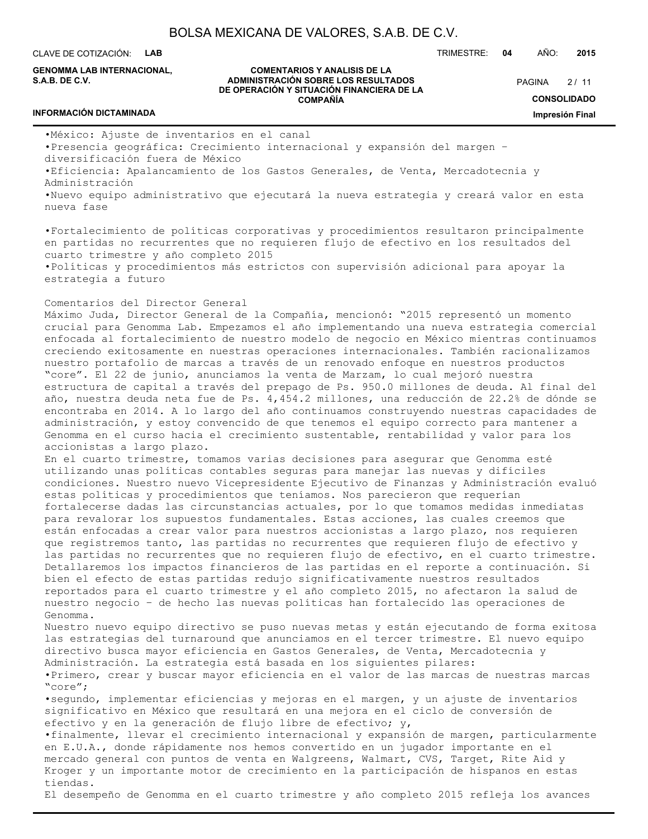CLAVE DE COTIZACIÓN: **LAB**

**GENOMMA LAB INTERNACIONAL, S.A.B. DE C.V.**

#### **COMENTARIOS Y ANALISIS DE LA ADMINISTRACIÓN SOBRE LOS RESULTADOS DE OPERACIÓN Y SITUACIÓN FINANCIERA DE LA COMPAÑÍA**

 $2/11$ **PAGINA** 

TRIMESTRE: **04** AÑO: **2015**

**CONSOLIDADO**

**Impresión Final**

# **INFORMACIÓN DICTAMINADA**

•México: Ajuste de inventarios en el canal •Presencia geográfica: Crecimiento internacional y expansión del margen – diversificación fuera de México •Eficiencia: Apalancamiento de los Gastos Generales, de Venta, Mercadotecnia y Administración •Nuevo equipo administrativo que ejecutará la nueva estrategia y creará valor en esta nueva fase

•Fortalecimiento de políticas corporativas y procedimientos resultaron principalmente en partidas no recurrentes que no requieren flujo de efectivo en los resultados del cuarto trimestre y año completo 2015 •Políticas y procedimientos más estrictos con supervisión adicional para apoyar la estrategia a futuro

#### Comentarios del Director General

Máximo Juda, Director General de la Compañía, mencionó: "2015 representó un momento crucial para Genomma Lab. Empezamos el año implementando una nueva estrategia comercial enfocada al fortalecimiento de nuestro modelo de negocio en México mientras continuamos creciendo exitosamente en nuestras operaciones internacionales. También racionalizamos nuestro portafolio de marcas a través de un renovado enfoque en nuestros productos "core". El 22 de junio, anunciamos la venta de Marzam, lo cual mejoró nuestra estructura de capital a través del prepago de Ps. 950.0 millones de deuda. Al final del año, nuestra deuda neta fue de Ps. 4,454.2 millones, una reducción de 22.2% de dónde se encontraba en 2014. A lo largo del año continuamos construyendo nuestras capacidades de administración, y estoy convencido de que tenemos el equipo correcto para mantener a Genomma en el curso hacia el crecimiento sustentable, rentabilidad y valor para los accionistas a largo plazo.

En el cuarto trimestre, tomamos varias decisiones para asegurar que Genomma esté utilizando unas políticas contables seguras para manejar las nuevas y difíciles condiciones. Nuestro nuevo Vicepresidente Ejecutivo de Finanzas y Administración evaluó estas políticas y procedimientos que teníamos. Nos parecieron que requerían fortalecerse dadas las circunstancias actuales, por lo que tomamos medidas inmediatas para revalorar los supuestos fundamentales. Estas acciones, las cuales creemos que están enfocadas a crear valor para nuestros accionistas a largo plazo, nos requieren que registremos tanto, las partidas no recurrentes que requieren flujo de efectivo y las partidas no recurrentes que no requieren flujo de efectivo, en el cuarto trimestre. Detallaremos los impactos financieros de las partidas en el reporte a continuación. Si bien el efecto de estas partidas redujo significativamente nuestros resultados reportados para el cuarto trimestre y el año completo 2015, no afectaron la salud de nuestro negocio – de hecho las nuevas políticas han fortalecido las operaciones de Genomma.

Nuestro nuevo equipo directivo se puso nuevas metas y están ejecutando de forma exitosa las estrategias del turnaround que anunciamos en el tercer trimestre. El nuevo equipo directivo busca mayor eficiencia en Gastos Generales, de Venta, Mercadotecnia y Administración. La estrategia está basada en los siguientes pilares:

•Primero, crear y buscar mayor eficiencia en el valor de las marcas de nuestras marcas "core";

•segundo, implementar eficiencias y mejoras en el margen, y un ajuste de inventarios significativo en México que resultará en una mejora en el ciclo de conversión de efectivo y en la generación de flujo libre de efectivo; y,

•finalmente, llevar el crecimiento internacional y expansión de margen, particularmente en E.U.A., donde rápidamente nos hemos convertido en un jugador importante en el mercado general con puntos de venta en Walgreens, Walmart, CVS, Target, Rite Aid y Kroger y un importante motor de crecimiento en la participación de hispanos en estas tiendas.

El desempeño de Genomma en el cuarto trimestre y año completo 2015 refleja los avances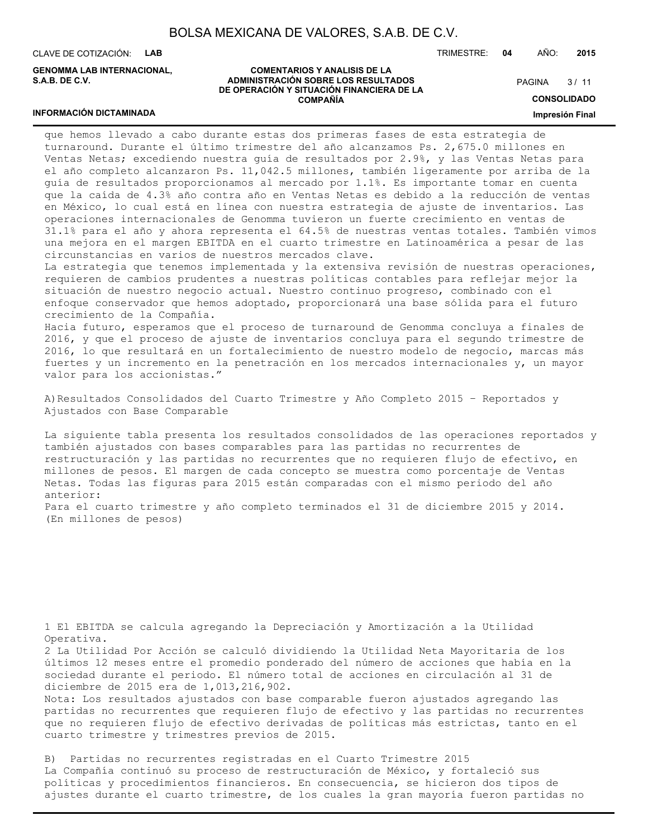CLAVE DE COTIZACIÓN: **LAB**

**INFORMACIÓN DICTAMINADA**

**GENOMMA LAB INTERNACIONAL, S.A.B. DE C.V.**

TRIMESTRE: **04** AÑO: **2015**

 $3/11$ **PAGINA** 

#### **ADMINISTRACIÓN SOBRE LOS RESULTADOS DE OPERACIÓN Y SITUACIÓN FINANCIERA DE LA COMPAÑÍA**

**COMENTARIOS Y ANALISIS DE LA**

**CONSOLIDADO Impresión Final**

que hemos llevado a cabo durante estas dos primeras fases de esta estrategia de turnaround. Durante el último trimestre del año alcanzamos Ps. 2,675.0 millones en Ventas Netas; excediendo nuestra guía de resultados por 2.9%, y las Ventas Netas para el año completo alcanzaron Ps. 11,042.5 millones, también ligeramente por arriba de la guía de resultados proporcionamos al mercado por 1.1%. Es importante tomar en cuenta que la caída de 4.3% año contra año en Ventas Netas es debido a la reducción de ventas en México, lo cual está en línea con nuestra estrategia de ajuste de inventarios. Las operaciones internacionales de Genomma tuvieron un fuerte crecimiento en ventas de 31.1% para el año y ahora representa el 64.5% de nuestras ventas totales. También vimos una mejora en el margen EBITDA en el cuarto trimestre en Latinoamérica a pesar de las circunstancias en varios de nuestros mercados clave.

La estrategia que tenemos implementada y la extensiva revisión de nuestras operaciones, requieren de cambios prudentes a nuestras políticas contables para reflejar mejor la situación de nuestro negocio actual. Nuestro continuo progreso, combinado con el enfoque conservador que hemos adoptado, proporcionará una base sólida para el futuro crecimiento de la Compañía.

Hacia futuro, esperamos que el proceso de turnaround de Genomma concluya a finales de 2016, y que el proceso de ajuste de inventarios concluya para el segundo trimestre de 2016, lo que resultará en un fortalecimiento de nuestro modelo de negocio, marcas más fuertes y un incremento en la penetración en los mercados internacionales y, un mayor valor para los accionistas."

A)Resultados Consolidados del Cuarto Trimestre y Año Completo 2015 – Reportados y Ajustados con Base Comparable

La siguiente tabla presenta los resultados consolidados de las operaciones reportados y también ajustados con bases comparables para las partidas no recurrentes de restructuración y las partidas no recurrentes que no requieren flujo de efectivo, en millones de pesos. El margen de cada concepto se muestra como porcentaje de Ventas Netas. Todas las figuras para 2015 están comparadas con el mismo periodo del año anterior:

Para el cuarto trimestre y año completo terminados el 31 de diciembre 2015 y 2014. (En millones de pesos)

1 El EBITDA se calcula agregando la Depreciación y Amortización a la Utilidad Operativa.

2 La Utilidad Por Acción se calculó dividiendo la Utilidad Neta Mayoritaria de los últimos 12 meses entre el promedio ponderado del número de acciones que había en la sociedad durante el periodo. El número total de acciones en circulación al 31 de diciembre de 2015 era de 1,013,216,902.

Nota: Los resultados ajustados con base comparable fueron ajustados agregando las partidas no recurrentes que requieren flujo de efectivo y las partidas no recurrentes que no requieren flujo de efectivo derivadas de políticas más estrictas, tanto en el cuarto trimestre y trimestres previos de 2015.

B) Partidas no recurrentes registradas en el Cuarto Trimestre 2015 La Compañía continuó su proceso de restructuración de México, y fortaleció sus políticas y procedimientos financieros. En consecuencia, se hicieron dos tipos de ajustes durante el cuarto trimestre, de los cuales la gran mayoría fueron partidas no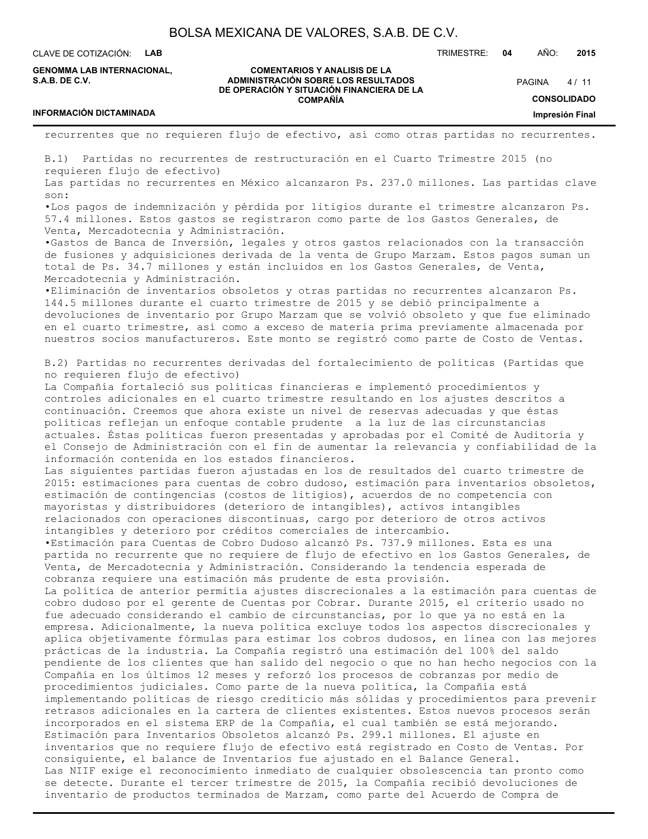CLAVE DE COTIZACIÓN: **LAB**

**GENOMMA LAB INTERNACIONAL, S.A.B. DE C.V.**

#### **COMENTARIOS Y ANALISIS DE LA ADMINISTRACIÓN SOBRE LOS RESULTADOS DE OPERACIÓN Y SITUACIÓN FINANCIERA DE LA COMPAÑÍA**

 $4/11$ **PAGINA** 

TRIMESTRE: **04** AÑO: **2015**

**CONSOLIDADO**

**Impresión Final**

**INFORMACIÓN DICTAMINADA**

recurrentes que no requieren flujo de efectivo, así como otras partidas no recurrentes.

B.1) Partidas no recurrentes de restructuración en el Cuarto Trimestre 2015 (no requieren flujo de efectivo)

Las partidas no recurrentes en México alcanzaron Ps. 237.0 millones. Las partidas clave son:

•Los pagos de indemnización y pérdida por litigios durante el trimestre alcanzaron Ps. 57.4 millones. Estos gastos se registraron como parte de los Gastos Generales, de Venta, Mercadotecnia y Administración.

•Gastos de Banca de Inversión, legales y otros gastos relacionados con la transacción de fusiones y adquisiciones derivada de la venta de Grupo Marzam. Estos pagos suman un total de Ps. 34.7 millones y están incluidos en los Gastos Generales, de Venta, Mercadotecnia y Administración.

•Eliminación de inventarios obsoletos y otras partidas no recurrentes alcanzaron Ps. 144.5 millones durante el cuarto trimestre de 2015 y se debió principalmente a devoluciones de inventario por Grupo Marzam que se volvió obsoleto y que fue eliminado en el cuarto trimestre, así como a exceso de materia prima previamente almacenada por nuestros socios manufactureros. Este monto se registró como parte de Costo de Ventas.

B.2) Partidas no recurrentes derivadas del fortalecimiento de políticas (Partidas que no requieren flujo de efectivo)

La Compañía fortaleció sus políticas financieras e implementó procedimientos y controles adicionales en el cuarto trimestre resultando en los ajustes descritos a continuación. Creemos que ahora existe un nivel de reservas adecuadas y que éstas políticas reflejan un enfoque contable prudente a la luz de las circunstancias actuales. Éstas políticas fueron presentadas y aprobadas por el Comité de Auditoría y el Consejo de Administración con el fin de aumentar la relevancia y confiabilidad de la información contenida en los estados financieros.

Las siguientes partidas fueron ajustadas en los de resultados del cuarto trimestre de 2015: estimaciones para cuentas de cobro dudoso, estimación para inventarios obsoletos, estimación de contingencias (costos de litigios), acuerdos de no competencia con mayoristas y distribuidores (deterioro de intangibles), activos intangibles relacionados con operaciones discontinuas, cargo por deterioro de otros activos intangibles y deterioro por créditos comerciales de intercambio.

•Estimación para Cuentas de Cobro Dudoso alcanzó Ps. 737.9 millones. Esta es una partida no recurrente que no requiere de flujo de efectivo en los Gastos Generales, de Venta, de Mercadotecnia y Administración. Considerando la tendencia esperada de cobranza requiere una estimación más prudente de esta provisión.

La política de anterior permitía ajustes discrecionales a la estimación para cuentas de cobro dudoso por el gerente de Cuentas por Cobrar. Durante 2015, el criterio usado no fue adecuado considerando el cambio de circunstancias, por lo que ya no está en la empresa. Adicionalmente, la nueva política excluye todos los aspectos discrecionales y aplica objetivamente fórmulas para estimar los cobros dudosos, en línea con las mejores prácticas de la industria. La Compañía registró una estimación del 100% del saldo pendiente de los clientes que han salido del negocio o que no han hecho negocios con la Compañía en los últimos 12 meses y reforzó los procesos de cobranzas por medio de procedimientos judiciales. Como parte de la nueva política, la Compañía está implementando políticas de riesgo crediticio más sólidas y procedimientos para prevenir retrasos adicionales en la cartera de clientes existentes. Estos nuevos procesos serán incorporados en el sistema ERP de la Compañía, el cual también se está mejorando. Estimación para Inventarios Obsoletos alcanzó Ps. 299.1 millones. El ajuste en inventarios que no requiere flujo de efectivo está registrado en Costo de Ventas. Por consiguiente, el balance de Inventarios fue ajustado en el Balance General. Las NIIF exige el reconocimiento inmediato de cualquier obsolescencia tan pronto como se detecte. Durante el tercer trimestre de 2015, la Compañía recibió devoluciones de inventario de productos terminados de Marzam, como parte del Acuerdo de Compra de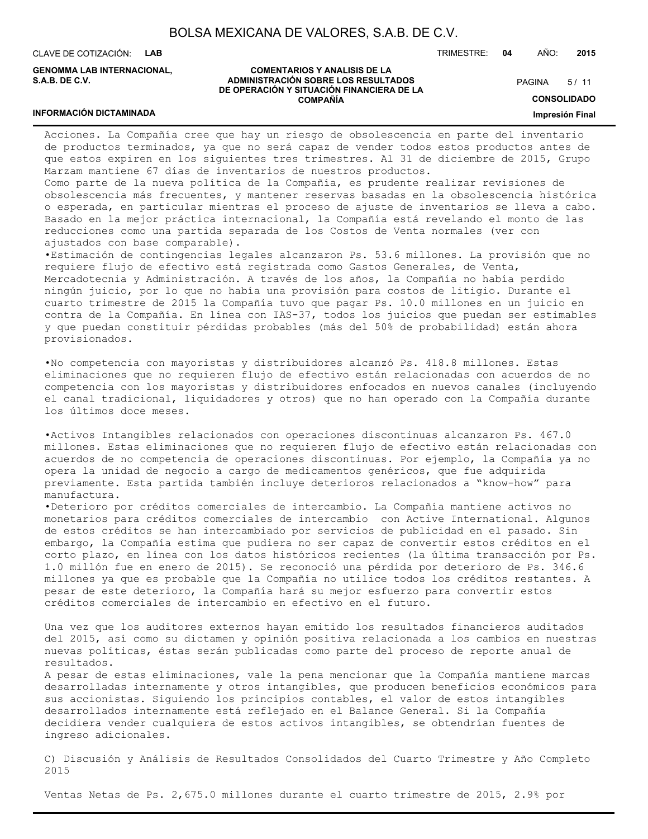CLAVE DE COTIZACIÓN: **LAB**

**INFORMACIÓN DICTAMINADA**

**GENOMMA LAB INTERNACIONAL, S.A.B. DE C.V.**

#### **COMENTARIOS Y ANALISIS DE LA ADMINISTRACIÓN SOBRE LOS RESULTADOS DE OPERACIÓN Y SITUACIÓN FINANCIERA DE LA COMPAÑÍA**

 $5/11$ **PAGINA** 

TRIMESTRE: **04** AÑO: **2015**

**CONSOLIDADO**

#### **Impresión Final**

Acciones. La Compañía cree que hay un riesgo de obsolescencia en parte del inventario de productos terminados, ya que no será capaz de vender todos estos productos antes de que estos expiren en los siguientes tres trimestres. Al 31 de diciembre de 2015, Grupo Marzam mantiene 67 días de inventarios de nuestros productos.

Como parte de la nueva política de la Compañía, es prudente realizar revisiones de obsolescencia más frecuentes, y mantener reservas basadas en la obsolescencia histórica o esperada, en particular mientras el proceso de ajuste de inventarios se lleva a cabo. Basado en la mejor práctica internacional, la Compañía está revelando el monto de las reducciones como una partida separada de los Costos de Venta normales (ver con ajustados con base comparable).

•Estimación de contingencias legales alcanzaron Ps. 53.6 millones. La provisión que no requiere flujo de efectivo está registrada como Gastos Generales, de Venta, Mercadotecnia y Administración. A través de los años, la Compañía no había perdido ningún juicio, por lo que no había una provisión para costos de litigio. Durante el cuarto trimestre de 2015 la Compañía tuvo que pagar Ps. 10.0 millones en un juicio en contra de la Compañía. En línea con IAS-37, todos los juicios que puedan ser estimables y que puedan constituir pérdidas probables (más del 50% de probabilidad) están ahora provisionados.

•No competencia con mayoristas y distribuidores alcanzó Ps. 418.8 millones. Estas eliminaciones que no requieren flujo de efectivo están relacionadas con acuerdos de no competencia con los mayoristas y distribuidores enfocados en nuevos canales (incluyendo el canal tradicional, liquidadores y otros) que no han operado con la Compañía durante los últimos doce meses.

•Activos Intangibles relacionados con operaciones discontinuas alcanzaron Ps. 467.0 millones. Estas eliminaciones que no requieren flujo de efectivo están relacionadas con acuerdos de no competencia de operaciones discontinuas. Por ejemplo, la Compañía ya no opera la unidad de negocio a cargo de medicamentos genéricos, que fue adquirida previamente. Esta partida también incluye deterioros relacionados a "know-how" para manufactura.

•Deterioro por créditos comerciales de intercambio. La Compañía mantiene activos no monetarios para créditos comerciales de intercambio con Active International. Algunos de estos créditos se han intercambiado por servicios de publicidad en el pasado. Sin embargo, la Compañía estima que pudiera no ser capaz de convertir estos créditos en el corto plazo, en línea con los datos históricos recientes (la última transacción por Ps. 1.0 millón fue en enero de 2015). Se reconoció una pérdida por deterioro de Ps. 346.6 millones ya que es probable que la Compañía no utilice todos los créditos restantes. A pesar de este deterioro, la Compañía hará su mejor esfuerzo para convertir estos créditos comerciales de intercambio en efectivo en el futuro.

Una vez que los auditores externos hayan emitido los resultados financieros auditados del 2015, así como su dictamen y opinión positiva relacionada a los cambios en nuestras nuevas políticas, éstas serán publicadas como parte del proceso de reporte anual de resultados.

A pesar de estas eliminaciones, vale la pena mencionar que la Compañía mantiene marcas desarrolladas internamente y otros intangibles, que producen beneficios económicos para sus accionistas. Siguiendo los principios contables, el valor de estos intangibles desarrollados internamente está reflejado en el Balance General. Si la Compañía decidiera vender cualquiera de estos activos intangibles, se obtendrían fuentes de ingreso adicionales.

C) Discusión y Análisis de Resultados Consolidados del Cuarto Trimestre y Año Completo 2015

Ventas Netas de Ps. 2,675.0 millones durante el cuarto trimestre de 2015, 2.9% por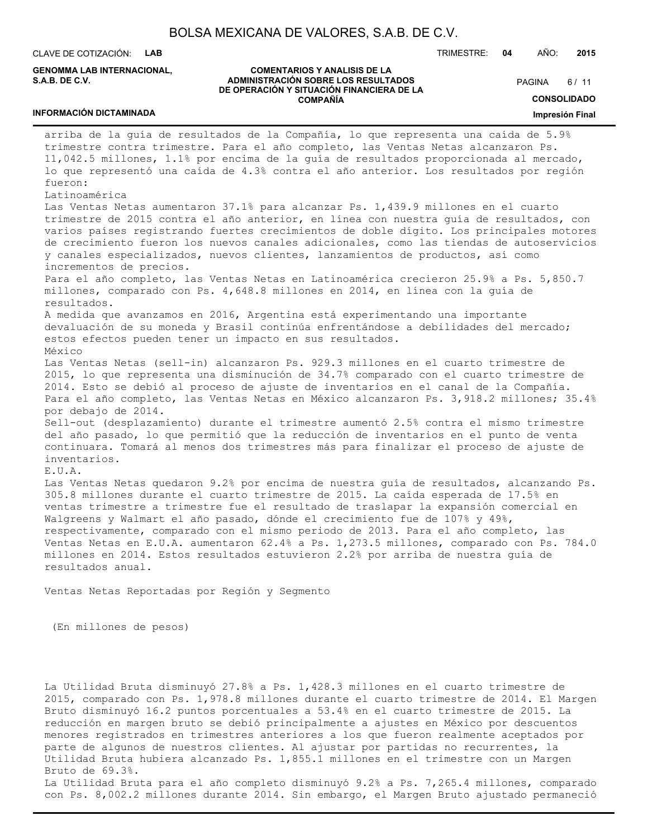**COMENTARIOS Y ANALISIS DE LA ADMINISTRACIÓN SOBRE LOS RESULTADOS**

CLAVE DE COTIZACIÓN: **LAB**

**INFORMACIÓN DICTAMINADA**

**GENOMMA LAB INTERNACIONAL, S.A.B. DE C.V.**

TRIMESTRE: **04** AÑO: **2015**

#### $6/11$ **PAGINA**

**DE OPERACIÓN Y SITUACIÓN FINANCIERA DE LA COMPAÑÍA**

**CONSOLIDADO**

**Impresión Final**

# arriba de la guía de resultados de la Compañía, lo que representa una caída de 5.9% trimestre contra trimestre. Para el año completo, las Ventas Netas alcanzaron Ps. 11,042.5 millones, 1.1% por encima de la guía de resultados proporcionada al mercado, lo que representó una caída de 4.3% contra el año anterior. Los resultados por región fueron: Latinoamérica Las Ventas Netas aumentaron 37.1% para alcanzar Ps. 1,439.9 millones en el cuarto trimestre de 2015 contra el año anterior, en línea con nuestra guía de resultados, con varios países registrando fuertes crecimientos de doble dígito. Los principales motores de crecimiento fueron los nuevos canales adicionales, como las tiendas de autoservicios y canales especializados, nuevos clientes, lanzamientos de productos, así como incrementos de precios. Para el año completo, las Ventas Netas en Latinoamérica crecieron 25.9% a Ps. 5,850.7 millones, comparado con Ps. 4,648.8 millones en 2014, en línea con la guía de resultados. A medida que avanzamos en 2016, Argentina está experimentando una importante devaluación de su moneda y Brasil continúa enfrentándose a debilidades del mercado; estos efectos pueden tener un impacto en sus resultados. México Las Ventas Netas (sell-in) alcanzaron Ps. 929.3 millones en el cuarto trimestre de 2015, lo que representa una disminución de 34.7% comparado con el cuarto trimestre de 2014. Esto se debió al proceso de ajuste de inventarios en el canal de la Compañía. Para el año completo, las Ventas Netas en México alcanzaron Ps. 3,918.2 millones; 35.4% por debajo de 2014. Sell-out (desplazamiento) durante el trimestre aumentó 2.5% contra el mismo trimestre del año pasado, lo que permitió que la reducción de inventarios en el punto de venta continuara. Tomará al menos dos trimestres más para finalizar el proceso de ajuste de inventarios. E.U.A. Las Ventas Netas quedaron 9.2% por encima de nuestra guía de resultados, alcanzando Ps. 305.8 millones durante el cuarto trimestre de 2015. La caída esperada de 17.5% en ventas trimestre a trimestre fue el resultado de traslapar la expansión comercial en Walgreens y Walmart el año pasado, dónde el crecimiento fue de 107% y 49%, respectivamente, comparado con el mismo periodo de 2013. Para el año completo, las Ventas Netas en E.U.A. aumentaron 62.4% a Ps. 1,273.5 millones, comparado con Ps. 784.0 millones en 2014. Estos resultados estuvieron 2.2% por arriba de nuestra guía de resultados anual. Ventas Netas Reportadas por Región y Segmento (En millones de pesos)

La Utilidad Bruta disminuyó 27.8% a Ps. 1,428.3 millones en el cuarto trimestre de 2015, comparado con Ps. 1,978.8 millones durante el cuarto trimestre de 2014. El Margen Bruto disminuyó 16.2 puntos porcentuales a 53.4% en el cuarto trimestre de 2015. La reducción en margen bruto se debió principalmente a ajustes en México por descuentos menores registrados en trimestres anteriores a los que fueron realmente aceptados por parte de algunos de nuestros clientes. Al ajustar por partidas no recurrentes, la Utilidad Bruta hubiera alcanzado Ps. 1,855.1 millones en el trimestre con un Margen Bruto de 69.3%. La Utilidad Bruta para el año completo disminuyó 9.2% a Ps. 7,265.4 millones, comparado con Ps. 8,002.2 millones durante 2014. Sin embargo, el Margen Bruto ajustado permaneció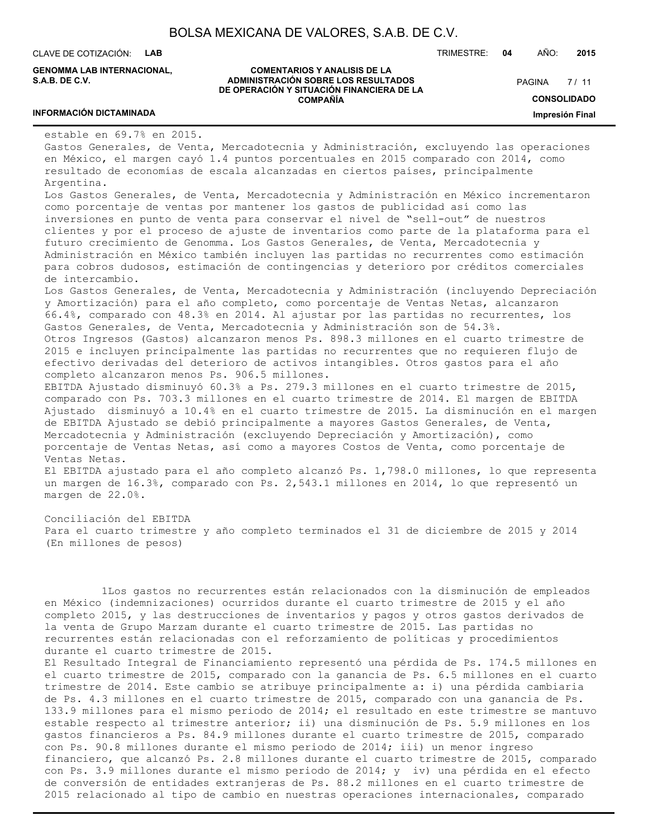CLAVE DE COTIZACIÓN: **LAB**

**GENOMMA LAB INTERNACIONAL, S.A.B. DE C.V.**

TRIMESTRE: **04** AÑO: **2015**

 $7/11$ PAGINA

**ADMINISTRACIÓN SOBRE LOS RESULTADOS DE OPERACIÓN Y SITUACIÓN FINANCIERA DE LA COMPAÑÍA**

**COMENTARIOS Y ANALISIS DE LA**

**CONSOLIDADO Impresión Final**

**INFORMACIÓN DICTAMINADA**

estable en 69.7% en 2015.

Gastos Generales, de Venta, Mercadotecnia y Administración, excluyendo las operaciones en México, el margen cayó 1.4 puntos porcentuales en 2015 comparado con 2014, como resultado de economías de escala alcanzadas en ciertos países, principalmente Argentina. Los Gastos Generales, de Venta, Mercadotecnia y Administración en México incrementaron como porcentaje de ventas por mantener los gastos de publicidad así como las inversiones en punto de venta para conservar el nivel de "sell-out" de nuestros clientes y por el proceso de ajuste de inventarios como parte de la plataforma para el futuro crecimiento de Genomma. Los Gastos Generales, de Venta, Mercadotecnia y Administración en México también incluyen las partidas no recurrentes como estimación para cobros dudosos, estimación de contingencias y deterioro por créditos comerciales de intercambio. Los Gastos Generales, de Venta, Mercadotecnia y Administración (incluyendo Depreciación y Amortización) para el año completo, como porcentaje de Ventas Netas, alcanzaron 66.4%, comparado con 48.3% en 2014. Al ajustar por las partidas no recurrentes, los Gastos Generales, de Venta, Mercadotecnia y Administración son de 54.3%. Otros Ingresos (Gastos) alcanzaron menos Ps. 898.3 millones en el cuarto trimestre de 2015 e incluyen principalmente las partidas no recurrentes que no requieren flujo de efectivo derivadas del deterioro de activos intangibles. Otros gastos para el año completo alcanzaron menos Ps. 906.5 millones. EBITDA Ajustado disminuyó 60.3% a Ps. 279.3 millones en el cuarto trimestre de 2015, comparado con Ps. 703.3 millones en el cuarto trimestre de 2014. El margen de EBITDA Ajustado disminuyó a 10.4% en el cuarto trimestre de 2015. La disminución en el margen de EBITDA Ajustado se debió principalmente a mayores Gastos Generales, de Venta, Mercadotecnia y Administración (excluyendo Depreciación y Amortización), como porcentaje de Ventas Netas, así como a mayores Costos de Venta, como porcentaje de Ventas Netas. El EBITDA ajustado para el año completo alcanzó Ps. 1,798.0 millones, lo que representa un margen de 16.3%, comparado con Ps. 2,543.1 millones en 2014, lo que representó un margen de 22.0%. Conciliación del EBITDA Para el cuarto trimestre y año completo terminados el 31 de diciembre de 2015 y 2014 (En millones de pesos) 1Los gastos no recurrentes están relacionados con la disminución de empleados en México (indemnizaciones) ocurridos durante el cuarto trimestre de 2015 y el año completo 2015, y las destrucciones de inventarios y pagos y otros gastos derivados de la venta de Grupo Marzam durante el cuarto trimestre de 2015. Las partidas no recurrentes están relacionadas con el reforzamiento de políticas y procedimientos durante el cuarto trimestre de 2015. El Resultado Integral de Financiamiento representó una pérdida de Ps. 174.5 millones en el cuarto trimestre de 2015, comparado con la ganancia de Ps. 6.5 millones en el cuarto trimestre de 2014. Este cambio se atribuye principalmente a: i) una pérdida cambiaria de Ps. 4.3 millones en el cuarto trimestre de 2015, comparado con una ganancia de Ps. 133.9 millones para el mismo periodo de 2014; el resultado en este trimestre se mantuvo estable respecto al trimestre anterior; ii) una disminución de Ps. 5.9 millones en los gastos financieros a Ps. 84.9 millones durante el cuarto trimestre de 2015, comparado con Ps. 90.8 millones durante el mismo periodo de 2014; iii) un menor ingreso financiero, que alcanzó Ps. 2.8 millones durante el cuarto trimestre de 2015, comparado con Ps. 3.9 millones durante el mismo periodo de 2014; y iv) una pérdida en el efecto

de conversión de entidades extranjeras de Ps. 88.2 millones en el cuarto trimestre de 2015 relacionado al tipo de cambio en nuestras operaciones internacionales, comparado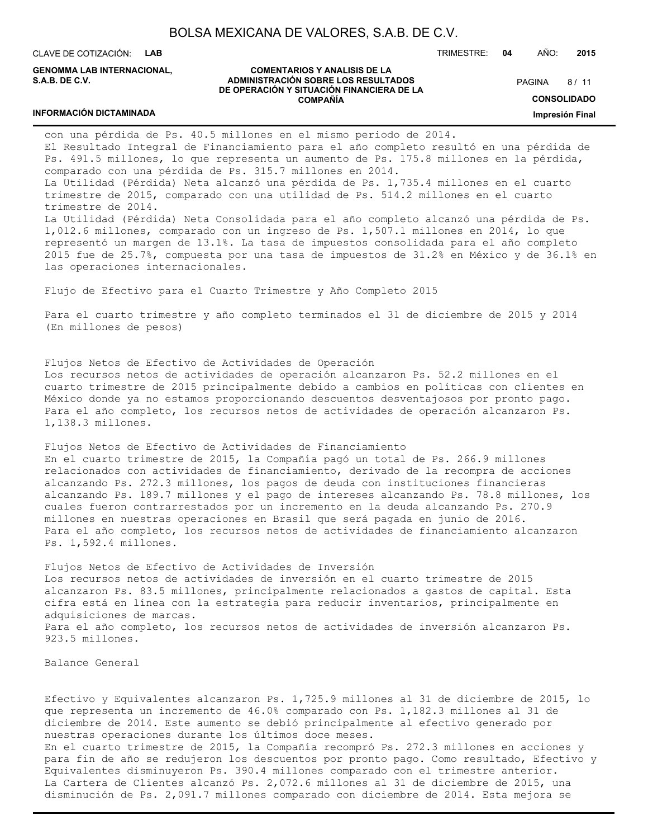CLAVE DE COTIZACIÓN: **LAB**

**GENOMMA LAB INTERNACIONAL, S.A.B. DE C.V.**

#### **COMENTARIOS Y ANALISIS DE LA ADMINISTRACIÓN SOBRE LOS RESULTADOS DE OPERACIÓN Y SITUACIÓN FINANCIERA DE LA COMPAÑÍA**

 $8/11$ **PAGINA** 

TRIMESTRE: **04** AÑO: **2015**

**CONSOLIDADO**

**Impresión Final**

## **INFORMACIÓN DICTAMINADA**

con una pérdida de Ps. 40.5 millones en el mismo periodo de 2014. El Resultado Integral de Financiamiento para el año completo resultó en una pérdida de Ps. 491.5 millones, lo que representa un aumento de Ps. 175.8 millones en la pérdida, comparado con una pérdida de Ps. 315.7 millones en 2014. La Utilidad (Pérdida) Neta alcanzó una pérdida de Ps. 1,735.4 millones en el cuarto trimestre de 2015, comparado con una utilidad de Ps. 514.2 millones en el cuarto trimestre de 2014. La Utilidad (Pérdida) Neta Consolidada para el año completo alcanzó una pérdida de Ps. 1,012.6 millones, comparado con un ingreso de Ps. 1,507.1 millones en 2014, lo que representó un margen de 13.1%. La tasa de impuestos consolidada para el año completo 2015 fue de 25.7%, compuesta por una tasa de impuestos de 31.2% en México y de 36.1% en las operaciones internacionales.

Flujo de Efectivo para el Cuarto Trimestre y Año Completo 2015

Para el cuarto trimestre y año completo terminados el 31 de diciembre de 2015 y 2014 (En millones de pesos)

Flujos Netos de Efectivo de Actividades de Operación Los recursos netos de actividades de operación alcanzaron Ps. 52.2 millones en el cuarto trimestre de 2015 principalmente debido a cambios en políticas con clientes en México donde ya no estamos proporcionando descuentos desventajosos por pronto pago. Para el año completo, los recursos netos de actividades de operación alcanzaron Ps. 1,138.3 millones.

Flujos Netos de Efectivo de Actividades de Financiamiento En el cuarto trimestre de 2015, la Compañía pagó un total de Ps. 266.9 millones relacionados con actividades de financiamiento, derivado de la recompra de acciones alcanzando Ps. 272.3 millones, los pagos de deuda con instituciones financieras alcanzando Ps. 189.7 millones y el pago de intereses alcanzando Ps. 78.8 millones, los cuales fueron contrarrestados por un incremento en la deuda alcanzando Ps. 270.9 millones en nuestras operaciones en Brasil que será pagada en junio de 2016. Para el año completo, los recursos netos de actividades de financiamiento alcanzaron Ps. 1,592.4 millones.

Flujos Netos de Efectivo de Actividades de Inversión Los recursos netos de actividades de inversión en el cuarto trimestre de 2015 alcanzaron Ps. 83.5 millones, principalmente relacionados a gastos de capital. Esta cifra está en línea con la estrategia para reducir inventarios, principalmente en adquisiciones de marcas. Para el año completo, los recursos netos de actividades de inversión alcanzaron Ps. 923.5 millones.

Balance General

Efectivo y Equivalentes alcanzaron Ps. 1,725.9 millones al 31 de diciembre de 2015, lo que representa un incremento de 46.0% comparado con Ps. 1,182.3 millones al 31 de diciembre de 2014. Este aumento se debió principalmente al efectivo generado por nuestras operaciones durante los últimos doce meses. En el cuarto trimestre de 2015, la Compañía recompró Ps. 272.3 millones en acciones y para fin de año se redujeron los descuentos por pronto pago. Como resultado, Efectivo y Equivalentes disminuyeron Ps. 390.4 millones comparado con el trimestre anterior. La Cartera de Clientes alcanzó Ps. 2,072.6 millones al 31 de diciembre de 2015, una disminución de Ps. 2,091.7 millones comparado con diciembre de 2014. Esta mejora se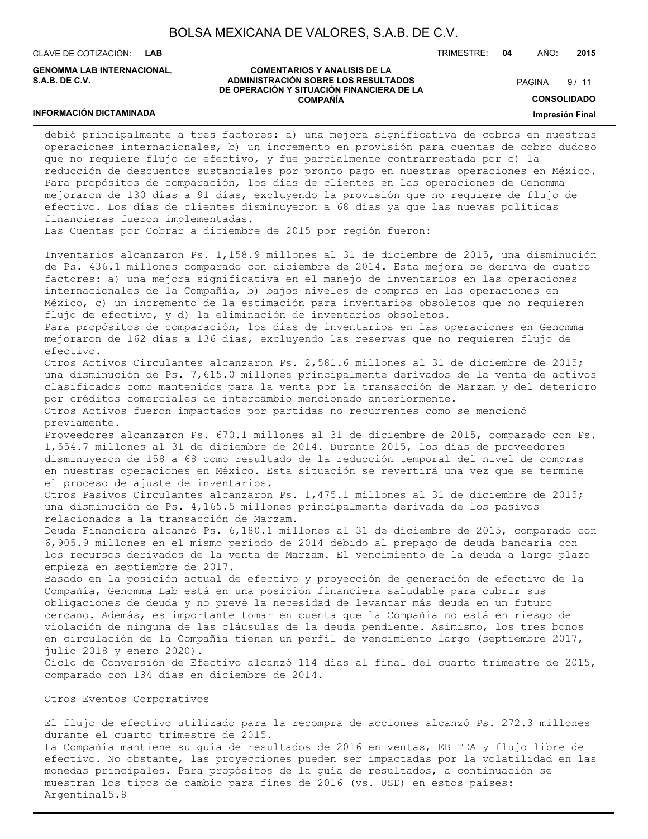CLAVE DE COTIZACIÓN: **LAB**

**INFORMACIÓN DICTAMINADA**

**GENOMMA LAB INTERNACIONAL, S.A.B. DE C.V.**

#### **COMENTARIOS Y ANALISIS DE LA ADMINISTRACIÓN SOBRE LOS RESULTADOS DE OPERACIÓN Y SITUACIÓN FINANCIERA DE LA COMPAÑÍA**

**PAGINA** 

TRIMESTRE: **04** AÑO: **2015**

**CONSOLIDADO**

**Impresión Final**

debió principalmente a tres factores: a) una mejora significativa de cobros en nuestras operaciones internacionales, b) un incremento en provisión para cuentas de cobro dudoso que no requiere flujo de efectivo, y fue parcialmente contrarrestada por c) la reducción de descuentos sustanciales por pronto pago en nuestras operaciones en México. Para propósitos de comparación, los días de clientes en las operaciones de Genomma mejoraron de 130 días a 91 días, excluyendo la provisión que no requiere de flujo de efectivo. Los días de clientes disminuyeron a 68 días ya que las nuevas políticas financieras fueron implementadas.

Las Cuentas por Cobrar a diciembre de 2015 por región fueron:

Inventarios alcanzaron Ps. 1,158.9 millones al 31 de diciembre de 2015, una disminución de Ps. 436.1 millones comparado con diciembre de 2014. Esta mejora se deriva de cuatro factores: a) una mejora significativa en el manejo de inventarios en las operaciones internacionales de la Compañía, b) bajos niveles de compras en las operaciones en México, c) un incremento de la estimación para inventarios obsoletos que no requieren flujo de efectivo, y d) la eliminación de inventarios obsoletos. Para propósitos de comparación, los días de inventarios en las operaciones en Genomma

mejoraron de 162 días a 136 días, excluyendo las reservas que no requieren flujo de efectivo.

Otros Activos Circulantes alcanzaron Ps. 2,581.6 millones al 31 de diciembre de 2015; una disminución de Ps. 7,615.0 millones principalmente derivados de la venta de activos clasificados como mantenidos para la venta por la transacción de Marzam y del deterioro por créditos comerciales de intercambio mencionado anteriormente.

Otros Activos fueron impactados por partidas no recurrentes como se mencionó previamente.

Proveedores alcanzaron Ps. 670.1 millones al 31 de diciembre de 2015, comparado con Ps. 1,554.7 millones al 31 de diciembre de 2014. Durante 2015, los días de proveedores disminuyeron de 158 a 68 como resultado de la reducción temporal del nivel de compras en nuestras operaciones en México. Esta situación se revertirá una vez que se termine el proceso de ajuste de inventarios.

Otros Pasivos Circulantes alcanzaron Ps. 1,475.1 millones al 31 de diciembre de 2015; una disminución de Ps. 4,165.5 millones principalmente derivada de los pasivos relacionados a la transacción de Marzam.

Deuda Financiera alcanzó Ps. 6,180.1 millones al 31 de diciembre de 2015, comparado con 6,905.9 millones en el mismo periodo de 2014 debido al prepago de deuda bancaria con los recursos derivados de la venta de Marzam. El vencimiento de la deuda a largo plazo empieza en septiembre de 2017.

Basado en la posición actual de efectivo y proyección de generación de efectivo de la Compañía, Genomma Lab está en una posición financiera saludable para cubrir sus obligaciones de deuda y no prevé la necesidad de levantar más deuda en un futuro cercano. Además, es importante tomar en cuenta que la Compañía no está en riesgo de violación de ninguna de las cláusulas de la deuda pendiente. Asimismo, los tres bonos en circulación de la Compañía tienen un perfil de vencimiento largo (septiembre 2017, julio 2018 y enero 2020).

Ciclo de Conversión de Efectivo alcanzó 114 días al final del cuarto trimestre de 2015, comparado con 134 días en diciembre de 2014.

Otros Eventos Corporativos

El flujo de efectivo utilizado para la recompra de acciones alcanzó Ps. 272.3 millones durante el cuarto trimestre de 2015.

La Compañía mantiene su guía de resultados de 2016 en ventas, EBITDA y flujo libre de efectivo. No obstante, las proyecciones pueden ser impactadas por la volatilidad en las monedas principales. Para propósitos de la guía de resultados, a continuación se muestran los tipos de cambio para fines de 2016 (vs. USD) en estos países: Argentina15.8

 $9/11$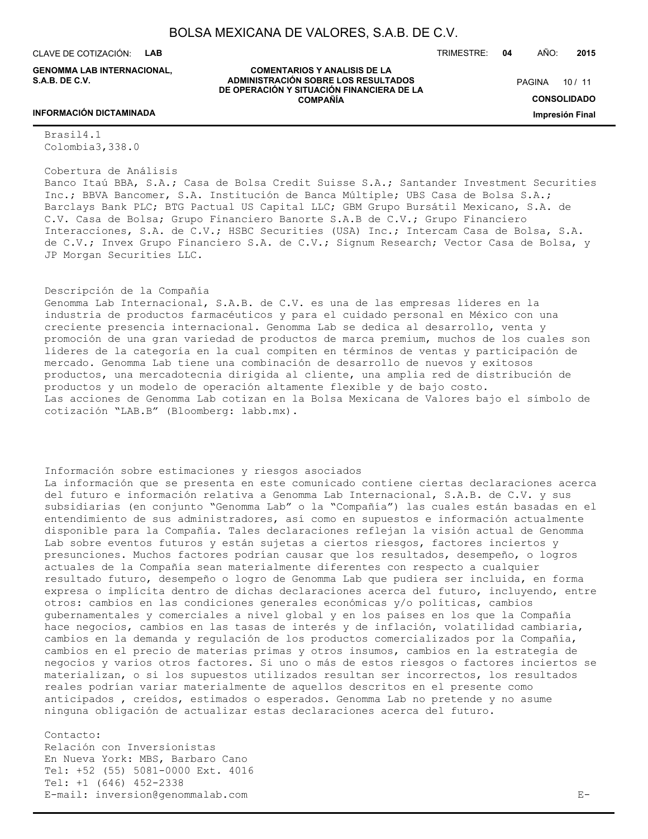**COMENTARIOS Y ANALISIS DE LA ADMINISTRACIÓN SOBRE LOS RESULTADOS DE OPERACIÓN Y SITUACIÓN FINANCIERA DE LA COMPAÑÍA**

CLAVE DE COTIZACIÓN: **LAB**

**GENOMMA LAB INTERNACIONAL, S.A.B. DE C.V.**

TRIMESTRE: **04** AÑO: **2015**

PAGINA 10 / 11

**CONSOLIDADO**

**Impresión Final**

# **INFORMACIÓN DICTAMINADA**

Brasil4.1 Colombia3,338.0

#### Cobertura de Análisis

Banco Itaú BBA, S.A.; Casa de Bolsa Credit Suisse S.A.; Santander Investment Securities Inc.; BBVA Bancomer, S.A. Institución de Banca Múltiple; UBS Casa de Bolsa S.A.; Barclays Bank PLC; BTG Pactual US Capital LLC; GBM Grupo Bursátil Mexicano, S.A. de C.V. Casa de Bolsa; Grupo Financiero Banorte S.A.B de C.V.; Grupo Financiero Interacciones, S.A. de C.V.; HSBC Securities (USA) Inc.; Intercam Casa de Bolsa, S.A. de C.V.; Invex Grupo Financiero S.A. de C.V.; Signum Research; Vector Casa de Bolsa, y JP Morgan Securities LLC.

### Descripción de la Compañía

Genomma Lab Internacional, S.A.B. de C.V. es una de las empresas líderes en la industria de productos farmacéuticos y para el cuidado personal en México con una creciente presencia internacional. Genomma Lab se dedica al desarrollo, venta y promoción de una gran variedad de productos de marca premium, muchos de los cuales son líderes de la categoría en la cual compiten en términos de ventas y participación de mercado. Genomma Lab tiene una combinación de desarrollo de nuevos y exitosos productos, una mercadotecnia dirigida al cliente, una amplia red de distribución de productos y un modelo de operación altamente flexible y de bajo costo. Las acciones de Genomma Lab cotizan en la Bolsa Mexicana de Valores bajo el símbolo de cotización "LAB.B" (Bloomberg: labb.mx).

# Información sobre estimaciones y riesgos asociados

La información que se presenta en este comunicado contiene ciertas declaraciones acerca del futuro e información relativa a Genomma Lab Internacional, S.A.B. de C.V. y sus subsidiarias (en conjunto "Genomma Lab" o la "Compañía") las cuales están basadas en el entendimiento de sus administradores, así como en supuestos e información actualmente disponible para la Compañía. Tales declaraciones reflejan la visión actual de Genomma Lab sobre eventos futuros y están sujetas a ciertos riesgos, factores inciertos y presunciones. Muchos factores podrían causar que los resultados, desempeño, o logros actuales de la Compañía sean materialmente diferentes con respecto a cualquier resultado futuro, desempeño o logro de Genomma Lab que pudiera ser incluida, en forma expresa o implícita dentro de dichas declaraciones acerca del futuro, incluyendo, entre otros: cambios en las condiciones generales económicas y/o políticas, cambios gubernamentales y comerciales a nivel global y en los países en los que la Compañía hace negocios, cambios en las tasas de interés y de inflación, volatilidad cambiaria, cambios en la demanda y regulación de los productos comercializados por la Compañía, cambios en el precio de materias primas y otros insumos, cambios en la estrategia de negocios y varios otros factores. Si uno o más de estos riesgos o factores inciertos se materializan, o si los supuestos utilizados resultan ser incorrectos, los resultados reales podrían variar materialmente de aquellos descritos en el presente como anticipados , creídos, estimados o esperados. Genomma Lab no pretende y no asume ninguna obligación de actualizar estas declaraciones acerca del futuro.

Contacto: Relación con Inversionistas En Nueva York: MBS, Barbaro Cano Tel: +52 (55) 5081-0000 Ext. 4016 Tel: +1 (646) 452-2338 E-mail: inversion@genommalab.com E-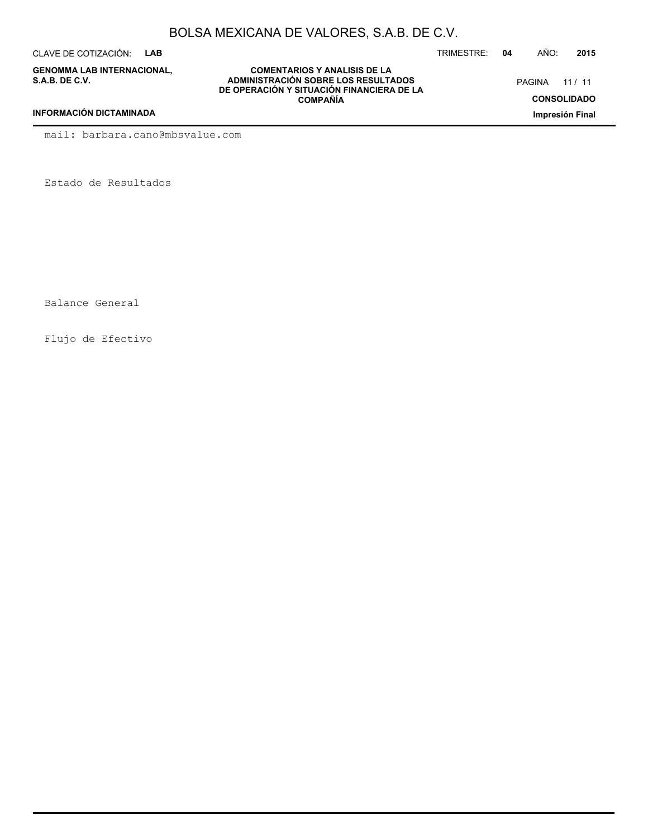CLAVE DE COTIZACIÓN: **LAB**

**GENOMMA LAB INTERNACIONAL, S.A.B. DE C.V.**

TRIMESTRE: **04** AÑO: **2015**

PAGINA 11 / 11

**CONSOLIDADO**

**Impresión Final**

# **INFORMACIÓN DICTAMINADA**

mail: barbara.cano@mbsvalue.com

Estado de Resultados

Balance General

Flujo de Efectivo

### **COMENTARIOS Y ANALISIS DE LA ADMINISTRACIÓN SOBRE LOS RESULTADOS DE OPERACIÓN Y SITUACIÓN FINANCIERA DE LA COMPAÑÍA**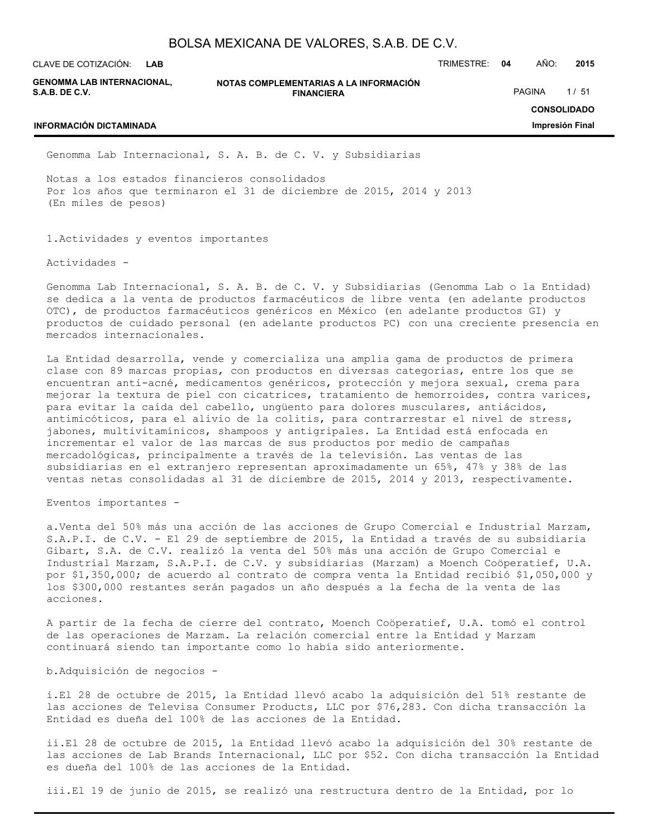CLAVE DE COTIZACIÓN: TRIMESTRE: **04** AÑO: **2015 LAB**

**INFORMACIÓN DICTAMINADA**

**GENOMMA LAB INTERNACIONAL, S.A.B. DE C.V.**

**NOTAS COMPLEMENTARIAS A LA INFORMACIÓN FINANCIERA**

PAGINA 1/51

# **CONSOLIDADO**

**Impresión Final**

Genomma Lab Internacional, S. A. B. de C. V. y Subsidiarias

Notas a los estados financieros consolidados Por los años que terminaron el 31 de diciembre de 2015, 2014 y 2013 (En miles de pesos)

1.Actividades y eventos importantes

Actividades -

Genomma Lab Internacional, S. A. B. de C. V. y Subsidiarias (Genomma Lab o la Entidad) se dedica a la venta de productos farmacéuticos de libre venta (en adelante productos OTC), de productos farmacéuticos genéricos en México (en adelante productos GI) y productos de cuidado personal (en adelante productos PC) con una creciente presencia en mercados internacionales.

La Entidad desarrolla, vende y comercializa una amplia gama de productos de primera clase con 89 marcas propias, con productos en diversas categorías, entre los que se encuentran anti-acné, medicamentos genéricos, protección y mejora sexual, crema para mejorar la textura de piel con cicatrices, tratamiento de hemorroides, contra varices, para evitar la caída del cabello, ungüento para dolores musculares, antiácidos, antimicóticos, para el alivio de la colitis, para contrarrestar el nivel de stress, jabones, multivitamínicos, shampoos y antigripales. La Entidad está enfocada en incrementar el valor de las marcas de sus productos por medio de campañas mercadológicas, principalmente a través de la televisión. Las ventas de las subsidiarias en el extranjero representan aproximadamente un 65%, 47% y 38% de las ventas netas consolidadas al 31 de diciembre de 2015, 2014 y 2013, respectivamente.

Eventos importantes -

a.Venta del 50% más una acción de las acciones de Grupo Comercial e Industrial Marzam, S.A.P.I. de C.V. - El 29 de septiembre de 2015, la Entidad a través de su subsidiaria Gibart, S.A. de C.V. realizó la venta del 50% más una acción de Grupo Comercial e Industrial Marzam, S.A.P.I. de C.V. y subsidiarias (Marzam) a Moench Coöperatief, U.A. por \$1,350,000; de acuerdo al contrato de compra venta la Entidad recibió \$1,050,000 y los \$300,000 restantes serán pagados un año después a la fecha de la venta de las acciones.

A partir de la fecha de cierre del contrato, Moench Coöperatief, U.A. tomó el control de las operaciones de Marzam. La relación comercial entre la Entidad y Marzam continuará siendo tan importante como lo había sido anteriormente.

b.Adquisición de negocios -

i.El 28 de octubre de 2015, la Entidad llevó acabo la adquisición del 51% restante de las acciones de Televisa Consumer Products, LLC por \$76,283. Con dicha transacción la Entidad es dueña del 100% de las acciones de la Entidad.

ii.El 28 de octubre de 2015, la Entidad llevó acabo la adquisición del 30% restante de las acciones de Lab Brands Internacional, LLC por \$52. Con dicha transacción la Entidad es dueña del 100% de las acciones de la Entidad.

iii.El 19 de junio de 2015, se realizó una restructura dentro de la Entidad, por lo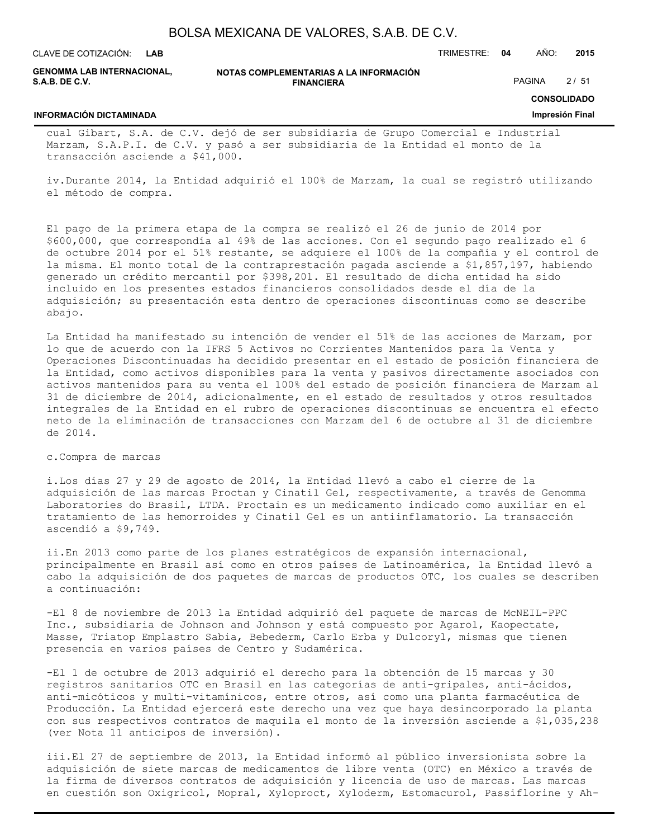| BOLSA MEXICANA DE VALORES, S.A.B. DE C.V. |  |  |  |
|-------------------------------------------|--|--|--|
|-------------------------------------------|--|--|--|

CLAVE DE COTIZACIÓN: TRIMESTRE: **04** AÑO: **2015 LAB**

**GENOMMA LAB INTERNACIONAL, S.A.B. DE C.V.**

**NOTAS COMPLEMENTARIAS A LA INFORMACIÓN FINANCIERA**

PAGINA 2/51

**CONSOLIDADO Impresión Final**

#### **INFORMACIÓN DICTAMINADA**

cual Gibart, S.A. de C.V. dejó de ser subsidiaria de Grupo Comercial e Industrial Marzam, S.A.P.I. de C.V. y pasó a ser subsidiaria de la Entidad el monto de la transacción asciende a \$41,000.

iv.Durante 2014, la Entidad adquirió el 100% de Marzam, la cual se registró utilizando el método de compra.

El pago de la primera etapa de la compra se realizó el 26 de junio de 2014 por \$600,000, que correspondía al 49% de las acciones. Con el segundo pago realizado el 6 de octubre 2014 por el 51% restante, se adquiere el 100% de la compañía y el control de la misma. El monto total de la contraprestación pagada asciende a \$1,857,197, habiendo generado un crédito mercantil por \$398,201. El resultado de dicha entidad ha sido incluido en los presentes estados financieros consolidados desde el día de la adquisición; su presentación esta dentro de operaciones discontinuas como se describe abajo.

La Entidad ha manifestado su intención de vender el 51% de las acciones de Marzam, por lo que de acuerdo con la IFRS 5 Activos no Corrientes Mantenidos para la Venta y Operaciones Discontinuadas ha decidido presentar en el estado de posición financiera de la Entidad, como activos disponibles para la venta y pasivos directamente asociados con activos mantenidos para su venta el 100% del estado de posición financiera de Marzam al 31 de diciembre de 2014, adicionalmente, en el estado de resultados y otros resultados integrales de la Entidad en el rubro de operaciones discontinuas se encuentra el efecto neto de la eliminación de transacciones con Marzam del 6 de octubre al 31 de diciembre de 2014.

c.Compra de marcas

i.Los días 27 y 29 de agosto de 2014, la Entidad llevó a cabo el cierre de la adquisición de las marcas Proctan y Cinatil Gel, respectivamente, a través de Genomma Laboratories do Brasil, LTDA. Proctain es un medicamento indicado como auxiliar en el tratamiento de las hemorroides y Cinatil Gel es un antiinflamatorio. La transacción ascendió a \$9,749.

ii.En 2013 como parte de los planes estratégicos de expansión internacional, principalmente en Brasil así como en otros países de Latinoamérica, la Entidad llevó a cabo la adquisición de dos paquetes de marcas de productos OTC, los cuales se describen a continuación:

-El 8 de noviembre de 2013 la Entidad adquirió del paquete de marcas de McNEIL-PPC Inc., subsidiaria de Johnson and Johnson y está compuesto por Agarol, Kaopectate, Masse, Triatop Emplastro Sabia, Bebederm, Carlo Erba y Dulcoryl, mismas que tienen presencia en varios países de Centro y Sudamérica.

-El 1 de octubre de 2013 adquirió el derecho para la obtención de 15 marcas y 30 registros sanitarios OTC en Brasil en las categorías de anti-gripales, anti-ácidos, anti-micóticos y multi-vitamínicos, entre otros, así como una planta farmacéutica de Producción. La Entidad ejercerá este derecho una vez que haya desincorporado la planta con sus respectivos contratos de maquila el monto de la inversión asciende a \$1,035,238 (ver Nota 11 anticipos de inversión).

iii.El 27 de septiembre de 2013, la Entidad informó al público inversionista sobre la adquisición de siete marcas de medicamentos de libre venta (OTC) en México a través de la firma de diversos contratos de adquisición y licencia de uso de marcas. Las marcas en cuestión son Oxigricol, Mopral, Xyloproct, Xyloderm, Estomacurol, Passiflorine y Ah-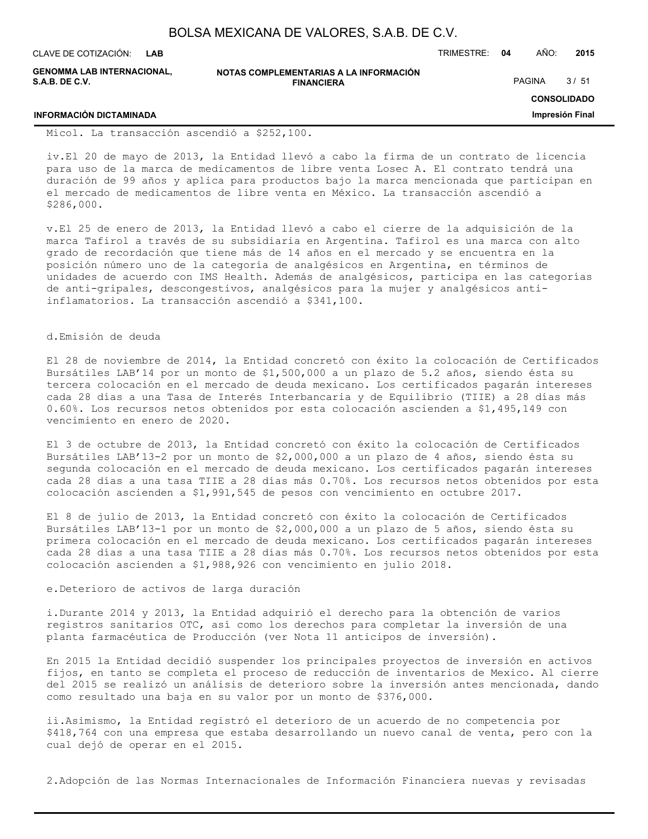| S.A.B. DE C.V.             |      | <b>FINANCIERA</b>                      |            |     | PAGINA | 3/51<br><b>CONSOLIDADO</b> |
|----------------------------|------|----------------------------------------|------------|-----|--------|----------------------------|
| GENOMMA LAB INTERNACIONAL. |      | NOTAS COMPLEMENTARIAS A LA INFORMACIÓN |            |     |        |                            |
| CLAVE DE COTIZACIÓN:       | I AR |                                        | TRIMESTRE: | -04 | AÑO:   | 2015                       |

#### **INFORMACIÓN DICTAMINADA**

Micol. La transacción ascendió a \$252,100.

iv.El 20 de mayo de 2013, la Entidad llevó a cabo la firma de un contrato de licencia para uso de la marca de medicamentos de libre venta Losec A. El contrato tendrá una duración de 99 años y aplica para productos bajo la marca mencionada que participan en el mercado de medicamentos de libre venta en México. La transacción ascendió a \$286,000.

**Impresión Final**

v.El 25 de enero de 2013, la Entidad llevó a cabo el cierre de la adquisición de la marca Tafirol a través de su subsidiaria en Argentina. Tafirol es una marca con alto grado de recordación que tiene más de 14 años en el mercado y se encuentra en la posición número uno de la categoría de analgésicos en Argentina, en términos de unidades de acuerdo con IMS Health. Además de analgésicos, participa en las categorías de anti-gripales, descongestivos, analgésicos para la mujer y analgésicos antiinflamatorios. La transacción ascendió a \$341,100.

### d.Emisión de deuda

El 28 de noviembre de 2014, la Entidad concretó con éxito la colocación de Certificados Bursátiles LAB'14 por un monto de \$1,500,000 a un plazo de 5.2 años, siendo ésta su tercera colocación en el mercado de deuda mexicano. Los certificados pagarán intereses cada 28 días a una Tasa de Interés Interbancaria y de Equilibrio (TIIE) a 28 días más 0.60%. Los recursos netos obtenidos por esta colocación ascienden a \$1,495,149 con vencimiento en enero de 2020.

El 3 de octubre de 2013, la Entidad concretó con éxito la colocación de Certificados Bursátiles LAB'13-2 por un monto de \$2,000,000 a un plazo de 4 años, siendo ésta su segunda colocación en el mercado de deuda mexicano. Los certificados pagarán intereses cada 28 días a una tasa TIIE a 28 días más 0.70%. Los recursos netos obtenidos por esta colocación ascienden a \$1,991,545 de pesos con vencimiento en octubre 2017.

El 8 de julio de 2013, la Entidad concretó con éxito la colocación de Certificados Bursátiles LAB'13-1 por un monto de \$2,000,000 a un plazo de 5 años, siendo ésta su primera colocación en el mercado de deuda mexicano. Los certificados pagarán intereses cada 28 días a una tasa TIIE a 28 días más 0.70%. Los recursos netos obtenidos por esta colocación ascienden a \$1,988,926 con vencimiento en julio 2018.

e.Deterioro de activos de larga duración

i.Durante 2014 y 2013, la Entidad adquirió el derecho para la obtención de varios registros sanitarios OTC, así como los derechos para completar la inversión de una planta farmacéutica de Producción (ver Nota 11 anticipos de inversión).

En 2015 la Entidad decidió suspender los principales proyectos de inversión en activos fijos, en tanto se completa el proceso de reducción de inventarios de Mexico. Al cierre del 2015 se realizó un análisis de deterioro sobre la inversión antes mencionada, dando como resultado una baja en su valor por un monto de \$376,000.

ii.Asimismo, la Entidad registró el deterioro de un acuerdo de no competencia por \$418,764 con una empresa que estaba desarrollando un nuevo canal de venta, pero con la cual dejó de operar en el 2015.

2.Adopción de las Normas Internacionales de Información Financiera nuevas y revisadas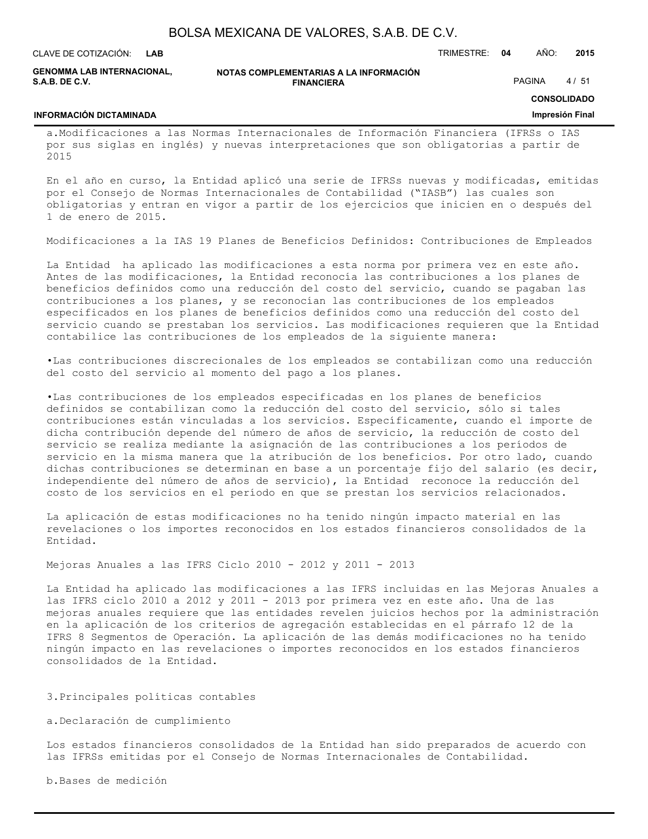| BOLSA MEXICANA DE VALORES, S.A.B. DE C.V. |  |  |  |
|-------------------------------------------|--|--|--|
|-------------------------------------------|--|--|--|

CLAVE DE COTIZACIÓN: TRIMESTRE: **04** AÑO: **2015 LAB**

**GENOMMA LAB INTERNACIONAL, S.A.B. DE C.V.**

**NOTAS COMPLEMENTARIAS A LA INFORMACIÓN FINANCIERA**

PAGINA 4/51

**CONSOLIDADO**

#### **INFORMACIÓN DICTAMINADA**

**Impresión Final** a.Modificaciones a las Normas Internacionales de Información Financiera (IFRSs o IAS

por sus siglas en inglés) y nuevas interpretaciones que son obligatorias a partir de 2015

En el año en curso, la Entidad aplicó una serie de IFRSs nuevas y modificadas, emitidas por el Consejo de Normas Internacionales de Contabilidad ("IASB") las cuales son obligatorias y entran en vigor a partir de los ejercicios que inicien en o después del 1 de enero de 2015.

Modificaciones a la IAS 19 Planes de Beneficios Definidos: Contribuciones de Empleados

La Entidad ha aplicado las modificaciones a esta norma por primera vez en este año. Antes de las modificaciones, la Entidad reconocía las contribuciones a los planes de beneficios definidos como una reducción del costo del servicio, cuando se pagaban las contribuciones a los planes, y se reconocían las contribuciones de los empleados especificados en los planes de beneficios definidos como una reducción del costo del servicio cuando se prestaban los servicios. Las modificaciones requieren que la Entidad contabilice las contribuciones de los empleados de la siguiente manera:

•Las contribuciones discrecionales de los empleados se contabilizan como una reducción del costo del servicio al momento del pago a los planes.

•Las contribuciones de los empleados especificadas en los planes de beneficios definidos se contabilizan como la reducción del costo del servicio, sólo si tales contribuciones están vinculadas a los servicios. Específicamente, cuando el importe de dicha contribución depende del número de años de servicio, la reducción de costo del servicio se realiza mediante la asignación de las contribuciones a los períodos de servicio en la misma manera que la atribución de los beneficios. Por otro lado, cuando dichas contribuciones se determinan en base a un porcentaje fijo del salario (es decir, independiente del número de años de servicio), la Entidad reconoce la reducción del costo de los servicios en el período en que se prestan los servicios relacionados.

La aplicación de estas modificaciones no ha tenido ningún impacto material en las revelaciones o los importes reconocidos en los estados financieros consolidados de la Entidad.

Mejoras Anuales a las IFRS Ciclo 2010 - 2012 y 2011 - 2013

La Entidad ha aplicado las modificaciones a las IFRS incluidas en las Mejoras Anuales a las IFRS ciclo 2010 a 2012 y 2011 - 2013 por primera vez en este año. Una de las mejoras anuales requiere que las entidades revelen juicios hechos por la administración en la aplicación de los criterios de agregación establecidas en el párrafo 12 de la IFRS 8 Segmentos de Operación. La aplicación de las demás modificaciones no ha tenido ningún impacto en las revelaciones o importes reconocidos en los estados financieros consolidados de la Entidad.

3.Principales políticas contables

a.Declaración de cumplimiento

Los estados financieros consolidados de la Entidad han sido preparados de acuerdo con las IFRSs emitidas por el Consejo de Normas Internacionales de Contabilidad.

b.Bases de medición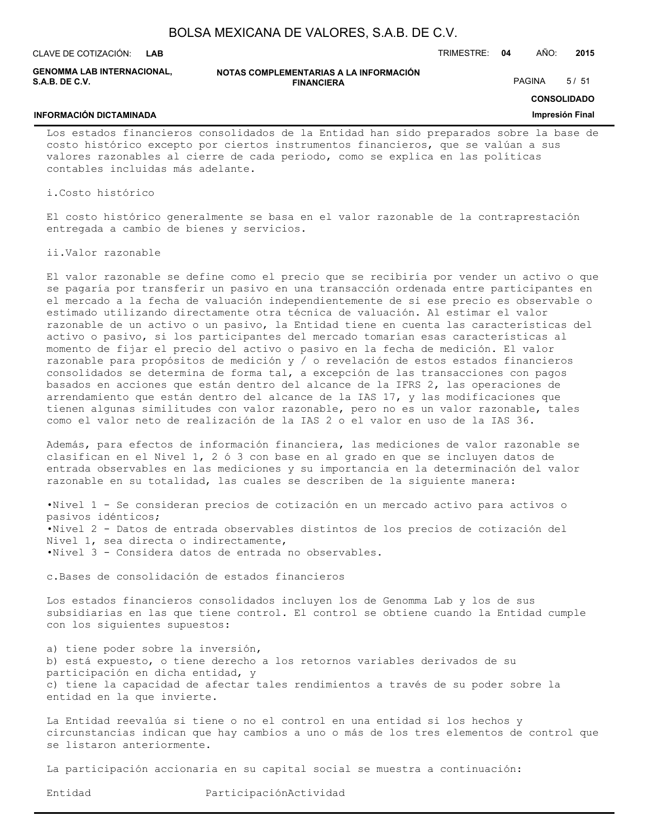| BOLSA MEXICANA DE VALORES, S.A.B. DE C.V. |  |  |
|-------------------------------------------|--|--|
|-------------------------------------------|--|--|

CLAVE DE COTIZACIÓN: TRIMESTRE: **04** AÑO: **2015 LAB**

**INFORMACIÓN DICTAMINADA**

**GENOMMA LAB INTERNACIONAL, S.A.B. DE C.V.**

#### **NOTAS COMPLEMENTARIAS A LA INFORMACIÓN FINANCIERA**

PAGINA 5/51

**CONSOLIDADO**

#### **Impresión Final**

Los estados financieros consolidados de la Entidad han sido preparados sobre la base de costo histórico excepto por ciertos instrumentos financieros, que se valúan a sus valores razonables al cierre de cada periodo, como se explica en las políticas contables incluidas más adelante.

i.Costo histórico

El costo histórico generalmente se basa en el valor razonable de la contraprestación entregada a cambio de bienes y servicios.

ii.Valor razonable

El valor razonable se define como el precio que se recibiría por vender un activo o que se pagaría por transferir un pasivo en una transacción ordenada entre participantes en el mercado a la fecha de valuación independientemente de si ese precio es observable o estimado utilizando directamente otra técnica de valuación. Al estimar el valor razonable de un activo o un pasivo, la Entidad tiene en cuenta las características del activo o pasivo, si los participantes del mercado tomarían esas características al momento de fijar el precio del activo o pasivo en la fecha de medición. El valor razonable para propósitos de medición y / o revelación de estos estados financieros consolidados se determina de forma tal, a excepción de las transacciones con pagos basados en acciones que están dentro del alcance de la IFRS 2, las operaciones de arrendamiento que están dentro del alcance de la IAS 17, y las modificaciones que tienen algunas similitudes con valor razonable, pero no es un valor razonable, tales como el valor neto de realización de la IAS 2 o el valor en uso de la IAS 36.

Además, para efectos de información financiera, las mediciones de valor razonable se clasifican en el Nivel 1, 2 ó 3 con base en al grado en que se incluyen datos de entrada observables en las mediciones y su importancia en la determinación del valor razonable en su totalidad, las cuales se describen de la siguiente manera:

•Nivel 1 - Se consideran precios de cotización en un mercado activo para activos o pasivos idénticos; •Nivel 2 - Datos de entrada observables distintos de los precios de cotización del Nivel 1, sea directa o indirectamente, •Nivel 3 - Considera datos de entrada no observables.

c.Bases de consolidación de estados financieros

Los estados financieros consolidados incluyen los de Genomma Lab y los de sus subsidiarias en las que tiene control. El control se obtiene cuando la Entidad cumple con los siguientes supuestos:

a) tiene poder sobre la inversión, b) está expuesto, o tiene derecho a los retornos variables derivados de su participación en dicha entidad, y c) tiene la capacidad de afectar tales rendimientos a través de su poder sobre la entidad en la que invierte.

La Entidad reevalúa si tiene o no el control en una entidad si los hechos y circunstancias indican que hay cambios a uno o más de los tres elementos de control que se listaron anteriormente.

La participación accionaria en su capital social se muestra a continuación:

Entidad ParticipaciónActividad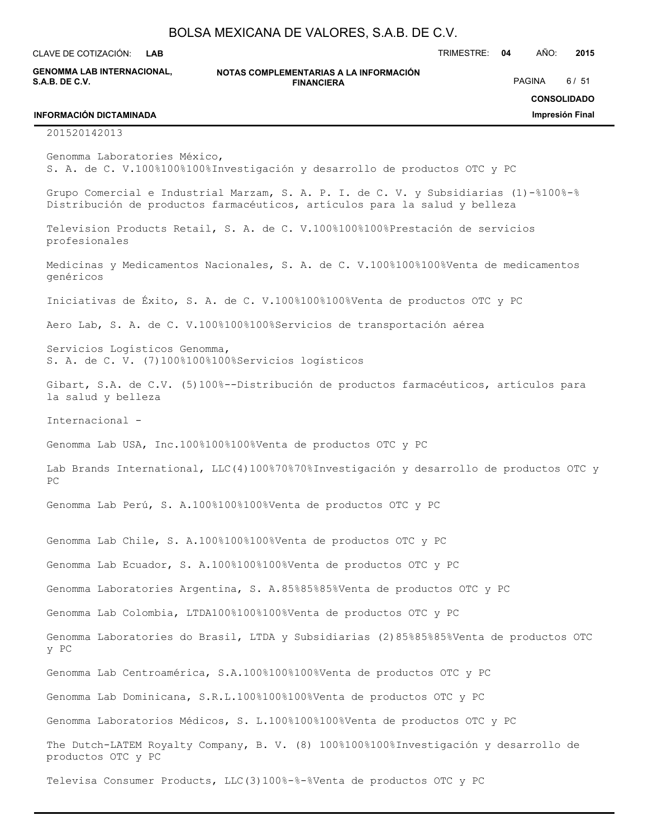**NOTAS COMPLEMENTARIAS A LA INFORMACIÓN FINANCIERA** CLAVE DE COTIZACIÓN: TRIMESTRE: **04** AÑO: **2015 CONSOLIDADO Impresión Final LAB GENOMMA LAB INTERNACIONAL, S.A.B. DE C.V. INFORMACIÓN DICTAMINADA** PAGINA 6/51 201520142013 Genomma Laboratories México, S. A. de C. V.100%100%100%Investigación y desarrollo de productos OTC y PC Grupo Comercial e Industrial Marzam, S. A. P. I. de C. V. y Subsidiarias (1)-%100%-% Distribución de productos farmacéuticos, artículos para la salud y belleza Television Products Retail, S. A. de C. V.100%100%100%Prestación de servicios profesionales Medicinas y Medicamentos Nacionales, S. A. de C. V.100%100%100%Venta de medicamentos genéricos Iniciativas de Éxito, S. A. de C. V.100%100%100%Venta de productos OTC y PC Aero Lab, S. A. de C. V.100%100%100%Servicios de transportación aérea Servicios Logísticos Genomma, S. A. de C. V. (7)100%100%100%Servicios logísticos Gibart, S.A. de C.V. (5)100%--Distribución de productos farmacéuticos, artículos para la salud y belleza Internacional - Genomma Lab USA, Inc.100%100%100%Venta de productos OTC y PC Lab Brands International, LLC(4)100%70%70%Investigación y desarrollo de productos OTC y PC Genomma Lab Perú, S. A.100%100%100%Venta de productos OTC y PC Genomma Lab Chile, S. A.100%100%100%Venta de productos OTC y PC Genomma Lab Ecuador, S. A.100%100%100%Venta de productos OTC y PC Genomma Laboratories Argentina, S. A.85%85%85%Venta de productos OTC y PC Genomma Lab Colombia, LTDA100%100%100%Venta de productos OTC y PC Genomma Laboratories do Brasil, LTDA y Subsidiarias (2)85%85%85%Venta de productos OTC y PC Genomma Lab Centroamérica, S.A.100%100%100%Venta de productos OTC y PC Genomma Lab Dominicana, S.R.L.100%100%100%Venta de productos OTC y PC Genomma Laboratorios Médicos, S. L.100%100%100%Venta de productos OTC y PC The Dutch-LATEM Royalty Company, B. V. (8) 100%100%100%Investigación y desarrollo de productos OTC y PC Televisa Consumer Products, LLC(3)100%-%-%Venta de productos OTC y PC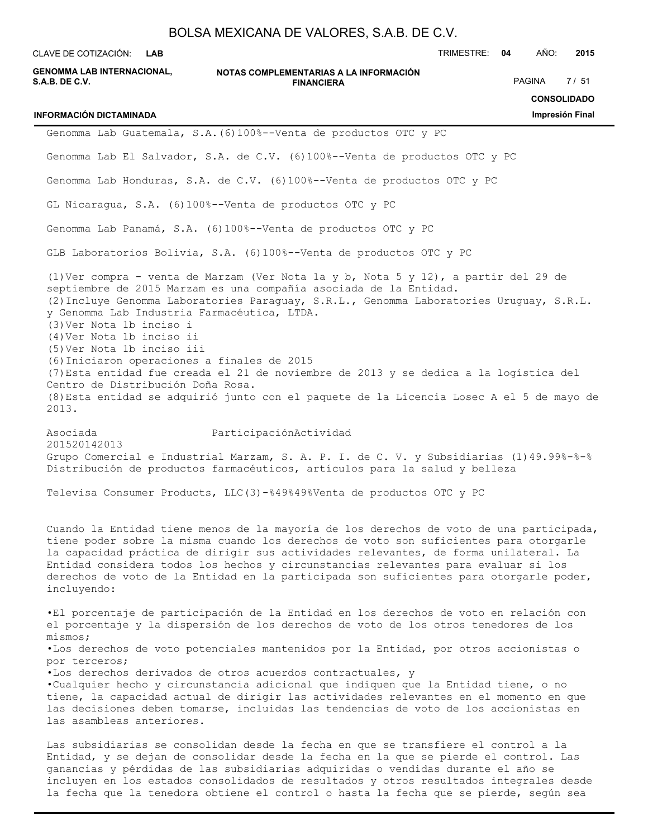**NOTAS COMPLEMENTARIAS A LA INFORMACIÓN FINANCIERA** CLAVE DE COTIZACIÓN: TRIMESTRE: **04** AÑO: **2015 CONSOLIDADO Impresión Final LAB GENOMMA LAB INTERNACIONAL, S.A.B. DE C.V. INFORMACIÓN DICTAMINADA** Genomma Lab Guatemala, S.A.(6)100%--Venta de productos OTC y PC

Genomma Lab El Salvador, S.A. de C.V. (6)100%--Venta de productos OTC y PC Genomma Lab Honduras, S.A. de C.V. (6)100%--Venta de productos OTC y PC GL Nicaragua, S.A. (6)100%--Venta de productos OTC y PC Genomma Lab Panamá, S.A. (6)100%--Venta de productos OTC y PC GLB Laboratorios Bolivia, S.A. (6)100%--Venta de productos OTC y PC (1)Ver compra - venta de Marzam (Ver Nota 1a y b, Nota 5 y 12), a partir del 29 de septiembre de 2015 Marzam es una compañía asociada de la Entidad. (2)Incluye Genomma Laboratories Paraguay, S.R.L., Genomma Laboratories Uruguay, S.R.L. y Genomma Lab Industria Farmacéutica, LTDA. (3)Ver Nota 1b inciso i (4)Ver Nota 1b inciso ii (5)Ver Nota 1b inciso iii (6)Iniciaron operaciones a finales de 2015 (7)Esta entidad fue creada el 21 de noviembre de 2013 y se dedica a la logística del Centro de Distribución Doña Rosa. (8)Esta entidad se adquirió junto con el paquete de la Licencia Losec A el 5 de mayo de 2013.

Asociada ParticipaciónActividad 201520142013 Grupo Comercial e Industrial Marzam, S. A. P. I. de C. V. y Subsidiarias (1)49.99%-%-% Distribución de productos farmacéuticos, artículos para la salud y belleza

Televisa Consumer Products, LLC(3)-%49%49%Venta de productos OTC y PC

Cuando la Entidad tiene menos de la mayoría de los derechos de voto de una participada, tiene poder sobre la misma cuando los derechos de voto son suficientes para otorgarle la capacidad práctica de dirigir sus actividades relevantes, de forma unilateral. La Entidad considera todos los hechos y circunstancias relevantes para evaluar si los derechos de voto de la Entidad en la participada son suficientes para otorgarle poder, incluyendo:

•El porcentaje de participación de la Entidad en los derechos de voto en relación con el porcentaje y la dispersión de los derechos de voto de los otros tenedores de los mismos; •Los derechos de voto potenciales mantenidos por la Entidad, por otros accionistas o por terceros; •Los derechos derivados de otros acuerdos contractuales, y •Cualquier hecho y circunstancia adicional que indiquen que la Entidad tiene, o no tiene, la capacidad actual de dirigir las actividades relevantes en el momento en que las decisiones deben tomarse, incluidas las tendencias de voto de los accionistas en las asambleas anteriores.

Las subsidiarias se consolidan desde la fecha en que se transfiere el control a la Entidad, y se dejan de consolidar desde la fecha en la que se pierde el control. Las ganancias y pérdidas de las subsidiarias adquiridas o vendidas durante el año se incluyen en los estados consolidados de resultados y otros resultados integrales desde la fecha que la tenedora obtiene el control o hasta la fecha que se pierde, según sea

PAGINA 7 / 51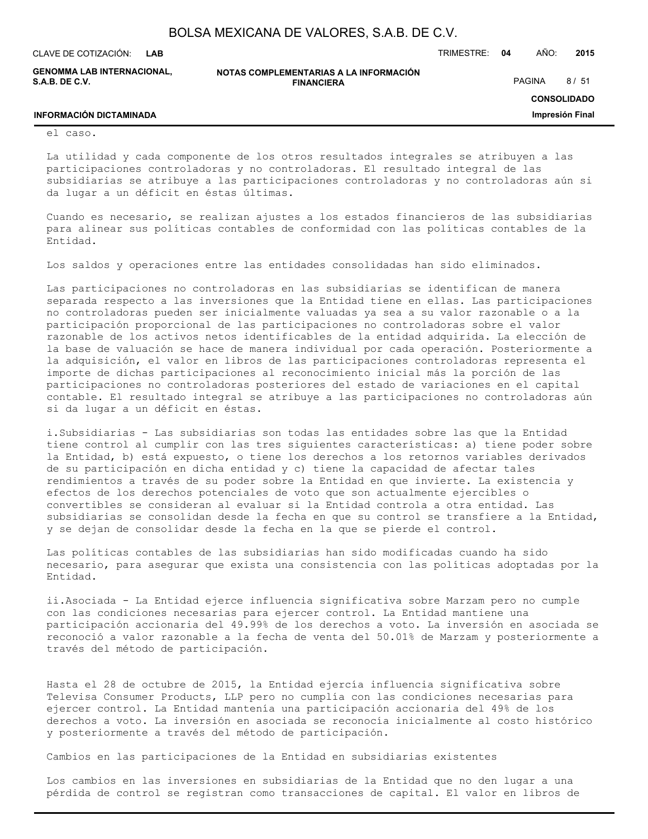CLAVE DE COTIZACIÓN: TRIMESTRE: **04** AÑO: **2015 LAB**

**GENOMMA LAB INTERNACIONAL, S.A.B. DE C.V.**

**NOTAS COMPLEMENTARIAS A LA INFORMACIÓN FINANCIERA**

PAGINA 8/51

**CONSOLIDADO**

**Impresión Final**

#### **INFORMACIÓN DICTAMINADA**

el caso.

La utilidad y cada componente de los otros resultados integrales se atribuyen a las participaciones controladoras y no controladoras. El resultado integral de las subsidiarias se atribuye a las participaciones controladoras y no controladoras aún si da lugar a un déficit en éstas últimas.

Cuando es necesario, se realizan ajustes a los estados financieros de las subsidiarias para alinear sus políticas contables de conformidad con las políticas contables de la Entidad.

Los saldos y operaciones entre las entidades consolidadas han sido eliminados.

Las participaciones no controladoras en las subsidiarias se identifican de manera separada respecto a las inversiones que la Entidad tiene en ellas. Las participaciones no controladoras pueden ser inicialmente valuadas ya sea a su valor razonable o a la participación proporcional de las participaciones no controladoras sobre el valor razonable de los activos netos identificables de la entidad adquirida. La elección de la base de valuación se hace de manera individual por cada operación. Posteriormente a la adquisición, el valor en libros de las participaciones controladoras representa el importe de dichas participaciones al reconocimiento inicial más la porción de las participaciones no controladoras posteriores del estado de variaciones en el capital contable. El resultado integral se atribuye a las participaciones no controladoras aún si da lugar a un déficit en éstas.

i.Subsidiarias - Las subsidiarias son todas las entidades sobre las que la Entidad tiene control al cumplir con las tres siguientes características: a) tiene poder sobre la Entidad, b) está expuesto, o tiene los derechos a los retornos variables derivados de su participación en dicha entidad y c) tiene la capacidad de afectar tales rendimientos a través de su poder sobre la Entidad en que invierte. La existencia y efectos de los derechos potenciales de voto que son actualmente ejercibles o convertibles se consideran al evaluar si la Entidad controla a otra entidad. Las subsidiarias se consolidan desde la fecha en que su control se transfiere a la Entidad, y se dejan de consolidar desde la fecha en la que se pierde el control.

Las políticas contables de las subsidiarias han sido modificadas cuando ha sido necesario, para asegurar que exista una consistencia con las políticas adoptadas por la Entidad.

ii.Asociada - La Entidad ejerce influencia significativa sobre Marzam pero no cumple con las condiciones necesarias para ejercer control. La Entidad mantiene una participación accionaria del 49.99% de los derechos a voto. La inversión en asociada se reconoció a valor razonable a la fecha de venta del 50.01% de Marzam y posteriormente a través del método de participación.

Hasta el 28 de octubre de 2015, la Entidad ejercía influencia significativa sobre Televisa Consumer Products, LLP pero no cumplía con las condiciones necesarias para ejercer control. La Entidad mantenía una participación accionaria del 49% de los derechos a voto. La inversión en asociada se reconocía inicialmente al costo histórico y posteriormente a través del método de participación.

Cambios en las participaciones de la Entidad en subsidiarias existentes

Los cambios en las inversiones en subsidiarias de la Entidad que no den lugar a una pérdida de control se registran como transacciones de capital. El valor en libros de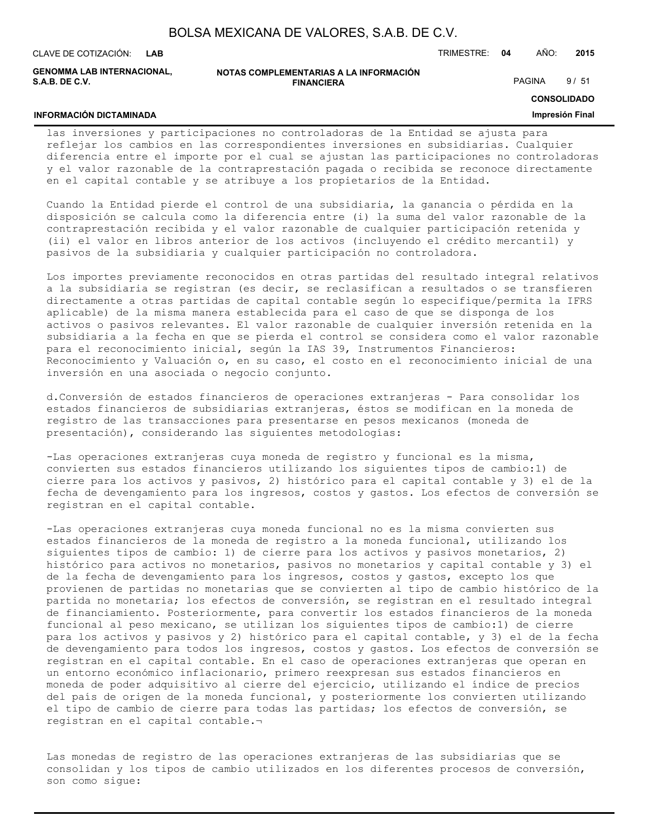| BOLSA MEXICANA DE VALORES, S.A.B. DE C.V. |  |  |  |
|-------------------------------------------|--|--|--|
|-------------------------------------------|--|--|--|

CLAVE DE COTIZACIÓN: TRIMESTRE: **04** AÑO: **2015 LAB**

**GENOMMA LAB INTERNACIONAL, S.A.B. DE C.V.**

**INFORMACIÓN DICTAMINADA**

#### **NOTAS COMPLEMENTARIAS A LA INFORMACIÓN FINANCIERA**

PAGINA 9/51

**CONSOLIDADO**

#### **Impresión Final**

las inversiones y participaciones no controladoras de la Entidad se ajusta para reflejar los cambios en las correspondientes inversiones en subsidiarias. Cualquier diferencia entre el importe por el cual se ajustan las participaciones no controladoras y el valor razonable de la contraprestación pagada o recibida se reconoce directamente en el capital contable y se atribuye a los propietarios de la Entidad.

Cuando la Entidad pierde el control de una subsidiaria, la ganancia o pérdida en la disposición se calcula como la diferencia entre (i) la suma del valor razonable de la contraprestación recibida y el valor razonable de cualquier participación retenida y (ii) el valor en libros anterior de los activos (incluyendo el crédito mercantil) y pasivos de la subsidiaria y cualquier participación no controladora.

Los importes previamente reconocidos en otras partidas del resultado integral relativos a la subsidiaria se registran (es decir, se reclasifican a resultados o se transfieren directamente a otras partidas de capital contable según lo especifique/permita la IFRS aplicable) de la misma manera establecida para el caso de que se disponga de los activos o pasivos relevantes. El valor razonable de cualquier inversión retenida en la subsidiaria a la fecha en que se pierda el control se considera como el valor razonable para el reconocimiento inicial, según la IAS 39, Instrumentos Financieros: Reconocimiento y Valuación o, en su caso, el costo en el reconocimiento inicial de una inversión en una asociada o negocio conjunto.

d.Conversión de estados financieros de operaciones extranjeras - Para consolidar los estados financieros de subsidiarias extranjeras, éstos se modifican en la moneda de registro de las transacciones para presentarse en pesos mexicanos (moneda de presentación), considerando las siguientes metodologías:

-Las operaciones extranjeras cuya moneda de registro y funcional es la misma, convierten sus estados financieros utilizando los siguientes tipos de cambio:1) de cierre para los activos y pasivos, 2) histórico para el capital contable y 3) el de la fecha de devengamiento para los ingresos, costos y gastos. Los efectos de conversión se registran en el capital contable.

-Las operaciones extranjeras cuya moneda funcional no es la misma convierten sus estados financieros de la moneda de registro a la moneda funcional, utilizando los siguientes tipos de cambio: 1) de cierre para los activos y pasivos monetarios, 2) histórico para activos no monetarios, pasivos no monetarios y capital contable y 3) el de la fecha de devengamiento para los ingresos, costos y gastos, excepto los que provienen de partidas no monetarias que se convierten al tipo de cambio histórico de la partida no monetaria; los efectos de conversión, se registran en el resultado integral de financiamiento. Posteriormente, para convertir los estados financieros de la moneda funcional al peso mexicano, se utilizan los siguientes tipos de cambio:1) de cierre para los activos y pasivos y 2) histórico para el capital contable, y 3) el de la fecha de devengamiento para todos los ingresos, costos y gastos. Los efectos de conversión se registran en el capital contable. En el caso de operaciones extranjeras que operan en un entorno económico inflacionario, primero reexpresan sus estados financieros en moneda de poder adquisitivo al cierre del ejercicio, utilizando el índice de precios del país de origen de la moneda funcional, y posteriormente los convierten utilizando el tipo de cambio de cierre para todas las partidas; los efectos de conversión, se registran en el capital contable.¬

Las monedas de registro de las operaciones extranjeras de las subsidiarias que se consolidan y los tipos de cambio utilizados en los diferentes procesos de conversión, son como sigue: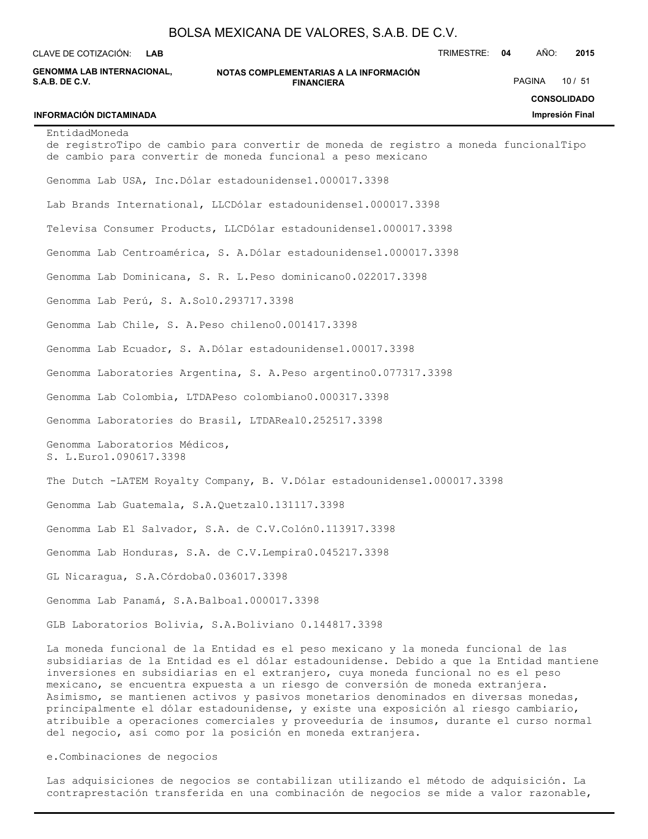| CLAVE DE COTIZACIÓN: LAB                                 |                                                                                                                                                                               | TRIMESTRE: 04 | AÑO:   | 2015                        |
|----------------------------------------------------------|-------------------------------------------------------------------------------------------------------------------------------------------------------------------------------|---------------|--------|-----------------------------|
| <b>GENOMMA LAB INTERNACIONAL,</b><br>S.A.B. DE C.V.      | NOTAS COMPLEMENTARIAS A LA INFORMACIÓN<br><b>FINANCIERA</b>                                                                                                                   |               | PAGINA | 10/51<br><b>CONSOLIDADO</b> |
| <b>INFORMACIÓN DICTAMINADA</b>                           |                                                                                                                                                                               |               |        | Impresión Final             |
| EntidadMoneda                                            | de registroTipo de cambio para convertir de moneda de registro a moneda funcionalTipo<br>de cambio para convertir de moneda funcional a peso mexicano                         |               |        |                             |
|                                                          | Genomma Lab USA, Inc. Dólar estadounidense1.000017.3398                                                                                                                       |               |        |                             |
|                                                          | Lab Brands International, LLCDólar estadounidensel.000017.3398                                                                                                                |               |        |                             |
|                                                          | Televisa Consumer Products, LLCDólar estadounidense1.000017.3398                                                                                                              |               |        |                             |
|                                                          | Genomma Lab Centroamérica, S. A. Dólar estadounidense1.000017.3398                                                                                                            |               |        |                             |
|                                                          | Genomma Lab Dominicana, S. R. L. Peso dominicano0.022017.3398                                                                                                                 |               |        |                             |
| Genomma Lab Perú, S. A.Sol0.293717.3398                  |                                                                                                                                                                               |               |        |                             |
| Genomma Lab Chile, S. A. Peso chileno0.001417.3398       |                                                                                                                                                                               |               |        |                             |
|                                                          | Genomma Lab Ecuador, S. A. Dólar estadounidense1.00017.3398                                                                                                                   |               |        |                             |
|                                                          | Genomma Laboratories Argentina, S. A.Peso argentino0.077317.3398                                                                                                              |               |        |                             |
|                                                          | Genomma Lab Colombia, LTDAPeso colombiano0.000317.3398                                                                                                                        |               |        |                             |
|                                                          | Genomma Laboratories do Brasil, LTDAReal0.252517.3398                                                                                                                         |               |        |                             |
| Genomma Laboratorios Médicos,<br>S. L. Euro1.090617.3398 |                                                                                                                                                                               |               |        |                             |
|                                                          | The Dutch -LATEM Royalty Company, B. V. Dólar estadounidense1.000017.3398                                                                                                     |               |        |                             |
| Genomma Lab Guatemala, S.A.Quetzal0.131117.3398          |                                                                                                                                                                               |               |        |                             |
|                                                          | Genomma Lab El Salvador, S.A. de C.V.Colón0.113917.3398                                                                                                                       |               |        |                             |
|                                                          | Genomma Lab Honduras, S.A. de C.V.Lempira0.045217.3398                                                                                                                        |               |        |                             |
| GL Nicaragua, S.A.Córdoba0.036017.3398                   |                                                                                                                                                                               |               |        |                             |
| Genomma Lab Panamá, S.A.Balboa1.000017.3398              |                                                                                                                                                                               |               |        |                             |
|                                                          | GLB Laboratorios Bolivia, S.A.Boliviano 0.144817.3398                                                                                                                         |               |        |                             |
|                                                          | La moneda funcional de la Entidad es el peso mexicano y la moneda funcional de las<br>subsidiarias de la Entidad es el dólar estadounidense. Debido a que la Entidad mantiene |               |        |                             |

inversiones en subsidiarias en el extranjero, cuya moneda funcional no es el peso mexicano, se encuentra expuesta a un riesgo de conversión de moneda extranjera. Asimismo, se mantienen activos y pasivos monetarios denominados en diversas monedas, principalmente el dólar estadounidense, y existe una exposición al riesgo cambiario, atribuible a operaciones comerciales y proveeduría de insumos, durante el curso normal del negocio, así como por la posición en moneda extranjera.

e.Combinaciones de negocios

Las adquisiciones de negocios se contabilizan utilizando el método de adquisición. La contraprestación transferida en una combinación de negocios se mide a valor razonable,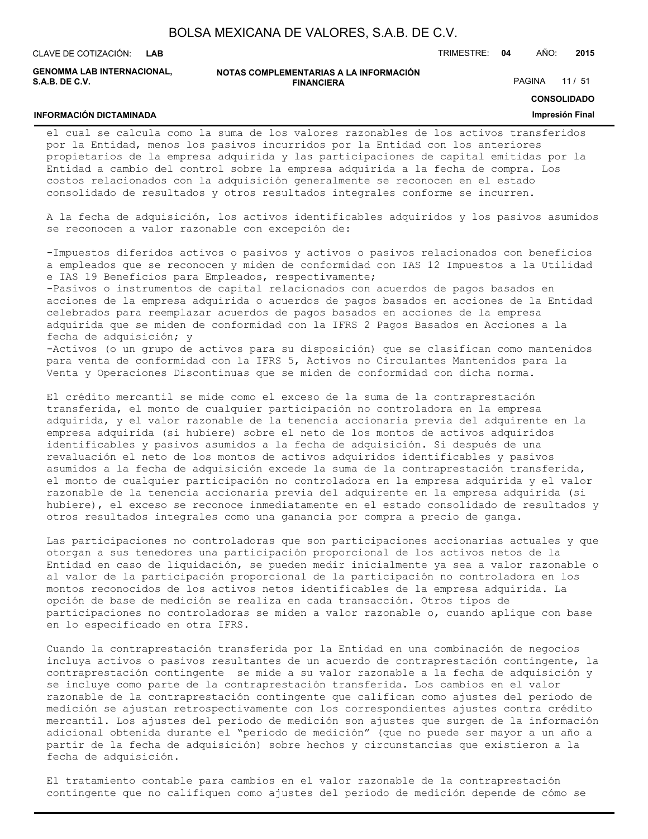CLAVE DE COTIZACIÓN: TRIMESTRE: **04** AÑO: **2015 LAB GENOMMA LAB INTERNACIONAL,**

**NOTAS COMPLEMENTARIAS A LA INFORMACIÓN FINANCIERA**

PAGINA 11 / 51

# **CONSOLIDADO**

### **Impresión Final**

el cual se calcula como la suma de los valores razonables de los activos transferidos por la Entidad, menos los pasivos incurridos por la Entidad con los anteriores propietarios de la empresa adquirida y las participaciones de capital emitidas por la Entidad a cambio del control sobre la empresa adquirida a la fecha de compra. Los costos relacionados con la adquisición generalmente se reconocen en el estado consolidado de resultados y otros resultados integrales conforme se incurren.

A la fecha de adquisición, los activos identificables adquiridos y los pasivos asumidos se reconocen a valor razonable con excepción de:

-Impuestos diferidos activos o pasivos y activos o pasivos relacionados con beneficios a empleados que se reconocen y miden de conformidad con IAS 12 Impuestos a la Utilidad e IAS 19 Beneficios para Empleados, respectivamente;

-Pasivos o instrumentos de capital relacionados con acuerdos de pagos basados en acciones de la empresa adquirida o acuerdos de pagos basados en acciones de la Entidad celebrados para reemplazar acuerdos de pagos basados en acciones de la empresa adquirida que se miden de conformidad con la IFRS 2 Pagos Basados en Acciones a la fecha de adquisición; y

-Activos (o un grupo de activos para su disposición) que se clasifican como mantenidos para venta de conformidad con la IFRS 5, Activos no Circulantes Mantenidos para la Venta y Operaciones Discontinuas que se miden de conformidad con dicha norma.

El crédito mercantil se mide como el exceso de la suma de la contraprestación transferida, el monto de cualquier participación no controladora en la empresa adquirida, y el valor razonable de la tenencia accionaria previa del adquirente en la empresa adquirida (si hubiere) sobre el neto de los montos de activos adquiridos identificables y pasivos asumidos a la fecha de adquisición. Si después de una revaluación el neto de los montos de activos adquiridos identificables y pasivos asumidos a la fecha de adquisición excede la suma de la contraprestación transferida, el monto de cualquier participación no controladora en la empresa adquirida y el valor razonable de la tenencia accionaria previa del adquirente en la empresa adquirida (si hubiere), el exceso se reconoce inmediatamente en el estado consolidado de resultados y otros resultados integrales como una ganancia por compra a precio de ganga.

Las participaciones no controladoras que son participaciones accionarias actuales y que otorgan a sus tenedores una participación proporcional de los activos netos de la Entidad en caso de liquidación, se pueden medir inicialmente ya sea a valor razonable o al valor de la participación proporcional de la participación no controladora en los montos reconocidos de los activos netos identificables de la empresa adquirida. La opción de base de medición se realiza en cada transacción. Otros tipos de participaciones no controladoras se miden a valor razonable o, cuando aplique con base en lo especificado en otra IFRS.

Cuando la contraprestación transferida por la Entidad en una combinación de negocios incluya activos o pasivos resultantes de un acuerdo de contraprestación contingente, la contraprestación contingente se mide a su valor razonable a la fecha de adquisición y se incluye como parte de la contraprestación transferida. Los cambios en el valor razonable de la contraprestación contingente que califican como ajustes del periodo de medición se ajustan retrospectivamente con los correspondientes ajustes contra crédito mercantil. Los ajustes del periodo de medición son ajustes que surgen de la información adicional obtenida durante el "periodo de medición" (que no puede ser mayor a un año a partir de la fecha de adquisición) sobre hechos y circunstancias que existieron a la fecha de adquisición.

El tratamiento contable para cambios en el valor razonable de la contraprestación contingente que no califiquen como ajustes del periodo de medición depende de cómo se

# **INFORMACIÓN DICTAMINADA**

**S.A.B. DE C.V.**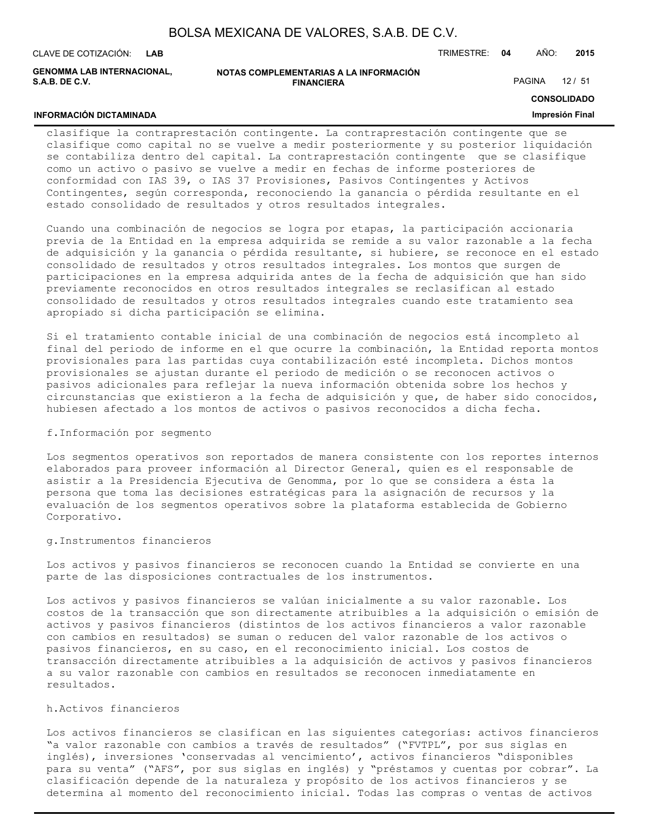CLAVE DE COTIZACIÓN: TRIMESTRE: **04** AÑO: **2015 LAB**

**INFORMACIÓN DICTAMINADA**

**GENOMMA LAB INTERNACIONAL, S.A.B. DE C.V.**

#### **NOTAS COMPLEMENTARIAS A LA INFORMACIÓN FINANCIERA**

PAGINA 12 / 51

# **CONSOLIDADO**

#### **Impresión Final**

clasifique la contraprestación contingente. La contraprestación contingente que se clasifique como capital no se vuelve a medir posteriormente y su posterior liquidación se contabiliza dentro del capital. La contraprestación contingente que se clasifique como un activo o pasivo se vuelve a medir en fechas de informe posteriores de conformidad con IAS 39, o IAS 37 Provisiones, Pasivos Contingentes y Activos Contingentes, según corresponda, reconociendo la ganancia o pérdida resultante en el estado consolidado de resultados y otros resultados integrales.

Cuando una combinación de negocios se logra por etapas, la participación accionaria previa de la Entidad en la empresa adquirida se remide a su valor razonable a la fecha de adquisición y la ganancia o pérdida resultante, si hubiere, se reconoce en el estado consolidado de resultados y otros resultados integrales. Los montos que surgen de participaciones en la empresa adquirida antes de la fecha de adquisición que han sido previamente reconocidos en otros resultados integrales se reclasifican al estado consolidado de resultados y otros resultados integrales cuando este tratamiento sea apropiado si dicha participación se elimina.

Si el tratamiento contable inicial de una combinación de negocios está incompleto al final del periodo de informe en el que ocurre la combinación, la Entidad reporta montos provisionales para las partidas cuya contabilización esté incompleta. Dichos montos provisionales se ajustan durante el periodo de medición o se reconocen activos o pasivos adicionales para reflejar la nueva información obtenida sobre los hechos y circunstancias que existieron a la fecha de adquisición y que, de haber sido conocidos, hubiesen afectado a los montos de activos o pasivos reconocidos a dicha fecha.

#### f.Información por segmento

Los segmentos operativos son reportados de manera consistente con los reportes internos elaborados para proveer información al Director General, quien es el responsable de asistir a la Presidencia Ejecutiva de Genomma, por lo que se considera a ésta la persona que toma las decisiones estratégicas para la asignación de recursos y la evaluación de los segmentos operativos sobre la plataforma establecida de Gobierno Corporativo.

#### g.Instrumentos financieros

Los activos y pasivos financieros se reconocen cuando la Entidad se convierte en una parte de las disposiciones contractuales de los instrumentos.

Los activos y pasivos financieros se valúan inicialmente a su valor razonable. Los costos de la transacción que son directamente atribuibles a la adquisición o emisión de activos y pasivos financieros (distintos de los activos financieros a valor razonable con cambios en resultados) se suman o reducen del valor razonable de los activos o pasivos financieros, en su caso, en el reconocimiento inicial. Los costos de transacción directamente atribuibles a la adquisición de activos y pasivos financieros a su valor razonable con cambios en resultados se reconocen inmediatamente en resultados.

# h.Activos financieros

Los activos financieros se clasifican en las siguientes categorías: activos financieros "a valor razonable con cambios a través de resultados" ("FVTPL", por sus siglas en inglés), inversiones 'conservadas al vencimiento', activos financieros "disponibles para su venta" ("AFS", por sus siglas en inglés) y "préstamos y cuentas por cobrar". La clasificación depende de la naturaleza y propósito de los activos financieros y se determina al momento del reconocimiento inicial. Todas las compras o ventas de activos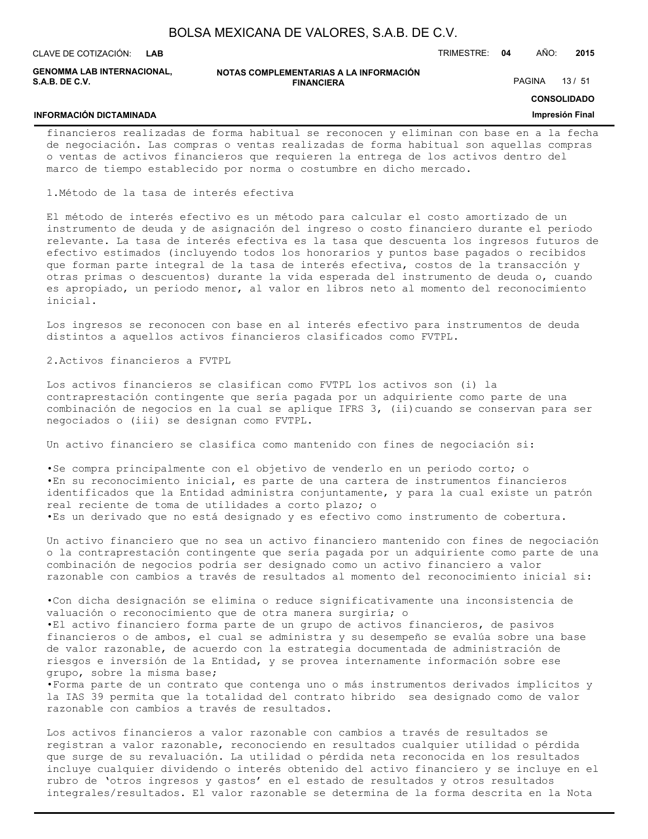| BOLSA MEXICANA DE VALORES, S.A.B. DE C.V. |  |  |  |
|-------------------------------------------|--|--|--|
|-------------------------------------------|--|--|--|

CLAVE DE COTIZACIÓN: TRIMESTRE: **04** AÑO: **2015 LAB**

**INFORMACIÓN DICTAMINADA**

**GENOMMA LAB INTERNACIONAL, S.A.B. DE C.V.**

#### **NOTAS COMPLEMENTARIAS A LA INFORMACIÓN FINANCIERA**

PAGINA 13 / 51

# **CONSOLIDADO**

#### **Impresión Final**

financieros realizadas de forma habitual se reconocen y eliminan con base en a la fecha de negociación. Las compras o ventas realizadas de forma habitual son aquellas compras o ventas de activos financieros que requieren la entrega de los activos dentro del marco de tiempo establecido por norma o costumbre en dicho mercado.

1.Método de la tasa de interés efectiva

El método de interés efectivo es un método para calcular el costo amortizado de un instrumento de deuda y de asignación del ingreso o costo financiero durante el periodo relevante. La tasa de interés efectiva es la tasa que descuenta los ingresos futuros de efectivo estimados (incluyendo todos los honorarios y puntos base pagados o recibidos que forman parte integral de la tasa de interés efectiva, costos de la transacción y otras primas o descuentos) durante la vida esperada del instrumento de deuda o, cuando es apropiado, un periodo menor, al valor en libros neto al momento del reconocimiento inicial.

Los ingresos se reconocen con base en al interés efectivo para instrumentos de deuda distintos a aquellos activos financieros clasificados como FVTPL.

2.Activos financieros a FVTPL

Los activos financieros se clasifican como FVTPL los activos son (i) la contraprestación contingente que sería pagada por un adquiriente como parte de una combinación de negocios en la cual se aplique IFRS 3, (ii)cuando se conservan para ser negociados o (iii) se designan como FVTPL.

Un activo financiero se clasifica como mantenido con fines de negociación si:

•Se compra principalmente con el objetivo de venderlo en un periodo corto; o •En su reconocimiento inicial, es parte de una cartera de instrumentos financieros identificados que la Entidad administra conjuntamente, y para la cual existe un patrón real reciente de toma de utilidades a corto plazo; o •Es un derivado que no está designado y es efectivo como instrumento de cobertura.

Un activo financiero que no sea un activo financiero mantenido con fines de negociación o la contraprestación contingente que sería pagada por un adquiriente como parte de una combinación de negocios podría ser designado como un activo financiero a valor razonable con cambios a través de resultados al momento del reconocimiento inicial si:

•Con dicha designación se elimina o reduce significativamente una inconsistencia de valuación o reconocimiento que de otra manera surgiría; o •El activo financiero forma parte de un grupo de activos financieros, de pasivos financieros o de ambos, el cual se administra y su desempeño se evalúa sobre una base de valor razonable, de acuerdo con la estrategia documentada de administración de riesgos e inversión de la Entidad, y se provea internamente información sobre ese grupo, sobre la misma base; •Forma parte de un contrato que contenga uno o más instrumentos derivados implícitos y

la IAS 39 permita que la totalidad del contrato híbrido sea designado como de valor razonable con cambios a través de resultados.

Los activos financieros a valor razonable con cambios a través de resultados se registran a valor razonable, reconociendo en resultados cualquier utilidad o pérdida que surge de su revaluación. La utilidad o pérdida neta reconocida en los resultados incluye cualquier dividendo o interés obtenido del activo financiero y se incluye en el rubro de 'otros ingresos y gastos' en el estado de resultados y otros resultados integrales/resultados. El valor razonable se determina de la forma descrita en la Nota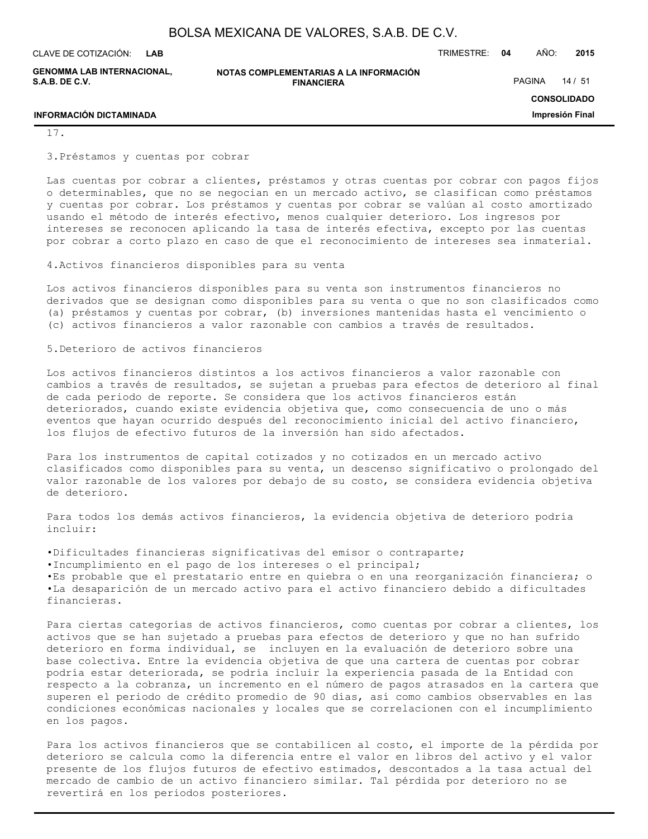**LAB**

**INFORMACIÓN DICTAMINADA**

**GENOMMA LAB INTERNACIONAL, S.A.B. DE C.V.**

**NOTAS COMPLEMENTARIAS A LA INFORMACIÓN FINANCIERA**

CLAVE DE COTIZACIÓN: TRIMESTRE: **04** AÑO: **2015**

PAGINA 14 / 51

**CONSOLIDADO**

**Impresión Final**

17.

3.Préstamos y cuentas por cobrar

Las cuentas por cobrar a clientes, préstamos y otras cuentas por cobrar con pagos fijos o determinables, que no se negocian en un mercado activo, se clasifican como préstamos y cuentas por cobrar. Los préstamos y cuentas por cobrar se valúan al costo amortizado usando el método de interés efectivo, menos cualquier deterioro. Los ingresos por intereses se reconocen aplicando la tasa de interés efectiva, excepto por las cuentas por cobrar a corto plazo en caso de que el reconocimiento de intereses sea inmaterial.

4.Activos financieros disponibles para su venta

Los activos financieros disponibles para su venta son instrumentos financieros no derivados que se designan como disponibles para su venta o que no son clasificados como (a) préstamos y cuentas por cobrar, (b) inversiones mantenidas hasta el vencimiento o (c) activos financieros a valor razonable con cambios a través de resultados.

### 5.Deterioro de activos financieros

Los activos financieros distintos a los activos financieros a valor razonable con cambios a través de resultados, se sujetan a pruebas para efectos de deterioro al final de cada periodo de reporte. Se considera que los activos financieros están deteriorados, cuando existe evidencia objetiva que, como consecuencia de uno o más eventos que hayan ocurrido después del reconocimiento inicial del activo financiero, los flujos de efectivo futuros de la inversión han sido afectados.

Para los instrumentos de capital cotizados y no cotizados en un mercado activo clasificados como disponibles para su venta, un descenso significativo o prolongado del valor razonable de los valores por debajo de su costo, se considera evidencia objetiva de deterioro.

Para todos los demás activos financieros, la evidencia objetiva de deterioro podría incluir:

•Dificultades financieras significativas del emisor o contraparte;

•Incumplimiento en el pago de los intereses o el principal;

•Es probable que el prestatario entre en quiebra o en una reorganización financiera; o •La desaparición de un mercado activo para el activo financiero debido a dificultades financieras.

Para ciertas categorías de activos financieros, como cuentas por cobrar a clientes, los activos que se han sujetado a pruebas para efectos de deterioro y que no han sufrido deterioro en forma individual, se incluyen en la evaluación de deterioro sobre una base colectiva. Entre la evidencia objetiva de que una cartera de cuentas por cobrar podría estar deteriorada, se podría incluir la experiencia pasada de la Entidad con respecto a la cobranza, un incremento en el número de pagos atrasados en la cartera que superen el periodo de crédito promedio de 90 días, así como cambios observables en las condiciones económicas nacionales y locales que se correlacionen con el incumplimiento en los pagos.

Para los activos financieros que se contabilicen al costo, el importe de la pérdida por deterioro se calcula como la diferencia entre el valor en libros del activo y el valor presente de los flujos futuros de efectivo estimados, descontados a la tasa actual del mercado de cambio de un activo financiero similar. Tal pérdida por deterioro no se revertirá en los periodos posteriores.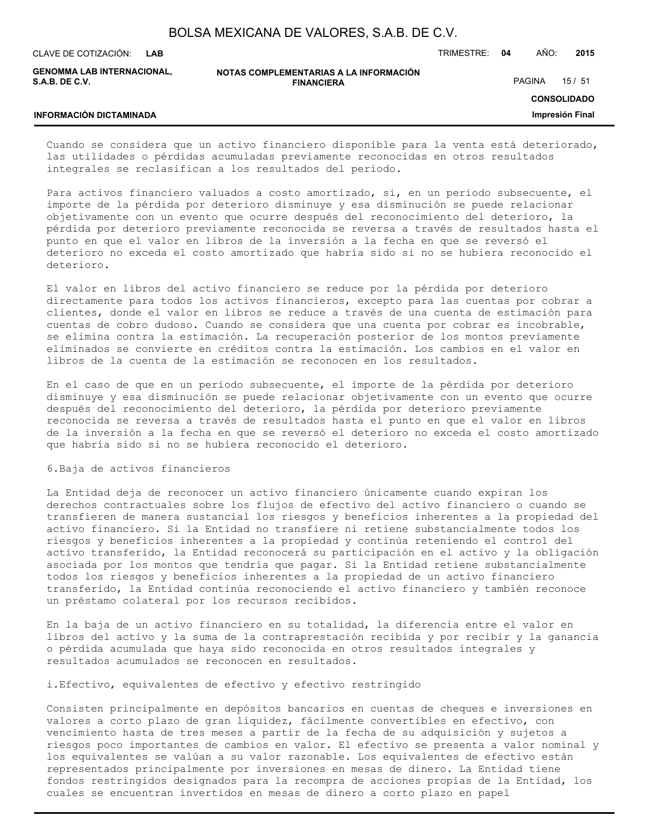CLAVE DE COTIZACIÓN: TRIMESTRE: **04** AÑO: **2015 LAB**

**INFORMACIÓN DICTAMINADA**

**GENOMMA LAB INTERNACIONAL, S.A.B. DE C.V.**

**NOTAS COMPLEMENTARIAS A LA INFORMACIÓN FINANCIERA**

PAGINA 15 / 51

# **CONSOLIDADO**

#### **Impresión Final**

Cuando se considera que un activo financiero disponible para la venta está deteriorado, las utilidades o pérdidas acumuladas previamente reconocidas en otros resultados integrales se reclasifican a los resultados del periodo.

Para activos financiero valuados a costo amortizado, si, en un periodo subsecuente, el importe de la pérdida por deterioro disminuye y esa disminución se puede relacionar objetivamente con un evento que ocurre después del reconocimiento del deterioro, la pérdida por deterioro previamente reconocida se reversa a través de resultados hasta el punto en que el valor en libros de la inversión a la fecha en que se reversó el deterioro no exceda el costo amortizado que habría sido si no se hubiera reconocido el deterioro.

El valor en libros del activo financiero se reduce por la pérdida por deterioro directamente para todos los activos financieros, excepto para las cuentas por cobrar a clientes, donde el valor en libros se reduce a través de una cuenta de estimación para cuentas de cobro dudoso. Cuando se considera que una cuenta por cobrar es incobrable, se elimina contra la estimación. La recuperación posterior de los montos previamente eliminados se convierte en créditos contra la estimación. Los cambios en el valor en libros de la cuenta de la estimación se reconocen en los resultados.

En el caso de que en un periodo subsecuente, el importe de la pérdida por deterioro disminuye y esa disminución se puede relacionar objetivamente con un evento que ocurre después del reconocimiento del deterioro, la pérdida por deterioro previamente reconocida se reversa a través de resultados hasta el punto en que el valor en libros de la inversión a la fecha en que se reversó el deterioro no exceda el costo amortizado que habría sido si no se hubiera reconocido el deterioro.

#### 6.Baja de activos financieros

La Entidad deja de reconocer un activo financiero únicamente cuando expiran los derechos contractuales sobre los flujos de efectivo del activo financiero o cuando se transfieren de manera sustancial los riesgos y beneficios inherentes a la propiedad del activo financiero. Si la Entidad no transfiere ni retiene substancialmente todos los riesgos y beneficios inherentes a la propiedad y continúa reteniendo el control del activo transferido, la Entidad reconocerá su participación en el activo y la obligación asociada por los montos que tendría que pagar. Si la Entidad retiene substancialmente todos los riesgos y beneficios inherentes a la propiedad de un activo financiero transferido, la Entidad continúa reconociendo el activo financiero y también reconoce un préstamo colateral por los recursos recibidos.

En la baja de un activo financiero en su totalidad, la diferencia entre el valor en libros del activo y la suma de la contraprestación recibida y por recibir y la ganancia o pérdida acumulada que haya sido reconocida en otros resultados integrales y resultados acumulados se reconocen en resultados.

i.Efectivo, equivalentes de efectivo y efectivo restringido

Consisten principalmente en depósitos bancarios en cuentas de cheques e inversiones en valores a corto plazo de gran liquidez, fácilmente convertibles en efectivo, con vencimiento hasta de tres meses a partir de la fecha de su adquisición y sujetos a riesgos poco importantes de cambios en valor. El efectivo se presenta a valor nominal y los equivalentes se valúan a su valor razonable. Los equivalentes de efectivo están representados principalmente por inversiones en mesas de dinero. La Entidad tiene fondos restringidos designados para la recompra de acciones propias de la Entidad, los cuales se encuentran invertidos en mesas de dinero a corto plazo en papel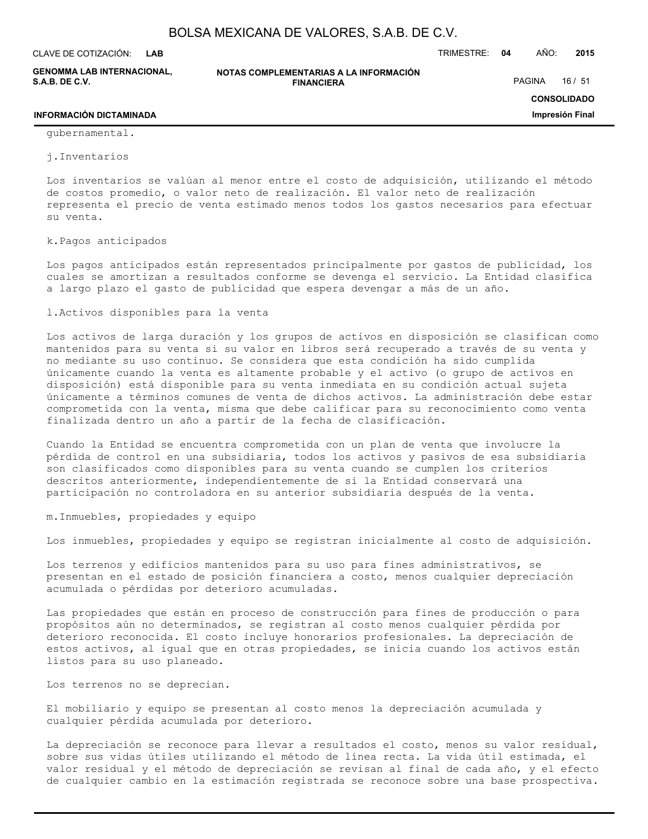CLAVE DE COTIZACIÓN: TRIMESTRE: **04** AÑO: **2015 LAB**

**GENOMMA LAB INTERNACIONAL, S.A.B. DE C.V.**

**NOTAS COMPLEMENTARIAS A LA INFORMACIÓN FINANCIERA**

PAGINA 16 / 51

# **CONSOLIDADO**

#### **Impresión Final**

#### **INFORMACIÓN DICTAMINADA**

gubernamental. j.Inventarios

Los inventarios se valúan al menor entre el costo de adquisición, utilizando el método de costos promedio, o valor neto de realización. El valor neto de realización representa el precio de venta estimado menos todos los gastos necesarios para efectuar su venta.

#### k.Pagos anticipados

Los pagos anticipados están representados principalmente por gastos de publicidad, los cuales se amortizan a resultados conforme se devenga el servicio. La Entidad clasifica a largo plazo el gasto de publicidad que espera devengar a más de un año.

#### l.Activos disponibles para la venta

Los activos de larga duración y los grupos de activos en disposición se clasifican como mantenidos para su venta si su valor en libros será recuperado a través de su venta y no mediante su uso continuo. Se considera que esta condición ha sido cumplida únicamente cuando la venta es altamente probable y el activo (o grupo de activos en disposición) está disponible para su venta inmediata en su condición actual sujeta únicamente a términos comunes de venta de dichos activos. La administración debe estar comprometida con la venta, misma que debe calificar para su reconocimiento como venta finalizada dentro un año a partir de la fecha de clasificación.

Cuando la Entidad se encuentra comprometida con un plan de venta que involucre la pérdida de control en una subsidiaria, todos los activos y pasivos de esa subsidiaria son clasificados como disponibles para su venta cuando se cumplen los criterios descritos anteriormente, independientemente de si la Entidad conservará una participación no controladora en su anterior subsidiaria después de la venta.

m.Inmuebles, propiedades y equipo

Los inmuebles, propiedades y equipo se registran inicialmente al costo de adquisición.

Los terrenos y edificios mantenidos para su uso para fines administrativos, se presentan en el estado de posición financiera a costo, menos cualquier depreciación acumulada o pérdidas por deterioro acumuladas.

Las propiedades que están en proceso de construcción para fines de producción o para propósitos aún no determinados, se registran al costo menos cualquier pérdida por deterioro reconocida. El costo incluye honorarios profesionales. La depreciación de estos activos, al igual que en otras propiedades, se inicia cuando los activos están listos para su uso planeado.

Los terrenos no se deprecian.

El mobiliario y equipo se presentan al costo menos la depreciación acumulada y cualquier pérdida acumulada por deterioro.

La depreciación se reconoce para llevar a resultados el costo, menos su valor residual, sobre sus vidas útiles utilizando el método de línea recta. La vida útil estimada, el valor residual y el método de depreciación se revisan al final de cada año, y el efecto de cualquier cambio en la estimación registrada se reconoce sobre una base prospectiva.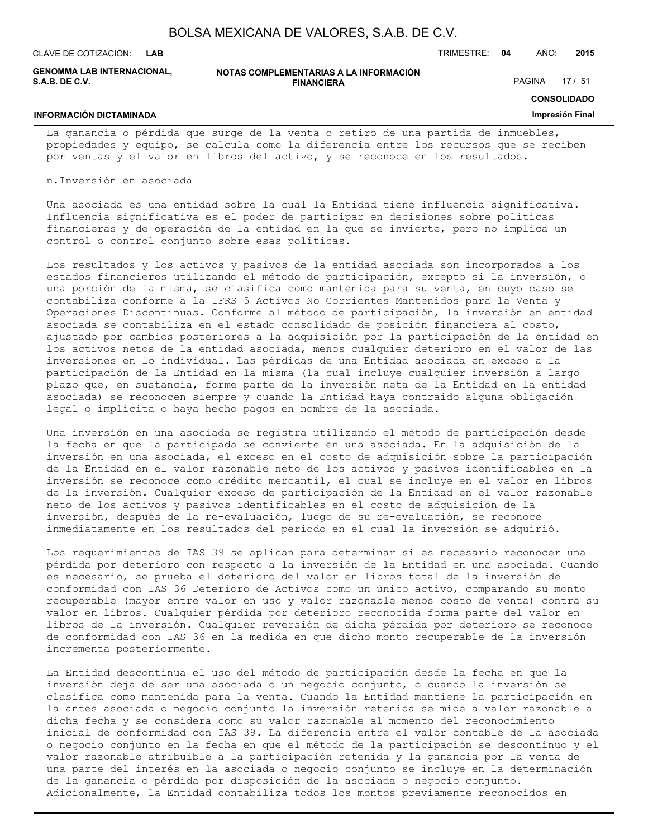**GENOMMA LAB INTERNACIONAL, S.A.B. DE C.V.**

**NOTAS COMPLEMENTARIAS A LA INFORMACIÓN FINANCIERA**

PAGINA 17 / 51

**CONSOLIDADO**

#### **Impresión Final**

## **INFORMACIÓN DICTAMINADA**

La ganancia o pérdida que surge de la venta o retiro de una partida de inmuebles, propiedades y equipo, se calcula como la diferencia entre los recursos que se reciben por ventas y el valor en libros del activo, y se reconoce en los resultados.

#### n.Inversión en asociada

Una asociada es una entidad sobre la cual la Entidad tiene influencia significativa. Influencia significativa es el poder de participar en decisiones sobre políticas financieras y de operación de la entidad en la que se invierte, pero no implica un control o control conjunto sobre esas políticas.

Los resultados y los activos y pasivos de la entidad asociada son incorporados a los estados financieros utilizando el método de participación, excepto si la inversión, o una porción de la misma, se clasifica como mantenida para su venta, en cuyo caso se contabiliza conforme a la IFRS 5 Activos No Corrientes Mantenidos para la Venta y Operaciones Discontinuas. Conforme al método de participación, la inversión en entidad asociada se contabiliza en el estado consolidado de posición financiera al costo, ajustado por cambios posteriores a la adquisición por la participación de la entidad en los activos netos de la entidad asociada, menos cualquier deterioro en el valor de las inversiones en lo individual. Las pérdidas de una Entidad asociada en exceso a la participación de la Entidad en la misma (la cual incluye cualquier inversión a largo plazo que, en sustancia, forme parte de la inversión neta de la Entidad en la entidad asociada) se reconocen siempre y cuando la Entidad haya contraído alguna obligación legal o implícita o haya hecho pagos en nombre de la asociada.

Una inversión en una asociada se registra utilizando el método de participación desde la fecha en que la participada se convierte en una asociada. En la adquisición de la inversión en una asociada, el exceso en el costo de adquisición sobre la participación de la Entidad en el valor razonable neto de los activos y pasivos identificables en la inversión se reconoce como crédito mercantil, el cual se incluye en el valor en libros de la inversión. Cualquier exceso de participación de la Entidad en el valor razonable neto de los activos y pasivos identificables en el costo de adquisición de la inversión, después de la re-evaluación, luego de su re-evaluación, se reconoce inmediatamente en los resultados del periodo en el cual la inversión se adquirió.

Los requerimientos de IAS 39 se aplican para determinar si es necesario reconocer una pérdida por deterioro con respecto a la inversión de la Entidad en una asociada. Cuando es necesario, se prueba el deterioro del valor en libros total de la inversión de conformidad con IAS 36 Deterioro de Activos como un único activo, comparando su monto recuperable (mayor entre valor en uso y valor razonable menos costo de venta) contra su valor en libros. Cualquier pérdida por deterioro reconocida forma parte del valor en libros de la inversión. Cualquier reversión de dicha pérdida por deterioro se reconoce de conformidad con IAS 36 en la medida en que dicho monto recuperable de la inversión incrementa posteriormente.

La Entidad descontinua el uso del método de participación desde la fecha en que la inversión deja de ser una asociada o un negocio conjunto, o cuando la inversión se clasifica como mantenida para la venta. Cuando la Entidad mantiene la participación en la antes asociada o negocio conjunto la inversión retenida se mide a valor razonable a dicha fecha y se considera como su valor razonable al momento del reconocimiento inicial de conformidad con IAS 39. La diferencia entre el valor contable de la asociada o negocio conjunto en la fecha en que el método de la participación se descontinuo y el valor razonable atribuible a la participación retenida y la ganancia por la venta de una parte del interés en la asociada o negocio conjunto se incluye en la determinación de la ganancia o pérdida por disposición de la asociada o negocio conjunto. Adicionalmente, la Entidad contabiliza todos los montos previamente reconocidos en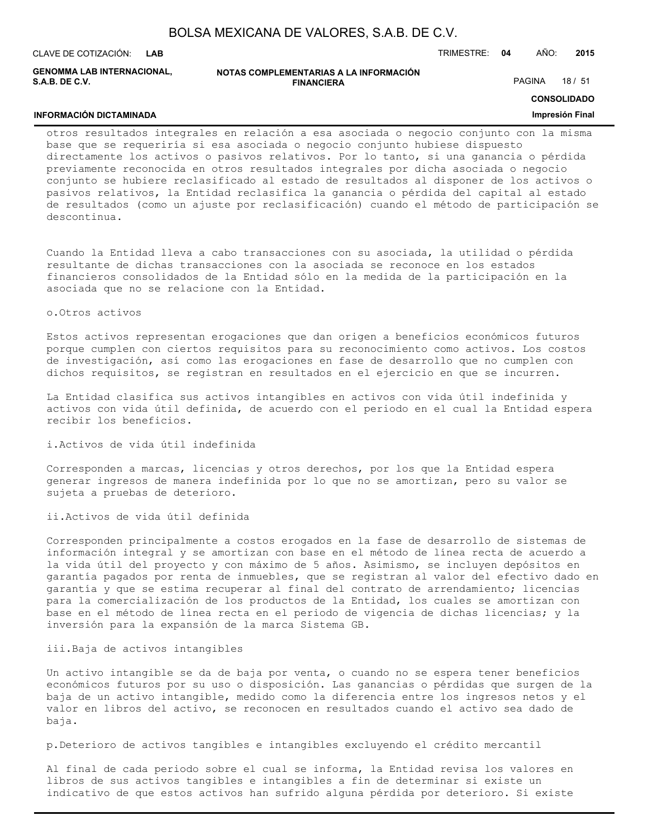| BOLSA MEXICANA DE VALORES, S.A.B. DE C.V. |  |
|-------------------------------------------|--|
|-------------------------------------------|--|

**INFORMACIÓN DICTAMINADA**

**GENOMMA LAB INTERNACIONAL, S.A.B. DE C.V.**

#### **NOTAS COMPLEMENTARIAS A LA INFORMACIÓN FINANCIERA**

PAGINA 18 / 51

**CONSOLIDADO**

#### **Impresión Final**

otros resultados integrales en relación a esa asociada o negocio conjunto con la misma base que se requeriría si esa asociada o negocio conjunto hubiese dispuesto directamente los activos o pasivos relativos. Por lo tanto, si una ganancia o pérdida previamente reconocida en otros resultados integrales por dicha asociada o negocio conjunto se hubiere reclasificado al estado de resultados al disponer de los activos o pasivos relativos, la Entidad reclasifica la ganancia o pérdida del capital al estado de resultados (como un ajuste por reclasificación) cuando el método de participación se descontinua.

Cuando la Entidad lleva a cabo transacciones con su asociada, la utilidad o pérdida resultante de dichas transacciones con la asociada se reconoce en los estados financieros consolidados de la Entidad sólo en la medida de la participación en la asociada que no se relacione con la Entidad.

o.Otros activos

Estos activos representan erogaciones que dan origen a beneficios económicos futuros porque cumplen con ciertos requisitos para su reconocimiento como activos. Los costos de investigación, así como las erogaciones en fase de desarrollo que no cumplen con dichos requisitos, se registran en resultados en el ejercicio en que se incurren.

La Entidad clasifica sus activos intangibles en activos con vida útil indefinida y activos con vida útil definida, de acuerdo con el periodo en el cual la Entidad espera recibir los beneficios.

i.Activos de vida útil indefinida

Corresponden a marcas, licencias y otros derechos, por los que la Entidad espera generar ingresos de manera indefinida por lo que no se amortizan, pero su valor se sujeta a pruebas de deterioro.

ii.Activos de vida útil definida

Corresponden principalmente a costos erogados en la fase de desarrollo de sistemas de información integral y se amortizan con base en el método de línea recta de acuerdo a la vida útil del proyecto y con máximo de 5 años. Asimismo, se incluyen depósitos en garantía pagados por renta de inmuebles, que se registran al valor del efectivo dado en garantía y que se estima recuperar al final del contrato de arrendamiento; licencias para la comercialización de los productos de la Entidad, los cuales se amortizan con base en el método de línea recta en el periodo de vigencia de dichas licencias; y la inversión para la expansión de la marca Sistema GB.

#### iii.Baja de activos intangibles

Un activo intangible se da de baja por venta, o cuando no se espera tener beneficios económicos futuros por su uso o disposición. Las ganancias o pérdidas que surgen de la baja de un activo intangible, medido como la diferencia entre los ingresos netos y el valor en libros del activo, se reconocen en resultados cuando el activo sea dado de baja.

p.Deterioro de activos tangibles e intangibles excluyendo el crédito mercantil

Al final de cada periodo sobre el cual se informa, la Entidad revisa los valores en libros de sus activos tangibles e intangibles a fin de determinar si existe un indicativo de que estos activos han sufrido alguna pérdida por deterioro. Si existe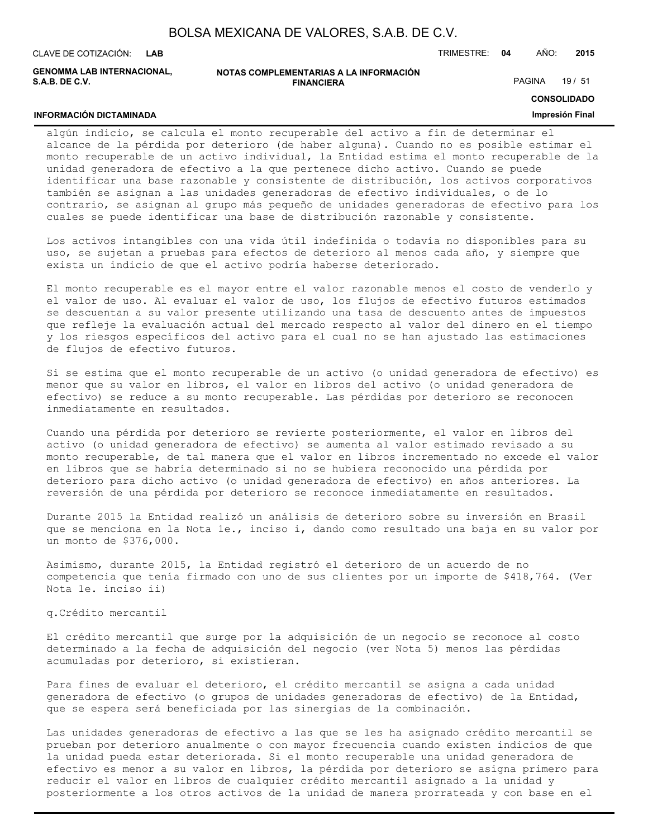**INFORMACIÓN DICTAMINADA**

**GENOMMA LAB INTERNACIONAL, S.A.B. DE C.V.**

#### **NOTAS COMPLEMENTARIAS A LA INFORMACIÓN FINANCIERA**

PAGINA 19 / 51

## **CONSOLIDADO**

#### **Impresión Final**

algún indicio, se calcula el monto recuperable del activo a fin de determinar el alcance de la pérdida por deterioro (de haber alguna). Cuando no es posible estimar el monto recuperable de un activo individual, la Entidad estima el monto recuperable de la unidad generadora de efectivo a la que pertenece dicho activo. Cuando se puede identificar una base razonable y consistente de distribución, los activos corporativos también se asignan a las unidades generadoras de efectivo individuales, o de lo contrario, se asignan al grupo más pequeño de unidades generadoras de efectivo para los cuales se puede identificar una base de distribución razonable y consistente.

Los activos intangibles con una vida útil indefinida o todavía no disponibles para su uso, se sujetan a pruebas para efectos de deterioro al menos cada año, y siempre que exista un indicio de que el activo podría haberse deteriorado.

El monto recuperable es el mayor entre el valor razonable menos el costo de venderlo y el valor de uso. Al evaluar el valor de uso, los flujos de efectivo futuros estimados se descuentan a su valor presente utilizando una tasa de descuento antes de impuestos que refleje la evaluación actual del mercado respecto al valor del dinero en el tiempo y los riesgos específicos del activo para el cual no se han ajustado las estimaciones de flujos de efectivo futuros.

Si se estima que el monto recuperable de un activo (o unidad generadora de efectivo) es menor que su valor en libros, el valor en libros del activo (o unidad generadora de efectivo) se reduce a su monto recuperable. Las pérdidas por deterioro se reconocen inmediatamente en resultados.

Cuando una pérdida por deterioro se revierte posteriormente, el valor en libros del activo (o unidad generadora de efectivo) se aumenta al valor estimado revisado a su monto recuperable, de tal manera que el valor en libros incrementado no excede el valor en libros que se habría determinado si no se hubiera reconocido una pérdida por deterioro para dicho activo (o unidad generadora de efectivo) en años anteriores. La reversión de una pérdida por deterioro se reconoce inmediatamente en resultados.

Durante 2015 la Entidad realizó un análisis de deterioro sobre su inversión en Brasil que se menciona en la Nota 1e., inciso i, dando como resultado una baja en su valor por un monto de \$376,000.

Asimismo, durante 2015, la Entidad registró el deterioro de un acuerdo de no competencia que tenía firmado con uno de sus clientes por un importe de \$418,764. (Ver Nota 1e. inciso ii)

#### q.Crédito mercantil

El crédito mercantil que surge por la adquisición de un negocio se reconoce al costo determinado a la fecha de adquisición del negocio (ver Nota 5) menos las pérdidas acumuladas por deterioro, si existieran.

Para fines de evaluar el deterioro, el crédito mercantil se asigna a cada unidad generadora de efectivo (o grupos de unidades generadoras de efectivo) de la Entidad, que se espera será beneficiada por las sinergias de la combinación.

Las unidades generadoras de efectivo a las que se les ha asignado crédito mercantil se prueban por deterioro anualmente o con mayor frecuencia cuando existen indicios de que la unidad pueda estar deteriorada. Si el monto recuperable una unidad generadora de efectivo es menor a su valor en libros, la pérdida por deterioro se asigna primero para reducir el valor en libros de cualquier crédito mercantil asignado a la unidad y posteriormente a los otros activos de la unidad de manera prorrateada y con base en el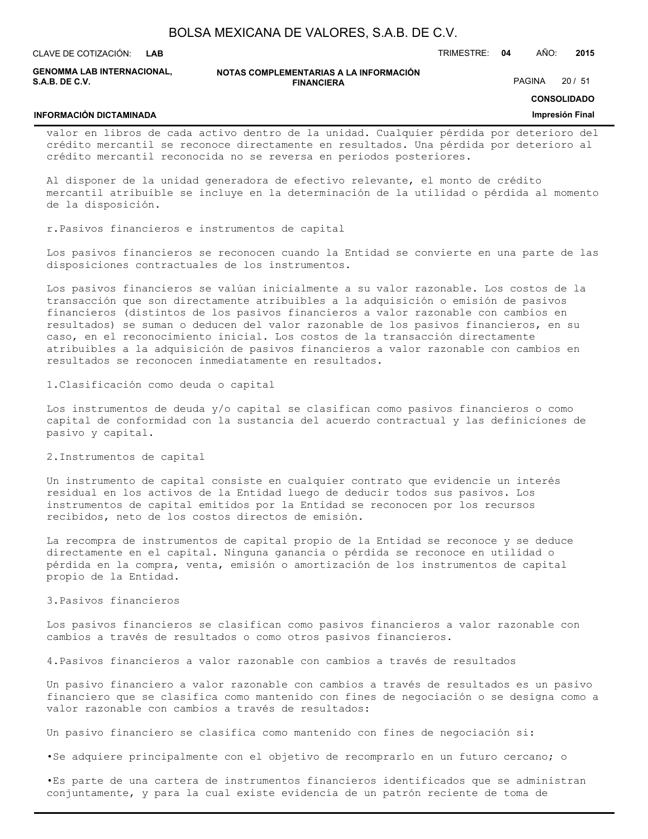CLAVE DE COTIZACIÓN: TRIMESTRE: **04** AÑO: **2015 LAB**

**INFORMACIÓN DICTAMINADA**

**GENOMMA LAB INTERNACIONAL, S.A.B. DE C.V.**

**NOTAS COMPLEMENTARIAS A LA INFORMACIÓN FINANCIERA**

PAGINA 20 / 51

**CONSOLIDADO**

#### **Impresión Final**

valor en libros de cada activo dentro de la unidad. Cualquier pérdida por deterioro del crédito mercantil se reconoce directamente en resultados. Una pérdida por deterioro al crédito mercantil reconocida no se reversa en periodos posteriores.

Al disponer de la unidad generadora de efectivo relevante, el monto de crédito mercantil atribuible se incluye en la determinación de la utilidad o pérdida al momento de la disposición.

r.Pasivos financieros e instrumentos de capital

Los pasivos financieros se reconocen cuando la Entidad se convierte en una parte de las disposiciones contractuales de los instrumentos.

Los pasivos financieros se valúan inicialmente a su valor razonable. Los costos de la transacción que son directamente atribuibles a la adquisición o emisión de pasivos financieros (distintos de los pasivos financieros a valor razonable con cambios en resultados) se suman o deducen del valor razonable de los pasivos financieros, en su caso, en el reconocimiento inicial. Los costos de la transacción directamente atribuibles a la adquisición de pasivos financieros a valor razonable con cambios en resultados se reconocen inmediatamente en resultados.

1.Clasificación como deuda o capital

Los instrumentos de deuda y/o capital se clasifican como pasivos financieros o como capital de conformidad con la sustancia del acuerdo contractual y las definiciones de pasivo y capital.

2.Instrumentos de capital

Un instrumento de capital consiste en cualquier contrato que evidencie un interés residual en los activos de la Entidad luego de deducir todos sus pasivos. Los instrumentos de capital emitidos por la Entidad se reconocen por los recursos recibidos, neto de los costos directos de emisión.

La recompra de instrumentos de capital propio de la Entidad se reconoce y se deduce directamente en el capital. Ninguna ganancia o pérdida se reconoce en utilidad o pérdida en la compra, venta, emisión o amortización de los instrumentos de capital propio de la Entidad.

3.Pasivos financieros

Los pasivos financieros se clasifican como pasivos financieros a valor razonable con cambios a través de resultados o como otros pasivos financieros.

4.Pasivos financieros a valor razonable con cambios a través de resultados

Un pasivo financiero a valor razonable con cambios a través de resultados es un pasivo financiero que se clasifica como mantenido con fines de negociación o se designa como a valor razonable con cambios a través de resultados:

Un pasivo financiero se clasifica como mantenido con fines de negociación si:

•Se adquiere principalmente con el objetivo de recomprarlo en un futuro cercano; o

•Es parte de una cartera de instrumentos financieros identificados que se administran conjuntamente, y para la cual existe evidencia de un patrón reciente de toma de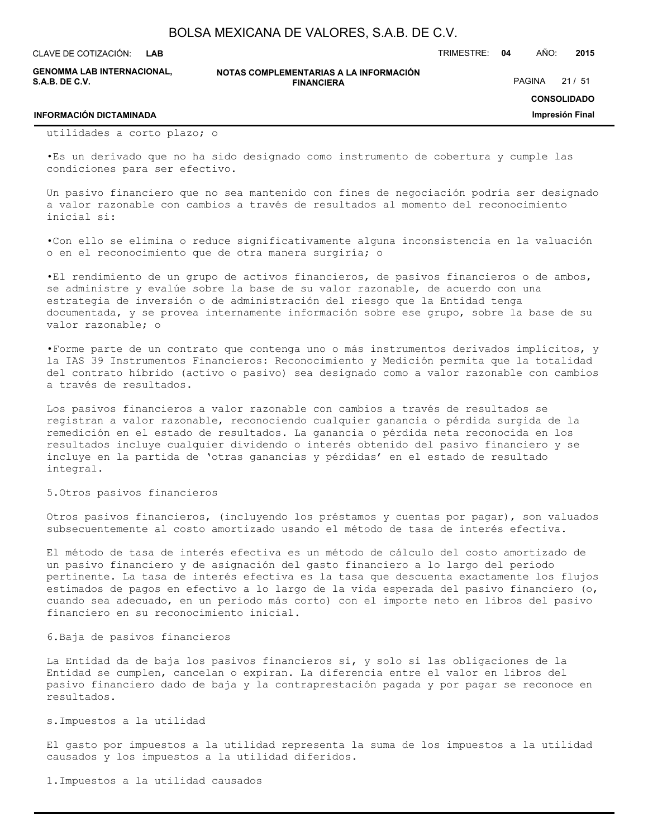**LAB**

CLAVE DE COTIZACIÓN: TRIMESTRE: **04** AÑO: **2015**

**GENOMMA LAB INTERNACIONAL, S.A.B. DE C.V.**

#### **NOTAS COMPLEMENTARIAS A LA INFORMACIÓN FINANCIERA**

PAGINA 21 / 51

**CONSOLIDADO**

**Impresión Final**

# **INFORMACIÓN DICTAMINADA**

utilidades a corto plazo; o

•Es un derivado que no ha sido designado como instrumento de cobertura y cumple las condiciones para ser efectivo.

Un pasivo financiero que no sea mantenido con fines de negociación podría ser designado a valor razonable con cambios a través de resultados al momento del reconocimiento inicial si:

•Con ello se elimina o reduce significativamente alguna inconsistencia en la valuación o en el reconocimiento que de otra manera surgiría; o

•El rendimiento de un grupo de activos financieros, de pasivos financieros o de ambos, se administre y evalúe sobre la base de su valor razonable, de acuerdo con una estrategia de inversión o de administración del riesgo que la Entidad tenga documentada, y se provea internamente información sobre ese grupo, sobre la base de su valor razonable; o

•Forme parte de un contrato que contenga uno o más instrumentos derivados implícitos, y la IAS 39 Instrumentos Financieros: Reconocimiento y Medición permita que la totalidad del contrato híbrido (activo o pasivo) sea designado como a valor razonable con cambios a través de resultados.

Los pasivos financieros a valor razonable con cambios a través de resultados se registran a valor razonable, reconociendo cualquier ganancia o pérdida surgida de la remedición en el estado de resultados. La ganancia o pérdida neta reconocida en los resultados incluye cualquier dividendo o interés obtenido del pasivo financiero y se incluye en la partida de 'otras ganancias y pérdidas' en el estado de resultado integral.

5.Otros pasivos financieros

Otros pasivos financieros, (incluyendo los préstamos y cuentas por pagar), son valuados subsecuentemente al costo amortizado usando el método de tasa de interés efectiva.

El método de tasa de interés efectiva es un método de cálculo del costo amortizado de un pasivo financiero y de asignación del gasto financiero a lo largo del periodo pertinente. La tasa de interés efectiva es la tasa que descuenta exactamente los flujos estimados de pagos en efectivo a lo largo de la vida esperada del pasivo financiero (o, cuando sea adecuado, en un periodo más corto) con el importe neto en libros del pasivo financiero en su reconocimiento inicial.

## 6.Baja de pasivos financieros

La Entidad da de baja los pasivos financieros si, y solo si las obligaciones de la Entidad se cumplen, cancelan o expiran. La diferencia entre el valor en libros del pasivo financiero dado de baja y la contraprestación pagada y por pagar se reconoce en resultados.

#### s.Impuestos a la utilidad

El gasto por impuestos a la utilidad representa la suma de los impuestos a la utilidad causados y los impuestos a la utilidad diferidos.

1.Impuestos a la utilidad causados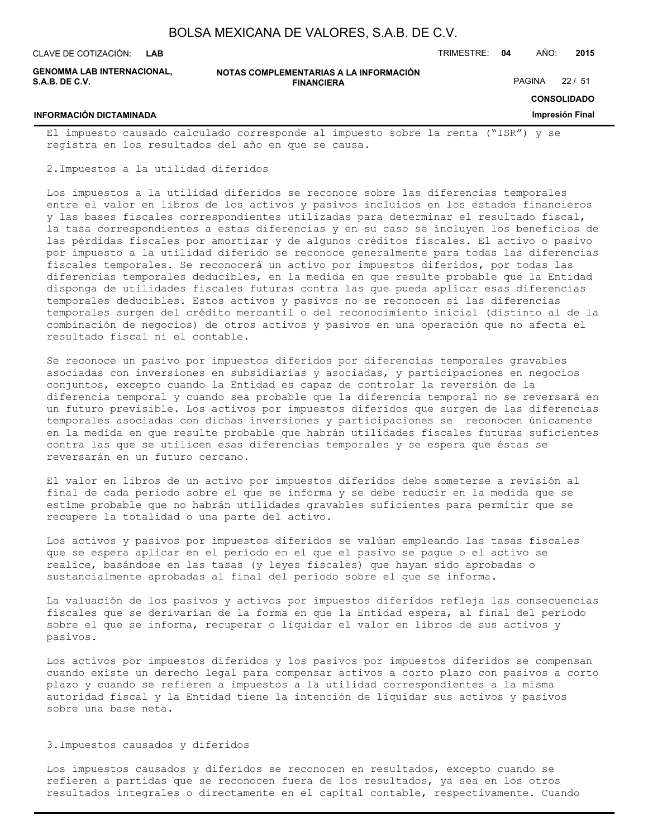**LAB**

CLAVE DE COTIZACIÓN: TRIMESTRE: **04** AÑO: **2015**

|                | <b>GENOMMA LAB INTERNACIONAL,</b> |
|----------------|-----------------------------------|
| S.A.B. DE C.V. |                                   |

**INFORMACIÓN DICTAMINADA**

**NOTAS COMPLEMENTARIAS A LA INFORMACIÓN FINANCIERA**

PAGINA 22 / 51

**CONSOLIDADO**

**Impresión Final**

El impuesto causado calculado corresponde al impuesto sobre la renta ("ISR") y se registra en los resultados del año en que se causa.

2.Impuestos a la utilidad diferidos

Los impuestos a la utilidad diferidos se reconoce sobre las diferencias temporales entre el valor en libros de los activos y pasivos incluidos en los estados financieros y las bases fiscales correspondientes utilizadas para determinar el resultado fiscal, la tasa correspondientes a estas diferencias y en su caso se incluyen los beneficios de las pérdidas fiscales por amortizar y de algunos créditos fiscales. El activo o pasivo por impuesto a la utilidad diferido se reconoce generalmente para todas las diferencias fiscales temporales. Se reconocerá un activo por impuestos diferidos, por todas las diferencias temporales deducibles, en la medida en que resulte probable que la Entidad disponga de utilidades fiscales futuras contra las que pueda aplicar esas diferencias temporales deducibles. Estos activos y pasivos no se reconocen si las diferencias temporales surgen del crédito mercantil o del reconocimiento inicial (distinto al de la combinación de negocios) de otros activos y pasivos en una operación que no afecta el resultado fiscal ni el contable.

Se reconoce un pasivo por impuestos diferidos por diferencias temporales gravables asociadas con inversiones en subsidiarias y asociadas, y participaciones en negocios conjuntos, excepto cuando la Entidad es capaz de controlar la reversión de la diferencia temporal y cuando sea probable que la diferencia temporal no se reversará en un futuro previsible. Los activos por impuestos diferidos que surgen de las diferencias temporales asociadas con dichas inversiones y participaciones se reconocen únicamente en la medida en que resulte probable que habrán utilidades fiscales futuras suficientes contra las que se utilicen esas diferencias temporales y se espera que éstas se reversarán en un futuro cercano.

El valor en libros de un activo por impuestos diferidos debe someterse a revisión al final de cada periodo sobre el que se informa y se debe reducir en la medida que se estime probable que no habrán utilidades gravables suficientes para permitir que se recupere la totalidad o una parte del activo.

Los activos y pasivos por impuestos diferidos se valúan empleando las tasas fiscales que se espera aplicar en el período en el que el pasivo se pague o el activo se realice, basándose en las tasas (y leyes fiscales) que hayan sido aprobadas o sustancialmente aprobadas al final del periodo sobre el que se informa.

La valuación de los pasivos y activos por impuestos diferidos refleja las consecuencias fiscales que se derivarían de la forma en que la Entidad espera, al final del periodo sobre el que se informa, recuperar o liquidar el valor en libros de sus activos y pasivos.

Los activos por impuestos diferidos y los pasivos por impuestos diferidos se compensan cuando existe un derecho legal para compensar activos a corto plazo con pasivos a corto plazo y cuando se refieren a impuestos a la utilidad correspondientes a la misma autoridad fiscal y la Entidad tiene la intención de liquidar sus activos y pasivos sobre una base neta.

#### 3.Impuestos causados y diferidos

Los impuestos causados y diferidos se reconocen en resultados, excepto cuando se refieren a partidas que se reconocen fuera de los resultados, ya sea en los otros resultados integrales o directamente en el capital contable, respectivamente. Cuando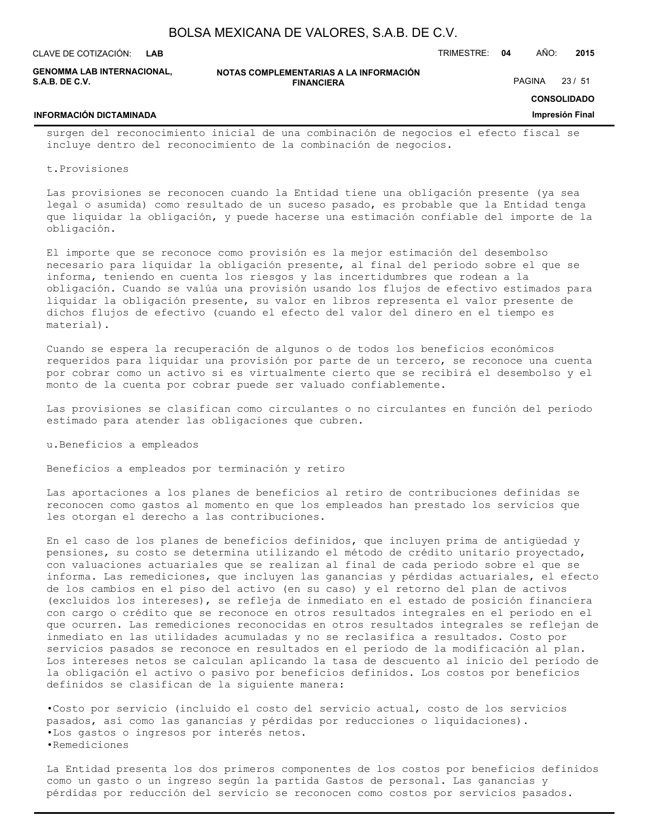**LAB**

CLAVE DE COTIZACIÓN: TRIMESTRE: **04** AÑO: **2015**

**GENOMMA LAB INTERNACIONAL, S.A.B. DE C.V.**

**NOTAS COMPLEMENTARIAS A LA INFORMACIÓN FINANCIERA**

PAGINA 23 / 51

**CONSOLIDADO Impresión Final**

#### **INFORMACIÓN DICTAMINADA**

surgen del reconocimiento inicial de una combinación de negocios el efecto fiscal se incluye dentro del reconocimiento de la combinación de negocios.

#### t.Provisiones

Las provisiones se reconocen cuando la Entidad tiene una obligación presente (ya sea legal o asumida) como resultado de un suceso pasado, es probable que la Entidad tenga que liquidar la obligación, y puede hacerse una estimación confiable del importe de la obligación.

El importe que se reconoce como provisión es la mejor estimación del desembolso necesario para liquidar la obligación presente, al final del periodo sobre el que se informa, teniendo en cuenta los riesgos y las incertidumbres que rodean a la obligación. Cuando se valúa una provisión usando los flujos de efectivo estimados para liquidar la obligación presente, su valor en libros representa el valor presente de dichos flujos de efectivo (cuando el efecto del valor del dinero en el tiempo es material).

Cuando se espera la recuperación de algunos o de todos los beneficios económicos requeridos para liquidar una provisión por parte de un tercero, se reconoce una cuenta por cobrar como un activo si es virtualmente cierto que se recibirá el desembolso y el monto de la cuenta por cobrar puede ser valuado confiablemente.

Las provisiones se clasifican como circulantes o no circulantes en función del período estimado para atender las obligaciones que cubren.

u.Beneficios a empleados

Beneficios a empleados por terminación y retiro

Las aportaciones a los planes de beneficios al retiro de contribuciones definidas se reconocen como gastos al momento en que los empleados han prestado los servicios que les otorgan el derecho a las contribuciones.

En el caso de los planes de beneficios definidos, que incluyen prima de antigüedad y pensiones, su costo se determina utilizando el método de crédito unitario proyectado, con valuaciones actuariales que se realizan al final de cada periodo sobre el que se informa. Las remediciones, que incluyen las ganancias y pérdidas actuariales, el efecto de los cambios en el piso del activo (en su caso) y el retorno del plan de activos (excluidos los intereses), se refleja de inmediato en el estado de posición financiera con cargo o crédito que se reconoce en otros resultados integrales en el período en el que ocurren. Las remediciones reconocidas en otros resultados integrales se reflejan de inmediato en las utilidades acumuladas y no se reclasifica a resultados. Costo por servicios pasados se reconoce en resultados en el período de la modificación al plan. Los intereses netos se calculan aplicando la tasa de descuento al inicio del período de la obligación el activo o pasivo por beneficios definidos. Los costos por beneficios definidos se clasifican de la siguiente manera:

•Costo por servicio (incluido el costo del servicio actual, costo de los servicios pasados, así como las ganancias y pérdidas por reducciones o liquidaciones). •Los gastos o ingresos por interés netos. •Remediciones

La Entidad presenta los dos primeros componentes de los costos por beneficios definidos como un gasto o un ingreso según la partida Gastos de personal. Las ganancias y pérdidas por reducción del servicio se reconocen como costos por servicios pasados.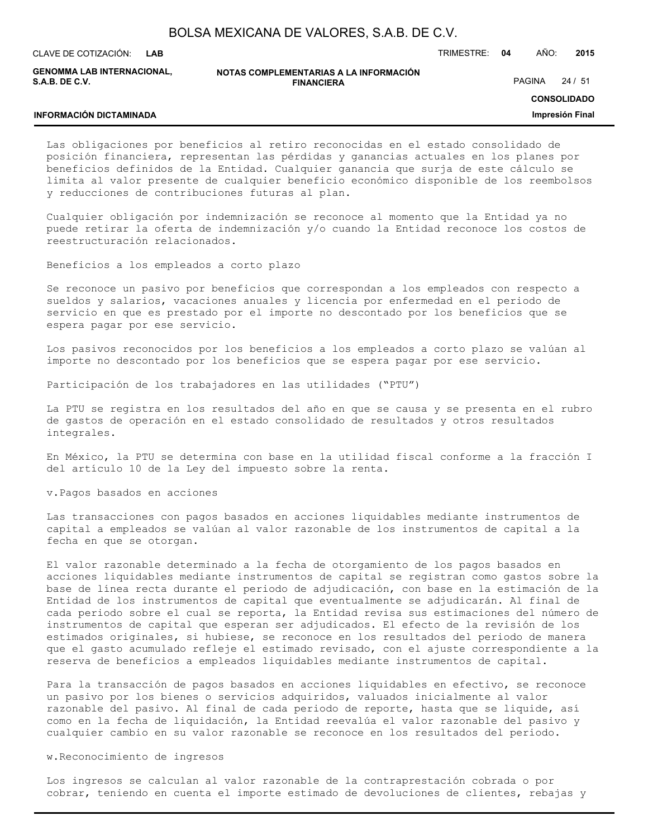| BOLSA MEXICANA DE VALORES, S.A.B. DE C.V. |  |  |
|-------------------------------------------|--|--|
|-------------------------------------------|--|--|

**LAB**

CLAVE DE COTIZACIÓN: TRIMESTRE: **04** AÑO: **2015**

**GENOMMA LAB INTERNACIONAL, S.A.B. DE C.V.**

**INFORMACIÓN DICTAMINADA**

**NOTAS COMPLEMENTARIAS A LA INFORMACIÓN FINANCIERA**

PAGINA 24 / 51

**CONSOLIDADO**

**Impresión Final**

Las obligaciones por beneficios al retiro reconocidas en el estado consolidado de posición financiera, representan las pérdidas y ganancias actuales en los planes por beneficios definidos de la Entidad. Cualquier ganancia que surja de este cálculo se limita al valor presente de cualquier beneficio económico disponible de los reembolsos y reducciones de contribuciones futuras al plan.

Cualquier obligación por indemnización se reconoce al momento que la Entidad ya no puede retirar la oferta de indemnización y/o cuando la Entidad reconoce los costos de reestructuración relacionados.

Beneficios a los empleados a corto plazo

Se reconoce un pasivo por beneficios que correspondan a los empleados con respecto a sueldos y salarios, vacaciones anuales y licencia por enfermedad en el periodo de servicio en que es prestado por el importe no descontado por los beneficios que se espera pagar por ese servicio.

Los pasivos reconocidos por los beneficios a los empleados a corto plazo se valúan al importe no descontado por los beneficios que se espera pagar por ese servicio.

Participación de los trabajadores en las utilidades ("PTU")

La PTU se registra en los resultados del año en que se causa y se presenta en el rubro de gastos de operación en el estado consolidado de resultados y otros resultados integrales.

En México, la PTU se determina con base en la utilidad fiscal conforme a la fracción I del artículo 10 de la Ley del impuesto sobre la renta.

v.Pagos basados en acciones

Las transacciones con pagos basados en acciones liquidables mediante instrumentos de capital a empleados se valúan al valor razonable de los instrumentos de capital a la fecha en que se otorgan.

El valor razonable determinado a la fecha de otorgamiento de los pagos basados en acciones liquidables mediante instrumentos de capital se registran como gastos sobre la base de línea recta durante el periodo de adjudicación, con base en la estimación de la Entidad de los instrumentos de capital que eventualmente se adjudicarán. Al final de cada periodo sobre el cual se reporta, la Entidad revisa sus estimaciones del número de instrumentos de capital que esperan ser adjudicados. El efecto de la revisión de los estimados originales, si hubiese, se reconoce en los resultados del periodo de manera que el gasto acumulado refleje el estimado revisado, con el ajuste correspondiente a la reserva de beneficios a empleados liquidables mediante instrumentos de capital.

Para la transacción de pagos basados en acciones liquidables en efectivo, se reconoce un pasivo por los bienes o servicios adquiridos, valuados inicialmente al valor razonable del pasivo. Al final de cada periodo de reporte, hasta que se liquide, así como en la fecha de liquidación, la Entidad reevalúa el valor razonable del pasivo y cualquier cambio en su valor razonable se reconoce en los resultados del periodo.

w.Reconocimiento de ingresos

Los ingresos se calculan al valor razonable de la contraprestación cobrada o por cobrar, teniendo en cuenta el importe estimado de devoluciones de clientes, rebajas y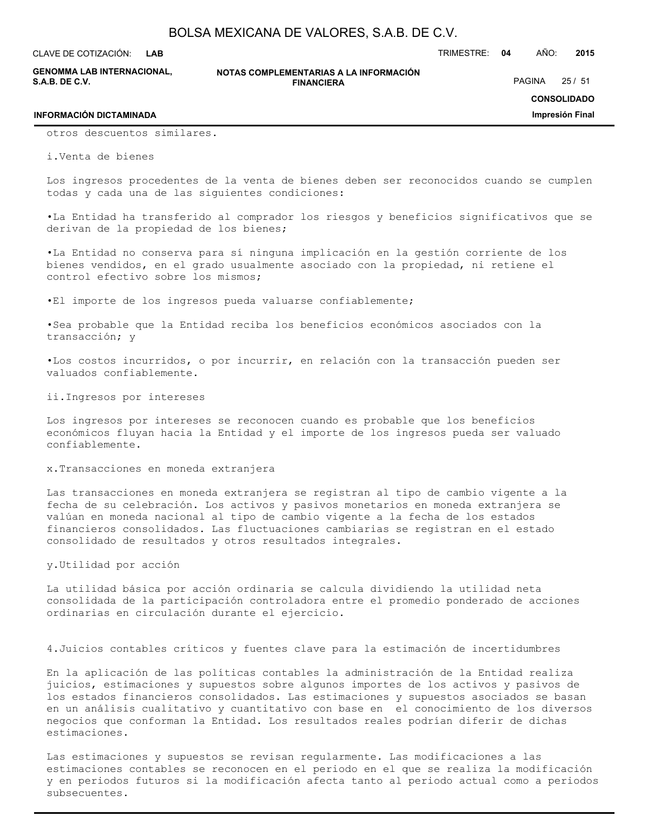CLAVE DE COTIZACIÓN: TRIMESTRE: **04** AÑO: **2015 LAB**

**GENOMMA LAB INTERNACIONAL, S.A.B. DE C.V.**

**NOTAS COMPLEMENTARIAS A LA INFORMACIÓN FINANCIERA**

PAGINA 25 / 51

**CONSOLIDADO**

**Impresión Final**

#### **INFORMACIÓN DICTAMINADA**

otros descuentos similares.

i.Venta de bienes

Los ingresos procedentes de la venta de bienes deben ser reconocidos cuando se cumplen todas y cada una de las siguientes condiciones:

•La Entidad ha transferido al comprador los riesgos y beneficios significativos que se derivan de la propiedad de los bienes;

•La Entidad no conserva para sí ninguna implicación en la gestión corriente de los bienes vendidos, en el grado usualmente asociado con la propiedad, ni retiene el control efectivo sobre los mismos;

•El importe de los ingresos pueda valuarse confiablemente;

•Sea probable que la Entidad reciba los beneficios económicos asociados con la transacción; y

•Los costos incurridos, o por incurrir, en relación con la transacción pueden ser valuados confiablemente.

ii.Ingresos por intereses

Los ingresos por intereses se reconocen cuando es probable que los beneficios económicos fluyan hacia la Entidad y el importe de los ingresos pueda ser valuado confiablemente.

x.Transacciones en moneda extranjera

Las transacciones en moneda extranjera se registran al tipo de cambio vigente a la fecha de su celebración. Los activos y pasivos monetarios en moneda extranjera se valúan en moneda nacional al tipo de cambio vigente a la fecha de los estados financieros consolidados. Las fluctuaciones cambiarias se registran en el estado consolidado de resultados y otros resultados integrales.

y.Utilidad por acción

La utilidad básica por acción ordinaria se calcula dividiendo la utilidad neta consolidada de la participación controladora entre el promedio ponderado de acciones ordinarias en circulación durante el ejercicio.

4.Juicios contables críticos y fuentes clave para la estimación de incertidumbres

En la aplicación de las políticas contables la administración de la Entidad realiza juicios, estimaciones y supuestos sobre algunos importes de los activos y pasivos de los estados financieros consolidados. Las estimaciones y supuestos asociados se basan en un análisis cualitativo y cuantitativo con base en el conocimiento de los diversos negocios que conforman la Entidad. Los resultados reales podrían diferir de dichas estimaciones.

Las estimaciones y supuestos se revisan regularmente. Las modificaciones a las estimaciones contables se reconocen en el periodo en el que se realiza la modificación y en periodos futuros si la modificación afecta tanto al periodo actual como a periodos subsecuentes.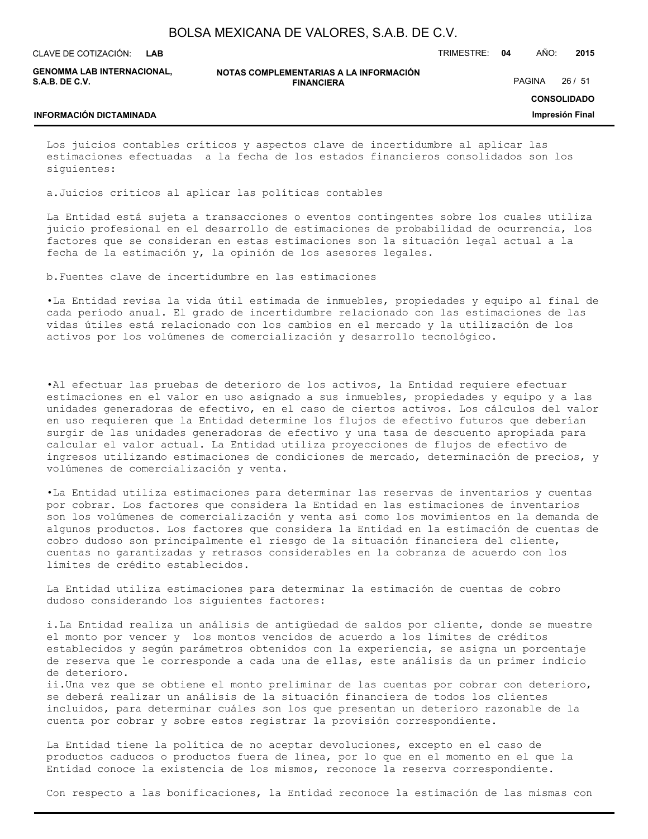**LAB**

CLAVE DE COTIZACIÓN: TRIMESTRE: **04** AÑO: **2015**

**GENOMMA LAB INTERNACIONAL, S.A.B. DE C.V.**

**NOTAS COMPLEMENTARIAS A LA INFORMACIÓN FINANCIERA**

PAGINA 26 / 51

**CONSOLIDADO**

#### **Impresión Final**

## **INFORMACIÓN DICTAMINADA**

Los juicios contables críticos y aspectos clave de incertidumbre al aplicar las estimaciones efectuadas a la fecha de los estados financieros consolidados son los siguientes:

a.Juicios críticos al aplicar las políticas contables

La Entidad está sujeta a transacciones o eventos contingentes sobre los cuales utiliza juicio profesional en el desarrollo de estimaciones de probabilidad de ocurrencia, los factores que se consideran en estas estimaciones son la situación legal actual a la fecha de la estimación y, la opinión de los asesores legales.

b.Fuentes clave de incertidumbre en las estimaciones

•La Entidad revisa la vida útil estimada de inmuebles, propiedades y equipo al final de cada período anual. El grado de incertidumbre relacionado con las estimaciones de las vidas útiles está relacionado con los cambios en el mercado y la utilización de los activos por los volúmenes de comercialización y desarrollo tecnológico.

•Al efectuar las pruebas de deterioro de los activos, la Entidad requiere efectuar estimaciones en el valor en uso asignado a sus inmuebles, propiedades y equipo y a las unidades generadoras de efectivo, en el caso de ciertos activos. Los cálculos del valor en uso requieren que la Entidad determine los flujos de efectivo futuros que deberían surgir de las unidades generadoras de efectivo y una tasa de descuento apropiada para calcular el valor actual. La Entidad utiliza proyecciones de flujos de efectivo de ingresos utilizando estimaciones de condiciones de mercado, determinación de precios, y volúmenes de comercialización y venta.

•La Entidad utiliza estimaciones para determinar las reservas de inventarios y cuentas por cobrar. Los factores que considera la Entidad en las estimaciones de inventarios son los volúmenes de comercialización y venta así como los movimientos en la demanda de algunos productos. Los factores que considera la Entidad en la estimación de cuentas de cobro dudoso son principalmente el riesgo de la situación financiera del cliente, cuentas no garantizadas y retrasos considerables en la cobranza de acuerdo con los límites de crédito establecidos.

La Entidad utiliza estimaciones para determinar la estimación de cuentas de cobro dudoso considerando los siguientes factores:

i.La Entidad realiza un análisis de antigüedad de saldos por cliente, donde se muestre el monto por vencer y los montos vencidos de acuerdo a los límites de créditos establecidos y según parámetros obtenidos con la experiencia, se asigna un porcentaje de reserva que le corresponde a cada una de ellas, este análisis da un primer indicio de deterioro.

ii.Una vez que se obtiene el monto preliminar de las cuentas por cobrar con deterioro, se deberá realizar un análisis de la situación financiera de todos los clientes incluidos, para determinar cuáles son los que presentan un deterioro razonable de la cuenta por cobrar y sobre estos registrar la provisión correspondiente.

La Entidad tiene la política de no aceptar devoluciones, excepto en el caso de productos caducos o productos fuera de línea, por lo que en el momento en el que la Entidad conoce la existencia de los mismos, reconoce la reserva correspondiente.

Con respecto a las bonificaciones, la Entidad reconoce la estimación de las mismas con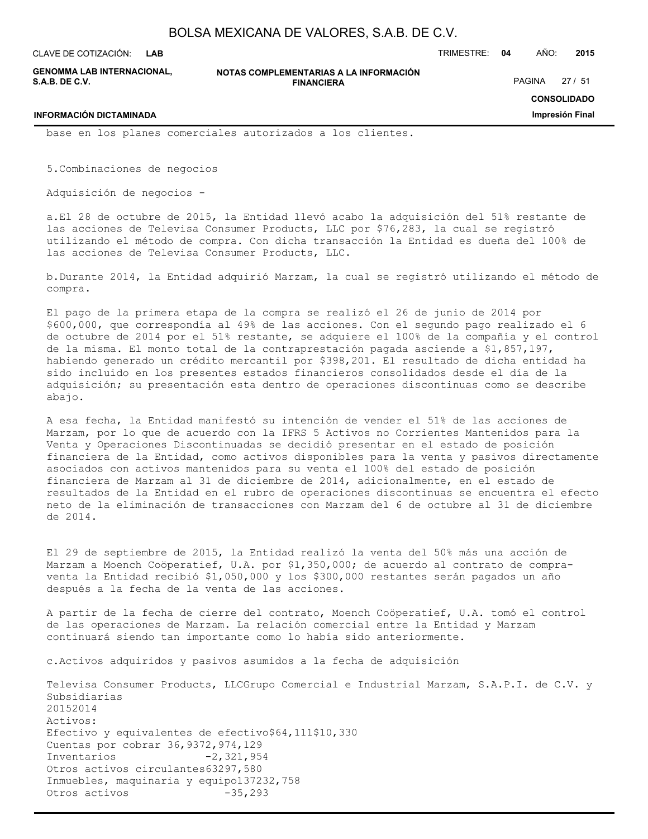**LAB**

CLAVE DE COTIZACIÓN: TRIMESTRE: **04** AÑO: **2015**

**GENOMMA LAB INTERNACIONAL, S.A.B. DE C.V.**

**INFORMACIÓN DICTAMINADA**

**NOTAS COMPLEMENTARIAS A LA INFORMACIÓN FINANCIERA**

PAGINA 27 / 51

**CONSOLIDADO**

**Impresión Final**

base en los planes comerciales autorizados a los clientes.

5.Combinaciones de negocios

Adquisición de negocios -

a.El 28 de octubre de 2015, la Entidad llevó acabo la adquisición del 51% restante de las acciones de Televisa Consumer Products, LLC por \$76,283, la cual se registró utilizando el método de compra. Con dicha transacción la Entidad es dueña del 100% de las acciones de Televisa Consumer Products, LLC.

b.Durante 2014, la Entidad adquirió Marzam, la cual se registró utilizando el método de compra.

El pago de la primera etapa de la compra se realizó el 26 de junio de 2014 por \$600,000, que correspondía al 49% de las acciones. Con el segundo pago realizado el 6 de octubre de 2014 por el 51% restante, se adquiere el 100% de la compañía y el control de la misma. El monto total de la contraprestación pagada asciende a \$1,857,197, habiendo generado un crédito mercantil por \$398,201. El resultado de dicha entidad ha sido incluido en los presentes estados financieros consolidados desde el día de la adquisición; su presentación esta dentro de operaciones discontinuas como se describe abajo.

A esa fecha, la Entidad manifestó su intención de vender el 51% de las acciones de Marzam, por lo que de acuerdo con la IFRS 5 Activos no Corrientes Mantenidos para la Venta y Operaciones Discontinuadas se decidió presentar en el estado de posición financiera de la Entidad, como activos disponibles para la venta y pasivos directamente asociados con activos mantenidos para su venta el 100% del estado de posición financiera de Marzam al 31 de diciembre de 2014, adicionalmente, en el estado de resultados de la Entidad en el rubro de operaciones discontinuas se encuentra el efecto neto de la eliminación de transacciones con Marzam del 6 de octubre al 31 de diciembre de 2014.

El 29 de septiembre de 2015, la Entidad realizó la venta del 50% más una acción de Marzam a Moench Coöperatief, U.A. por \$1,350,000; de acuerdo al contrato de compraventa la Entidad recibió \$1,050,000 y los \$300,000 restantes serán pagados un año después a la fecha de la venta de las acciones.

A partir de la fecha de cierre del contrato, Moench Coöperatief, U.A. tomó el control de las operaciones de Marzam. La relación comercial entre la Entidad y Marzam continuará siendo tan importante como lo había sido anteriormente.

c.Activos adquiridos y pasivos asumidos a la fecha de adquisición

Televisa Consumer Products, LLCGrupo Comercial e Industrial Marzam, S.A.P.I. de C.V. y Subsidiarias 20152014 Activos: Efectivo y equivalentes de efectivo\$64,111\$10,330 Cuentas por cobrar 36,9372,974,129 Inventarios  $-2,321,954$ Otros activos circulantes63297,580 Inmuebles, maquinaria y equipo137232,758 Otros activos -35,293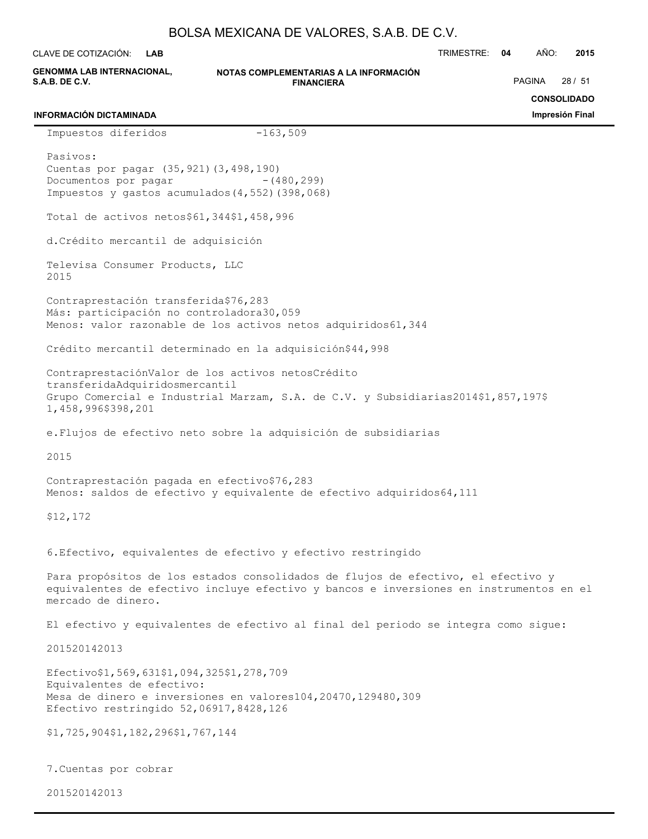| BOLSA MEXICANA DE VALORES, S.A.B. DE C.V. |  |  |  |
|-------------------------------------------|--|--|--|
|-------------------------------------------|--|--|--|

| CLAVE DE COTIZACIÓN:<br><b>LAB</b>                                                                                               |                                                                                                                                                                            | TRIMESTRE: | AÑO:<br>2015<br>04                    |
|----------------------------------------------------------------------------------------------------------------------------------|----------------------------------------------------------------------------------------------------------------------------------------------------------------------------|------------|---------------------------------------|
| <b>GENOMMA LAB INTERNACIONAL,</b><br>S.A.B. DE C.V.                                                                              | NOTAS COMPLEMENTARIAS A LA INFORMACIÓN<br><b>FINANCIERA</b>                                                                                                                |            | PAGINA<br>28/51<br><b>CONSOLIDADO</b> |
| INFORMACIÓN DICTAMINADA                                                                                                          |                                                                                                                                                                            |            | Impresión Final                       |
| Impuestos diferidos                                                                                                              | $-163,509$                                                                                                                                                                 |            |                                       |
| Pasivos:<br>Cuentas por pagar (35, 921) (3, 498, 190)<br>Documentos por pagar<br>Impuestos y gastos acumulados (4,552) (398,068) | $-(480, 299)$                                                                                                                                                              |            |                                       |
| Total de activos netos\$61,344\$1,458,996                                                                                        |                                                                                                                                                                            |            |                                       |
| d. Crédito mercantil de adquisición                                                                                              |                                                                                                                                                                            |            |                                       |
| Televisa Consumer Products, LLC<br>2015                                                                                          |                                                                                                                                                                            |            |                                       |
| Contraprestación transferida\$76,283<br>Más: participación no controladora30,059                                                 | Menos: valor razonable de los activos netos adquiridos61,344                                                                                                               |            |                                       |
|                                                                                                                                  | Crédito mercantil determinado en la adquisición\$44,998                                                                                                                    |            |                                       |
| transferidaAdquiridosmercantil<br>1,458,996\$398,201                                                                             | ContraprestaciónValor de los activos netosCrédito<br>Grupo Comercial e Industrial Marzam, S.A. de C.V. y Subsidiarias2014\$1,857,197\$                                     |            |                                       |
|                                                                                                                                  | e. Flujos de efectivo neto sobre la adquisición de subsidiarias                                                                                                            |            |                                       |
| 2015                                                                                                                             |                                                                                                                                                                            |            |                                       |
| Contraprestación pagada en efectivo\$76,283                                                                                      | Menos: saldos de efectivo y equivalente de efectivo adquiridos64,111                                                                                                       |            |                                       |
| \$12,172                                                                                                                         |                                                                                                                                                                            |            |                                       |
|                                                                                                                                  | 6. Efectivo, equivalentes de efectivo y efectivo restringido                                                                                                               |            |                                       |
| mercado de dinero.                                                                                                               | Para propósitos de los estados consolidados de flujos de efectivo, el efectivo y<br>equivalentes de efectivo incluye efectivo y bancos e inversiones en instrumentos en el |            |                                       |
|                                                                                                                                  | El efectivo y equivalentes de efectivo al final del periodo se integra como sigue:                                                                                         |            |                                       |
| 201520142013                                                                                                                     |                                                                                                                                                                            |            |                                       |
| Efectivo\$1,569,631\$1,094,325\$1,278,709<br>Equivalentes de efectivo:<br>Efectivo restringido 52,06917,8428,126                 | Mesa de dinero e inversiones en valores104, 20470, 129480, 309                                                                                                             |            |                                       |
| \$1,725,904\$1,182,296\$1,767,144                                                                                                |                                                                                                                                                                            |            |                                       |
| 7. Cuentas por cobrar                                                                                                            |                                                                                                                                                                            |            |                                       |

201520142013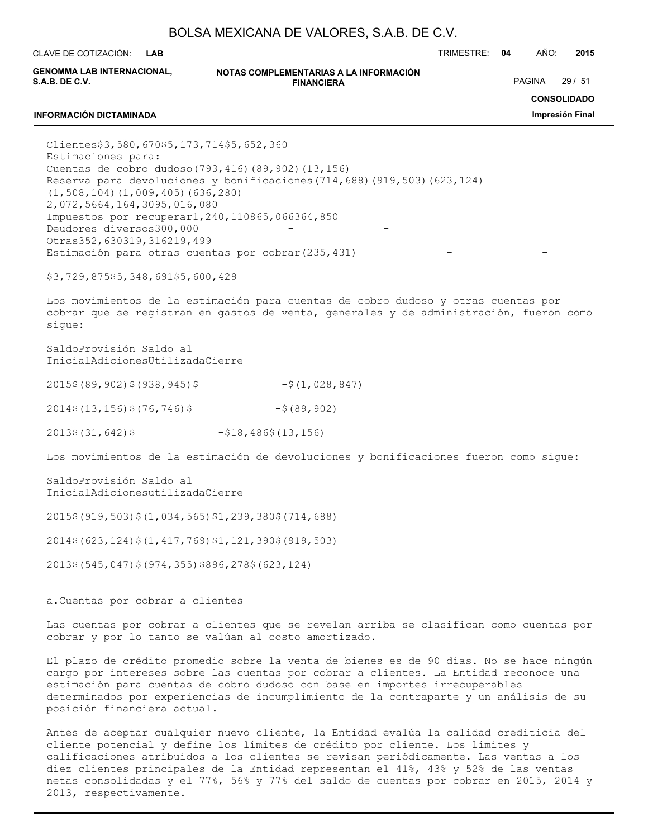**LAB**

CLAVE DE COTIZACIÓN: TRIMESTRE: **04** AÑO: **2015**

**GENOMMA LAB INTERNACIONAL, S.A.B. DE C.V.**

**NOTAS COMPLEMENTARIAS A LA INFORMACIÓN FINANCIERA**

PAGINA 29 / 51

**CONSOLIDADO**

#### **INFORMACIÓN DICTAMINADA**

Estimaciones para:

**Impresión Final** Clientes\$3,580,670\$5,173,714\$5,652,360

Cuentas de cobro dudoso(793,416)(89,902)(13,156) Reserva para devoluciones y bonificaciones(714,688)(919,503)(623,124) (1,508,104)(1,009,405)(636,280) 2,072,5664,164,3095,016,080 Impuestos por recuperar1,240,110865,066364,850 Deudores diversos300,000 Otras352,630319,316219,499 Estimación para otras cuentas por cobrar (235,431)

\$3,729,875\$5,348,691\$5,600,429

Los movimientos de la estimación para cuentas de cobro dudoso y otras cuentas por cobrar que se registran en gastos de venta, generales y de administración, fueron como sigue:

SaldoProvisión Saldo al InicialAdicionesUtilizadaCierre

2015\$(89,902)\$(938,945)\$ -\$(1,028,847)

 $2014\frac{13}{156}$   $\frac{156}{156}$   $\frac{76}{746}$   $\frac{5}{156}$   $\frac{20145}{156}$   $\frac{137}{156}$   $\frac{156}{156}$   $\frac{20145}{156}$   $\frac{137}{156}$   $\frac{156}{156}$   $\frac{20145}{156}$   $\frac{137}{156}$   $\frac{156}{156}$   $\frac{137}{156}$   $\frac{156}{156}$   $\frac{1$ 

2013\$(31,642)\$ -\$18,486\$(13,156)

Los movimientos de la estimación de devoluciones y bonificaciones fueron como sigue:

SaldoProvisión Saldo al InicialAdicionesutilizadaCierre

2015\$(919,503)\$(1,034,565)\$1,239,380\$(714,688)

2014\$(623,124)\$(1,417,769)\$1,121,390\$(919,503)

2013\$(545,047)\$(974,355)\$896,278\$(623,124)

a.Cuentas por cobrar a clientes

Las cuentas por cobrar a clientes que se revelan arriba se clasifican como cuentas por cobrar y por lo tanto se valúan al costo amortizado.

El plazo de crédito promedio sobre la venta de bienes es de 90 días. No se hace ningún cargo por intereses sobre las cuentas por cobrar a clientes. La Entidad reconoce una estimación para cuentas de cobro dudoso con base en importes irrecuperables determinados por experiencias de incumplimiento de la contraparte y un análisis de su posición financiera actual.

Antes de aceptar cualquier nuevo cliente, la Entidad evalúa la calidad crediticia del cliente potencial y define los límites de crédito por cliente. Los límites y calificaciones atribuidos a los clientes se revisan periódicamente. Las ventas a los diez clientes principales de la Entidad representan el 41%, 43% y 52% de las ventas netas consolidadas y el 77%, 56% y 77% del saldo de cuentas por cobrar en 2015, 2014 y 2013, respectivamente.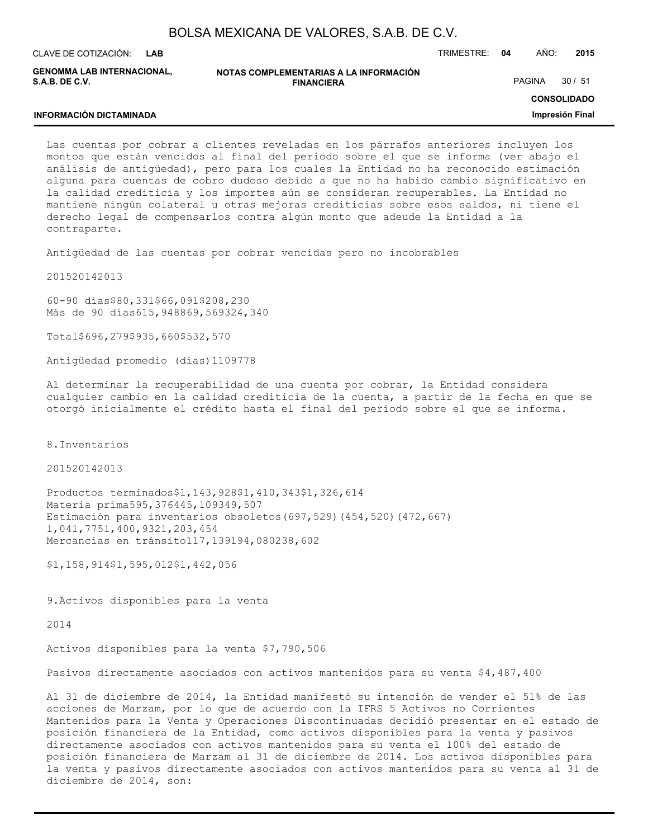**LAB**

CLAVE DE COTIZACIÓN: TRIMESTRE: **04** AÑO: **2015**

**GENOMMA LAB INTERNACIONAL, S.A.B. DE C.V.**

**INFORMACIÓN DICTAMINADA**

**NOTAS COMPLEMENTARIAS A LA INFORMACIÓN FINANCIERA**

PAGINA 30 / 51

**CONSOLIDADO**

#### **Impresión Final**

Las cuentas por cobrar a clientes reveladas en los párrafos anteriores incluyen los montos que están vencidos al final del periodo sobre el que se informa (ver abajo el análisis de antigüedad), pero para los cuales la Entidad no ha reconocido estimación alguna para cuentas de cobro dudoso debido a que no ha habido cambio significativo en la calidad crediticia y los importes aún se consideran recuperables. La Entidad no mantiene ningún colateral u otras mejoras crediticias sobre esos saldos, ni tiene el derecho legal de compensarlos contra algún monto que adeude la Entidad a la contraparte.

Antigüedad de las cuentas por cobrar vencidas pero no incobrables

201520142013

60-90 días\$80,331\$66,091\$208,230 Más de 90 días615,948869,569324,340

Total\$696,279\$935,660\$532,570

Antigüedad promedio (días)1109778

Al determinar la recuperabilidad de una cuenta por cobrar, la Entidad considera cualquier cambio en la calidad crediticia de la cuenta, a partir de la fecha en que se otorgó inicialmente el crédito hasta el final del periodo sobre el que se informa.

8.Inventarios

201520142013

Productos terminados\$1,143,928\$1,410,343\$1,326,614 Materia prima595,376445,109349,507 Estimación para inventarios obsoletos(697,529)(454,520)(472,667) 1,041,7751,400,9321,203,454 Mercancías en tránsito117,139194,080238,602

\$1,158,914\$1,595,012\$1,442,056

9.Activos disponibles para la venta

2014

Activos disponibles para la venta \$7,790,506

Pasivos directamente asociados con activos mantenidos para su venta \$4,487,400

Al 31 de diciembre de 2014, la Entidad manifestó su intención de vender el 51% de las acciones de Marzam, por lo que de acuerdo con la IFRS 5 Activos no Corrientes Mantenidos para la Venta y Operaciones Discontinuadas decidió presentar en el estado de posición financiera de la Entidad, como activos disponibles para la venta y pasivos directamente asociados con activos mantenidos para su venta el 100% del estado de posición financiera de Marzam al 31 de diciembre de 2014. Los activos disponibles para la venta y pasivos directamente asociados con activos mantenidos para su venta al 31 de diciembre de 2014, son: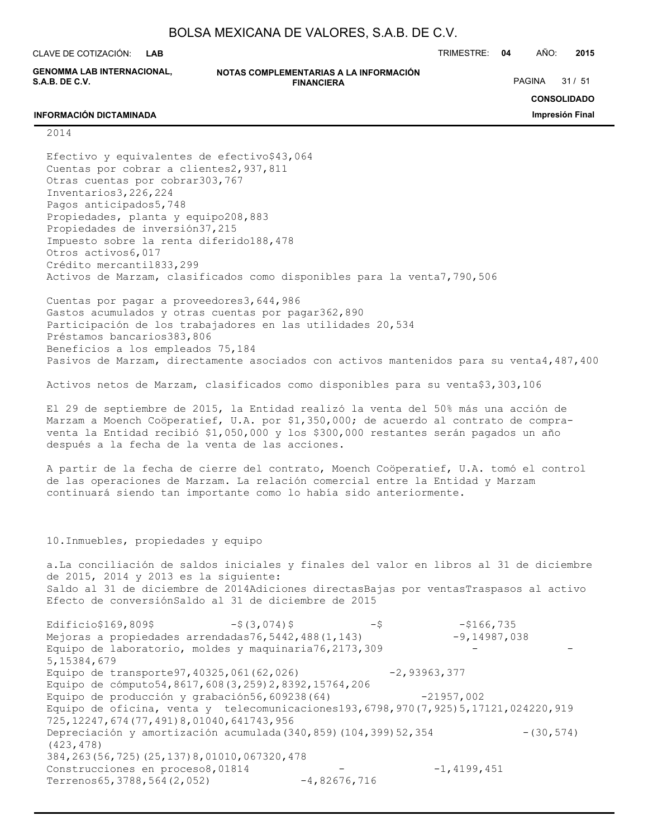| BOLSA MEXICANA DE VALORES, S.A.B. DE C.V. |  |  |  |
|-------------------------------------------|--|--|--|
|-------------------------------------------|--|--|--|

**GENOMMA LAB INTERNACIONAL, S.A.B. DE C.V.**

**NOTAS COMPLEMENTARIAS A LA INFORMACIÓN FINANCIERA**

PAGINA 31 / 51

**CONSOLIDADO Impresión Final**

#### **INFORMACIÓN DICTAMINADA**

2014

Efectivo y equivalentes de efectivo\$43,064 Cuentas por cobrar a clientes2,937,811 Otras cuentas por cobrar303,767 Inventarios3,226,224 Pagos anticipados5,748 Propiedades, planta y equipo208,883 Propiedades de inversión37,215 Impuesto sobre la renta diferido188,478 Otros activos6,017 Crédito mercantil833,299 Activos de Marzam, clasificados como disponibles para la venta7,790,506

Cuentas por pagar a proveedores3,644,986 Gastos acumulados y otras cuentas por pagar362,890 Participación de los trabajadores en las utilidades 20,534 Préstamos bancarios383,806 Beneficios a los empleados 75,184 Pasivos de Marzam, directamente asociados con activos mantenidos para su venta4,487,400

Activos netos de Marzam, clasificados como disponibles para su venta\$3,303,106

El 29 de septiembre de 2015, la Entidad realizó la venta del 50% más una acción de Marzam a Moench Coöperatief, U.A. por \$1,350,000; de acuerdo al contrato de compraventa la Entidad recibió \$1,050,000 y los \$300,000 restantes serán pagados un año después a la fecha de la venta de las acciones.

A partir de la fecha de cierre del contrato, Moench Coöperatief, U.A. tomó el control de las operaciones de Marzam. La relación comercial entre la Entidad y Marzam continuará siendo tan importante como lo había sido anteriormente.

#### 10.Inmuebles, propiedades y equipo

a.La conciliación de saldos iniciales y finales del valor en libros al 31 de diciembre de 2015, 2014 y 2013 es la siguiente: Saldo al 31 de diciembre de 2014Adiciones directasBajas por ventasTraspasos al activo Efecto de conversiónSaldo al 31 de diciembre de 2015

Edificio\$169,809\$  $-$ \$(3,074)\$  $-$ \$ -\$166,735 Mejoras a propiedades arrendadas76,5442,488(1,143) -9,14987,038 Equipo de laboratorio, moldes y maquinaria76,2173,309 5,15384,679 Equipo de transporte97,40325,061(62,026) -2,93963,377 Equipo de cómputo54,8617,608(3,259)2,8392,15764,206 Equipo de producción y grabación56,609238(64) -21957,002 Equipo de oficina, venta y telecomunicaciones193,6798,970(7,925)5,17121,024220,919 725,12247,674(77,491)8,01040,641743,956 Depreciación y amortización acumulada(340,859)(104,399)52,354 -(30,574) (423,478) 384,263(56,725)(25,137)8,01010,067320,478 Construcciones en proceso8,01814 - - - - - -1,4199,451 Terrenos65,3788,564(2,052) -4,82676,716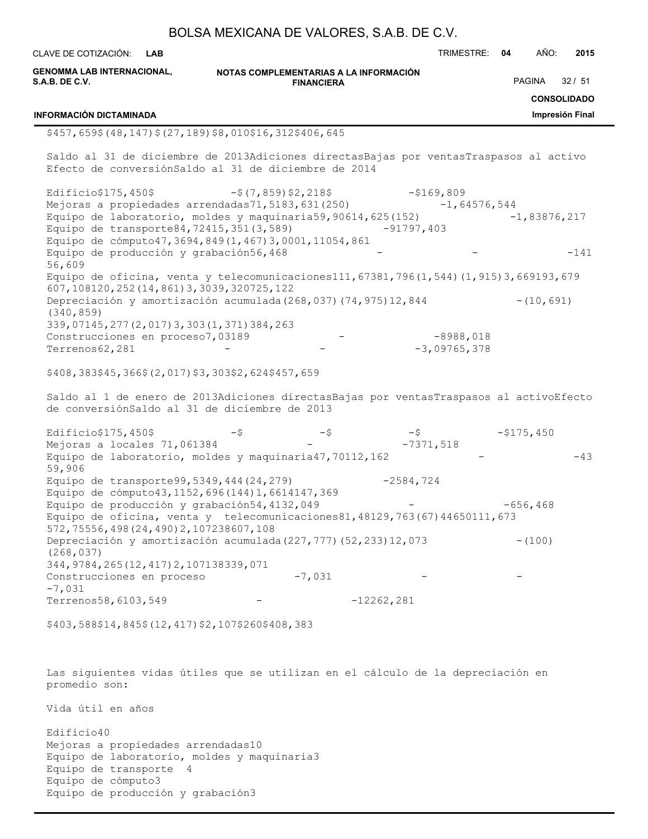**NOTAS COMPLEMENTARIAS A LA INFORMACIÓN FINANCIERA** CLAVE DE COTIZACIÓN: TRIMESTRE: **04** AÑO: **2015 CONSOLIDADO Impresión Final LAB GENOMMA LAB INTERNACIONAL, S.A.B. DE C.V. INFORMACIÓN DICTAMINADA** PAGINA 32 / 51 \$457,659\$(48,147)\$(27,189)\$8,010\$16,312\$406,645 Saldo al 31 de diciembre de 2013Adiciones directasBajas por ventasTraspasos al activo Efecto de conversiónSaldo al 31 de diciembre de 2014 Edificio \$175,450\$ - \$(7,859) \$2,218\$ - \$169,809 Mejoras a propiedades arrendadas71,5183,631(250) -1,64576,544 Equipo de laboratorio, moldes y maquinaria59,90614,625(152) -1,83876,217 Equipo de transporte84,72415,351(3,589) -91797,403 Equipo de cómputo47,3694,849(1,467)3,0001,11054,861 Equipo de producción y grabación56,468 - - - - - - - - - -141 56,609 Equipo de oficina, venta y telecomunicaciones111,67381,796(1,544)(1,915)3,669193,679 607,108120,252(14,861)3,3039,320725,122 Depreciación y amortización acumulada(268,037)(74,975)12,844 -(10,691) (340,859) 339,07145,277(2,017)3,303(1,371)384,263 Construcciones en proceso7,03189 - -8988,018 Terrenos62,281 - - - - - - - - - -3,09765,378 \$408,383\$45,366\$(2,017)\$3,303\$2,624\$457,659 Saldo al 1 de enero de 2013Adiciones directasBajas por ventasTraspasos al activoEfecto de conversiónSaldo al 31 de diciembre de 2013  $\text{Edificio$175,450$}$  -\$ -\$ -\$ -\$175,450 Mejoras a locales 71,061384 - - - -7371,518 Equipo de laboratorio, moldes y maquinaria47,70112,162 - -43 59,906 Equipo de transporte99,5349,444(24,279) -2584,724 Equipo de cómputo43,1152,696(144)1,6614147,369 Equipo de producción y grabación54,4132,049 - - - - - -656,468 Equipo de oficina, venta y telecomunicaciones81,48129,763(67)44650111,673 572,75556,498(24,490)2,107238607,108 Depreciación y amortización acumulada( $227,777$ )( $52,233$ )12,073 - (100) (268,037) 344,9784,265(12,417)2,107138339,071 Construcciones en proceso -7,031 -7,031 Terrenos58,6103,549 - - - - - -12262,281 \$403,588\$14,845\$(12,417)\$2,107\$260\$408,383 Las siguientes vidas útiles que se utilizan en el cálculo de la depreciación en promedio son: Vida útil en años Edificio40 Mejoras a propiedades arrendadas10 Equipo de laboratorio, moldes y maquinaria3 Equipo de transporte 4 Equipo de cómputo3 Equipo de producción y grabación3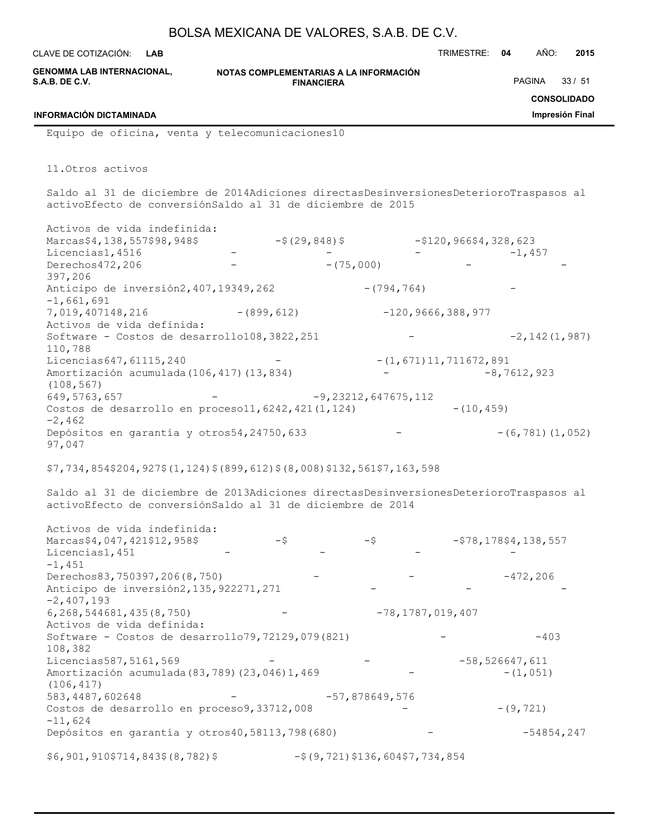|                                                                                                                                                     | BOLSA MEXICANA DE VALORES, S.A.B. DE C.V. |                                                             |                          |                                   |                          |                                  |                             |
|-----------------------------------------------------------------------------------------------------------------------------------------------------|-------------------------------------------|-------------------------------------------------------------|--------------------------|-----------------------------------|--------------------------|----------------------------------|-----------------------------|
| CLAVE DE COTIZACIÓN:<br><b>LAB</b>                                                                                                                  |                                           |                                                             |                          |                                   | TRIMESTRE:               | AÑO:<br>04                       | 2015                        |
| <b>GENOMMA LAB INTERNACIONAL,</b><br>S.A.B. DE C.V.                                                                                                 |                                           | NOTAS COMPLEMENTARIAS A LA INFORMACIÓN<br><b>FINANCIERA</b> |                          |                                   |                          | PAGINA                           | 33/51<br><b>CONSOLIDADO</b> |
| <b>INFORMACIÓN DICTAMINADA</b>                                                                                                                      |                                           |                                                             |                          |                                   |                          |                                  | Impresión Final             |
| Equipo de oficina, venta y telecomunicaciones10                                                                                                     |                                           |                                                             |                          |                                   |                          |                                  |                             |
| 11. Otros activos                                                                                                                                   |                                           |                                                             |                          |                                   |                          |                                  |                             |
| Saldo al 31 de diciembre de 2014Adiciones directasDesinversionesDeterioroTraspasos al<br>activoEfecto de conversiónSaldo al 31 de diciembre de 2015 |                                           |                                                             |                          |                                   |                          |                                  |                             |
| Activos de vida indefinida:<br>Marcas\$4,138,557\$98,948\$<br>Licencias1, 4516                                                                      |                                           | $ $$ (29,848) $$$                                           |                          |                                   | $-5120, 96654, 328, 623$ |                                  |                             |
| Derechos472,206<br>397,206                                                                                                                          |                                           |                                                             | $-(75,000)$              |                                   |                          | $-1,457$                         |                             |
| Anticipo de inversión2, 407, 19349, 262<br>$-1,661,691$                                                                                             |                                           |                                                             |                          | $-(794, 764)$                     |                          |                                  |                             |
| 7,019,407148,216<br>Activos de vida definida:                                                                                                       |                                           | $- (899, 612)$                                              |                          | $-120,9666,388,977$               |                          |                                  |                             |
| Software - Costos de desarrollo108, 3822, 251<br>110,788                                                                                            |                                           |                                                             |                          |                                   |                          | $-2, 142(1, 987)$                |                             |
| Licencias647, 61115, 240<br>Amortización acumulada (106, 417) (13, 834)<br>(108, 567)                                                               |                                           |                                                             |                          | $-$ (1,671) 11,711672,891         |                          | $-8,7612,923$                    |                             |
| 649, 5763, 657<br>Costos de desarrollo en proceso11, 6242, 421 (1, 124)                                                                             |                                           |                                                             | $-9, 23212, 647675, 112$ |                                   | $- (10, 459)$            |                                  |                             |
| $-2,462$<br>Depósitos en garantía y otros54,24750,633<br>97,047                                                                                     |                                           |                                                             |                          |                                   |                          | $-(6, 781)$ $(1, 052)$           |                             |
| \$7,734,854\$204,927\$(1,124)\$(899,612)\$(8,008)\$132,561\$7,163,598                                                                               |                                           |                                                             |                          |                                   |                          |                                  |                             |
| Saldo al 31 de diciembre de 2013Adiciones directasDesinversionesDeterioroTraspasos al<br>activoEfecto de conversiónSaldo al 31 de diciembre de 2014 |                                           |                                                             |                          |                                   |                          |                                  |                             |
| Activos de vida indefinida:<br>Marcas\$4,047,421\$12,958\$<br>Licencias1, 451                                                                       |                                           | -\$                                                         | -\$                      |                                   |                          | $-578, 17854, 138, 557$          |                             |
| $-1,451$<br>Derechos83,750397,206(8,750)<br>Anticipo de inversión2, 135, 922271, 271                                                                |                                           |                                                             |                          |                                   |                          | $-472, 206$                      |                             |
| $-2,407,193$<br>6, 268, 544681, 435(8, 750)                                                                                                         |                                           |                                                             |                          | $-78, 1787, 019, 407$             |                          |                                  |                             |
| Activos de vida definida:<br>Software - Costos de desarrollo79,72129,079(821)<br>108,382                                                            |                                           |                                                             |                          |                                   |                          | $-403$                           |                             |
| Licencias587,5161,569<br>Amortización acumulada (83,789) (23,046) 1,469<br>(106, 417)                                                               |                                           |                                                             |                          |                                   |                          | $-58,526647,611$<br>$- (1, 051)$ |                             |
| 583, 4487, 602648<br>Costos de desarrollo en proceso9, 33712, 008                                                                                   |                                           |                                                             | $-57,878649,576$         |                                   |                          | $- (9, 721)$                     |                             |
| $-11,624$<br>Depósitos en garantía y otros40,58113,798 (680)                                                                                        |                                           |                                                             |                          |                                   |                          |                                  | $-54854, 247$               |
| \$6,901,910\$714,843\$(8,782)\$                                                                                                                     |                                           |                                                             |                          | $-$ \$(9,721)\$136,604\$7,734,854 |                          |                                  |                             |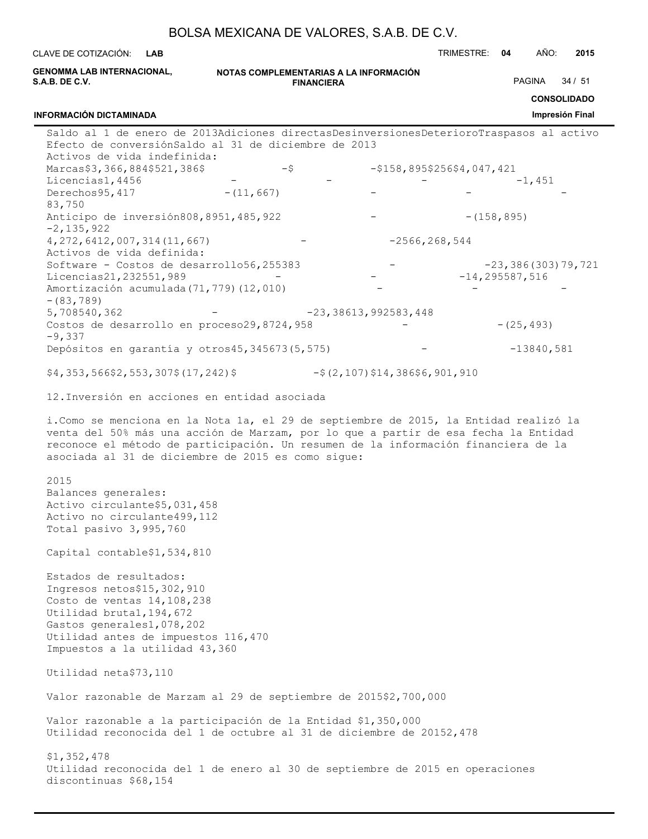|                                                                                                                                                                                                                                                                                                                          |               |                   | BOLSA MEXICANA DE VALORES, S.A.B. DE C.V. |                               |    |               |                             |
|--------------------------------------------------------------------------------------------------------------------------------------------------------------------------------------------------------------------------------------------------------------------------------------------------------------------------|---------------|-------------------|-------------------------------------------|-------------------------------|----|---------------|-----------------------------|
| CLAVE DE COTIZACIÓN:<br><b>LAB</b>                                                                                                                                                                                                                                                                                       |               |                   |                                           | TRIMESTRE:                    | 04 | AÑO:          | 2015                        |
| <b>GENOMMA LAB INTERNACIONAL,</b><br><b>S.A.B. DE C.V.</b>                                                                                                                                                                                                                                                               |               | <b>FINANCIERA</b> | NOTAS COMPLEMENTARIAS A LA INFORMACIÓN    |                               |    | <b>PAGINA</b> | 34/51<br><b>CONSOLIDADO</b> |
| <b>INFORMACIÓN DICTAMINADA</b>                                                                                                                                                                                                                                                                                           |               |                   |                                           |                               |    |               | Impresión Final             |
| Saldo al 1 de enero de 2013Adiciones directasDesinversionesDeterioroTraspasos al activo<br>Efecto de conversiónSaldo al 31 de diciembre de 2013                                                                                                                                                                          |               |                   |                                           |                               |    |               |                             |
| Activos de vida indefinida:<br>Marcas\$3,366,884\$521,386\$                                                                                                                                                                                                                                                              |               | $-5$              |                                           | $-$ \$158,895\$256\$4,047,421 |    |               |                             |
| Licencias1, 4456<br>Derechos95,417                                                                                                                                                                                                                                                                                       | $- (11, 667)$ |                   |                                           |                               |    | $-1,451$      |                             |
| 83,750<br>Anticipo de inversión808, 8951, 485, 922<br>$-2, 135, 922$                                                                                                                                                                                                                                                     |               |                   |                                           | $- (158, 895)$                |    |               |                             |
| 4, 272, 6412, 007, 314 (11, 667)                                                                                                                                                                                                                                                                                         |               |                   |                                           | $-2566, 268, 544$             |    |               |                             |
| Activos de vida definida:<br>Software - Costos de desarrollo56, 255383<br>Licencias21, 232551, 989                                                                                                                                                                                                                       |               |                   |                                           | $-14, 295587, 516$            |    |               | $-23, 386(303)$ 79, 721     |
| Amortización acumulada (71,779) (12,010)<br>$- (83, 789)$                                                                                                                                                                                                                                                                |               |                   |                                           |                               |    |               |                             |
| 5,708540,362<br>Costos de desarrollo en proceso29,8724,958                                                                                                                                                                                                                                                               |               |                   | $-23, 38613, 992583, 448$                 |                               |    | $-(25, 493)$  |                             |
| $-9,337$<br>Depósitos en garantía y otros45, 345673 (5, 575)                                                                                                                                                                                                                                                             |               |                   |                                           |                               |    | $-13840,581$  |                             |
| \$4,353,566\$2,553,307\$(17,242)\$                                                                                                                                                                                                                                                                                       |               |                   | $-$ \$(2,107) \$14,386\$6,901,910         |                               |    |               |                             |
| 12. Inversión en acciones en entidad asociada                                                                                                                                                                                                                                                                            |               |                   |                                           |                               |    |               |                             |
| i. Como se menciona en la Nota 1a, el 29 de septiembre de 2015, la Entidad realizó la<br>venta del 50% más una acción de Marzam, por lo que a partir de esa fecha la Entidad<br>reconoce el método de participación. Un resumen de la información financiera de la<br>asociada al 31 de diciembre de 2015 es como sigue: |               |                   |                                           |                               |    |               |                             |
| 2015<br>Balances generales:<br>Activo circulante\$5,031,458<br>Activo no circulante499, 112<br>Total pasivo 3,995,760                                                                                                                                                                                                    |               |                   |                                           |                               |    |               |                             |
| Capital contable\$1,534,810                                                                                                                                                                                                                                                                                              |               |                   |                                           |                               |    |               |                             |
| Estados de resultados:<br>Ingresos netos\$15,302,910<br>Costo de ventas 14, 108, 238<br>Utilidad bruta1, 194, 672<br>Gastos generales1, 078, 202<br>Utilidad antes de impuestos 116,470<br>Impuestos a la utilidad 43,360                                                                                                |               |                   |                                           |                               |    |               |                             |
| Utilidad neta\$73,110                                                                                                                                                                                                                                                                                                    |               |                   |                                           |                               |    |               |                             |
| Valor razonable de Marzam al 29 de septiembre de 2015\$2,700,000                                                                                                                                                                                                                                                         |               |                   |                                           |                               |    |               |                             |
| Valor razonable a la participación de la Entidad \$1,350,000<br>Utilidad reconocida del 1 de octubre al 31 de diciembre de 20152,478                                                                                                                                                                                     |               |                   |                                           |                               |    |               |                             |
| \$1,352,478<br>Utilidad reconocida del 1 de enero al 30 de septiembre de 2015 en operaciones<br>discontinuas \$68,154                                                                                                                                                                                                    |               |                   |                                           |                               |    |               |                             |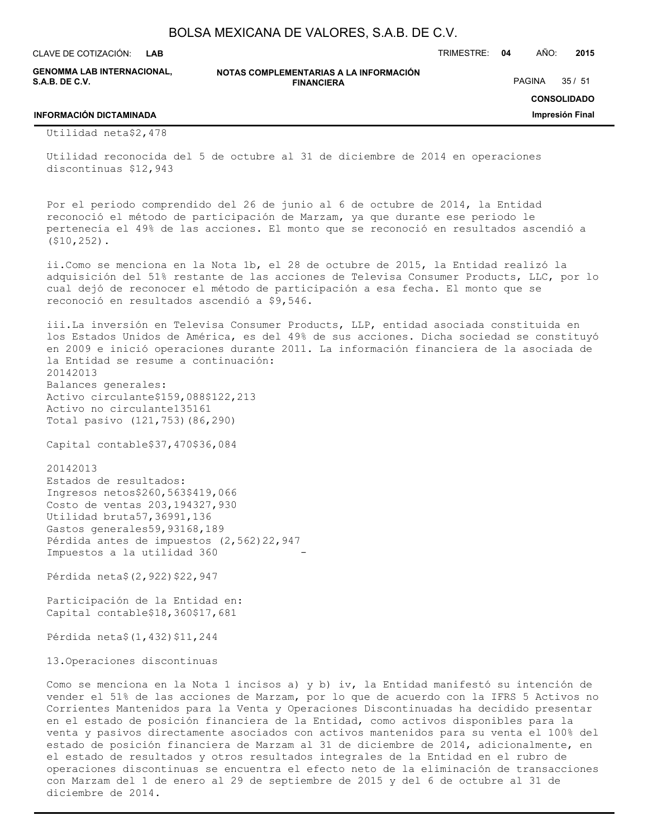CLAVE DE COTIZACIÓN: TRIMESTRE: **04** AÑO: **2015 LAB**

**GENOMMA LAB INTERNACIONAL, S.A.B. DE C.V.**

**NOTAS COMPLEMENTARIAS A LA INFORMACIÓN FINANCIERA**

PAGINA 35 / 51

**CONSOLIDADO**

**Impresión Final**

## **INFORMACIÓN DICTAMINADA**

Utilidad neta\$2,478

Utilidad reconocida del 5 de octubre al 31 de diciembre de 2014 en operaciones discontinuas \$12,943

Por el periodo comprendido del 26 de junio al 6 de octubre de 2014, la Entidad reconoció el método de participación de Marzam, ya que durante ese periodo le pertenecía el 49% de las acciones. El monto que se reconoció en resultados ascendió a (\$10,252).

ii.Como se menciona en la Nota 1b, el 28 de octubre de 2015, la Entidad realizó la adquisición del 51% restante de las acciones de Televisa Consumer Products, LLC, por lo cual dejó de reconocer el método de participación a esa fecha. El monto que se reconoció en resultados ascendió a \$9,546.

iii.La inversión en Televisa Consumer Products, LLP, entidad asociada constituida en los Estados Unidos de América, es del 49% de sus acciones. Dicha sociedad se constituyó en 2009 e inició operaciones durante 2011. La información financiera de la asociada de la Entidad se resume a continuación: 20142013 Balances generales: Activo circulante\$159,088\$122,213

Activo no circulante135161 Total pasivo (121,753)(86,290)

Capital contable\$37,470\$36,084

20142013

Estados de resultados: Ingresos netos\$260,563\$419,066 Costo de ventas 203,194327,930 Utilidad bruta57,36991,136 Gastos generales59,93168,189 Pérdida antes de impuestos (2,562)22,947 Impuestos a la utilidad 360

Pérdida neta\$(2,922)\$22,947

Participación de la Entidad en: Capital contable\$18,360\$17,681

Pérdida neta\$(1,432)\$11,244

13.Operaciones discontinuas

Como se menciona en la Nota 1 incisos a) y b) iv, la Entidad manifestó su intención de vender el 51% de las acciones de Marzam, por lo que de acuerdo con la IFRS 5 Activos no Corrientes Mantenidos para la Venta y Operaciones Discontinuadas ha decidido presentar en el estado de posición financiera de la Entidad, como activos disponibles para la venta y pasivos directamente asociados con activos mantenidos para su venta el 100% del estado de posición financiera de Marzam al 31 de diciembre de 2014, adicionalmente, en el estado de resultados y otros resultados integrales de la Entidad en el rubro de operaciones discontinuas se encuentra el efecto neto de la eliminación de transacciones con Marzam del 1 de enero al 29 de septiembre de 2015 y del 6 de octubre al 31 de diciembre de 2014.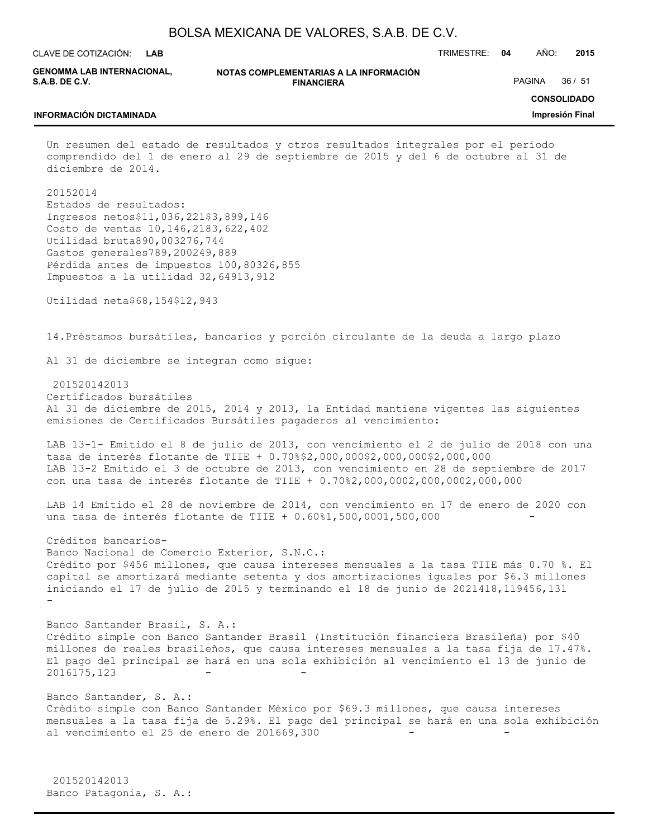| BOLSA MEXICANA DE VALORES, S.A.B. DE C.V. |  |  |
|-------------------------------------------|--|--|
|-------------------------------------------|--|--|

**GENOMMA LAB INTERNACIONAL, S.A.B. DE C.V.**

**NOTAS COMPLEMENTARIAS A LA INFORMACIÓN FINANCIERA**

PAGINA 36 / 51

**CONSOLIDADO**

#### **Impresión Final**

# **INFORMACIÓN DICTAMINADA**

Un resumen del estado de resultados y otros resultados integrales por el periodo comprendido del 1 de enero al 29 de septiembre de 2015 y del 6 de octubre al 31 de diciembre de 2014.

20152014 Estados de resultados: Ingresos netos\$11,036,221\$3,899,146 Costo de ventas 10,146,2183,622,402 Utilidad bruta890,003276,744 Gastos generales789,200249,889 Pérdida antes de impuestos 100,80326,855 Impuestos a la utilidad 32,64913,912

Utilidad neta\$68,154\$12,943

14.Préstamos bursátiles, bancarios y porción circulante de la deuda a largo plazo

Al 31 de diciembre se integran como sigue:

 201520142013 Certificados bursátiles Al 31 de diciembre de 2015, 2014 y 2013, la Entidad mantiene vigentes las siguientes emisiones de Certificados Bursátiles pagaderos al vencimiento:

LAB 13-1- Emitido el 8 de julio de 2013, con vencimiento el 2 de julio de 2018 con una tasa de interés flotante de TIIE + 0.70%\$2,000,000\$2,000,000\$2,000,000 LAB 13-2 Emitido el 3 de octubre de 2013, con vencimiento en 28 de septiembre de 2017 con una tasa de interés flotante de TIIE + 0.70%2,000,0002,000,0002,000,000

LAB 14 Emitido el 28 de noviembre de 2014, con vencimiento en 17 de enero de 2020 con una tasa de interés flotante de TIIE +  $0.60\frac{1}{500}$ ,0001,500,000

Créditos bancarios-Banco Nacional de Comercio Exterior, S.N.C.: Crédito por \$456 millones, que causa intereses mensuales a la tasa TIIE más 0.70 %. El capital se amortizará mediante setenta y dos amortizaciones iguales por \$6.3 millones iniciando el 17 de julio de 2015 y terminando el 18 de junio de 2021418,119456,131 -

Banco Santander Brasil, S. A.: Crédito simple con Banco Santander Brasil (Institución financiera Brasileña) por \$40 millones de reales brasileños, que causa intereses mensuales a la tasa fija de 17.47%. El pago del principal se hará en una sola exhibición al vencimiento el 13 de junio de 2016175,123

Banco Santander, S. A.: Crédito simple con Banco Santander México por \$69.3 millones, que causa intereses mensuales a la tasa fija de 5.29%. El pago del principal se hará en una sola exhibición al vencimiento el 25 de enero de 201669,300

 201520142013 Banco Patagonia, S. A.: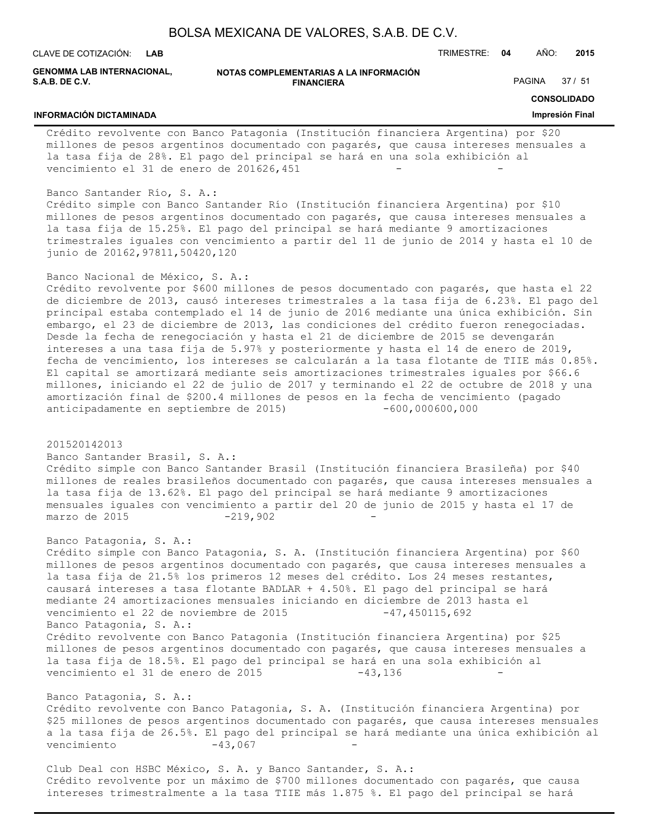| BOLSA MEXICANA DE VALORES, S.A.B. DE C.V. |  |  |
|-------------------------------------------|--|--|
|-------------------------------------------|--|--|

**GENOMMA LAB INTERNACIONAL, S.A.B. DE C.V.**

**INFORMACIÓN DICTAMINADA**

**NOTAS COMPLEMENTARIAS A LA INFORMACIÓN FINANCIERA**

PAGINA 37 / 51

### **CONSOLIDADO**

#### **Impresión Final**

Crédito revolvente con Banco Patagonia (Institución financiera Argentina) por \$20 millones de pesos argentinos documentado con pagarés, que causa intereses mensuales a la tasa fija de 28%. El pago del principal se hará en una sola exhibición al vencimiento el 31 de enero de 201626, 451

#### Banco Santander Río, S. A.:

Crédito simple con Banco Santander Río (Institución financiera Argentina) por \$10 millones de pesos argentinos documentado con pagarés, que causa intereses mensuales a la tasa fija de 15.25%. El pago del principal se hará mediante 9 amortizaciones trimestrales iguales con vencimiento a partir del 11 de junio de 2014 y hasta el 10 de junio de 20162,97811,50420,120

#### Banco Nacional de México, S. A.:

Crédito revolvente por \$600 millones de pesos documentado con pagarés, que hasta el 22 de diciembre de 2013, causó intereses trimestrales a la tasa fija de 6.23%. El pago del principal estaba contemplado el 14 de junio de 2016 mediante una única exhibición. Sin embargo, el 23 de diciembre de 2013, las condiciones del crédito fueron renegociadas. Desde la fecha de renegociación y hasta el 21 de diciembre de 2015 se devengarán intereses a una tasa fija de 5.97% y posteriormente y hasta el 14 de enero de 2019, fecha de vencimiento, los intereses se calcularán a la tasa flotante de TIIE más 0.85%. El capital se amortizará mediante seis amortizaciones trimestrales iguales por \$66.6 millones, iniciando el 22 de julio de 2017 y terminando el 22 de octubre de 2018 y una amortización final de \$200.4 millones de pesos en la fecha de vencimiento (pagado anticipadamente en septiembre de 2015) -600,000600,000

#### 201520142013

Banco Santander Brasil, S. A.:

vencimiento  $-43,067$ 

Crédito simple con Banco Santander Brasil (Institución financiera Brasileña) por \$40 millones de reales brasileños documentado con pagarés, que causa intereses mensuales a la tasa fija de 13.62%. El pago del principal se hará mediante 9 amortizaciones mensuales iguales con vencimiento a partir del 20 de junio de 2015 y hasta el 17 de marzo de 2015 -219,902

#### Banco Patagonia, S. A.:

Crédito simple con Banco Patagonia, S. A. (Institución financiera Argentina) por \$60 millones de pesos argentinos documentado con pagarés, que causa intereses mensuales a la tasa fija de 21.5% los primeros 12 meses del crédito. Los 24 meses restantes, causará intereses a tasa flotante BADLAR + 4.50%. El pago del principal se hará mediante 24 amortizaciones mensuales iniciando en diciembre de 2013 hasta el vencimiento el 22 de noviembre de 2015 -47,450115,692 Banco Patagonia, S. A.: Crédito revolvente con Banco Patagonia (Institución financiera Argentina) por \$25 millones de pesos argentinos documentado con pagarés, que causa intereses mensuales a la tasa fija de 18.5%. El pago del principal se hará en una sola exhibición al vencimiento el 31 de enero de 2015  $-43,136$ 

### Banco Patagonia, S. A.: Crédito revolvente con Banco Patagonia, S. A. (Institución financiera Argentina) por \$25 millones de pesos argentinos documentado con pagarés, que causa intereses mensuales a la tasa fija de 26.5%. El pago del principal se hará mediante una única exhibición al

Club Deal con HSBC México, S. A. y Banco Santander, S. A.: Crédito revolvente por un máximo de \$700 millones documentado con pagarés, que causa intereses trimestralmente a la tasa TIIE más 1.875 %. El pago del principal se hará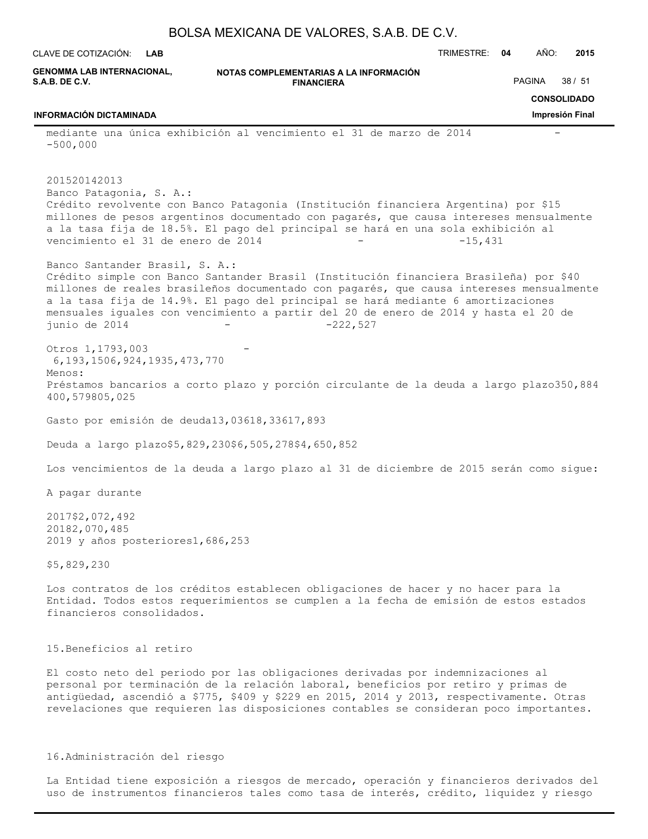| CLAVE DE COTIZACIÓN:<br><b>LAB</b>                                            |                                                                                                                                                                                                                                                                                                                                                                           | TRIMESTRE: | 04 | AÑO:          | 2015                   |
|-------------------------------------------------------------------------------|---------------------------------------------------------------------------------------------------------------------------------------------------------------------------------------------------------------------------------------------------------------------------------------------------------------------------------------------------------------------------|------------|----|---------------|------------------------|
| <b>GENOMMA LAB INTERNACIONAL,</b><br><b>S.A.B. DE C.V.</b>                    | NOTAS COMPLEMENTARIAS A LA INFORMACIÓN<br><b>FINANCIERA</b>                                                                                                                                                                                                                                                                                                               |            |    | <b>PAGINA</b> | 38/51                  |
|                                                                               |                                                                                                                                                                                                                                                                                                                                                                           |            |    |               | <b>CONSOLIDADO</b>     |
| <b>INFORMACIÓN DICTAMINADA</b>                                                |                                                                                                                                                                                                                                                                                                                                                                           |            |    |               | <b>Impresión Final</b> |
| $-500,000$                                                                    | mediante una única exhibición al vencimiento el 31 de marzo de 2014                                                                                                                                                                                                                                                                                                       |            |    |               |                        |
| 201520142013<br>Banco Patagonia, S. A.:<br>vencimiento el 31 de enero de 2014 | Crédito revolvente con Banco Patagonia (Institución financiera Argentina) por \$15<br>millones de pesos argentinos documentado con pagarés, que causa intereses mensualmente<br>a la tasa fija de 18.5%. El pago del principal se hará en una sola exhibición al                                                                                                          | $-15,431$  |    |               |                        |
| Banco Santander Brasil, S. A.:<br>junio de 2014                               | Crédito simple con Banco Santander Brasil (Institución financiera Brasileña) por \$40<br>millones de reales brasileños documentado con pagarés, que causa intereses mensualmente<br>a la tasa fija de 14.9%. El pago del principal se hará mediante 6 amortizaciones<br>mensuales iguales con vencimiento a partir del 20 de enero de 2014 y hasta el 20 de<br>$-222,527$ |            |    |               |                        |
| Otros 1, 1793, 003<br>6, 193, 1506, 924, 1935, 473, 770<br>Menos:             |                                                                                                                                                                                                                                                                                                                                                                           |            |    |               |                        |
| 400,579805,025                                                                | Préstamos bancarios a corto plazo y porción circulante de la deuda a largo plazo350,884                                                                                                                                                                                                                                                                                   |            |    |               |                        |
| Gasto por emisión de deuda13,03618,33617,893                                  |                                                                                                                                                                                                                                                                                                                                                                           |            |    |               |                        |
|                                                                               | Deuda a largo plazo\$5,829,230\$6,505,278\$4,650,852                                                                                                                                                                                                                                                                                                                      |            |    |               |                        |
|                                                                               | Los vencimientos de la deuda a largo plazo al 31 de diciembre de 2015 serán como sigue:                                                                                                                                                                                                                                                                                   |            |    |               |                        |
| A pagar durante                                                               |                                                                                                                                                                                                                                                                                                                                                                           |            |    |               |                        |
| 2017\$2,072,492<br>20182,070,485<br>2019 y años posteriores1, 686, 253        |                                                                                                                                                                                                                                                                                                                                                                           |            |    |               |                        |
| \$5,829,230                                                                   |                                                                                                                                                                                                                                                                                                                                                                           |            |    |               |                        |
| financieros consolidados.                                                     | Los contratos de los créditos establecen obligaciones de hacer y no hacer para la<br>Entidad. Todos estos requerimientos se cumplen a la fecha de emisión de estos estados                                                                                                                                                                                                |            |    |               |                        |
| 15. Beneficios al retiro                                                      |                                                                                                                                                                                                                                                                                                                                                                           |            |    |               |                        |
|                                                                               | El costo neto del periodo por las obligaciones derivadas por indemnizaciones al<br>personal por terminación de la relación laboral, beneficios por retiro y primas de<br>antigüedad, ascendió a \$775, \$409 y \$229 en 2015, 2014 y 2013, respectivamente. Otras<br>revelaciones que requieren las disposiciones contables se consideran poco importantes.               |            |    |               |                        |
| 16. Administración del riesgo                                                 |                                                                                                                                                                                                                                                                                                                                                                           |            |    |               |                        |

La Entidad tiene exposición a riesgos de mercado, operación y financieros derivados del uso de instrumentos financieros tales como tasa de interés, crédito, liquidez y riesgo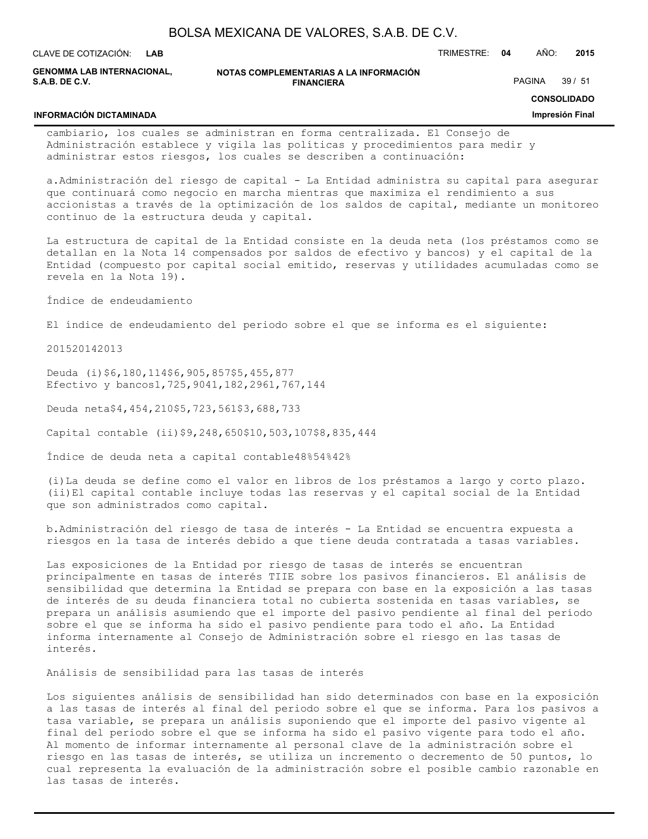| BOLSA MEXICANA DE VALORES, S.A.B. DE C.V. |  |  |
|-------------------------------------------|--|--|
|-------------------------------------------|--|--|

| CLAVE DE COTIZACIÓN: LAB                     |                                                             | TRIMESTRE: | 04     | AÑO: | 2015  |
|----------------------------------------------|-------------------------------------------------------------|------------|--------|------|-------|
| GENOMMA LAB INTERNACIONAL,<br>S.A.B. DE C.V. | NOTAS COMPLEMENTARIAS A LA INFORMACIÓN<br><b>FINANCIERA</b> |            | PAGINA |      | 39/51 |

#### **INFORMACIÓN DICTAMINADA**

**CONSOLIDADO**

#### **Impresión Final**

cambiario, los cuales se administran en forma centralizada. El Consejo de Administración establece y vigila las políticas y procedimientos para medir y administrar estos riesgos, los cuales se describen a continuación:

a.Administración del riesgo de capital - La Entidad administra su capital para asegurar que continuará como negocio en marcha mientras que maximiza el rendimiento a sus accionistas a través de la optimización de los saldos de capital, mediante un monitoreo continuo de la estructura deuda y capital.

La estructura de capital de la Entidad consiste en la deuda neta (los préstamos como se detallan en la Nota 14 compensados por saldos de efectivo y bancos) y el capital de la Entidad (compuesto por capital social emitido, reservas y utilidades acumuladas como se revela en la Nota 19).

Índice de endeudamiento

El índice de endeudamiento del periodo sobre el que se informa es el siguiente:

201520142013

Deuda (i)\$6,180,114\$6,905,857\$5,455,877 Efectivo y bancos1,725,9041,182,2961,767,144

Deuda neta\$4,454,210\$5,723,561\$3,688,733

Capital contable (ii)\$9,248,650\$10,503,107\$8,835,444

Índice de deuda neta a capital contable48%54%42%

(i)La deuda se define como el valor en libros de los préstamos a largo y corto plazo. (ii)El capital contable incluye todas las reservas y el capital social de la Entidad que son administrados como capital.

b.Administración del riesgo de tasa de interés - La Entidad se encuentra expuesta a riesgos en la tasa de interés debido a que tiene deuda contratada a tasas variables.

Las exposiciones de la Entidad por riesgo de tasas de interés se encuentran principalmente en tasas de interés TIIE sobre los pasivos financieros. El análisis de sensibilidad que determina la Entidad se prepara con base en la exposición a las tasas de interés de su deuda financiera total no cubierta sostenida en tasas variables, se prepara un análisis asumiendo que el importe del pasivo pendiente al final del período sobre el que se informa ha sido el pasivo pendiente para todo el año. La Entidad informa internamente al Consejo de Administración sobre el riesgo en las tasas de interés.

Análisis de sensibilidad para las tasas de interés

Los siguientes análisis de sensibilidad han sido determinados con base en la exposición a las tasas de interés al final del periodo sobre el que se informa. Para los pasivos a tasa variable, se prepara un análisis suponiendo que el importe del pasivo vigente al final del periodo sobre el que se informa ha sido el pasivo vigente para todo el año. Al momento de informar internamente al personal clave de la administración sobre el riesgo en las tasas de interés, se utiliza un incremento o decremento de 50 puntos, lo cual representa la evaluación de la administración sobre el posible cambio razonable en las tasas de interés.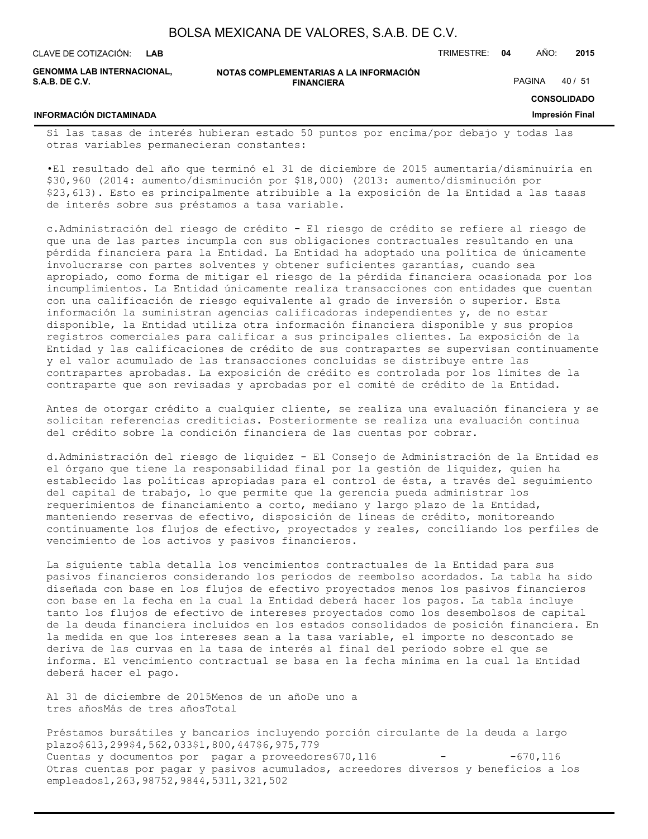**LAB**

CLAVE DE COTIZACIÓN: TRIMESTRE: **04** AÑO: **2015**

|                | <b>GENOMMA LAB INTERNACIONAL,</b> |
|----------------|-----------------------------------|
| S.A.B. DE C.V. |                                   |

**NOTAS COMPLEMENTARIAS A LA INFORMACIÓN FINANCIERA**

PAGINA 40 / 51

**CONSOLIDADO Impresión Final**

## **INFORMACIÓN DICTAMINADA**

Si las tasas de interés hubieran estado 50 puntos por encima/por debajo y todas las otras variables permanecieran constantes:

•El resultado del año que terminó el 31 de diciembre de 2015 aumentaría/disminuiría en \$30,960 (2014: aumento/disminución por \$18,000) (2013: aumento/disminución por \$23,613). Esto es principalmente atribuible a la exposición de la Entidad a las tasas de interés sobre sus préstamos a tasa variable.

c.Administración del riesgo de crédito - El riesgo de crédito se refiere al riesgo de que una de las partes incumpla con sus obligaciones contractuales resultando en una pérdida financiera para la Entidad. La Entidad ha adoptado una política de únicamente involucrarse con partes solventes y obtener suficientes garantías, cuando sea apropiado, como forma de mitigar el riesgo de la pérdida financiera ocasionada por los incumplimientos. La Entidad únicamente realiza transacciones con entidades que cuentan con una calificación de riesgo equivalente al grado de inversión o superior. Esta información la suministran agencias calificadoras independientes y, de no estar disponible, la Entidad utiliza otra información financiera disponible y sus propios registros comerciales para calificar a sus principales clientes. La exposición de la Entidad y las calificaciones de crédito de sus contrapartes se supervisan continuamente y el valor acumulado de las transacciones concluidas se distribuye entre las contrapartes aprobadas. La exposición de crédito es controlada por los límites de la contraparte que son revisadas y aprobadas por el comité de crédito de la Entidad.

Antes de otorgar crédito a cualquier cliente, se realiza una evaluación financiera y se solicitan referencias crediticias. Posteriormente se realiza una evaluación continua del crédito sobre la condición financiera de las cuentas por cobrar.

d.Administración del riesgo de liquidez - El Consejo de Administración de la Entidad es el órgano que tiene la responsabilidad final por la gestión de liquidez, quien ha establecido las políticas apropiadas para el control de ésta, a través del seguimiento del capital de trabajo, lo que permite que la gerencia pueda administrar los requerimientos de financiamiento a corto, mediano y largo plazo de la Entidad, manteniendo reservas de efectivo, disposición de líneas de crédito, monitoreando continuamente los flujos de efectivo, proyectados y reales, conciliando los perfiles de vencimiento de los activos y pasivos financieros.

La siguiente tabla detalla los vencimientos contractuales de la Entidad para sus pasivos financieros considerando los períodos de reembolso acordados. La tabla ha sido diseñada con base en los flujos de efectivo proyectados menos los pasivos financieros con base en la fecha en la cual la Entidad deberá hacer los pagos. La tabla incluye tanto los flujos de efectivo de intereses proyectados como los desembolsos de capital de la deuda financiera incluidos en los estados consolidados de posición financiera. En la medida en que los intereses sean a la tasa variable, el importe no descontado se deriva de las curvas en la tasa de interés al final del período sobre el que se informa. El vencimiento contractual se basa en la fecha mínima en la cual la Entidad deberá hacer el pago.

Al 31 de diciembre de 2015Menos de un añoDe uno a tres añosMás de tres añosTotal

Préstamos bursátiles y bancarios incluyendo porción circulante de la deuda a largo plazo\$613,299\$4,562,033\$1,800,447\$6,975,779 Cuentas y documentos por pagar a proveedores670,116 - - - -670,116 Otras cuentas por pagar y pasivos acumulados, acreedores diversos y beneficios a los empleados1,263,98752,9844,5311,321,502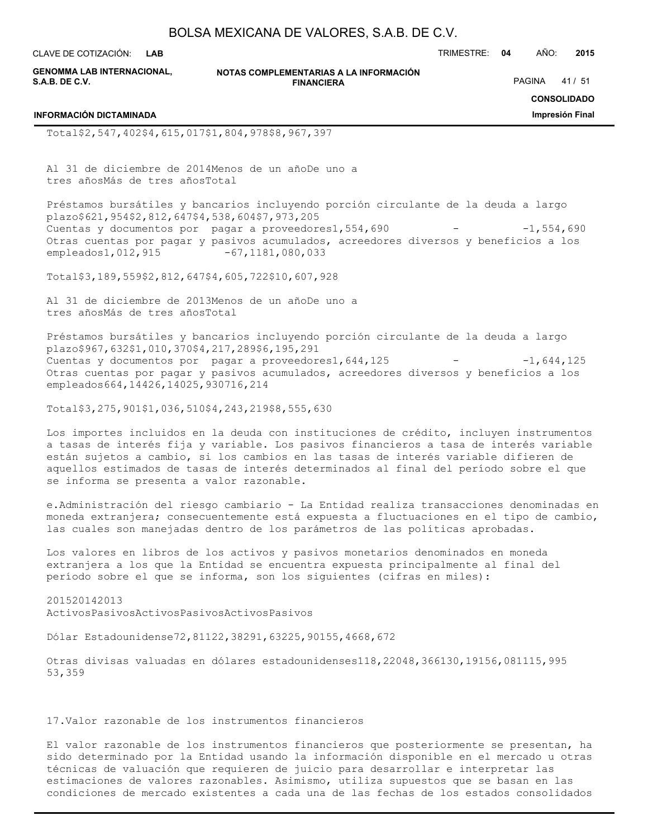CLAVE DE COTIZACIÓN: TRIMESTRE: **04** AÑO: **2015 LAB**

**GENOMMA LAB INTERNACIONAL, S.A.B. DE C.V.**

**NOTAS COMPLEMENTARIAS A LA INFORMACIÓN FINANCIERA**

PAGINA 41 / 51

**CONSOLIDADO**

**Impresión Final**

**INFORMACIÓN DICTAMINADA**

Total\$2,547,402\$4,615,017\$1,804,978\$8,967,397

Al 31 de diciembre de 2014Menos de un añoDe uno a tres añosMás de tres añosTotal

Préstamos bursátiles y bancarios incluyendo porción circulante de la deuda a largo plazo\$621,954\$2,812,647\$4,538,604\$7,973,205 Cuentas y documentos por pagar a proveedores1,554,690  $-$  -1,554,690 Otras cuentas por pagar y pasivos acumulados, acreedores diversos y beneficios a los empleados1,012,915 -67,1181,080,033

Total\$3,189,559\$2,812,647\$4,605,722\$10,607,928

Al 31 de diciembre de 2013Menos de un añoDe uno a tres añosMás de tres añosTotal

Préstamos bursátiles y bancarios incluyendo porción circulante de la deuda a largo plazo\$967,632\$1,010,370\$4,217,289\$6,195,291 Cuentas y documentos por pagar a proveedores1,  $644,125$  - -1,  $644,125$ Otras cuentas por pagar y pasivos acumulados, acreedores diversos y beneficios a los empleados664,14426,14025,930716,214

Total\$3,275,901\$1,036,510\$4,243,219\$8,555,630

Los importes incluidos en la deuda con instituciones de crédito, incluyen instrumentos a tasas de interés fija y variable. Los pasivos financieros a tasa de interés variable están sujetos a cambio, si los cambios en las tasas de interés variable difieren de aquellos estimados de tasas de interés determinados al final del período sobre el que se informa se presenta a valor razonable.

e.Administración del riesgo cambiario - La Entidad realiza transacciones denominadas en moneda extranjera; consecuentemente está expuesta a fluctuaciones en el tipo de cambio, las cuales son manejadas dentro de los parámetros de las políticas aprobadas.

Los valores en libros de los activos y pasivos monetarios denominados en moneda extranjera a los que la Entidad se encuentra expuesta principalmente al final del período sobre el que se informa, son los siguientes (cifras en miles):

201520142013 ActivosPasivosActivosPasivosActivosPasivos

Dólar Estadounidense72,81122,38291,63225,90155,4668,672

Otras divisas valuadas en dólares estadounidenses118,22048,366130,19156,081115,995 53,359

17.Valor razonable de los instrumentos financieros

El valor razonable de los instrumentos financieros que posteriormente se presentan, ha sido determinado por la Entidad usando la información disponible en el mercado u otras técnicas de valuación que requieren de juicio para desarrollar e interpretar las estimaciones de valores razonables. Asimismo, utiliza supuestos que se basan en las condiciones de mercado existentes a cada una de las fechas de los estados consolidados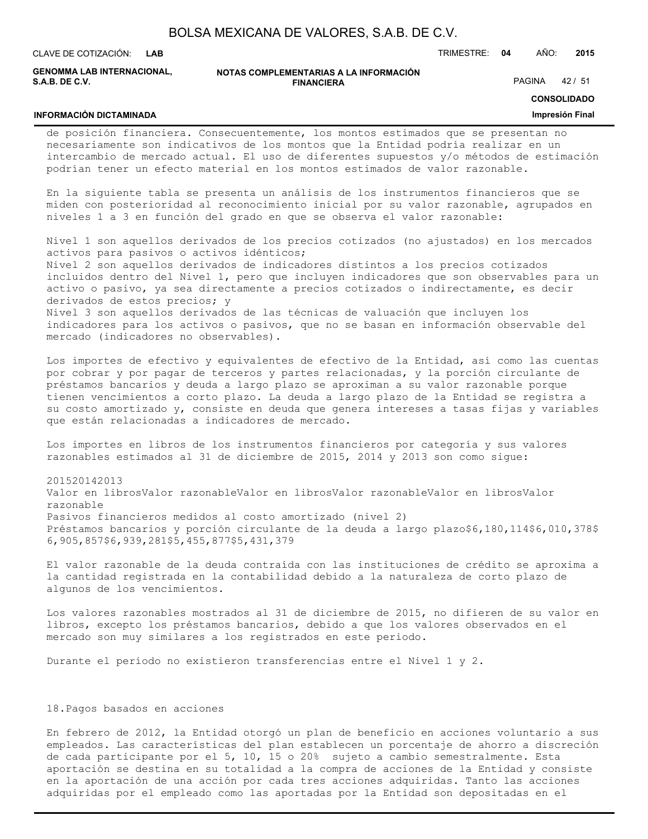| BOLSA MEXICANA DE VALORES, S.A.B. DE C.V. |  |  |
|-------------------------------------------|--|--|
|-------------------------------------------|--|--|

**INFORMACIÓN DICTAMINADA**

**GENOMMA LAB INTERNACIONAL, S.A.B. DE C.V.**

**NOTAS COMPLEMENTARIAS A LA INFORMACIÓN FINANCIERA**

PAGINA 42 / 51

**CONSOLIDADO**

#### **Impresión Final**

de posición financiera. Consecuentemente, los montos estimados que se presentan no necesariamente son indicativos de los montos que la Entidad podría realizar en un intercambio de mercado actual. El uso de diferentes supuestos y/o métodos de estimación podrían tener un efecto material en los montos estimados de valor razonable.

En la siguiente tabla se presenta un análisis de los instrumentos financieros que se miden con posterioridad al reconocimiento inicial por su valor razonable, agrupados en niveles 1 a 3 en función del grado en que se observa el valor razonable:

Nivel 1 son aquellos derivados de los precios cotizados (no ajustados) en los mercados activos para pasivos o activos idénticos; Nivel 2 son aquellos derivados de indicadores distintos a los precios cotizados incluidos dentro del Nivel 1, pero que incluyen indicadores que son observables para un activo o pasivo, ya sea directamente a precios cotizados o indirectamente, es decir derivados de estos precios; y Nivel 3 son aquellos derivados de las técnicas de valuación que incluyen los indicadores para los activos o pasivos, que no se basan en información observable del mercado (indicadores no observables).

Los importes de efectivo y equivalentes de efectivo de la Entidad, así como las cuentas por cobrar y por pagar de terceros y partes relacionadas, y la porción circulante de préstamos bancarios y deuda a largo plazo se aproximan a su valor razonable porque tienen vencimientos a corto plazo. La deuda a largo plazo de la Entidad se registra a su costo amortizado y, consiste en deuda que genera intereses a tasas fijas y variables que están relacionadas a indicadores de mercado.

Los importes en libros de los instrumentos financieros por categoría y sus valores razonables estimados al 31 de diciembre de 2015, 2014 y 2013 son como sigue:

201520142013 Valor en librosValor razonableValor en librosValor razonableValor en librosValor razonable Pasivos financieros medidos al costo amortizado (nivel 2) Préstamos bancarios y porción circulante de la deuda a largo plazo\$6,180,114\$6,010,378\$ 6,905,857\$6,939,281\$5,455,877\$5,431,379

El valor razonable de la deuda contraída con las instituciones de crédito se aproxima a la cantidad registrada en la contabilidad debido a la naturaleza de corto plazo de algunos de los vencimientos.

Los valores razonables mostrados al 31 de diciembre de 2015, no difieren de su valor en libros, excepto los préstamos bancarios, debido a que los valores observados en el mercado son muy similares a los registrados en este periodo.

Durante el período no existieron transferencias entre el Nivel 1 y 2.

#### 18.Pagos basados en acciones

En febrero de 2012, la Entidad otorgó un plan de beneficio en acciones voluntario a sus empleados. Las características del plan establecen un porcentaje de ahorro a discreción de cada participante por el 5, 10, 15 o 20% sujeto a cambio semestralmente. Esta aportación se destina en su totalidad a la compra de acciones de la Entidad y consiste en la aportación de una acción por cada tres acciones adquiridas. Tanto las acciones adquiridas por el empleado como las aportadas por la Entidad son depositadas en el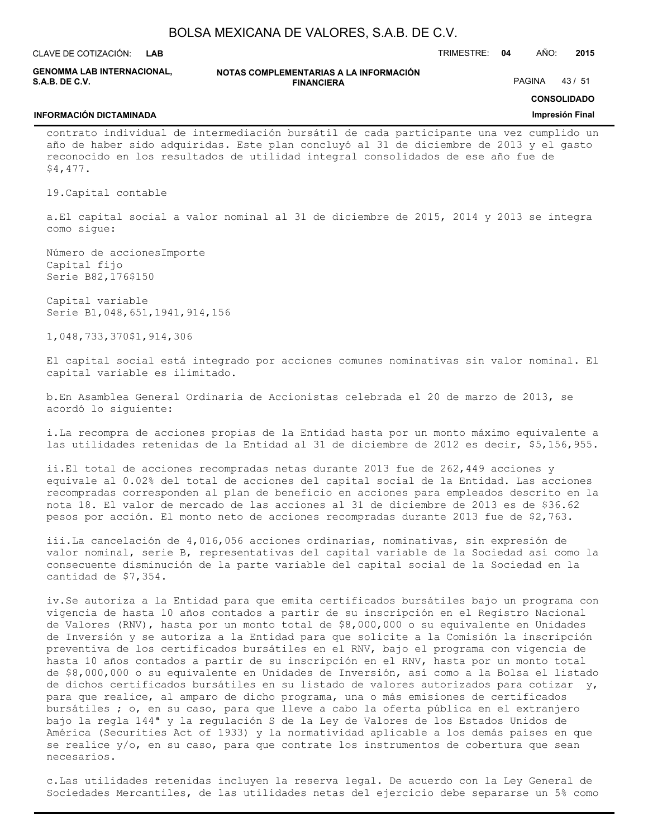| BOLSA MEXICANA DE VALORES, S.A.B. DE C.V. |  |
|-------------------------------------------|--|
|-------------------------------------------|--|

**NOTAS COMPLEMENTARIAS A LA INFORMACIÓN FINANCIERA** CLAVE DE COTIZACIÓN: TRIMESTRE: **04** AÑO: **2015 LAB GENOMMA LAB INTERNACIONAL, S.A.B. DE C.V.** PAGINA 43 / 51

#### **CONSOLIDADO**

## **Impresión Final**

contrato individual de intermediación bursátil de cada participante una vez cumplido un año de haber sido adquiridas. Este plan concluyó al 31 de diciembre de 2013 y el gasto reconocido en los resultados de utilidad integral consolidados de ese año fue de \$4,477.

19.Capital contable

**INFORMACIÓN DICTAMINADA**

a.El capital social a valor nominal al 31 de diciembre de 2015, 2014 y 2013 se integra como sigue:

Número de accionesImporte Capital fijo Serie B82,176\$150

Capital variable Serie B1,048,651,1941,914,156

1,048,733,370\$1,914,306

El capital social está integrado por acciones comunes nominativas sin valor nominal. El capital variable es ilimitado.

b.En Asamblea General Ordinaria de Accionistas celebrada el 20 de marzo de 2013, se acordó lo siguiente:

i.La recompra de acciones propias de la Entidad hasta por un monto máximo equivalente a las utilidades retenidas de la Entidad al 31 de diciembre de 2012 es decir, \$5,156,955.

ii.El total de acciones recompradas netas durante 2013 fue de 262,449 acciones y equivale al 0.02% del total de acciones del capital social de la Entidad. Las acciones recompradas corresponden al plan de beneficio en acciones para empleados descrito en la nota 18. El valor de mercado de las acciones al 31 de diciembre de 2013 es de \$36.62 pesos por acción. El monto neto de acciones recompradas durante 2013 fue de \$2,763.

iii.La cancelación de 4,016,056 acciones ordinarias, nominativas, sin expresión de valor nominal, serie B, representativas del capital variable de la Sociedad así como la consecuente disminución de la parte variable del capital social de la Sociedad en la cantidad de \$7,354.

iv.Se autoriza a la Entidad para que emita certificados bursátiles bajo un programa con vigencia de hasta 10 años contados a partir de su inscripción en el Registro Nacional de Valores (RNV), hasta por un monto total de \$8,000,000 o su equivalente en Unidades de Inversión y se autoriza a la Entidad para que solicite a la Comisión la inscripción preventiva de los certificados bursátiles en el RNV, bajo el programa con vigencia de hasta 10 años contados a partir de su inscripción en el RNV, hasta por un monto total de \$8,000,000 o su equivalente en Unidades de Inversión, así como a la Bolsa el listado de dichos certificados bursátiles en su listado de valores autorizados para cotizar y, para que realice, al amparo de dicho programa, una o más emisiones de certificados bursátiles ; o, en su caso, para que lleve a cabo la oferta pública en el extranjero bajo la regla 144ª y la regulación S de la Ley de Valores de los Estados Unidos de América (Securities Act of 1933) y la normatividad aplicable a los demás países en que se realice y/o, en su caso, para que contrate los instrumentos de cobertura que sean necesarios.

c.Las utilidades retenidas incluyen la reserva legal. De acuerdo con la Ley General de Sociedades Mercantiles, de las utilidades netas del ejercicio debe separarse un 5% como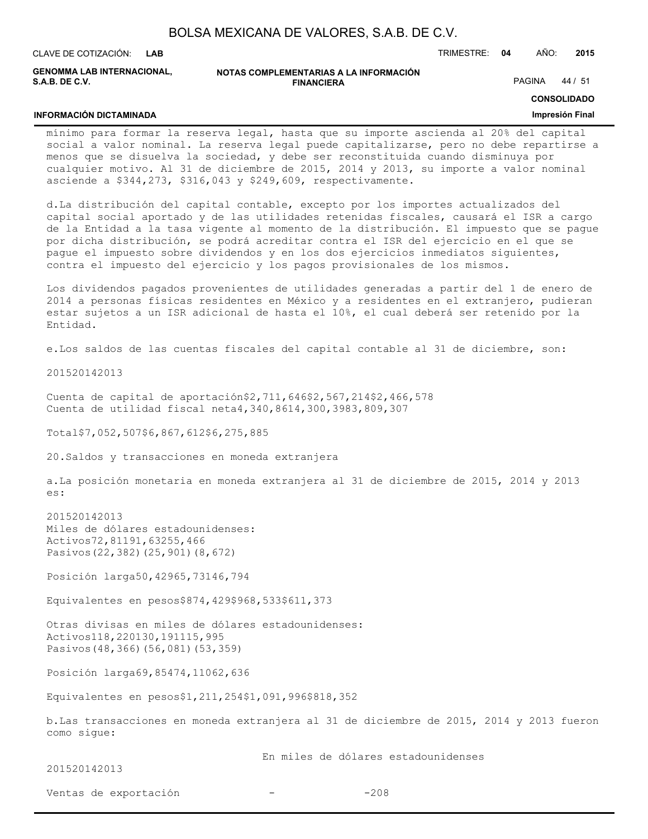| BOLSA MEXICANA DE VALORES, S.A.B. DE C.V. |  |  |
|-------------------------------------------|--|--|
|-------------------------------------------|--|--|

**INFORMACIÓN DICTAMINADA**

**GENOMMA LAB INTERNACIONAL, S.A.B. DE C.V.**

**NOTAS COMPLEMENTARIAS A LA INFORMACIÓN FINANCIERA**

PAGINA 44 / 51

**CONSOLIDADO**

#### **Impresión Final**

mínimo para formar la reserva legal, hasta que su importe ascienda al 20% del capital social a valor nominal. La reserva legal puede capitalizarse, pero no debe repartirse a menos que se disuelva la sociedad, y debe ser reconstituida cuando disminuya por cualquier motivo. Al 31 de diciembre de 2015, 2014 y 2013, su importe a valor nominal asciende a \$344,273, \$316,043 y \$249,609, respectivamente.

d.La distribución del capital contable, excepto por los importes actualizados del capital social aportado y de las utilidades retenidas fiscales, causará el ISR a cargo de la Entidad a la tasa vigente al momento de la distribución. El impuesto que se pague por dicha distribución, se podrá acreditar contra el ISR del ejercicio en el que se pague el impuesto sobre dividendos y en los dos ejercicios inmediatos siguientes, contra el impuesto del ejercicio y los pagos provisionales de los mismos.

Los dividendos pagados provenientes de utilidades generadas a partir del 1 de enero de 2014 a personas físicas residentes en México y a residentes en el extranjero, pudieran estar sujetos a un ISR adicional de hasta el 10%, el cual deberá ser retenido por la Entidad.

e.Los saldos de las cuentas fiscales del capital contable al 31 de diciembre, son:

201520142013

Cuenta de capital de aportación \$2,711,646\$2,567,214\$2,466,578 Cuenta de utilidad fiscal neta4,340,8614,300,3983,809,307

Total\$7,052,507\$6,867,612\$6,275,885

20.Saldos y transacciones en moneda extranjera

a.La posición monetaria en moneda extranjera al 31 de diciembre de 2015, 2014 y 2013 es:

201520142013 Miles de dólares estadounidenses: Activos72,81191,63255,466 Pasivos(22,382)(25,901)(8,672)

Posición larga50,42965,73146,794

Equivalentes en pesos\$874,429\$968,533\$611,373

Otras divisas en miles de dólares estadounidenses: Activos118,220130,191115,995 Pasivos(48,366)(56,081)(53,359)

Posición larga69,85474,11062,636

Equivalentes en pesos\$1,211,254\$1,091,996\$818,352

b.Las transacciones en moneda extranjera al 31 de diciembre de 2015, 2014 y 2013 fueron como sigue:

En miles de dólares estadounidenses

201520142013

Ventas de exportación  $-208$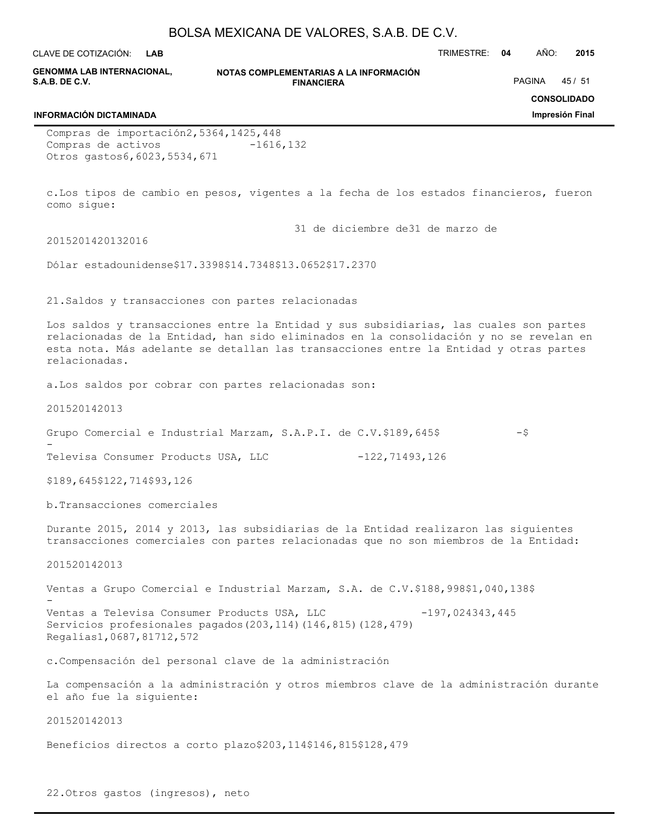|                                                                                                                                                                                                                                                                                           | BOLSA MEXICANA DE VALORES, S.A.B. DE C.V.                   |                                  |                                       |
|-------------------------------------------------------------------------------------------------------------------------------------------------------------------------------------------------------------------------------------------------------------------------------------------|-------------------------------------------------------------|----------------------------------|---------------------------------------|
| CLAVE DE COTIZACIÓN: LAB                                                                                                                                                                                                                                                                  |                                                             | TRIMESTRE:                       | AÑO:<br>2015<br>04                    |
| <b>GENOMMA LAB INTERNACIONAL,</b><br>S.A.B. DE C.V.                                                                                                                                                                                                                                       | NOTAS COMPLEMENTARIAS A LA INFORMACIÓN<br><b>FINANCIERA</b> |                                  | PAGINA<br>45/51<br><b>CONSOLIDADO</b> |
| <b>INFORMACIÓN DICTAMINADA</b>                                                                                                                                                                                                                                                            |                                                             |                                  | Impresión Final                       |
| Compras de importación2, 5364, 1425, 448<br>Compras de activos<br>Otros gastos6, 6023, 5534, 671                                                                                                                                                                                          | $-1616, 132$                                                |                                  |                                       |
| c. Los tipos de cambio en pesos, vigentes a la fecha de los estados financieros, fueron<br>como sigue:                                                                                                                                                                                    |                                                             |                                  |                                       |
| 2015201420132016                                                                                                                                                                                                                                                                          |                                                             | 31 de diciembre de31 de marzo de |                                       |
| Dólar estadounidense\$17.3398\$14.7348\$13.0652\$17.2370                                                                                                                                                                                                                                  |                                                             |                                  |                                       |
| 21. Saldos y transacciones con partes relacionadas                                                                                                                                                                                                                                        |                                                             |                                  |                                       |
| Los saldos y transacciones entre la Entidad y sus subsidiarias, las cuales son partes<br>relacionadas de la Entidad, han sido eliminados en la consolidación y no se revelan en<br>esta nota. Más adelante se detallan las transacciones entre la Entidad y otras partes<br>relacionadas. |                                                             |                                  |                                       |
| a. Los saldos por cobrar con partes relacionadas son:                                                                                                                                                                                                                                     |                                                             |                                  |                                       |
| 201520142013                                                                                                                                                                                                                                                                              |                                                             |                                  |                                       |
| Grupo Comercial e Industrial Marzam, S.A.P.I. de C.V.\$189,645\$                                                                                                                                                                                                                          |                                                             |                                  | -\$                                   |
| Televisa Consumer Products USA, LLC                                                                                                                                                                                                                                                       |                                                             | $-122, 71493, 126$               |                                       |
| \$189,645\$122,714\$93,126                                                                                                                                                                                                                                                                |                                                             |                                  |                                       |
| b. Transacciones comerciales                                                                                                                                                                                                                                                              |                                                             |                                  |                                       |
| Durante 2015, 2014 y 2013, las subsidiarias de la Entidad realizaron las siguientes<br>transacciones comerciales con partes relacionadas que no son miembros de la Entidad:                                                                                                               |                                                             |                                  |                                       |
| 201520142013                                                                                                                                                                                                                                                                              |                                                             |                                  |                                       |
| Ventas a Grupo Comercial e Industrial Marzam, S.A. de C.V.\$188,998\$1,040,138\$                                                                                                                                                                                                          |                                                             |                                  |                                       |
| Ventas a Televisa Consumer Products USA, LLC<br>Servicios profesionales pagados (203, 114) (146, 815) (128, 479)<br>Regalías1, 0687, 81712, 572                                                                                                                                           |                                                             | $-197,024343,445$                |                                       |
| c. Compensación del personal clave de la administración                                                                                                                                                                                                                                   |                                                             |                                  |                                       |
| La compensación a la administración y otros miembros clave de la administración durante<br>el año fue la siguiente:                                                                                                                                                                       |                                                             |                                  |                                       |
| 201520142013                                                                                                                                                                                                                                                                              |                                                             |                                  |                                       |
| Beneficios directos a corto plazo\$203,114\$146,815\$128,479                                                                                                                                                                                                                              |                                                             |                                  |                                       |
|                                                                                                                                                                                                                                                                                           |                                                             |                                  |                                       |

22.Otros gastos (ingresos), neto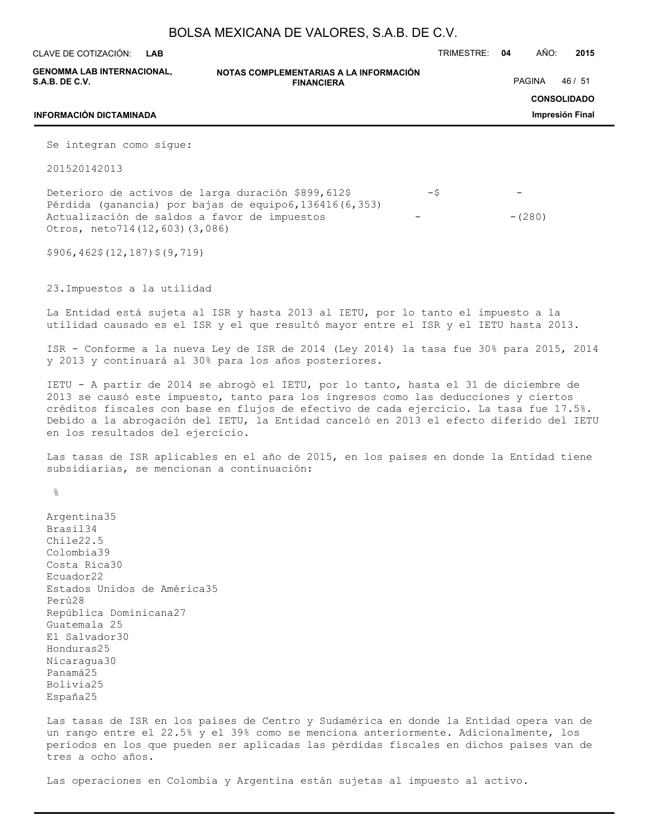**LAB**

CLAVE DE COTIZACIÓN: TRIMESTRE: **04** AÑO: **2015**

| 2015 |
|------|
|      |

**GENOMMA LAB INTERNACIONAL, S.A.B. DE C.V.**

**NOTAS COMPLEMENTARIAS A LA INFORMACIÓN FINANCIERA**

**CONSOLIDADO** PAGINA 46 / 51

**Impresión Final**

#### **INFORMACIÓN DICTAMINADA**

Se integran como sigue:

201520142013

Deterioro de activos de larga duración \$899,612\$ -\$ Pérdida (ganancia) por bajas de equipo6,136416(6,353) Actualización de saldos a favor de impuestos - - - - - - - (280) Otros, neto714(12,603)(3,086)

\$906,462\$(12,187)\$(9,719)

23.Impuestos a la utilidad

La Entidad está sujeta al ISR y hasta 2013 al IETU, por lo tanto el impuesto a la utilidad causado es el ISR y el que resultó mayor entre el ISR y el IETU hasta 2013.

ISR - Conforme a la nueva Ley de ISR de 2014 (Ley 2014) la tasa fue 30% para 2015, 2014 y 2013 y continuará al 30% para los años posteriores.

IETU - A partir de 2014 se abrogó el IETU, por lo tanto, hasta el 31 de diciembre de 2013 se causó este impuesto, tanto para los ingresos como las deducciones y ciertos créditos fiscales con base en flujos de efectivo de cada ejercicio. La tasa fue 17.5%. Debido a la abrogación del IETU, la Entidad canceló en 2013 el efecto diferido del IETU en los resultados del ejercicio.

Las tasas de ISR aplicables en el año de 2015, en los países en donde la Entidad tiene subsidiarias, se mencionan a continuación:

 $\approx$ 

Argentina35 Brasil34 Chile22.5 Colombia39 Costa Rica30 Ecuador22 Estados Unidos de América35 Perú28 República Dominicana27 Guatemala 25 El Salvador30 Honduras25 Nicaragua30 Panamá25 Bolivia25 España25

Las tasas de ISR en los países de Centro y Sudamérica en donde la Entidad opera van de un rango entre el 22.5% y el 39% como se menciona anteriormente. Adicionalmente, los periodos en los que pueden ser aplicadas las pérdidas fiscales en dichos países van de tres a ocho años.

Las operaciones en Colombia y Argentina están sujetas al impuesto al activo.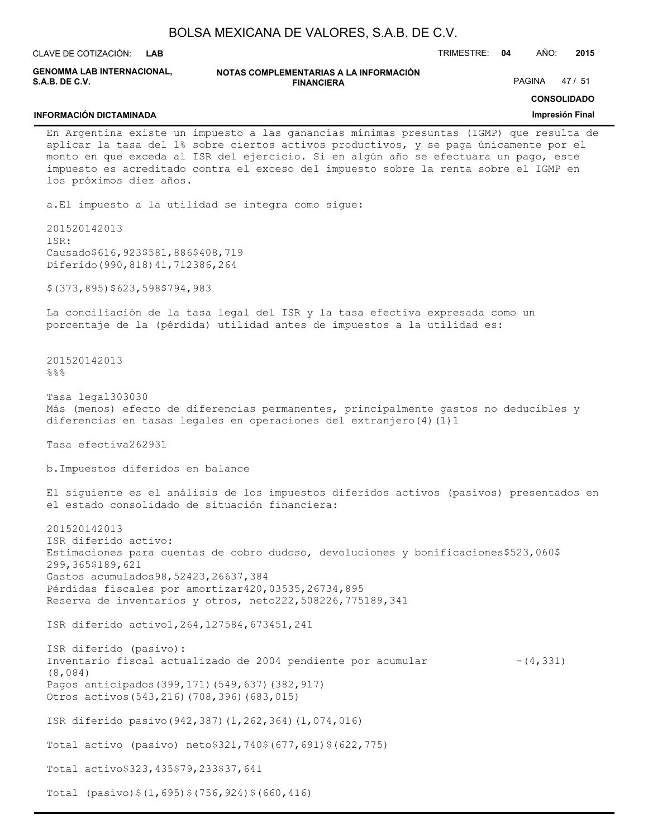| BOLSA MEXICANA DE VALORES, S.A.B. DE C.V. |  |  |
|-------------------------------------------|--|--|
|-------------------------------------------|--|--|

**NOTAS COMPLEMENTARIAS A LA INFORMACIÓN FINANCIERA** CLAVE DE COTIZACIÓN: TRIMESTRE: **04** AÑO: **2015 CONSOLIDADO LAB GENOMMA LAB INTERNACIONAL, S.A.B. DE C.V.** PAGINA 47 / 51

#### **INFORMACIÓN DICTAMINADA**

En Argentina existe un impuesto a las ganancias mínimas presuntas (IGMP) que resulta de aplicar la tasa del 1% sobre ciertos activos productivos, y se paga únicamente por el monto en que exceda al ISR del ejercicio. Si en algún año se efectuara un pago, este impuesto es acreditado contra el exceso del impuesto sobre la renta sobre el IGMP en los próximos diez años.

**Impresión Final**

a.El impuesto a la utilidad se integra como sigue:

201520142013 ISR: Causado\$616,923\$581,886\$408,719 Diferido(990,818)41,712386,264

\$(373,895)\$623,598\$794,983

La conciliación de la tasa legal del ISR y la tasa efectiva expresada como un porcentaje de la (pérdida) utilidad antes de impuestos a la utilidad es:

201520142013  $%$ 

Tasa legal303030 Más (menos) efecto de diferencias permanentes, principalmente gastos no deducibles y diferencias en tasas legales en operaciones del extranjero(4)(1)1

Tasa efectiva262931

b.Impuestos diferidos en balance

El siguiente es el análisis de los impuestos diferidos activos (pasivos) presentados en el estado consolidado de situación financiera:

201520142013 ISR diferido activo: Estimaciones para cuentas de cobro dudoso, devoluciones y bonificaciones\$523,060\$ 299,365\$189,621 Gastos acumulados98,52423,26637,384 Pérdidas fiscales por amortizar420,03535,26734,895 Reserva de inventarios y otros, neto222,508226,775189,341

ISR diferido activo1,264,127584,673451,241

ISR diferido (pasivo): Inventario fiscal actualizado de 2004 pendiente por acumular -(4,331) (8,084) Pagos anticipados(399,171)(549,637)(382,917) Otros activos(543,216)(708,396)(683,015)

ISR diferido pasivo(942,387)(1,262,364)(1,074,016)

Total activo (pasivo) neto\$321,740\$(677,691)\$(622,775)

Total activo\$323,435\$79,233\$37,641

Total (pasivo)\$(1,695)\$(756,924)\$(660,416)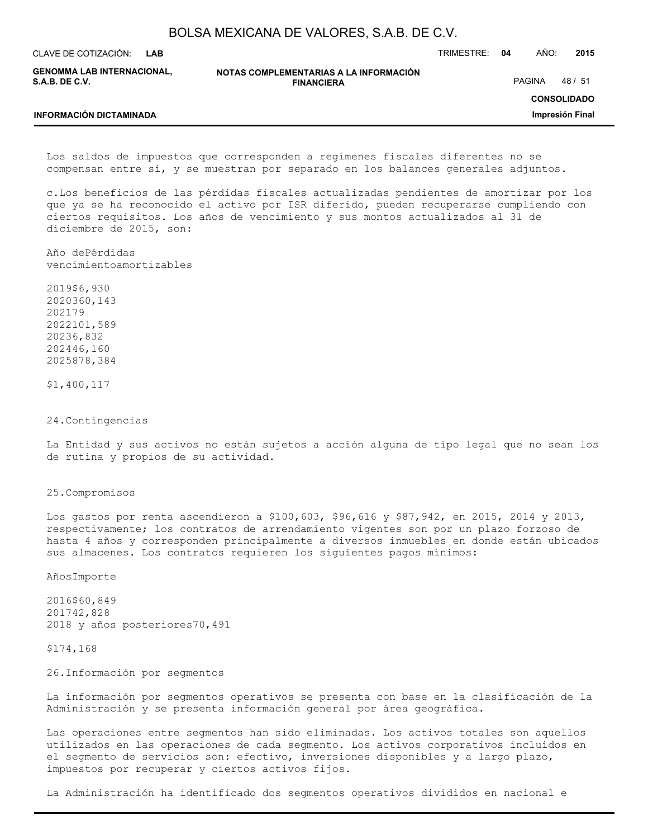| CLAVE DE COTIZACIÓN: LAB                                                       |                                                                                                                                                                                                                                                                                                                                                          | TRIMESTRE: | AÑO:<br>04 | 2015               |
|--------------------------------------------------------------------------------|----------------------------------------------------------------------------------------------------------------------------------------------------------------------------------------------------------------------------------------------------------------------------------------------------------------------------------------------------------|------------|------------|--------------------|
| <b>GENOMMA LAB INTERNACIONAL,</b><br>S.A.B. DE C.V.                            | NOTAS COMPLEMENTARIAS A LA INFORMACIÓN<br><b>FINANCIERA</b>                                                                                                                                                                                                                                                                                              |            | PAGINA     | 48 / 51            |
|                                                                                |                                                                                                                                                                                                                                                                                                                                                          |            |            | <b>CONSOLIDADO</b> |
| <b>INFORMACIÓN DICTAMINADA</b>                                                 |                                                                                                                                                                                                                                                                                                                                                          |            |            | Impresión Final    |
| ciertos requisitos. Los años de vencimiento y sus montos actualizados al 31 de | Los saldos de impuestos que corresponden a regímenes fiscales diferentes no se<br>compensan entre sí, y se muestran por separado en los balances generales adjuntos.<br>c. Los beneficios de las pérdidas fiscales actualizadas pendientes de amortizar por los<br>que ya se ha reconocido el activo por ISR diferido, pueden recuperarse cumpliendo con |            |            |                    |

Año dePérdidas vencimientoamortizables

2019\$6,930 2020360,143 202179 2022101,589 20236,832 202446,160 2025878,384

\$1,400,117

24.Contingencias

La Entidad y sus activos no están sujetos a acción alguna de tipo legal que no sean los de rutina y propios de su actividad.

25.Compromisos

Los gastos por renta ascendieron a \$100,603, \$96,616 y \$87,942, en 2015, 2014 y 2013, respectivamente; los contratos de arrendamiento vigentes son por un plazo forzoso de hasta 4 años y corresponden principalmente a diversos inmuebles en donde están ubicados sus almacenes. Los contratos requieren los siguientes pagos mínimos:

AñosImporte

2016\$60,849 201742,828 2018 y años posteriores70,491

\$174,168

26.Información por segmentos

La información por segmentos operativos se presenta con base en la clasificación de la Administración y se presenta información general por área geográfica.

Las operaciones entre segmentos han sido eliminadas. Los activos totales son aquellos utilizados en las operaciones de cada segmento. Los activos corporativos incluidos en el segmento de servicios son: efectivo, inversiones disponibles y a largo plazo, impuestos por recuperar y ciertos activos fijos.

La Administración ha identificado dos segmentos operativos divididos en nacional e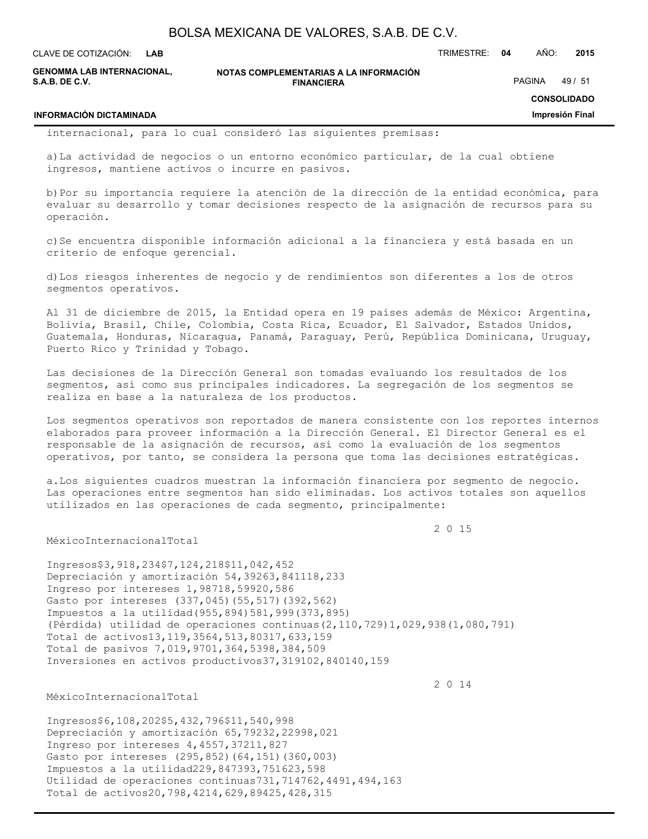CLAVE DE COTIZACIÓN: TRIMESTRE: **04** AÑO: **2015 LAB**

**INFORMACIÓN DICTAMINADA**

**GENOMMA LAB INTERNACIONAL, S.A.B. DE C.V.**

**NOTAS COMPLEMENTARIAS A LA INFORMACIÓN FINANCIERA**

PAGINA 49 / 51

**CONSOLIDADO**

**Impresión Final**

internacional, para lo cual consideró las siguientes premisas:

a)La actividad de negocios o un entorno económico particular, de la cual obtiene ingresos, mantiene activos o incurre en pasivos.

b)Por su importancia requiere la atención de la dirección de la entidad económica, para evaluar su desarrollo y tomar decisiones respecto de la asignación de recursos para su operación.

c)Se encuentra disponible información adicional a la financiera y está basada en un criterio de enfoque gerencial.

d)Los riesgos inherentes de negocio y de rendimientos son diferentes a los de otros segmentos operativos.

Al 31 de diciembre de 2015, la Entidad opera en 19 países además de México: Argentina, Bolivia, Brasil, Chile, Colombia, Costa Rica, Ecuador, El Salvador, Estados Unidos, Guatemala, Honduras, Nicaragua, Panamá, Paraguay, Perú, República Dominicana, Uruguay, Puerto Rico y Trinidad y Tobago.

Las decisiones de la Dirección General son tomadas evaluando los resultados de los segmentos, así como sus principales indicadores. La segregación de los segmentos se realiza en base a la naturaleza de los productos.

Los segmentos operativos son reportados de manera consistente con los reportes internos elaborados para proveer información a la Dirección General. El Director General es el responsable de la asignación de recursos, así como la evaluación de los segmentos operativos, por tanto, se considera la persona que toma las decisiones estratégicas.

a.Los siguientes cuadros muestran la información financiera por segmento de negocio. Las operaciones entre segmentos han sido eliminadas. Los activos totales son aquellos utilizados en las operaciones de cada segmento, principalmente:

2 0 15

### MéxicoInternacionalTotal

Ingresos\$3,918,234\$7,124,218\$11,042,452 Depreciación y amortización 54,39263,841118,233 Ingreso por intereses 1,98718,59920,586 Gasto por intereses (337,045)(55,517)(392,562) Impuestos a la utilidad(955,894)581,999(373,895) (Pérdida) utilidad de operaciones continuas(2,110,729)1,029,938(1,080,791) Total de activos13,119,3564,513,80317,633,159 Total de pasivos 7,019,9701,364,5398,384,509 Inversiones en activos productivos37,319102,840140,159

2 0 14

MéxicoInternacionalTotal

Ingresos\$6,108,202\$5,432,796\$11,540,998 Depreciación y amortización 65,79232,22998,021 Ingreso por intereses 4,4557,37211,827 Gasto por intereses (295,852)(64,151)(360,003) Impuestos a la utilidad229,847393,751623,598 Utilidad de operaciones continuas731,714762,4491,494,163 Total de activos20,798,4214,629,89425,428,315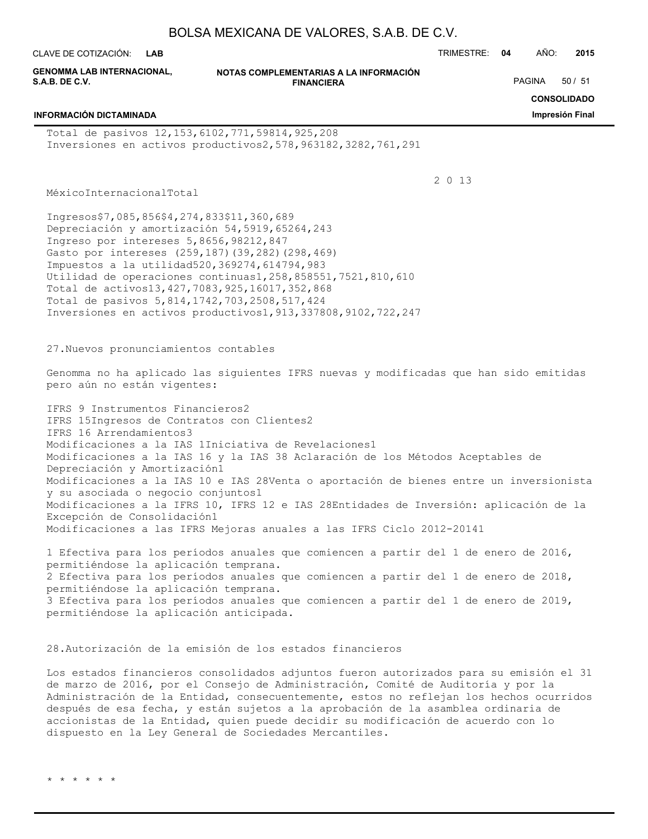|                                                                                                                                                                                                                                                                                                                                                              | BOLSA MEXICANA DE VALORES, S.A.B. DE C.V.                                                                                                                                                                                                                                                                                 |               |                                       |
|--------------------------------------------------------------------------------------------------------------------------------------------------------------------------------------------------------------------------------------------------------------------------------------------------------------------------------------------------------------|---------------------------------------------------------------------------------------------------------------------------------------------------------------------------------------------------------------------------------------------------------------------------------------------------------------------------|---------------|---------------------------------------|
| CLAVE DE COTIZACIÓN:<br><b>LAB</b>                                                                                                                                                                                                                                                                                                                           |                                                                                                                                                                                                                                                                                                                           | TRIMESTRE: 04 | AÑO:<br>2015                          |
| <b>GENOMMA LAB INTERNACIONAL,</b><br>S.A.B. DE C.V.                                                                                                                                                                                                                                                                                                          | NOTAS COMPLEMENTARIAS A LA INFORMACIÓN<br><b>FINANCIERA</b>                                                                                                                                                                                                                                                               |               | PAGINA<br>50/51                       |
| <b>INFORMACIÓN DICTAMINADA</b>                                                                                                                                                                                                                                                                                                                               |                                                                                                                                                                                                                                                                                                                           |               | <b>CONSOLIDADO</b><br>Impresión Final |
| Total de pasivos 12, 153, 6102, 771, 59814, 925, 208                                                                                                                                                                                                                                                                                                         | Inversiones en activos productivos2,578,963182,3282,761,291                                                                                                                                                                                                                                                               |               |                                       |
|                                                                                                                                                                                                                                                                                                                                                              |                                                                                                                                                                                                                                                                                                                           | 2 0 13        |                                       |
| MéxicoInternacionalTotal                                                                                                                                                                                                                                                                                                                                     |                                                                                                                                                                                                                                                                                                                           |               |                                       |
| Ingresos\$7,085,856\$4,274,833\$11,360,689<br>Depreciación y amortización 54,5919,65264,243<br>Ingreso por intereses 5,8656,98212,847<br>Gasto por intereses (259, 187) (39, 282) (298, 469)<br>Impuestos a la utilidad520, 369274, 614794, 983<br>Total de activos13, 427, 7083, 925, 16017, 352, 868<br>Total de pasivos 5, 814, 1742, 703, 2508, 517, 424 | Utilidad de operaciones continuas1, 258, 858551, 7521, 810, 610<br>Inversiones en activos productivos1, 913, 337808, 9102, 722, 247                                                                                                                                                                                       |               |                                       |
| 27. Nuevos pronunciamientos contables<br>pero aún no están vigentes:                                                                                                                                                                                                                                                                                         | Genomma no ha aplicado las siguientes IFRS nuevas y modificadas que han sido emitidas                                                                                                                                                                                                                                     |               |                                       |
| IFRS 9 Instrumentos Financieros2<br>IFRS 15Ingresos de Contratos con Clientes2<br>IFRS 16 Arrendamientos3<br>Depreciación y Amortización1<br>y su asociada o negocio conjuntos1<br>Excepción de Consolidación1                                                                                                                                               | Modificaciones a la IAS 1Iniciativa de Revelaciones1<br>Modificaciones a la IAS 16 y la IAS 38 Aclaración de los Métodos Aceptables de<br>Modificaciones a la IAS 10 e IAS 28Venta o aportación de bienes entre un inversionista<br>Modificaciones a la IFRS 10, IFRS 12 e IAS 28Entidades de Inversión: aplicación de la |               |                                       |
|                                                                                                                                                                                                                                                                                                                                                              | Modificaciones a las IFRS Mejoras anuales a las IFRS Ciclo 2012-20141                                                                                                                                                                                                                                                     |               |                                       |
| permitiéndose la aplicación temprana.<br>permitiéndose la aplicación temprana.<br>permitiéndose la aplicación anticipada.                                                                                                                                                                                                                                    | 1 Efectiva para los períodos anuales que comiencen a partir del 1 de enero de 2016,<br>2 Efectiva para los períodos anuales que comiencen a partir del 1 de enero de 2018,<br>3 Efectiva para los períodos anuales que comiencen a partir del 1 de enero de 2019,                                                         |               |                                       |
|                                                                                                                                                                                                                                                                                                                                                              | 28. Autorización de la emisión de los estados financieros                                                                                                                                                                                                                                                                 |               |                                       |
|                                                                                                                                                                                                                                                                                                                                                              | Los estados financieros consolidados adjuntos fueron autorizados para su emisión el 31<br>de marzo de 2016, por el Consejo de Administración, Comité de Auditoría y por la                                                                                                                                                |               |                                       |

Administración de la Entidad, consecuentemente, estos no reflejan los hechos ocurridos después de esa fecha, y están sujetos a la aprobación de la asamblea ordinaria de accionistas de la Entidad, quien puede decidir su modificación de acuerdo con lo dispuesto en la Ley General de Sociedades Mercantiles.

\* \* \* \* \* \*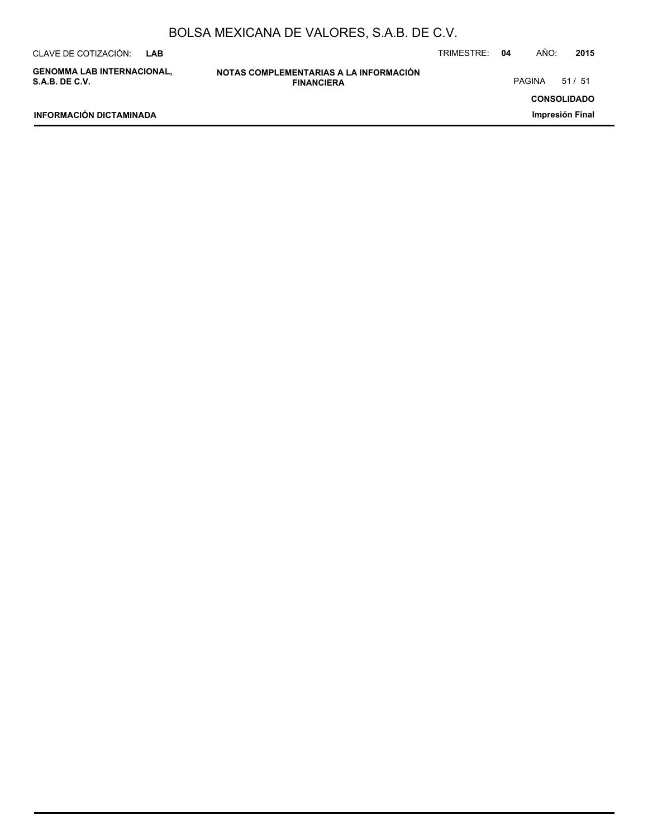| CLAVE DE COTIZACIÓN:                         | LAB |                                                             | TRIMESTRE: 04 | AÑO:   | 2015               |
|----------------------------------------------|-----|-------------------------------------------------------------|---------------|--------|--------------------|
| GENOMMA LAB INTERNACIONAL.<br>S.A.B. DE C.V. |     | NOTAS COMPLEMENTARIAS A LA INFORMACIÓN<br><b>FINANCIERA</b> |               | PAGINA | 51 / 51            |
|                                              |     |                                                             |               |        | <b>CONSOLIDADO</b> |
| <b>INFORMACIÓN DICTAMINADA</b>               |     |                                                             |               |        | Impresión Final    |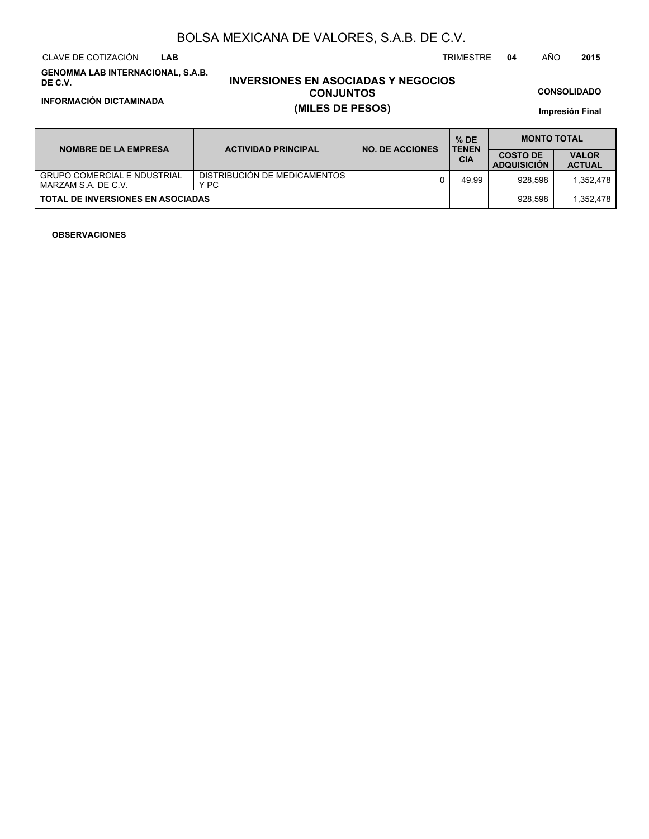CLAVE DE COTIZACIÓN TRIMESTRE **04** AÑO **2015 LAB**

**GENOMMA LAB INTERNACIONAL, S.A.B. DE C.V.**

# **INVERSIONES EN ASOCIADAS Y NEGOCIOS CONJUNTOS INFORMACIÓN DICTAMINADA (MILES DE PESOS)**

**CONSOLIDADO**

**Impresión Final**

| <b>NOMBRE DE LA EMPRESA</b>                               | <b>ACTIVIDAD PRINCIPAL</b>           | <b>NO. DE ACCIONES</b> | $%$ DE<br><b>TENEN</b> | <b>MONTO TOTAL</b>                    |                               |  |
|-----------------------------------------------------------|--------------------------------------|------------------------|------------------------|---------------------------------------|-------------------------------|--|
|                                                           |                                      |                        | <b>CIA</b>             | <b>COSTO DE</b><br><b>ADQUISICION</b> | <b>VALOR</b><br><b>ACTUAL</b> |  |
| <b>GRUPO COMERCIAL E NDUSTRIAL</b><br>MARZAM S.A. DE C.V. | DISTRIBUCIÓN DE MEDICAMENTOS<br>Y PC |                        | 49.99                  | 928.598                               | 1.352.478                     |  |
| <b>TOTAL DE INVERSIONES EN ASOCIADAS</b>                  |                                      |                        |                        | 928.598                               | 1,352,478                     |  |

### **OBSERVACIONES**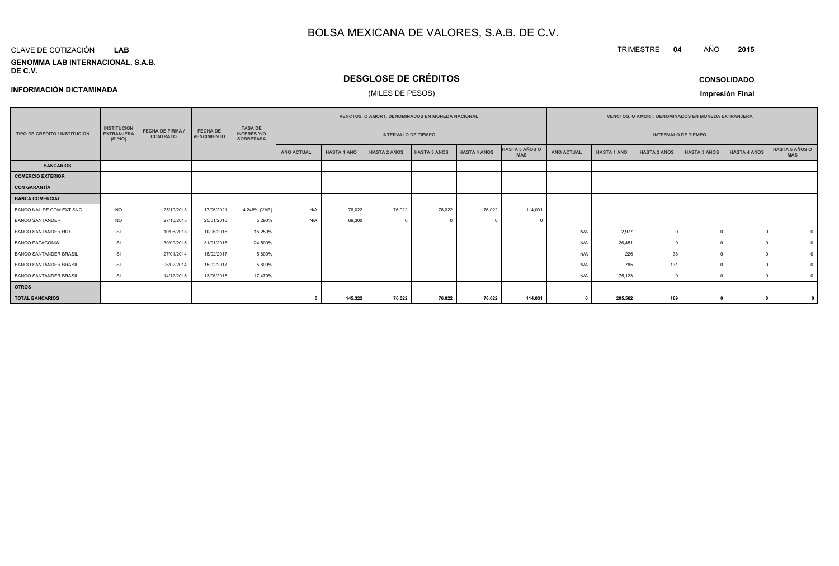#### CLAVE DE COTIZACIÓN

**INFORMACIÓN DICTAMINADA**

#### **GENOMMA LAB INTERNACIONAL, S.A.B. DE C.V.**

# **DESGLOSE DE CRÉDITOS**

### (MILES DE PESOS)

**CONSOLIDADO**

**Impresión Final**

|                               |                                                    |                                            |                                       |                                                          |                   | <b>VENCTOS, O AMORT, DENOMINADOS EN MONEDA NACIONAL</b> |                            |                     |                     | <b>VENCTOS, O AMORT, DENOMINADOS EN MONEDA EXTRANJERA</b> |            |                    |                            |                     |              |                       |
|-------------------------------|----------------------------------------------------|--------------------------------------------|---------------------------------------|----------------------------------------------------------|-------------------|---------------------------------------------------------|----------------------------|---------------------|---------------------|-----------------------------------------------------------|------------|--------------------|----------------------------|---------------------|--------------|-----------------------|
| TIPO DE CRÉDITO / INSTITUCIÓN | <b>INSTITUCION</b><br><b>EXTRANJERA</b><br>(SI/NO) | <b>FECHA DE FIRMA /</b><br><b>CONTRATO</b> | <b>FECHA DE</b><br><b>VENCIMIENTO</b> | <b>TASA DE</b><br><b>INTERÉS Y/O</b><br><b>SOBRETASA</b> |                   |                                                         | <b>INTERVALO DE TIEMPO</b> |                     |                     |                                                           |            |                    | <b>INTERVALO DE TIEMPO</b> |                     |              |                       |
|                               |                                                    |                                            |                                       |                                                          | <b>AÑO ACTUAL</b> | <b>HASTA 1 AÑO</b>                                      | <b>HASTA 2 AÑOS</b>        | <b>HASTA 3 AÑOS</b> | <b>HASTA 4 AÑOS</b> | HASTA 5 AÑOS O<br><b>MÁS</b>                              | AÑO ACTUAL | <b>HASTA 1 AÑO</b> | <b>HASTA 2 AÑOS</b>        | <b>HASTA 3 AÑOS</b> | HASTA 4 AÑOS | HASTA 5 AÑOS O<br>MÁS |
| <b>BANCARIOS</b>              |                                                    |                                            |                                       |                                                          |                   |                                                         |                            |                     |                     |                                                           |            |                    |                            |                     |              |                       |
| <b>COMERCIO EXTERIOR</b>      |                                                    |                                            |                                       |                                                          |                   |                                                         |                            |                     |                     |                                                           |            |                    |                            |                     |              |                       |
| <b>CON GARANTÍA</b>           |                                                    |                                            |                                       |                                                          |                   |                                                         |                            |                     |                     |                                                           |            |                    |                            |                     |              |                       |
| <b>BANCA COMERCIAL</b>        |                                                    |                                            |                                       |                                                          |                   |                                                         |                            |                     |                     |                                                           |            |                    |                            |                     |              |                       |
| BANCO NAL DE COM EXT SNC      | <b>NO</b>                                          | 25/10/2013                                 | 17/06/2021                            | 4.248% (VAR)                                             | N/A               | 76,022                                                  | 76,022                     | 76,022              | 76,022              | 114.031                                                   |            |                    |                            |                     |              |                       |
| <b>BANCO SANTANDER</b>        | <b>NO</b>                                          | 27/10/2015                                 | 25/01/2016                            | 5.290%                                                   | N/A               | 69,300                                                  | $\Omega$                   |                     |                     |                                                           |            |                    |                            |                     |              |                       |
| <b>BANCO SANTANDER RIO</b>    | SI                                                 | 10/06/2013                                 | 10/06/2016                            | 15.250%                                                  |                   |                                                         |                            |                     |                     |                                                           | N/A        | 2,977              |                            |                     |              |                       |
| <b>BANCO PATAGONIA</b>        | SI                                                 | 30/09/2015                                 | 31/01/2016                            | 24.500%                                                  |                   |                                                         |                            |                     |                     |                                                           | N/A        | 26,451             |                            |                     |              |                       |
| <b>BANCO SANTANDER BRASIL</b> | SI                                                 | 27/01/2014                                 | 15/02/2017                            | 5.800%                                                   |                   |                                                         |                            |                     |                     |                                                           | N/A        | 226                | 38                         |                     |              |                       |
| <b>BANCO SANTANDER BRASIL</b> | SI                                                 | 05/02/2014                                 | 15/02/2017                            | 5.800%                                                   |                   |                                                         |                            |                     |                     |                                                           | N/A        | 785                | 131                        |                     |              |                       |
| <b>BANCO SANTANDER BRASIL</b> | SI                                                 | 14/12/2015                                 | 13/06/2016                            | 17.470%                                                  |                   |                                                         |                            |                     |                     |                                                           | N/A        | 175,123            |                            |                     |              |                       |
| <b>OTROS</b>                  |                                                    |                                            |                                       |                                                          |                   |                                                         |                            |                     |                     |                                                           |            |                    |                            |                     |              |                       |
| <b>TOTAL BANCARIOS</b>        |                                                    |                                            |                                       |                                                          | $\mathbf{0}$      | 145,322                                                 | 76,022                     | 76,022              | 76,022              | 114,031                                                   |            | 205,562            | 169                        |                     | $\mathbf{0}$ |                       |

**LAB**

TRIMESTRE **<sup>04</sup>** AÑO**<sup>2015</sup>**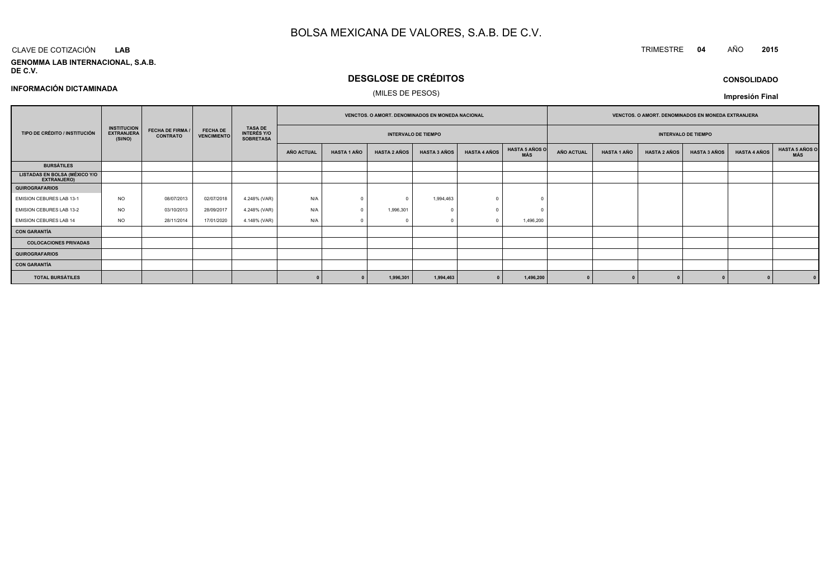#### CLAVE DE COTIZACIÓN TRIMESTRE **<sup>04</sup>** AÑO **<sup>2015</sup> LAB**

**GENOMMA LAB INTERNACIONAL, S.A.B. DE C.V.**

# **DESGLOSE DE CRÉDITOS**

**Impresión Final**

### **INFORMACIÓN DICTAMINADA**

### (MILES DE PESOS)

| TIPO DE CRÉDITO / INSTITUCIÓN                              | <b>INSTITUCION</b><br><b>EXTRANJERA</b><br>(SI/NO) | <b>FECHA DE FIRMA /</b><br><b>CONTRATO</b> |            |              | <b>VENCTOS, O AMORT, DENOMINADOS EN MONEDA NACIONAL</b> |                    |                     |                                       |                     | <b>VENCTOS, O AMORT, DENOMINADOS EN MONEDA EXTRANJERA</b> |                                                          |                    |                     |                     |                            |                       |  |  |  |  |
|------------------------------------------------------------|----------------------------------------------------|--------------------------------------------|------------|--------------|---------------------------------------------------------|--------------------|---------------------|---------------------------------------|---------------------|-----------------------------------------------------------|----------------------------------------------------------|--------------------|---------------------|---------------------|----------------------------|-----------------------|--|--|--|--|
|                                                            |                                                    |                                            |            |              |                                                         |                    |                     | <b>FECHA DE</b><br><b>VENCIMIENTO</b> |                     |                                                           | <b>TASA DE</b><br><b>INTERÉS Y/O</b><br><b>SOBRETASA</b> |                    |                     |                     | <b>INTERVALO DE TIEMPO</b> |                       |  |  |  |  |
|                                                            |                                                    |                                            |            |              | AÑO ACTUAL                                              | <b>HASTA 1 AÑO</b> | <b>HASTA 2 AÑOS</b> | <b>HASTA 3 AÑOS</b>                   | <b>HASTA 4 AÑOS</b> | <b>HASTA 5 AÑOS O</b><br>MÁS                              | <b>AÑO ACTUAL</b>                                        | <b>HASTA 1 AÑO</b> | <b>HASTA 2 AÑOS</b> | <b>HASTA 3 AÑOS</b> | <b>HASTA 4 AÑOS</b>        | HASTA 5 AÑOS O<br>MÁS |  |  |  |  |
| <b>BURSÁTILES</b>                                          |                                                    |                                            |            |              |                                                         |                    |                     |                                       |                     |                                                           |                                                          |                    |                     |                     |                            |                       |  |  |  |  |
| <b>LISTADAS EN BOLSA (MÉXICO Y/O</b><br><b>EXTRANJERO)</b> |                                                    |                                            |            |              |                                                         |                    |                     |                                       |                     |                                                           |                                                          |                    |                     |                     |                            |                       |  |  |  |  |
| <b>QUIROGRAFARIOS</b>                                      |                                                    |                                            |            |              |                                                         |                    |                     |                                       |                     |                                                           |                                                          |                    |                     |                     |                            |                       |  |  |  |  |
| EMISION CEBURES LAB 13-1                                   | <b>NO</b>                                          | 08/07/2013                                 | 02/07/2018 | 4.248% (VAR) | N/A                                                     |                    | $\Omega$            | 1,994,463                             |                     |                                                           |                                                          |                    |                     |                     |                            |                       |  |  |  |  |
| EMISION CEBURES LAB 13-2                                   | <b>NO</b>                                          | 03/10/2013                                 | 28/09/2017 | 4.248% (VAR) | N/A                                                     |                    | 1,996,301           |                                       |                     |                                                           |                                                          |                    |                     |                     |                            |                       |  |  |  |  |
| <b>EMISION CEBURES LAB 14</b>                              | <b>NO</b>                                          | 28/11/2014                                 | 17/01/2020 | 4.148% (VAR) | N/A                                                     |                    |                     |                                       |                     | 1,496,200                                                 |                                                          |                    |                     |                     |                            |                       |  |  |  |  |
| <b>CON GARANTÍA</b>                                        |                                                    |                                            |            |              |                                                         |                    |                     |                                       |                     |                                                           |                                                          |                    |                     |                     |                            |                       |  |  |  |  |
| <b>COLOCACIONES PRIVADAS</b>                               |                                                    |                                            |            |              |                                                         |                    |                     |                                       |                     |                                                           |                                                          |                    |                     |                     |                            |                       |  |  |  |  |
| <b>QUIROGRAFARIOS</b>                                      |                                                    |                                            |            |              |                                                         |                    |                     |                                       |                     |                                                           |                                                          |                    |                     |                     |                            |                       |  |  |  |  |
| <b>CON GARANTÍA</b>                                        |                                                    |                                            |            |              |                                                         |                    |                     |                                       |                     |                                                           |                                                          |                    |                     |                     |                            |                       |  |  |  |  |
| <b>TOTAL BURSÁTILES</b>                                    |                                                    |                                            |            |              |                                                         |                    | 1,996,301           | 1,994,463                             |                     | 1,496,200                                                 |                                                          |                    |                     |                     |                            |                       |  |  |  |  |

**CONSOLIDADO**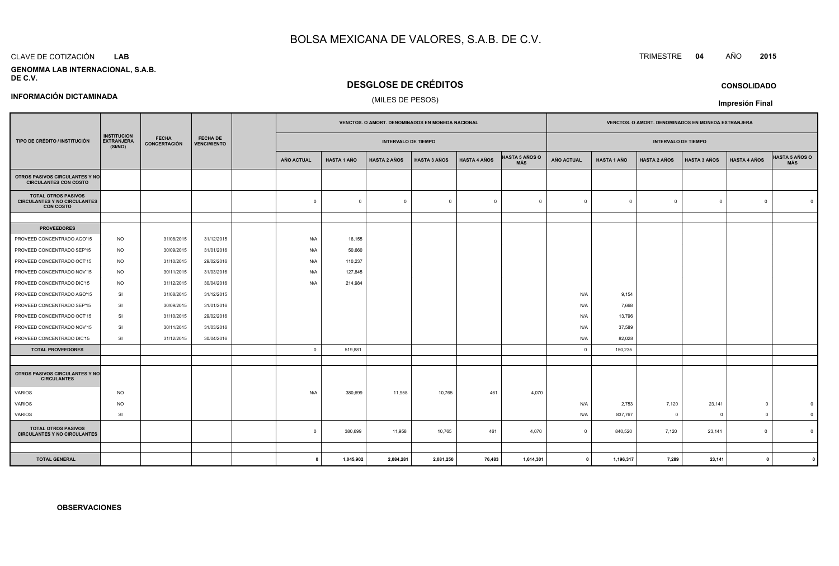#### CLAVE DE COTIZACIÓN**LAB**

**INFORMACIÓN DICTAMINADA**

#### **GENOMMA LAB INTERNACIONAL, S.A.B.DE C.V.**

### **DESGLOSE DE CRÉDITOS**

### (MILES DE PESOS)

|                                                                                       |                                                    |                              |                                       |                         |                    | VENCTOS. O AMORT. DENOMINADOS EN MONEDA NACIONAL |                     |                     |                              |                   |                    |                            | VENCTOS. O AMORT. DENOMINADOS EN MONEDA EXTRANJERA |                         |                       |
|---------------------------------------------------------------------------------------|----------------------------------------------------|------------------------------|---------------------------------------|-------------------------|--------------------|--------------------------------------------------|---------------------|---------------------|------------------------------|-------------------|--------------------|----------------------------|----------------------------------------------------|-------------------------|-----------------------|
| TIPO DE CRÉDITO / INSTITUCIÓN                                                         | <b>INSTITUCION</b><br><b>EXTRANJERA</b><br>(SI/NO) | <b>FECHA</b><br>CONCERTACIÓN | <b>FECHA DE</b><br><b>VENCIMIENTO</b> |                         |                    | <b>INTERVALO DE TIEMPO</b>                       |                     |                     |                              |                   |                    | <b>INTERVALO DE TIEMPO</b> |                                                    |                         |                       |
|                                                                                       |                                                    |                              |                                       | <b>AÑO ACTUAL</b>       | <b>HASTA 1 AÑO</b> | <b>HASTA 2 AÑOS</b>                              | <b>HASTA 3 AÑOS</b> | <b>HASTA 4 AÑOS</b> | <b>HASTA 5 AÑOS O</b><br>MÁS | <b>AÑO ACTUAL</b> | <b>HASTA 1 AÑO</b> | <b>HASTA 2 AÑOS</b>        | <b>HASTA 3 AÑOS</b>                                | <b>HASTA 4 AÑOS</b>     | HASTA 5 AÑOS O<br>MÁS |
| OTROS PASIVOS CIRCULANTES Y NO<br><b>CIRCULANTES CON COSTO</b>                        |                                                    |                              |                                       |                         |                    |                                                  |                     |                     |                              |                   |                    |                            |                                                    |                         |                       |
| <b>TOTAL OTROS PASIVOS</b><br><b>CIRCULANTES Y NO CIRCULANTES</b><br><b>CON COSTO</b> |                                                    |                              |                                       | $\Omega$                | $\mathbf 0$        | $\overline{0}$                                   | $\Omega$            | $\overline{0}$      | $\Omega$                     | $\mathbf 0$       | $\overline{0}$     | $\mathbf 0$                | $\mathbf{0}$                                       | $\overline{0}$          |                       |
|                                                                                       |                                                    |                              |                                       |                         |                    |                                                  |                     |                     |                              |                   |                    |                            |                                                    |                         |                       |
| <b>PROVEEDORES</b>                                                                    |                                                    |                              |                                       |                         |                    |                                                  |                     |                     |                              |                   |                    |                            |                                                    |                         |                       |
| PROVEED CONCENTRADO AGO'15                                                            | <b>NO</b>                                          | 31/08/2015                   | 31/12/2015                            | N/A                     | 16,155             |                                                  |                     |                     |                              |                   |                    |                            |                                                    |                         |                       |
| PROVEED CONCENTRADO SEP'15                                                            | <b>NO</b>                                          | 30/09/2015                   | 31/01/2016                            | N/A                     | 50,660             |                                                  |                     |                     |                              |                   |                    |                            |                                                    |                         |                       |
| PROVEED CONCENTRADO OCT'15                                                            | <b>NO</b>                                          | 31/10/2015                   | 29/02/2016                            | N/A                     | 110,237            |                                                  |                     |                     |                              |                   |                    |                            |                                                    |                         |                       |
| PROVEED CONCENTRADO NOV'15                                                            | <b>NO</b>                                          | 30/11/2015                   | 31/03/2016                            | N/A                     | 127,845            |                                                  |                     |                     |                              |                   |                    |                            |                                                    |                         |                       |
| PROVEED CONCENTRADO DIC'15                                                            | <b>NO</b>                                          | 31/12/2015                   | 30/04/2016                            | N/A                     | 214,984            |                                                  |                     |                     |                              |                   |                    |                            |                                                    |                         |                       |
| PROVEED CONCENTRADO AGO'15                                                            | SI                                                 | 31/08/2015                   | 31/12/2015                            |                         |                    |                                                  |                     |                     |                              | N/A               | 9,154              |                            |                                                    |                         |                       |
| PROVEED CONCENTRADO SEP'15                                                            | SI                                                 | 30/09/2015                   | 31/01/2016                            |                         |                    |                                                  |                     |                     |                              | N/A               | 7,668              |                            |                                                    |                         |                       |
| PROVEED CONCENTRADO OCT'15                                                            | SI                                                 | 31/10/2015                   | 29/02/2016                            |                         |                    |                                                  |                     |                     |                              | N/A               | 13,796             |                            |                                                    |                         |                       |
| PROVEED CONCENTRADO NOV'15                                                            | SI                                                 | 30/11/2015                   | 31/03/2016                            |                         |                    |                                                  |                     |                     |                              | N/A               | 37,589             |                            |                                                    |                         |                       |
| PROVEED CONCENTRADO DIC'15                                                            | SI                                                 | 31/12/2015                   | 30/04/2016                            |                         |                    |                                                  |                     |                     |                              | N/A               | 82,028             |                            |                                                    |                         |                       |
| <b>TOTAL PROVEEDORES</b>                                                              |                                                    |                              |                                       | $\overline{\mathbf{0}}$ | 519,881            |                                                  |                     |                     |                              | $\circ$           | 150,235            |                            |                                                    |                         |                       |
|                                                                                       |                                                    |                              |                                       |                         |                    |                                                  |                     |                     |                              |                   |                    |                            |                                                    |                         |                       |
| OTROS PASIVOS CIRCULANTES Y NO<br><b>CIRCULANTES</b>                                  |                                                    |                              |                                       |                         |                    |                                                  |                     |                     |                              |                   |                    |                            |                                                    |                         |                       |
| <b>VARIOS</b>                                                                         | <b>NO</b>                                          |                              |                                       | N/A                     | 380,699            | 11,958                                           | 10,765              | 461                 | 4,070                        |                   |                    |                            |                                                    |                         |                       |
| <b>VARIOS</b>                                                                         | <b>NO</b>                                          |                              |                                       |                         |                    |                                                  |                     |                     |                              | N/A               | 2,753              | 7,120                      | 23,141                                             | $\Omega$                |                       |
| VARIOS                                                                                | <b>SI</b>                                          |                              |                                       |                         |                    |                                                  |                     |                     |                              | N/A               | 837,767            | $\mathbf 0$                | $\mathbf 0$                                        | $\overline{0}$          |                       |
| <b>TOTAL OTROS PASIVOS</b><br><b>CIRCULANTES Y NO CIRCULANTES</b>                     |                                                    |                              |                                       | $\Omega$                | 380,699            | 11,958                                           | 10,765              | 461                 | 4,070                        | $\mathbf{0}$      | 840,520            | 7,120                      | 23,141                                             | $\overline{0}$          |                       |
|                                                                                       |                                                    |                              |                                       |                         |                    |                                                  |                     |                     |                              |                   |                    |                            |                                                    |                         |                       |
| <b>TOTAL GENERAL</b>                                                                  |                                                    |                              |                                       | $^{\circ}$              | 1,045,902          | 2,084,281                                        | 2,081,250           | 76,483              | 1.614.301                    | $\mathbf{0}$      | 1,196,317          | 7,289                      | 23,141                                             | $\overline{\mathbf{0}}$ |                       |

**<sup>0</sup> 1,045,902 2,084,281 2,081,250 76,483 1,614,301 <sup>0</sup> 1,196,317 7,289 23,141 <sup>0</sup> <sup>0</sup>**

**CONSOLIDADOImpresión Final**

**OBSERVACIONES**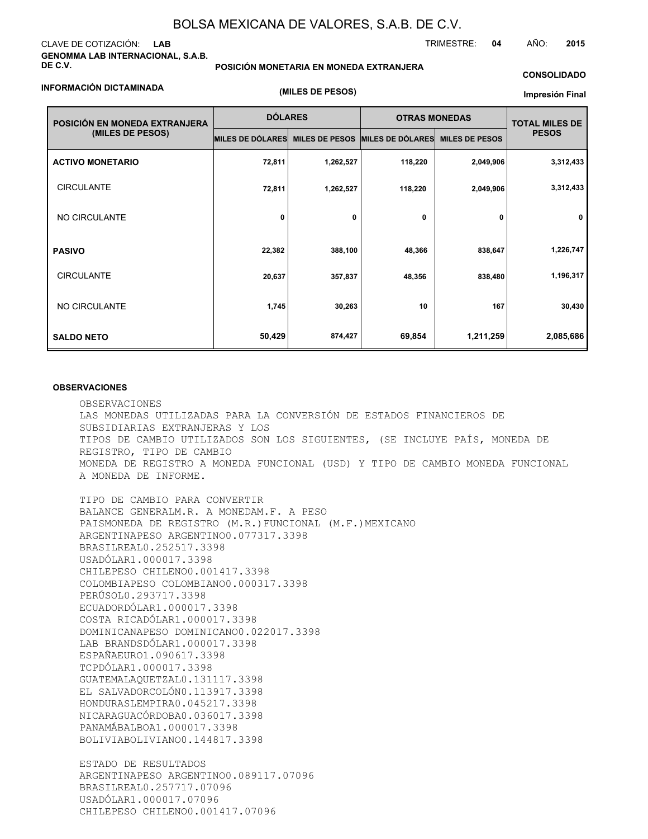#### CLAVE DE COTIZACIÓN: **LAB GENOMMA LAB INTERNACIONAL, S.A.B. DE C.V.**

#### **POSICIÓN MONETARIA EN MONEDA EXTRANJERA**

### **CONSOLIDADO**

TRIMESTRE: **04** AÑO: **2015**

#### **INFORMACIÓN DICTAMINADA**

**(MILES DE PESOS)**

### **Impresión Final**

| POSICIÓN EN MONEDA EXTRANJERA | <b>DÓLARES</b>          |           | <b>OTRAS MONEDAS</b>            |                       | <b>TOTAL MILES DE</b> |
|-------------------------------|-------------------------|-----------|---------------------------------|-----------------------|-----------------------|
| (MILES DE PESOS)              | <b>MILES DE DÓLARES</b> |           | MILES DE PESOS MILES DE DÓLARES | <b>MILES DE PESOS</b> | <b>PESOS</b>          |
| <b>ACTIVO MONETARIO</b>       | 72,811                  | 1,262,527 | 118,220                         | 2,049,906             | 3,312,433             |
| <b>CIRCULANTE</b>             | 72,811                  | 1,262,527 | 118,220                         | 2,049,906             | 3,312,433             |
| NO CIRCULANTE                 | 0                       | 0         | 0                               | 0                     | $\mathbf 0$           |
| <b>PASIVO</b>                 | 22,382                  | 388,100   | 48,366                          | 838,647               | 1,226,747             |
| <b>CIRCULANTE</b>             | 20,637                  | 357,837   | 48,356                          | 838,480               | 1,196,317             |
| NO CIRCULANTE                 | 1,745                   | 30,263    | 10                              | 167                   | 30,430                |
| <b>SALDO NETO</b>             | 50,429                  | 874,427   | 69,854                          | 1,211,259             | 2,085,686             |

#### **OBSERVACIONES**

OBSERVACIONES LAS MONEDAS UTILIZADAS PARA LA CONVERSIÓN DE ESTADOS FINANCIEROS DE SUBSIDIARIAS EXTRANJERAS Y LOS TIPOS DE CAMBIO UTILIZADOS SON LOS SIGUIENTES, (SE INCLUYE PAÍS, MONEDA DE REGISTRO, TIPO DE CAMBIO MONEDA DE REGISTRO A MONEDA FUNCIONAL (USD) Y TIPO DE CAMBIO MONEDA FUNCIONAL A MONEDA DE INFORME.

TIPO DE CAMBIO PARA CONVERTIR BALANCE GENERALM.R. A MONEDAM.F. A PESO PAISMONEDA DE REGISTRO (M.R.)FUNCIONAL (M.F.)MEXICANO ARGENTINAPESO ARGENTINO0.077317.3398 BRASILREAL0.252517.3398 USADÓLAR1.000017.3398 CHILEPESO CHILENO0.001417.3398 COLOMBIAPESO COLOMBIANO0.000317.3398 PERÚSOL0.293717.3398 ECUADORDÓLAR1.000017.3398 COSTA RICADÓLAR1.000017.3398 DOMINICANAPESO DOMINICANO0.022017.3398 LAB BRANDSDÓLAR1.000017.3398 ESPAÑAEURO1.090617.3398 TCPDÓLAR1.000017.3398 GUATEMALAQUETZAL0.131117.3398 EL SALVADORCOLÓN0.113917.3398 HONDURASLEMPIRA0.045217.3398 NICARAGUACÓRDOBA0.036017.3398 PANAMÁBALBOA1.000017.3398 BOLIVIABOLIVIANO0.144817.3398

ESTADO DE RESULTADOS ARGENTINAPESO ARGENTINO0.089117.07096 BRASILREAL0.257717.07096 USADÓLAR1.000017.07096 CHILEPESO CHILENO0.001417.07096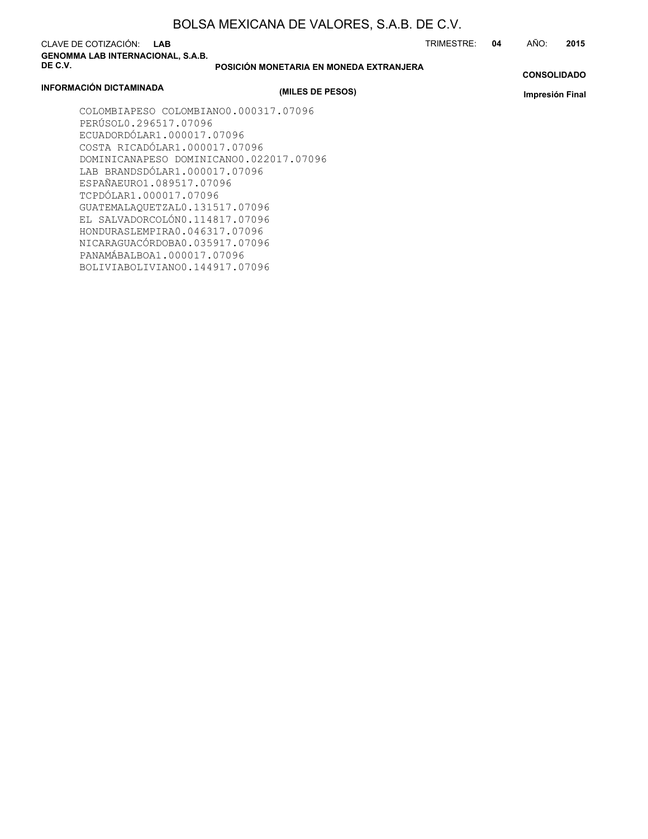CLAVE DE COTIZACIÓN: **LAB GENOMMA LAB INTERNACIONAL, S.A.B. DE C.V.**

#### **POSICIÓN MONETARIA EN MONEDA EXTRANJERA**

### **INFORMACIÓN DICTAMINADA**

### **(MILES DE PESOS)**

**CONSOLIDADO**

TRIMESTRE: **04** AÑO: **2015**

**Impresión Final**

COLOMBIAPESO COLOMBIANO0.000317.07096 PERÚSOL0.296517.07096 ECUADORDÓLAR1.000017.07096 COSTA RICADÓLAR1.000017.07096 DOMINICANAPESO DOMINICANO0.022017.07096 LAB BRANDSDÓLAR1.000017.07096 ESPAÑAEURO1.089517.07096 TCPDÓLAR1.000017.07096 GUATEMALAQUETZAL0.131517.07096 EL SALVADORCOLÓN0.114817.07096 HONDURASLEMPIRA0.046317.07096 NICARAGUACÓRDOBA0.035917.07096 PANAMÁBALBOA1.000017.07096 BOLIVIABOLIVIANO0.144917.07096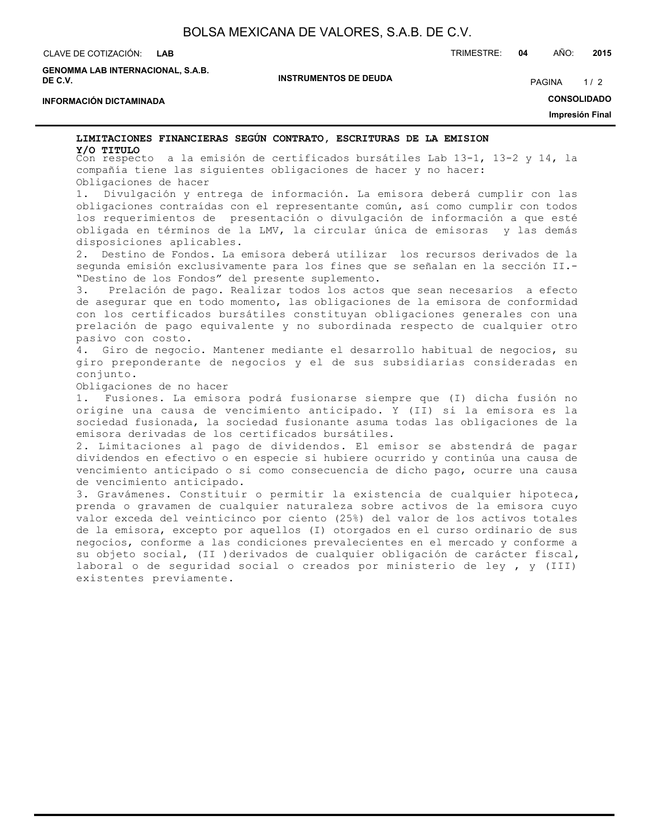#### **LAB**

**GENOMMA LAB INTERNACIONAL, S.A.B. DE C.V.**

**INSTRUMENTOS DE DEUDA**

PAGINA 1/2

#### **INFORMACIÓN DICTAMINADA**

## **CONSOLIDADO**

**Impresión Final**

# **LIMITACIONES FINANCIERAS SEGÚN CONTRATO, ESCRITURAS DE LA EMISION**

Con respecto a la emisión de certificados bursátiles Lab 13-1, 13-2 y 14, la **Y/O TITULO**compañía tiene las siguientes obligaciones de hacer y no hacer: Obligaciones de hacer

1. Divulgación y entrega de información. La emisora deberá cumplir con las obligaciones contraídas con el representante común, así como cumplir con todos los requerimientos de presentación o divulgación de información a que esté obligada en términos de la LMV, la circular única de emisoras y las demás disposiciones aplicables.

2. Destino de Fondos. La emisora deberá utilizar los recursos derivados de la segunda emisión exclusivamente para los fines que se señalan en la sección II.- "Destino de los Fondos" del presente suplemento.

3. Prelación de pago. Realizar todos los actos que sean necesarios a efecto de asegurar que en todo momento, las obligaciones de la emisora de conformidad con los certificados bursátiles constituyan obligaciones generales con una prelación de pago equivalente y no subordinada respecto de cualquier otro pasivo con costo.

4. Giro de negocio. Mantener mediante el desarrollo habitual de negocios, su giro preponderante de negocios y el de sus subsidiarias consideradas en conjunto.

Obligaciones de no hacer

1. Fusiones. La emisora podrá fusionarse siempre que (I) dicha fusión no origine una causa de vencimiento anticipado. Y (II) si la emisora es la sociedad fusionada, la sociedad fusionante asuma todas las obligaciones de la emisora derivadas de los certificados bursátiles.

2. Limitaciones al pago de dividendos. El emisor se abstendrá de pagar dividendos en efectivo o en especie si hubiere ocurrido y continúa una causa de vencimiento anticipado o si como consecuencia de dicho pago, ocurre una causa de vencimiento anticipado.

3. Gravámenes. Constituir o permitir la existencia de cualquier hipoteca, prenda o gravamen de cualquier naturaleza sobre activos de la emisora cuyo valor exceda del veinticinco por ciento (25%) del valor de los activos totales de la emisora, excepto por aquellos (I) otorgados en el curso ordinario de sus negocios, conforme a las condiciones prevalecientes en el mercado y conforme a su objeto social, (II )derivados de cualquier obligación de carácter fiscal, laboral o de seguridad social o creados por ministerio de ley , y (III) existentes previamente.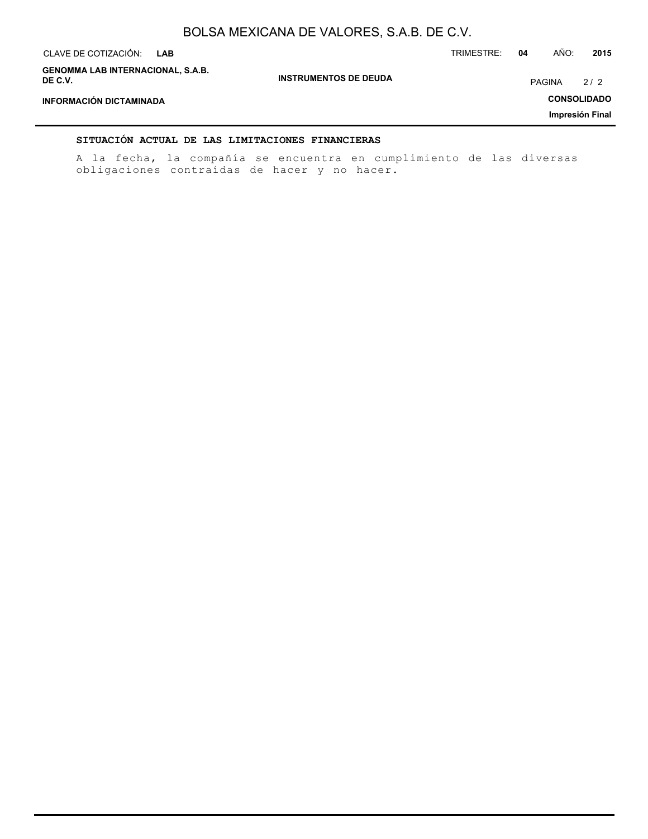| CLAVE DE COTIZACIÓN: LAB                            |                              | TRIMESTRE: | 04 | AÑO:   | 2015               |
|-----------------------------------------------------|------------------------------|------------|----|--------|--------------------|
| <b>GENOMMA LAB INTERNACIONAL, S.A.B.</b><br>DE C.V. | <b>INSTRUMENTOS DE DEUDA</b> |            |    | PAGINA | 2/2                |
| <b>INFORMACIÓN DICTAMINADA</b>                      |                              |            |    |        | <b>CONSOLIDADO</b> |
|                                                     |                              |            |    |        | Impresión Final    |

### **SITUACIÓN ACTUAL DE LAS LIMITACIONES FINANCIERAS**

A la fecha, la compañía se encuentra en cumplimiento de las diversas obligaciones contraídas de hacer y no hacer.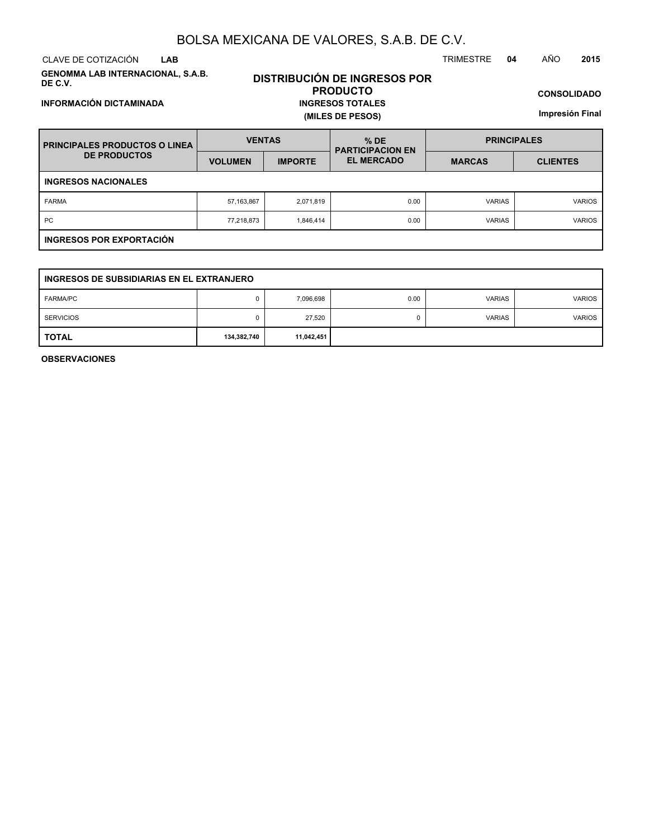CLAVE DE COTIZACIÓN TRIMESTRE **04** AÑO **2015 LAB**

**INFORMACIÓN DICTAMINADA**

**GENOMMA LAB INTERNACIONAL, S.A.B. DE C.V.**

### **DISTRIBUCIÓN DE INGRESOS POR PRODUCTO INGRESOS TOTALES (MILES DE PESOS)**

**CONSOLIDADO**

**Impresión Final**

| <b>PRINCIPALES PRODUCTOS O LINEA</b> | <b>VENTAS</b>  |                | $%$ DE<br><b>PARTICIPACION EN</b> | <b>PRINCIPALES</b> |                 |  |  |  |  |  |
|--------------------------------------|----------------|----------------|-----------------------------------|--------------------|-----------------|--|--|--|--|--|
| <b>DE PRODUCTOS</b>                  | <b>VOLUMEN</b> | <b>IMPORTE</b> | <b>EL MERCADO</b>                 | <b>MARCAS</b>      | <b>CLIENTES</b> |  |  |  |  |  |
| <b>INGRESOS NACIONALES</b>           |                |                |                                   |                    |                 |  |  |  |  |  |
| <b>FARMA</b>                         | 57,163,867     | 2,071,819      | 0.00                              | <b>VARIAS</b>      | <b>VARIOS</b>   |  |  |  |  |  |
| PC                                   | 77,218,873     | 1.846.414      | 0.00                              | <b>VARIAS</b>      | <b>VARIOS</b>   |  |  |  |  |  |
| INGRESOS POR EXPORTACIÓN             |                |                |                                   |                    |                 |  |  |  |  |  |

| INGRESOS DE SUBSIDIARIAS EN EL EXTRANJERO |             |            |      |               |               |  |  |  |  |  |
|-------------------------------------------|-------------|------------|------|---------------|---------------|--|--|--|--|--|
| <b>FARMA/PC</b>                           |             | 7,096,698  | 0.00 | <b>VARIAS</b> | <b>VARIOS</b> |  |  |  |  |  |
| <b>SERVICIOS</b>                          |             | 27,520     |      | <b>VARIAS</b> | <b>VARIOS</b> |  |  |  |  |  |
| <b>TOTAL</b>                              | 134,382,740 | 11,042,451 |      |               |               |  |  |  |  |  |

**OBSERVACIONES**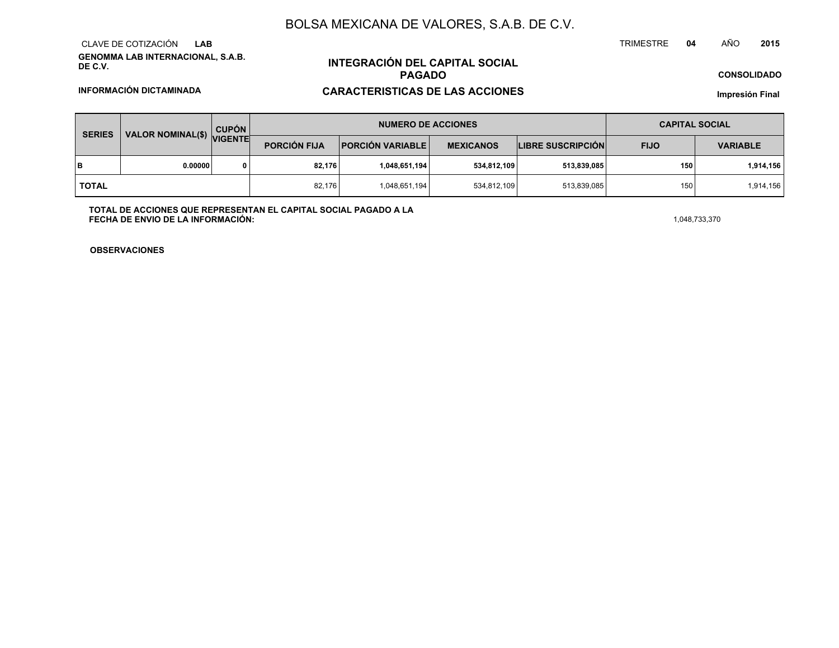**GENOMMA LAB INTERNACIONAL, S.A.B. DE C.V.**CLAVE DE COTIZACIÓN**LAB**

**INFORMACIÓN DICTAMINADA**

# **INTEGRACIÓN DEL CAPITAL SOCIALPAGADO**

### **CARACTERISTICAS DE LAS ACCIONES**

**CONSOLIDADO**

**Impresión Final**

| VALOR NOMINAL(\$) VIGENTE<br><b>SERIES</b> |         | <b>CUPÓN</b>        |                         | <b>NUMERO DE ACCIONES</b> | <b>CAPITAL SOCIAL</b>    |             |                 |           |
|--------------------------------------------|---------|---------------------|-------------------------|---------------------------|--------------------------|-------------|-----------------|-----------|
|                                            |         | <b>PORCIÓN FIJA</b> | <b>PORCIÓN VARIABLE</b> | <b>MEXICANOS</b>          | <b>LIBRE SUSCRIPCIÓN</b> | <b>FIJO</b> | <b>VARIABLE</b> |           |
| lв                                         | 0.00000 |                     | 82.176                  | 1,048,651,194             | 534,812,109              | 513,839,085 | 150             | 1,914,156 |
| TOTAL                                      |         |                     | 82.176                  | 1,048,651,194             | 534,812,109              | 513,839,085 | 150             | 1,914,156 |

**TOTAL DE ACCIONES QUE REPRESENTAN EL CAPITAL SOCIAL PAGADO A LAFECHA DE ENVIO DE LA INFORMACIÓN:** $1,048,733,370$ 

**OBSERVACIONES**

TRIMESTRE **<sup>04</sup>** AÑO**<sup>2015</sup>**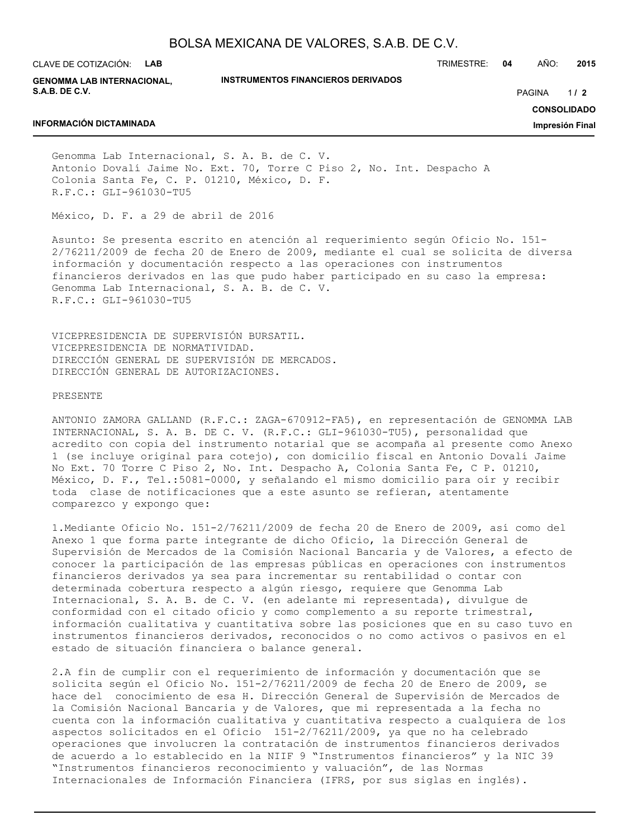CLAVE DE COTIZACIÓN: **LAB**

**GENOMMA LAB INTERNACIONAL, S.A.B. DE C.V.**

**INSTRUMENTOS FINANCIEROS DERIVADOS**

TRIMESTRE: **04** AÑO: **2015**

 $1/2$ PAGINA **/ 2**

#### **INFORMACIÓN DICTAMINADA**

**CONSOLIDADO Impresión Final**

Genomma Lab Internacional, S. A. B. de C. V. Antonio Dovalí Jaime No. Ext. 70, Torre C Piso 2, No. Int. Despacho A Colonia Santa Fe, C. P. 01210, México, D. F. R.F.C.: GLI-961030-TU5

México, D. F. a 29 de abril de 2016

Asunto: Se presenta escrito en atención al requerimiento según Oficio No. 151- 2/76211/2009 de fecha 20 de Enero de 2009, mediante el cual se solicita de diversa información y documentación respecto a las operaciones con instrumentos financieros derivados en las que pudo haber participado en su caso la empresa: Genomma Lab Internacional, S. A. B. de C. V. R.F.C.: GLI-961030-TU5

VICEPRESIDENCIA DE SUPERVISIÓN BURSATIL. VICEPRESIDENCIA DE NORMATIVIDAD. DIRECCIÓN GENERAL DE SUPERVISIÓN DE MERCADOS. DIRECCIÓN GENERAL DE AUTORIZACIONES.

#### PRESENTE

ANTONIO ZAMORA GALLAND (R.F.C.: ZAGA-670912-FA5), en representación de GENOMMA LAB INTERNACIONAL, S. A. B. DE C. V. (R.F.C.: GLI-961030-TU5), personalidad que acredito con copia del instrumento notarial que se acompaña al presente como Anexo 1 (se incluye original para cotejo), con domicilio fiscal en Antonio Dovalí Jaime No Ext. 70 Torre C Piso 2, No. Int. Despacho A, Colonia Santa Fe, C P. 01210, México, D. F., Tel.:5081-0000, y señalando el mismo domicilio para oír y recibir toda clase de notificaciones que a este asunto se refieran, atentamente comparezco y expongo que:

1.Mediante Oficio No. 151-2/76211/2009 de fecha 20 de Enero de 2009, así como del Anexo 1 que forma parte integrante de dicho Oficio, la Dirección General de Supervisión de Mercados de la Comisión Nacional Bancaria y de Valores, a efecto de conocer la participación de las empresas públicas en operaciones con instrumentos financieros derivados ya sea para incrementar su rentabilidad o contar con determinada cobertura respecto a algún riesgo, requiere que Genomma Lab Internacional, S. A. B. de C. V. (en adelante mi representada), divulgue de conformidad con el citado oficio y como complemento a su reporte trimestral, información cualitativa y cuantitativa sobre las posiciones que en su caso tuvo en instrumentos financieros derivados, reconocidos o no como activos o pasivos en el estado de situación financiera o balance general.

2.A fin de cumplir con el requerimiento de información y documentación que se solicita según el Oficio No. 151-2/76211/2009 de fecha 20 de Enero de 2009, se hace del conocimiento de esa H. Dirección General de Supervisión de Mercados de la Comisión Nacional Bancaria y de Valores, que mi representada a la fecha no cuenta con la información cualitativa y cuantitativa respecto a cualquiera de los aspectos solicitados en el Oficio 151-2/76211/2009, ya que no ha celebrado operaciones que involucren la contratación de instrumentos financieros derivados de acuerdo a lo establecido en la NIIF 9 "Instrumentos financieros" y la NIC 39 "Instrumentos financieros reconocimiento y valuación", de las Normas Internacionales de Información Financiera (IFRS, por sus siglas en inglés).